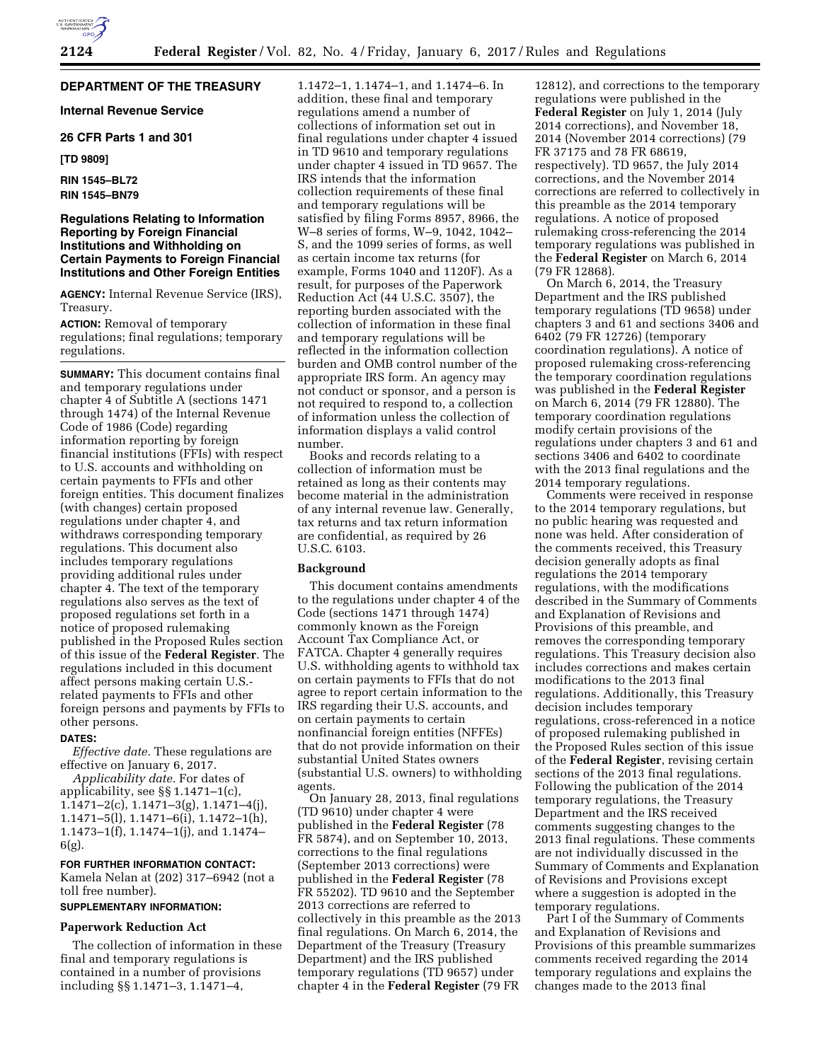# **DEPARTMENT OF THE TREASURY**

**Internal Revenue Service** 

# **26 CFR Parts 1 and 301**

**[TD 9809]** 

**RIN 1545–BL72 RIN 1545–BN79** 

# **Regulations Relating to Information Reporting by Foreign Financial Institutions and Withholding on Certain Payments to Foreign Financial Institutions and Other Foreign Entities**

**AGENCY:** Internal Revenue Service (IRS), Treasury.

**ACTION:** Removal of temporary regulations; final regulations; temporary regulations.

**SUMMARY:** This document contains final and temporary regulations under chapter 4 of Subtitle A (sections 1471 through 1474) of the Internal Revenue Code of 1986 (Code) regarding information reporting by foreign financial institutions (FFIs) with respect to U.S. accounts and withholding on certain payments to FFIs and other foreign entities. This document finalizes (with changes) certain proposed regulations under chapter 4, and withdraws corresponding temporary regulations. This document also includes temporary regulations providing additional rules under chapter 4. The text of the temporary regulations also serves as the text of proposed regulations set forth in a notice of proposed rulemaking published in the Proposed Rules section of this issue of the **Federal Register**. The regulations included in this document affect persons making certain U.S. related payments to FFIs and other foreign persons and payments by FFIs to other persons.

#### **DATES:**

*Effective date.* These regulations are effective on January 6, 2017.

*Applicability date.* For dates of applicability, see §§ 1.1471–1(c),  $1.1471-2(c), 1.1471-3(g), 1.1471-4(i),$ 1.1471–5(l), 1.1471–6(i), 1.1472–1(h), 1.1473–1(f), 1.1474–1(j), and 1.1474–  $6(p)$ .

**FOR FURTHER INFORMATION CONTACT:**  Kamela Nelan at (202) 317–6942 (not a toll free number).

# **SUPPLEMENTARY INFORMATION:**

# **Paperwork Reduction Act**

The collection of information in these final and temporary regulations is contained in a number of provisions including §§ 1.1471–3, 1.1471–4,

1.1472–1, 1.1474–1, and 1.1474–6. In addition, these final and temporary regulations amend a number of collections of information set out in final regulations under chapter 4 issued in TD 9610 and temporary regulations under chapter 4 issued in TD 9657. The IRS intends that the information collection requirements of these final and temporary regulations will be satisfied by filing Forms 8957, 8966, the W–8 series of forms, W–9, 1042, 1042– S, and the 1099 series of forms, as well as certain income tax returns (for example, Forms 1040 and 1120F). As a result, for purposes of the Paperwork Reduction Act (44 U.S.C. 3507), the reporting burden associated with the collection of information in these final and temporary regulations will be reflected in the information collection burden and OMB control number of the appropriate IRS form. An agency may not conduct or sponsor, and a person is not required to respond to, a collection of information unless the collection of information displays a valid control number.

Books and records relating to a collection of information must be retained as long as their contents may become material in the administration of any internal revenue law. Generally, tax returns and tax return information are confidential, as required by 26 U.S.C. 6103.

### **Background**

This document contains amendments to the regulations under chapter 4 of the Code (sections 1471 through 1474) commonly known as the Foreign Account Tax Compliance Act, or FATCA. Chapter 4 generally requires U.S. withholding agents to withhold tax on certain payments to FFIs that do not agree to report certain information to the IRS regarding their U.S. accounts, and on certain payments to certain nonfinancial foreign entities (NFFEs) that do not provide information on their substantial United States owners (substantial U.S. owners) to withholding agents.

On January 28, 2013, final regulations (TD 9610) under chapter 4 were published in the **Federal Register** (78 FR 5874), and on September 10, 2013, corrections to the final regulations (September 2013 corrections) were published in the **Federal Register** (78 FR 55202). TD 9610 and the September 2013 corrections are referred to collectively in this preamble as the 2013 final regulations. On March 6, 2014, the Department of the Treasury (Treasury Department) and the IRS published temporary regulations (TD 9657) under chapter 4 in the **Federal Register** (79 FR

12812), and corrections to the temporary regulations were published in the **Federal Register** on July 1, 2014 (July 2014 corrections), and November 18, 2014 (November 2014 corrections) (79 FR 37175 and 78 FR 68619, respectively). TD 9657, the July 2014 corrections, and the November 2014 corrections are referred to collectively in this preamble as the 2014 temporary regulations. A notice of proposed rulemaking cross-referencing the 2014 temporary regulations was published in the **Federal Register** on March 6, 2014 (79 FR 12868).

On March 6, 2014, the Treasury Department and the IRS published temporary regulations (TD 9658) under chapters 3 and 61 and sections 3406 and 6402 (79 FR 12726) (temporary coordination regulations). A notice of proposed rulemaking cross-referencing the temporary coordination regulations was published in the **Federal Register**  on March 6, 2014 (79 FR 12880). The temporary coordination regulations modify certain provisions of the regulations under chapters 3 and 61 and sections 3406 and 6402 to coordinate with the 2013 final regulations and the 2014 temporary regulations.

Comments were received in response to the 2014 temporary regulations, but no public hearing was requested and none was held. After consideration of the comments received, this Treasury decision generally adopts as final regulations the 2014 temporary regulations, with the modifications described in the Summary of Comments and Explanation of Revisions and Provisions of this preamble, and removes the corresponding temporary regulations. This Treasury decision also includes corrections and makes certain modifications to the 2013 final regulations. Additionally, this Treasury decision includes temporary regulations, cross-referenced in a notice of proposed rulemaking published in the Proposed Rules section of this issue of the **Federal Register**, revising certain sections of the 2013 final regulations. Following the publication of the 2014 temporary regulations, the Treasury Department and the IRS received comments suggesting changes to the 2013 final regulations. These comments are not individually discussed in the Summary of Comments and Explanation of Revisions and Provisions except where a suggestion is adopted in the temporary regulations.

Part I of the Summary of Comments and Explanation of Revisions and Provisions of this preamble summarizes comments received regarding the 2014 temporary regulations and explains the changes made to the 2013 final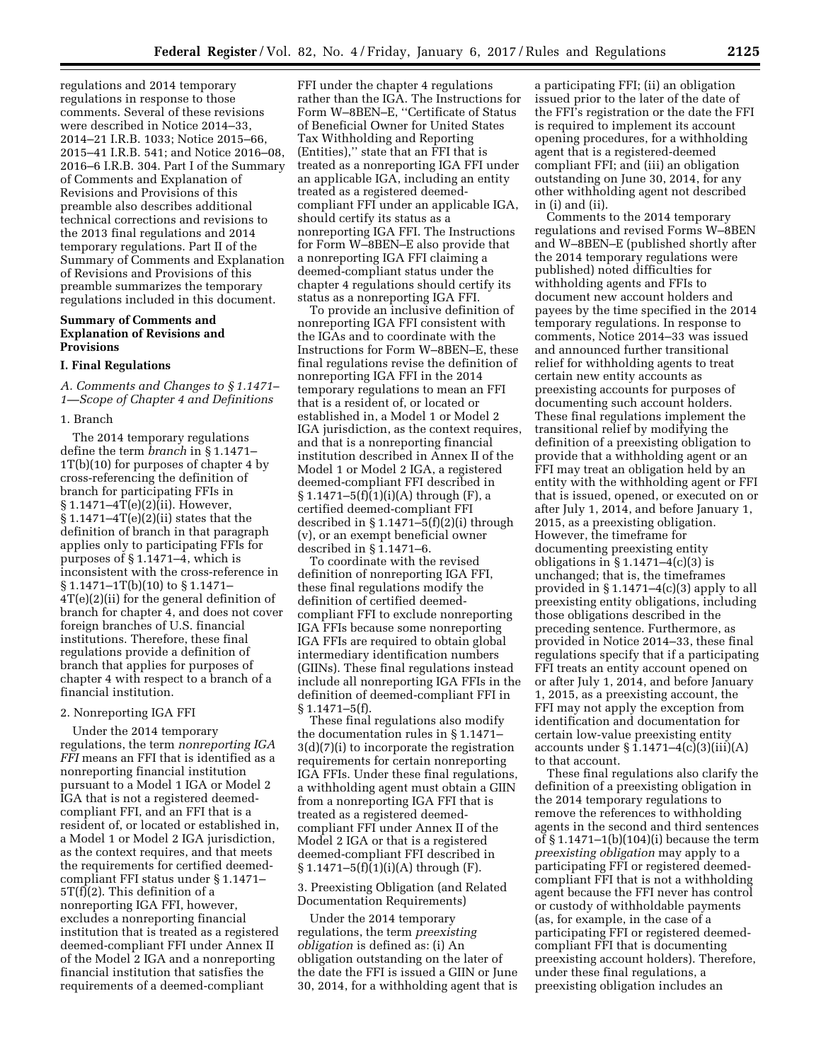regulations and 2014 temporary regulations in response to those comments. Several of these revisions were described in Notice 2014–33, 2014–21 I.R.B. 1033; Notice 2015–66, 2015–41 I.R.B. 541; and Notice 2016–08, 2016–6 I.R.B. 304. Part I of the Summary of Comments and Explanation of Revisions and Provisions of this preamble also describes additional technical corrections and revisions to the 2013 final regulations and 2014 temporary regulations. Part II of the Summary of Comments and Explanation of Revisions and Provisions of this preamble summarizes the temporary regulations included in this document.

# **Summary of Comments and Explanation of Revisions and Provisions**

# **I. Final Regulations**

*A. Comments and Changes to § 1.1471– 1—Scope of Chapter 4 and Definitions* 

### 1. Branch

The 2014 temporary regulations define the term *branch* in § 1.1471– 1T(b)(10) for purposes of chapter 4 by cross-referencing the definition of branch for participating FFIs in § 1.1471–4T(e)(2)(ii). However,  $\S 1.1471 - 4T(e)(2)(ii)$  states that the definition of branch in that paragraph applies only to participating FFIs for purposes of § 1.1471–4, which is inconsistent with the cross-reference in § 1.1471–1T(b)(10) to § 1.1471– 4T(e)(2)(ii) for the general definition of branch for chapter 4, and does not cover foreign branches of U.S. financial institutions. Therefore, these final regulations provide a definition of branch that applies for purposes of chapter 4 with respect to a branch of a financial institution.

### 2. Nonreporting IGA FFI

Under the 2014 temporary regulations, the term *nonreporting IGA FFI* means an FFI that is identified as a nonreporting financial institution pursuant to a Model 1 IGA or Model 2 IGA that is not a registered deemedcompliant FFI, and an FFI that is a resident of, or located or established in, a Model 1 or Model 2 IGA jurisdiction, as the context requires, and that meets the requirements for certified deemedcompliant FFI status under § 1.1471– 5T(f)(2). This definition of a nonreporting IGA FFI, however, excludes a nonreporting financial institution that is treated as a registered deemed-compliant FFI under Annex II of the Model 2 IGA and a nonreporting financial institution that satisfies the requirements of a deemed-compliant

FFI under the chapter 4 regulations rather than the IGA. The Instructions for Form W–8BEN–E, ''Certificate of Status of Beneficial Owner for United States Tax Withholding and Reporting (Entities),'' state that an FFI that is treated as a nonreporting IGA FFI under an applicable IGA, including an entity treated as a registered deemedcompliant FFI under an applicable IGA, should certify its status as a nonreporting IGA FFI. The Instructions for Form W–8BEN–E also provide that a nonreporting IGA FFI claiming a deemed-compliant status under the chapter 4 regulations should certify its status as a nonreporting IGA FFI.

To provide an inclusive definition of nonreporting IGA FFI consistent with the IGAs and to coordinate with the Instructions for Form W–8BEN–E, these final regulations revise the definition of nonreporting IGA FFI in the 2014 temporary regulations to mean an FFI that is a resident of, or located or established in, a Model 1 or Model 2 IGA jurisdiction, as the context requires, and that is a nonreporting financial institution described in Annex II of the Model 1 or Model 2 IGA, a registered deemed-compliant FFI described in § 1.1471–5(f)(1)(i)(A) through (F), a certified deemed-compliant FFI described in  $\S 1.1471 - 5(f)(2)(i)$  through (v), or an exempt beneficial owner described in § 1.1471–6.

To coordinate with the revised definition of nonreporting IGA FFI, these final regulations modify the definition of certified deemedcompliant FFI to exclude nonreporting IGA FFIs because some nonreporting IGA FFIs are required to obtain global intermediary identification numbers (GIINs). These final regulations instead include all nonreporting IGA FFIs in the definition of deemed-compliant FFI in § 1.1471–5(f).

These final regulations also modify the documentation rules in § 1.1471– 3(d)(7)(i) to incorporate the registration requirements for certain nonreporting IGA FFIs. Under these final regulations, a withholding agent must obtain a GIIN from a nonreporting IGA FFI that is treated as a registered deemedcompliant FFI under Annex II of the Model 2 IGA or that is a registered deemed-compliant FFI described in  $\S 1.1471 - 5(f)(1)(i)(A)$  through (F).

### 3. Preexisting Obligation (and Related Documentation Requirements)

Under the 2014 temporary regulations, the term *preexisting obligation* is defined as: (i) An obligation outstanding on the later of the date the FFI is issued a GIIN or June 30, 2014, for a withholding agent that is a participating FFI; (ii) an obligation issued prior to the later of the date of the FFI's registration or the date the FFI is required to implement its account opening procedures, for a withholding agent that is a registered-deemed compliant FFI; and (iii) an obligation outstanding on June 30, 2014, for any other withholding agent not described in (i) and (ii).

Comments to the 2014 temporary regulations and revised Forms W–8BEN and W–8BEN–E (published shortly after the 2014 temporary regulations were published) noted difficulties for withholding agents and FFIs to document new account holders and payees by the time specified in the 2014 temporary regulations. In response to comments, Notice 2014–33 was issued and announced further transitional relief for withholding agents to treat certain new entity accounts as preexisting accounts for purposes of documenting such account holders. These final regulations implement the transitional relief by modifying the definition of a preexisting obligation to provide that a withholding agent or an FFI may treat an obligation held by an entity with the withholding agent or FFI that is issued, opened, or executed on or after July 1, 2014, and before January 1, 2015, as a preexisting obligation. However, the timeframe for documenting preexisting entity obligations in  $\S 1.1471-4(c)(3)$  is unchanged; that is, the timeframes provided in § 1.1471–4(c)(3) apply to all preexisting entity obligations, including those obligations described in the preceding sentence. Furthermore, as provided in Notice 2014–33, these final regulations specify that if a participating FFI treats an entity account opened on or after July 1, 2014, and before January 1, 2015, as a preexisting account, the FFI may not apply the exception from identification and documentation for certain low-value preexisting entity accounts under  $\S 1.1471 - 4(c)(3)(iii)(A)$ to that account.

These final regulations also clarify the definition of a preexisting obligation in the 2014 temporary regulations to remove the references to withholding agents in the second and third sentences of § 1.1471–1(b)(104)(i) because the term *preexisting obligation* may apply to a participating FFI or registered deemedcompliant FFI that is not a withholding agent because the FFI never has control or custody of withholdable payments (as, for example, in the case of a participating FFI or registered deemedcompliant FFI that is documenting preexisting account holders). Therefore, under these final regulations, a preexisting obligation includes an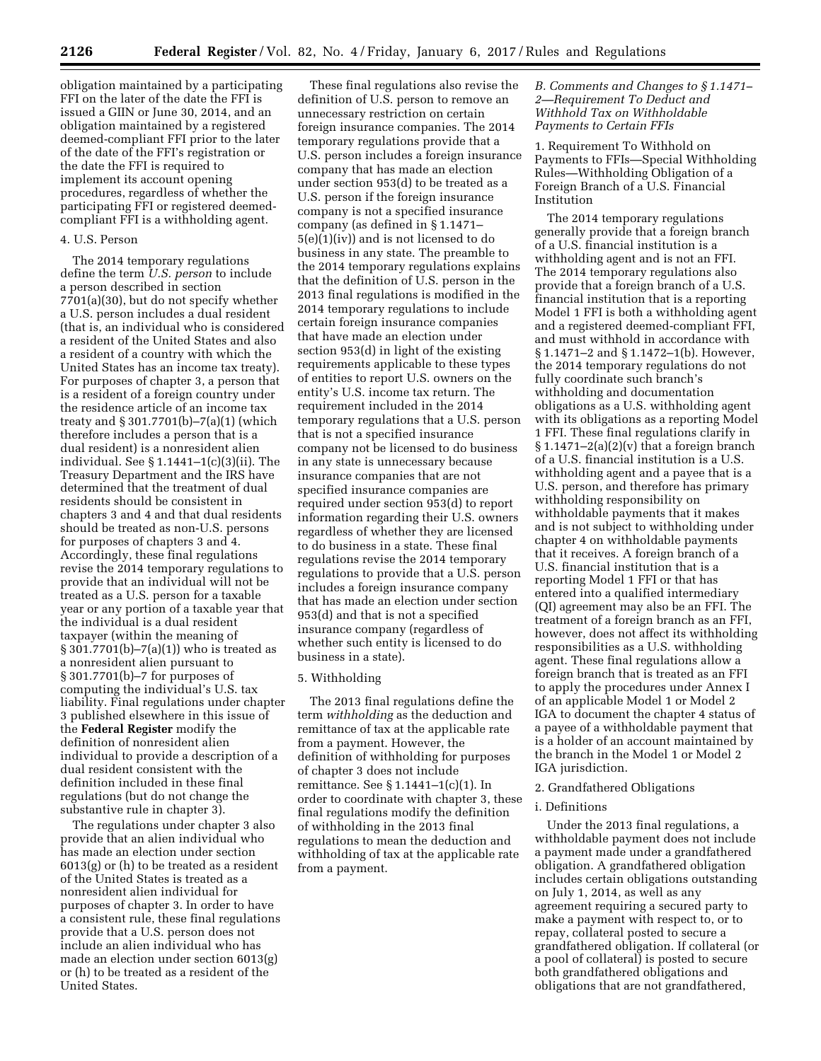obligation maintained by a participating FFI on the later of the date the FFI is issued a GIIN or June 30, 2014, and an obligation maintained by a registered deemed-compliant FFI prior to the later of the date of the FFI's registration or the date the FFI is required to implement its account opening procedures, regardless of whether the participating FFI or registered deemedcompliant FFI is a withholding agent.

### 4. U.S. Person

The 2014 temporary regulations define the term *U.S. person* to include a person described in section 7701(a)(30), but do not specify whether a U.S. person includes a dual resident (that is, an individual who is considered a resident of the United States and also a resident of a country with which the United States has an income tax treaty). For purposes of chapter 3, a person that is a resident of a foreign country under the residence article of an income tax treaty and § 301.7701(b)–7(a)(1) (which therefore includes a person that is a dual resident) is a nonresident alien individual. See § 1.1441–1(c)(3)(ii). The Treasury Department and the IRS have determined that the treatment of dual residents should be consistent in chapters 3 and 4 and that dual residents should be treated as non-U.S. persons for purposes of chapters 3 and 4. Accordingly, these final regulations revise the 2014 temporary regulations to provide that an individual will not be treated as a U.S. person for a taxable year or any portion of a taxable year that the individual is a dual resident taxpayer (within the meaning of § 301.7701(b)–7(a)(1)) who is treated as a nonresident alien pursuant to § 301.7701(b)–7 for purposes of computing the individual's U.S. tax liability. Final regulations under chapter 3 published elsewhere in this issue of the **Federal Register** modify the definition of nonresident alien individual to provide a description of a dual resident consistent with the definition included in these final regulations (but do not change the substantive rule in chapter 3).

The regulations under chapter 3 also provide that an alien individual who has made an election under section 6013(g) or (h) to be treated as a resident of the United States is treated as a nonresident alien individual for purposes of chapter 3. In order to have a consistent rule, these final regulations provide that a U.S. person does not include an alien individual who has made an election under section 6013(g) or (h) to be treated as a resident of the United States.

These final regulations also revise the definition of U.S. person to remove an unnecessary restriction on certain foreign insurance companies. The 2014 temporary regulations provide that a U.S. person includes a foreign insurance company that has made an election under section 953(d) to be treated as a U.S. person if the foreign insurance company is not a specified insurance company (as defined in § 1.1471– 5(e)(1)(iv)) and is not licensed to do business in any state. The preamble to the 2014 temporary regulations explains that the definition of U.S. person in the 2013 final regulations is modified in the 2014 temporary regulations to include certain foreign insurance companies that have made an election under section 953(d) in light of the existing requirements applicable to these types of entities to report U.S. owners on the entity's U.S. income tax return. The requirement included in the 2014 temporary regulations that a U.S. person that is not a specified insurance company not be licensed to do business in any state is unnecessary because insurance companies that are not specified insurance companies are required under section 953(d) to report information regarding their U.S. owners regardless of whether they are licensed to do business in a state. These final regulations revise the 2014 temporary regulations to provide that a U.S. person includes a foreign insurance company that has made an election under section 953(d) and that is not a specified insurance company (regardless of whether such entity is licensed to do business in a state).

### 5. Withholding

The 2013 final regulations define the term *withholding* as the deduction and remittance of tax at the applicable rate from a payment. However, the definition of withholding for purposes of chapter 3 does not include remittance. See § 1.1441–1(c)(1). In order to coordinate with chapter 3, these final regulations modify the definition of withholding in the 2013 final regulations to mean the deduction and withholding of tax at the applicable rate from a payment.

# *B. Comments and Changes to § 1.1471– 2—Requirement To Deduct and Withhold Tax on Withholdable Payments to Certain FFIs*

1. Requirement To Withhold on Payments to FFIs—Special Withholding Rules—Withholding Obligation of a Foreign Branch of a U.S. Financial Institution

The 2014 temporary regulations generally provide that a foreign branch of a U.S. financial institution is a withholding agent and is not an FFI. The 2014 temporary regulations also provide that a foreign branch of a U.S. financial institution that is a reporting Model 1 FFI is both a withholding agent and a registered deemed-compliant FFI, and must withhold in accordance with § 1.1471–2 and § 1.1472–1(b). However, the 2014 temporary regulations do not fully coordinate such branch's withholding and documentation obligations as a U.S. withholding agent with its obligations as a reporting Model 1 FFI. These final regulations clarify in § 1.1471–2(a)(2)(v) that a foreign branch of a U.S. financial institution is a U.S. withholding agent and a payee that is a U.S. person, and therefore has primary withholding responsibility on withholdable payments that it makes and is not subject to withholding under chapter 4 on withholdable payments that it receives. A foreign branch of a U.S. financial institution that is a reporting Model 1 FFI or that has entered into a qualified intermediary (QI) agreement may also be an FFI. The treatment of a foreign branch as an FFI, however, does not affect its withholding responsibilities as a U.S. withholding agent. These final regulations allow a foreign branch that is treated as an FFI to apply the procedures under Annex I of an applicable Model 1 or Model 2 IGA to document the chapter 4 status of a payee of a withholdable payment that is a holder of an account maintained by the branch in the Model 1 or Model 2 IGA jurisdiction.

### 2. Grandfathered Obligations

## i. Definitions

Under the 2013 final regulations, a withholdable payment does not include a payment made under a grandfathered obligation. A grandfathered obligation includes certain obligations outstanding on July 1, 2014, as well as any agreement requiring a secured party to make a payment with respect to, or to repay, collateral posted to secure a grandfathered obligation. If collateral (or a pool of collateral) is posted to secure both grandfathered obligations and obligations that are not grandfathered,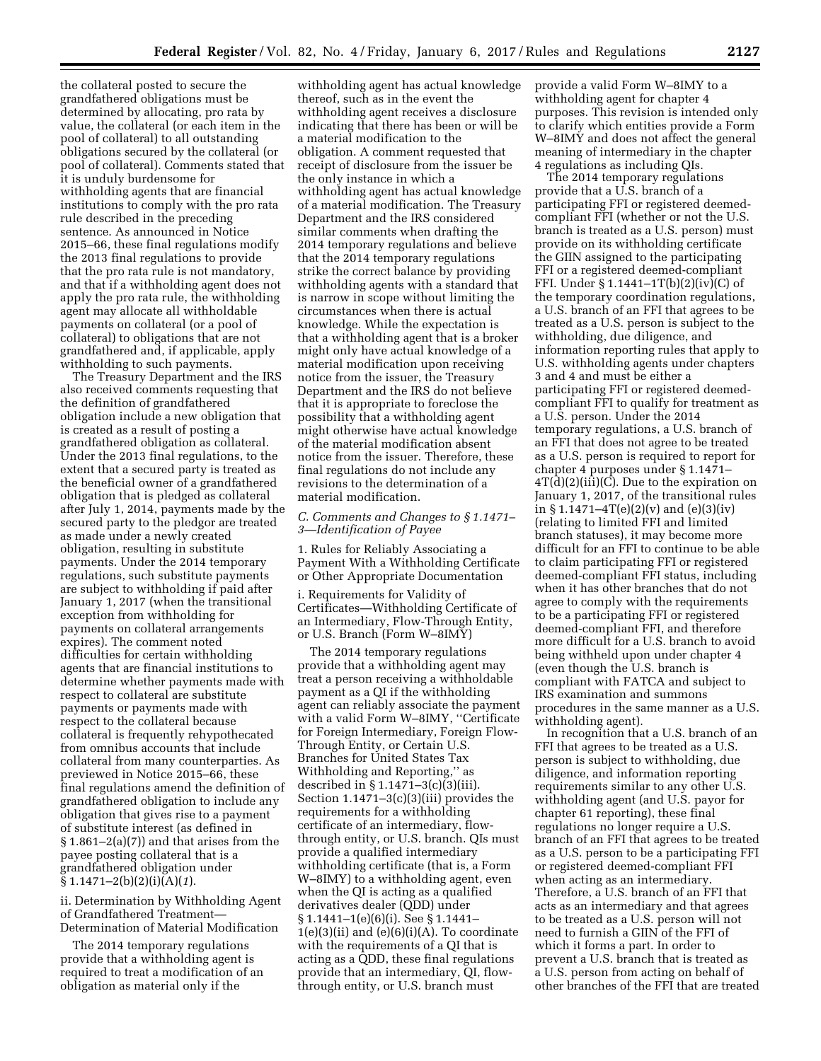the collateral posted to secure the grandfathered obligations must be determined by allocating, pro rata by value, the collateral (or each item in the pool of collateral) to all outstanding obligations secured by the collateral (or pool of collateral). Comments stated that it is unduly burdensome for withholding agents that are financial institutions to comply with the pro rata rule described in the preceding sentence. As announced in Notice 2015–66, these final regulations modify the 2013 final regulations to provide that the pro rata rule is not mandatory, and that if a withholding agent does not apply the pro rata rule, the withholding agent may allocate all withholdable payments on collateral (or a pool of collateral) to obligations that are not grandfathered and, if applicable, apply withholding to such payments.

The Treasury Department and the IRS also received comments requesting that the definition of grandfathered obligation include a new obligation that is created as a result of posting a grandfathered obligation as collateral. Under the 2013 final regulations, to the extent that a secured party is treated as the beneficial owner of a grandfathered obligation that is pledged as collateral after July 1, 2014, payments made by the secured party to the pledgor are treated as made under a newly created obligation, resulting in substitute payments. Under the 2014 temporary regulations, such substitute payments are subject to withholding if paid after January 1, 2017 (when the transitional exception from withholding for payments on collateral arrangements expires). The comment noted difficulties for certain withholding agents that are financial institutions to determine whether payments made with respect to collateral are substitute payments or payments made with respect to the collateral because collateral is frequently rehypothecated from omnibus accounts that include collateral from many counterparties. As previewed in Notice 2015–66, these final regulations amend the definition of grandfathered obligation to include any obligation that gives rise to a payment of substitute interest (as defined in  $\S 1.861 - 2(a)(7)$  and that arises from the payee posting collateral that is a grandfathered obligation under § 1.1471–2(b)(2)(i)(A)(*1*).

ii. Determination by Withholding Agent of Grandfathered Treatment— Determination of Material Modification

The 2014 temporary regulations provide that a withholding agent is required to treat a modification of an obligation as material only if the

withholding agent has actual knowledge thereof, such as in the event the withholding agent receives a disclosure indicating that there has been or will be a material modification to the obligation. A comment requested that receipt of disclosure from the issuer be the only instance in which a withholding agent has actual knowledge of a material modification. The Treasury Department and the IRS considered similar comments when drafting the 2014 temporary regulations and believe that the 2014 temporary regulations strike the correct balance by providing withholding agents with a standard that is narrow in scope without limiting the circumstances when there is actual knowledge. While the expectation is that a withholding agent that is a broker might only have actual knowledge of a material modification upon receiving notice from the issuer, the Treasury Department and the IRS do not believe that it is appropriate to foreclose the possibility that a withholding agent might otherwise have actual knowledge of the material modification absent notice from the issuer. Therefore, these final regulations do not include any revisions to the determination of a material modification.

# *C. Comments and Changes to § 1.1471– 3—Identification of Payee*

1. Rules for Reliably Associating a Payment With a Withholding Certificate or Other Appropriate Documentation

i. Requirements for Validity of Certificates—Withholding Certificate of an Intermediary, Flow-Through Entity, or U.S. Branch (Form W–8IMY)

The 2014 temporary regulations provide that a withholding agent may treat a person receiving a withholdable payment as a QI if the withholding agent can reliably associate the payment with a valid Form W–8IMY, ''Certificate for Foreign Intermediary, Foreign Flow-Through Entity, or Certain U.S. Branches for United States Tax Withholding and Reporting,'' as described in  $\S 1.1471-3(c)(3)(iii)$ . Section 1.1471–3(c)(3)(iii) provides the requirements for a withholding certificate of an intermediary, flowthrough entity, or U.S. branch. QIs must provide a qualified intermediary withholding certificate (that is, a Form W–8IMY) to a withholding agent, even when the QI is acting as a qualified derivatives dealer (QDD) under § 1.1441–1(e)(6)(i). See § 1.1441–  $1(e)(3)(ii)$  and  $(e)(6)(i)(A)$ . To coordinate with the requirements of a QI that is acting as a QDD, these final regulations provide that an intermediary, QI, flowthrough entity, or U.S. branch must

provide a valid Form W–8IMY to a withholding agent for chapter 4 purposes. This revision is intended only to clarify which entities provide a Form W–8IMY and does not affect the general meaning of intermediary in the chapter 4 regulations as including QIs.

The 2014 temporary regulations provide that a U.S. branch of a participating FFI or registered deemedcompliant FFI (whether or not the U.S. branch is treated as a U.S. person) must provide on its withholding certificate the GIIN assigned to the participating FFI or a registered deemed-compliant FFI. Under § 1.1441–1T(b)(2)(iv)(C) of the temporary coordination regulations, a U.S. branch of an FFI that agrees to be treated as a U.S. person is subject to the withholding, due diligence, and information reporting rules that apply to U.S. withholding agents under chapters 3 and 4 and must be either a participating FFI or registered deemedcompliant FFI to qualify for treatment as a U.S. person. Under the 2014 temporary regulations, a U.S. branch of an FFI that does not agree to be treated as a U.S. person is required to report for chapter 4 purposes under § 1.1471–  $4T(d)(2)(iii)(C)$ . Due to the expiration on January 1, 2017, of the transitional rules in § 1.1471–4T(e)(2)(v) and (e)(3)(iv) (relating to limited FFI and limited branch statuses), it may become more difficult for an FFI to continue to be able to claim participating FFI or registered deemed-compliant FFI status, including when it has other branches that do not agree to comply with the requirements to be a participating FFI or registered deemed-compliant FFI, and therefore more difficult for a U.S. branch to avoid being withheld upon under chapter 4 (even though the U.S. branch is compliant with FATCA and subject to IRS examination and summons procedures in the same manner as a U.S. withholding agent).

In recognition that a U.S. branch of an FFI that agrees to be treated as a U.S. person is subject to withholding, due diligence, and information reporting requirements similar to any other U.S. withholding agent (and U.S. payor for chapter 61 reporting), these final regulations no longer require a U.S. branch of an FFI that agrees to be treated as a U.S. person to be a participating FFI or registered deemed-compliant FFI when acting as an intermediary. Therefore, a U.S. branch of an FFI that acts as an intermediary and that agrees to be treated as a U.S. person will not need to furnish a GIIN of the FFI of which it forms a part. In order to prevent a U.S. branch that is treated as a U.S. person from acting on behalf of other branches of the FFI that are treated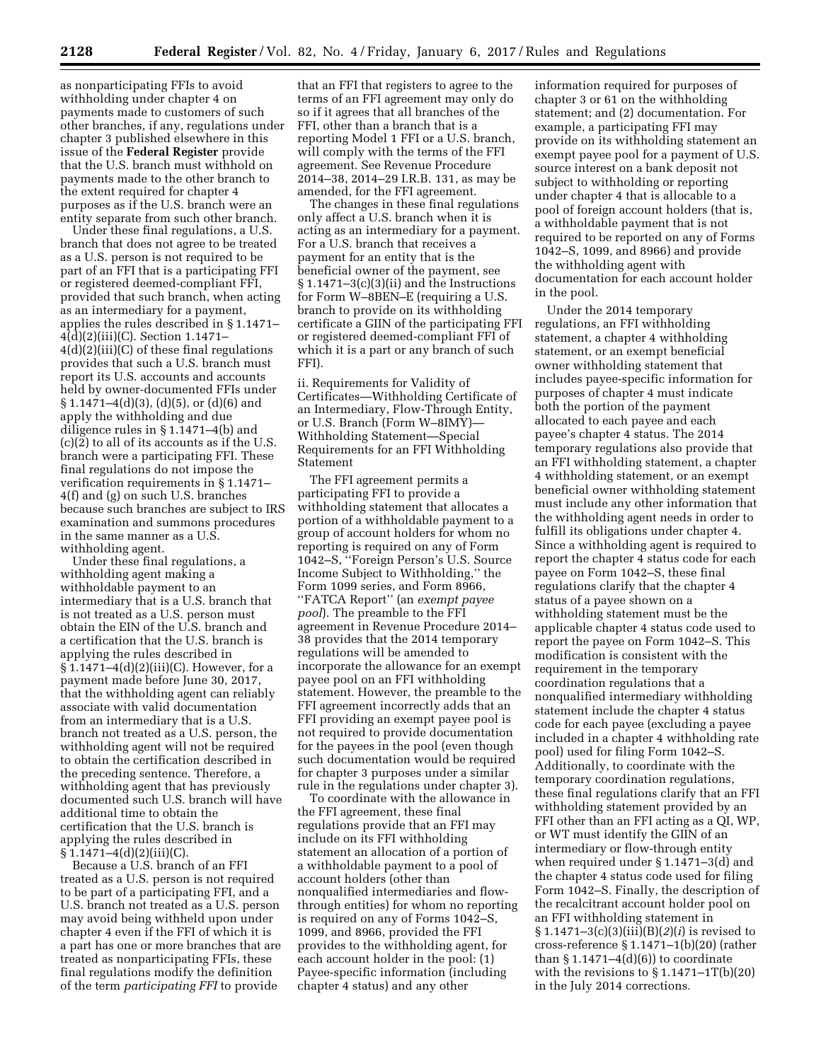as nonparticipating FFIs to avoid withholding under chapter 4 on payments made to customers of such other branches, if any, regulations under chapter 3 published elsewhere in this issue of the **Federal Register** provide that the U.S. branch must withhold on payments made to the other branch to the extent required for chapter 4 purposes as if the U.S. branch were an entity separate from such other branch.

Under these final regulations, a U.S. branch that does not agree to be treated as a U.S. person is not required to be part of an FFI that is a participating FFI or registered deemed-compliant FFI, provided that such branch, when acting as an intermediary for a payment, applies the rules described in § 1.1471–  $4(d)(2)(iii)(C)$ . Section 1.1471– 4(d)(2)(iii)(C) of these final regulations provides that such a U.S. branch must report its U.S. accounts and accounts held by owner-documented FFIs under  $\S 1.1471 - 4(d)(3)$ , (d)(5), or (d)(6) and apply the withholding and due diligence rules in § 1.1471–4(b) and (c)(2) to all of its accounts as if the U.S. branch were a participating FFI. These final regulations do not impose the verification requirements in § 1.1471– 4(f) and (g) on such U.S. branches because such branches are subject to IRS examination and summons procedures in the same manner as a U.S. withholding agent.

Under these final regulations, a withholding agent making a withholdable payment to an intermediary that is a U.S. branch that is not treated as a U.S. person must obtain the EIN of the U.S. branch and a certification that the U.S. branch is applying the rules described in  $§ 1.1471-4(d)(2)(iii)(C)$ . However, for a payment made before June 30, 2017, that the withholding agent can reliably associate with valid documentation from an intermediary that is a U.S. branch not treated as a U.S. person, the withholding agent will not be required to obtain the certification described in the preceding sentence. Therefore, a withholding agent that has previously documented such U.S. branch will have additional time to obtain the certification that the U.S. branch is applying the rules described in  $§ 1.1471 - 4(d)(2)(iii)(C).$ 

Because a U.S. branch of an FFI treated as a U.S. person is not required to be part of a participating FFI, and a U.S. branch not treated as a U.S. person may avoid being withheld upon under chapter 4 even if the FFI of which it is a part has one or more branches that are treated as nonparticipating FFIs, these final regulations modify the definition of the term *participating FFI* to provide

that an FFI that registers to agree to the terms of an FFI agreement may only do so if it agrees that all branches of the FFI, other than a branch that is a reporting Model 1 FFI or a U.S. branch, will comply with the terms of the FFI agreement. See Revenue Procedure 2014–38, 2014–29 I.R.B. 131, as may be amended, for the FFI agreement.

The changes in these final regulations only affect a U.S. branch when it is acting as an intermediary for a payment. For a U.S. branch that receives a payment for an entity that is the beneficial owner of the payment, see § 1.1471–3(c)(3)(ii) and the Instructions for Form W–8BEN–E (requiring a U.S. branch to provide on its withholding certificate a GIIN of the participating FFI or registered deemed-compliant FFI of which it is a part or any branch of such FFI).

ii. Requirements for Validity of Certificates—Withholding Certificate of an Intermediary, Flow-Through Entity, or U.S. Branch (Form W–8IMY)— Withholding Statement—Special Requirements for an FFI Withholding Statement

The FFI agreement permits a participating FFI to provide a withholding statement that allocates a portion of a withholdable payment to a group of account holders for whom no reporting is required on any of Form 1042–S, ''Foreign Person's U.S. Source Income Subject to Withholding,'' the Form 1099 series, and Form 8966, ''FATCA Report'' (an *exempt payee pool*). The preamble to the FFI agreement in Revenue Procedure 2014– 38 provides that the 2014 temporary regulations will be amended to incorporate the allowance for an exempt payee pool on an FFI withholding statement. However, the preamble to the FFI agreement incorrectly adds that an FFI providing an exempt payee pool is not required to provide documentation for the payees in the pool (even though such documentation would be required for chapter 3 purposes under a similar rule in the regulations under chapter 3).

To coordinate with the allowance in the FFI agreement, these final regulations provide that an FFI may include on its FFI withholding statement an allocation of a portion of a withholdable payment to a pool of account holders (other than nonqualified intermediaries and flowthrough entities) for whom no reporting is required on any of Forms 1042–S, 1099, and 8966, provided the FFI provides to the withholding agent, for each account holder in the pool: (1) Payee-specific information (including chapter 4 status) and any other

information required for purposes of chapter 3 or 61 on the withholding statement; and (2) documentation. For example, a participating FFI may provide on its withholding statement an exempt payee pool for a payment of U.S. source interest on a bank deposit not subject to withholding or reporting under chapter 4 that is allocable to a pool of foreign account holders (that is, a withholdable payment that is not required to be reported on any of Forms 1042–S, 1099, and 8966) and provide the withholding agent with documentation for each account holder in the pool.

Under the 2014 temporary regulations, an FFI withholding statement, a chapter 4 withholding statement, or an exempt beneficial owner withholding statement that includes payee-specific information for purposes of chapter 4 must indicate both the portion of the payment allocated to each payee and each payee's chapter 4 status. The 2014 temporary regulations also provide that an FFI withholding statement, a chapter 4 withholding statement, or an exempt beneficial owner withholding statement must include any other information that the withholding agent needs in order to fulfill its obligations under chapter 4. Since a withholding agent is required to report the chapter 4 status code for each payee on Form 1042–S, these final regulations clarify that the chapter 4 status of a payee shown on a withholding statement must be the applicable chapter 4 status code used to report the payee on Form 1042–S. This modification is consistent with the requirement in the temporary coordination regulations that a nonqualified intermediary withholding statement include the chapter 4 status code for each payee (excluding a payee included in a chapter 4 withholding rate pool) used for filing Form 1042–S. Additionally, to coordinate with the temporary coordination regulations, these final regulations clarify that an FFI withholding statement provided by an FFI other than an FFI acting as a QI, WP, or WT must identify the GIIN of an intermediary or flow-through entity when required under § 1.1471–3(d) and the chapter 4 status code used for filing Form 1042–S. Finally, the description of the recalcitrant account holder pool on an FFI withholding statement in § 1.1471–3(c)(3)(iii)(B)(*2*)(*i*) is revised to cross-reference § 1.1471–1(b)(20) (rather than  $§ 1.1471-4(d)(6)$  to coordinate with the revisions to  $\S 1.1471 - 1T(b)(20)$ in the July 2014 corrections.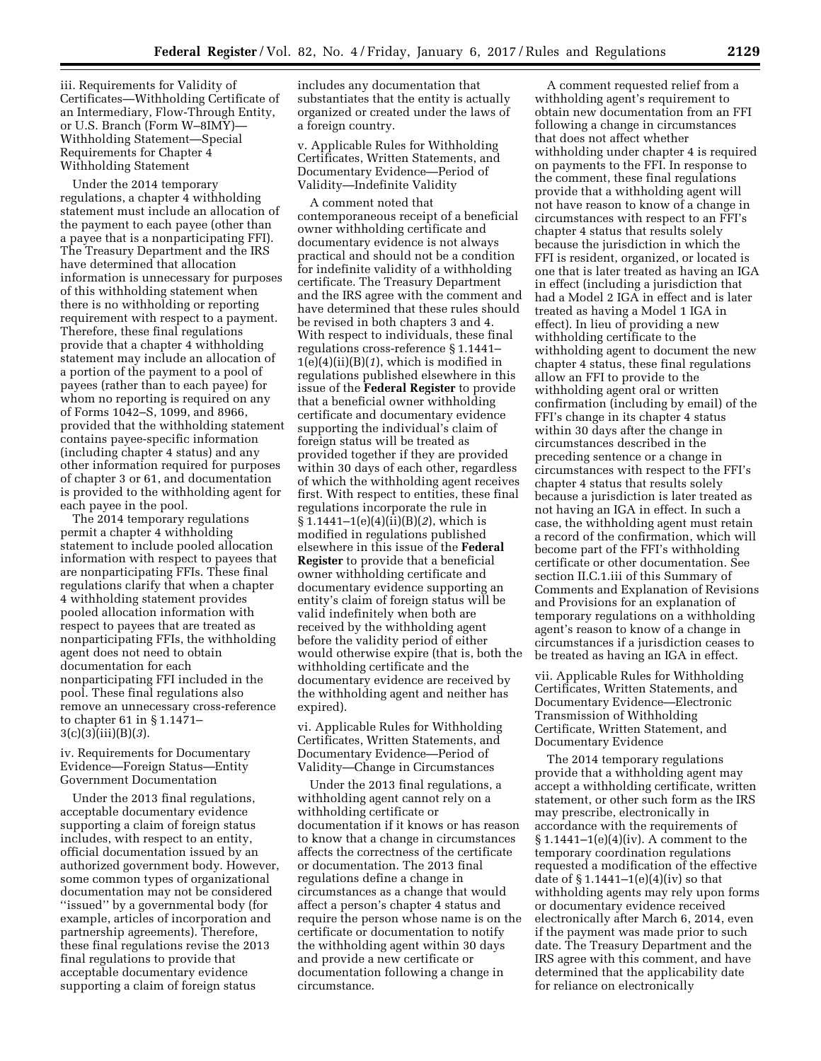iii. Requirements for Validity of Certificates—Withholding Certificate of an Intermediary, Flow-Through Entity, or U.S. Branch (Form W–8IMY)— Withholding Statement—Special Requirements for Chapter 4 Withholding Statement

Under the 2014 temporary regulations, a chapter 4 withholding statement must include an allocation of the payment to each payee (other than a payee that is a nonparticipating FFI). The Treasury Department and the IRS have determined that allocation information is unnecessary for purposes of this withholding statement when there is no withholding or reporting requirement with respect to a payment. Therefore, these final regulations provide that a chapter 4 withholding statement may include an allocation of a portion of the payment to a pool of payees (rather than to each payee) for whom no reporting is required on any of Forms 1042–S, 1099, and 8966, provided that the withholding statement contains payee-specific information (including chapter 4 status) and any other information required for purposes of chapter 3 or 61, and documentation is provided to the withholding agent for each payee in the pool.

The 2014 temporary regulations permit a chapter 4 withholding statement to include pooled allocation information with respect to payees that are nonparticipating FFIs. These final regulations clarify that when a chapter 4 withholding statement provides pooled allocation information with respect to payees that are treated as nonparticipating FFIs, the withholding agent does not need to obtain documentation for each nonparticipating FFI included in the pool. These final regulations also remove an unnecessary cross-reference to chapter 61 in § 1.1471– 3(c)(3)(iii)(B)(*3*).

iv. Requirements for Documentary Evidence—Foreign Status—Entity Government Documentation

Under the 2013 final regulations, acceptable documentary evidence supporting a claim of foreign status includes, with respect to an entity, official documentation issued by an authorized government body. However, some common types of organizational documentation may not be considered ''issued'' by a governmental body (for example, articles of incorporation and partnership agreements). Therefore, these final regulations revise the 2013 final regulations to provide that acceptable documentary evidence supporting a claim of foreign status

includes any documentation that substantiates that the entity is actually organized or created under the laws of a foreign country.

v. Applicable Rules for Withholding Certificates, Written Statements, and Documentary Evidence—Period of Validity—Indefinite Validity

A comment noted that contemporaneous receipt of a beneficial owner withholding certificate and documentary evidence is not always practical and should not be a condition for indefinite validity of a withholding certificate. The Treasury Department and the IRS agree with the comment and have determined that these rules should be revised in both chapters 3 and 4. With respect to individuals, these final regulations cross-reference § 1.1441– 1(e)(4)(ii)(B)(*1*), which is modified in regulations published elsewhere in this issue of the **Federal Register** to provide that a beneficial owner withholding certificate and documentary evidence supporting the individual's claim of foreign status will be treated as provided together if they are provided within 30 days of each other, regardless of which the withholding agent receives first. With respect to entities, these final regulations incorporate the rule in § 1.1441–1(e)(4)(ii)(B)(*2*), which is modified in regulations published elsewhere in this issue of the **Federal Register** to provide that a beneficial owner withholding certificate and documentary evidence supporting an entity's claim of foreign status will be valid indefinitely when both are received by the withholding agent before the validity period of either would otherwise expire (that is, both the withholding certificate and the documentary evidence are received by the withholding agent and neither has expired).

vi. Applicable Rules for Withholding Certificates, Written Statements, and Documentary Evidence—Period of Validity—Change in Circumstances

Under the 2013 final regulations, a withholding agent cannot rely on a withholding certificate or documentation if it knows or has reason to know that a change in circumstances affects the correctness of the certificate or documentation. The 2013 final regulations define a change in circumstances as a change that would affect a person's chapter 4 status and require the person whose name is on the certificate or documentation to notify the withholding agent within 30 days and provide a new certificate or documentation following a change in circumstance.

A comment requested relief from a withholding agent's requirement to obtain new documentation from an FFI following a change in circumstances that does not affect whether withholding under chapter 4 is required on payments to the FFI. In response to the comment, these final regulations provide that a withholding agent will not have reason to know of a change in circumstances with respect to an FFI's chapter 4 status that results solely because the jurisdiction in which the FFI is resident, organized, or located is one that is later treated as having an IGA in effect (including a jurisdiction that had a Model 2 IGA in effect and is later treated as having a Model 1 IGA in effect). In lieu of providing a new withholding certificate to the withholding agent to document the new chapter 4 status, these final regulations allow an FFI to provide to the withholding agent oral or written confirmation (including by email) of the FFI's change in its chapter 4 status within 30 days after the change in circumstances described in the preceding sentence or a change in circumstances with respect to the FFI's chapter 4 status that results solely because a jurisdiction is later treated as not having an IGA in effect. In such a case, the withholding agent must retain a record of the confirmation, which will become part of the FFI's withholding certificate or other documentation. See section II.C.1.iii of this Summary of Comments and Explanation of Revisions and Provisions for an explanation of temporary regulations on a withholding agent's reason to know of a change in circumstances if a jurisdiction ceases to be treated as having an IGA in effect.

vii. Applicable Rules for Withholding Certificates, Written Statements, and Documentary Evidence—Electronic Transmission of Withholding Certificate, Written Statement, and Documentary Evidence

The 2014 temporary regulations provide that a withholding agent may accept a withholding certificate, written statement, or other such form as the IRS may prescribe, electronically in accordance with the requirements of § 1.1441–1(e)(4)(iv). A comment to the temporary coordination regulations requested a modification of the effective date of  $\S 1.1441 - 1(e)(4)(iv)$  so that withholding agents may rely upon forms or documentary evidence received electronically after March 6, 2014, even if the payment was made prior to such date. The Treasury Department and the IRS agree with this comment, and have determined that the applicability date for reliance on electronically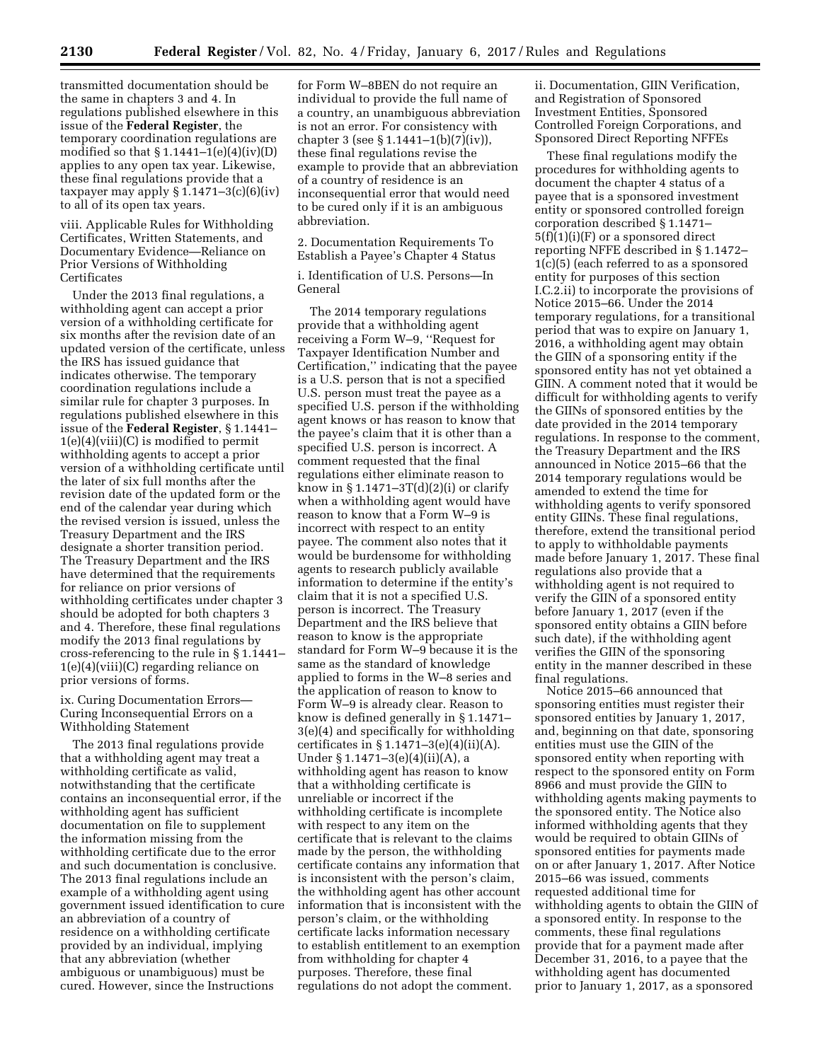transmitted documentation should be the same in chapters 3 and 4. In regulations published elsewhere in this issue of the **Federal Register**, the temporary coordination regulations are modified so that  $\S 1.1441 - 1(e)(4)(iv)(D)$ applies to any open tax year. Likewise, these final regulations provide that a taxpayer may apply  $\S 1.1471 - 3(c)(6)(iv)$ to all of its open tax years.

viii. Applicable Rules for Withholding Certificates, Written Statements, and Documentary Evidence—Reliance on Prior Versions of Withholding Certificates

Under the 2013 final regulations, a withholding agent can accept a prior version of a withholding certificate for six months after the revision date of an updated version of the certificate, unless the IRS has issued guidance that indicates otherwise. The temporary coordination regulations include a similar rule for chapter 3 purposes. In regulations published elsewhere in this issue of the **Federal Register**, § 1.1441– 1(e)(4)(viii)(C) is modified to permit withholding agents to accept a prior version of a withholding certificate until the later of six full months after the revision date of the updated form or the end of the calendar year during which the revised version is issued, unless the Treasury Department and the IRS designate a shorter transition period. The Treasury Department and the IRS have determined that the requirements for reliance on prior versions of withholding certificates under chapter 3 should be adopted for both chapters 3 and 4. Therefore, these final regulations modify the 2013 final regulations by cross-referencing to the rule in § 1.1441– 1(e)(4)(viii)(C) regarding reliance on prior versions of forms.

ix. Curing Documentation Errors— Curing Inconsequential Errors on a Withholding Statement

The 2013 final regulations provide that a withholding agent may treat a withholding certificate as valid, notwithstanding that the certificate contains an inconsequential error, if the withholding agent has sufficient documentation on file to supplement the information missing from the withholding certificate due to the error and such documentation is conclusive. The 2013 final regulations include an example of a withholding agent using government issued identification to cure an abbreviation of a country of residence on a withholding certificate provided by an individual, implying that any abbreviation (whether ambiguous or unambiguous) must be cured. However, since the Instructions

for Form W–8BEN do not require an individual to provide the full name of a country, an unambiguous abbreviation is not an error. For consistency with chapter 3 (see § 1.1441–1(b)(7)(iv)), these final regulations revise the example to provide that an abbreviation of a country of residence is an inconsequential error that would need to be cured only if it is an ambiguous abbreviation.

2. Documentation Requirements To Establish a Payee's Chapter 4 Status

i. Identification of U.S. Persons—In General

The 2014 temporary regulations provide that a withholding agent receiving a Form W–9, ''Request for Taxpayer Identification Number and Certification,'' indicating that the payee is a U.S. person that is not a specified U.S. person must treat the payee as a specified U.S. person if the withholding agent knows or has reason to know that the payee's claim that it is other than a specified U.S. person is incorrect. A comment requested that the final regulations either eliminate reason to know in  $\S 1.1471 - 3T(d)(2)(i)$  or clarify when a withholding agent would have reason to know that a Form W–9 is incorrect with respect to an entity payee. The comment also notes that it would be burdensome for withholding agents to research publicly available information to determine if the entity's claim that it is not a specified U.S. person is incorrect. The Treasury Department and the IRS believe that reason to know is the appropriate standard for Form W–9 because it is the same as the standard of knowledge applied to forms in the W–8 series and the application of reason to know to Form W–9 is already clear. Reason to know is defined generally in § 1.1471– 3(e)(4) and specifically for withholding certificates in  $\S 1.1471 - 3(e)(4)(ii)(A)$ . Under § 1.1471–3(e)(4)(ii)(A), a withholding agent has reason to know that a withholding certificate is unreliable or incorrect if the withholding certificate is incomplete with respect to any item on the certificate that is relevant to the claims made by the person, the withholding certificate contains any information that is inconsistent with the person's claim, the withholding agent has other account information that is inconsistent with the person's claim, or the withholding certificate lacks information necessary to establish entitlement to an exemption from withholding for chapter 4 purposes. Therefore, these final regulations do not adopt the comment.

ii. Documentation, GIIN Verification, and Registration of Sponsored Investment Entities, Sponsored Controlled Foreign Corporations, and Sponsored Direct Reporting NFFEs

These final regulations modify the procedures for withholding agents to document the chapter 4 status of a payee that is a sponsored investment entity or sponsored controlled foreign corporation described § 1.1471– 5(f)(1)(i)(F) or a sponsored direct reporting NFFE described in § 1.1472– 1(c)(5) (each referred to as a sponsored entity for purposes of this section I.C.2.ii) to incorporate the provisions of Notice 2015–66. Under the 2014 temporary regulations, for a transitional period that was to expire on January 1, 2016, a withholding agent may obtain the GIIN of a sponsoring entity if the sponsored entity has not yet obtained a GIIN. A comment noted that it would be difficult for withholding agents to verify the GIINs of sponsored entities by the date provided in the 2014 temporary regulations. In response to the comment, the Treasury Department and the IRS announced in Notice 2015–66 that the 2014 temporary regulations would be amended to extend the time for withholding agents to verify sponsored entity GIINs. These final regulations, therefore, extend the transitional period to apply to withholdable payments made before January 1, 2017. These final regulations also provide that a withholding agent is not required to verify the GIIN of a sponsored entity before January 1, 2017 (even if the sponsored entity obtains a GIIN before such date), if the withholding agent verifies the GIIN of the sponsoring entity in the manner described in these final regulations.

Notice 2015–66 announced that sponsoring entities must register their sponsored entities by January 1, 2017, and, beginning on that date, sponsoring entities must use the GIIN of the sponsored entity when reporting with respect to the sponsored entity on Form 8966 and must provide the GIIN to withholding agents making payments to the sponsored entity. The Notice also informed withholding agents that they would be required to obtain GIINs of sponsored entities for payments made on or after January 1, 2017. After Notice 2015–66 was issued, comments requested additional time for withholding agents to obtain the GIIN of a sponsored entity. In response to the comments, these final regulations provide that for a payment made after December 31, 2016, to a payee that the withholding agent has documented prior to January 1, 2017, as a sponsored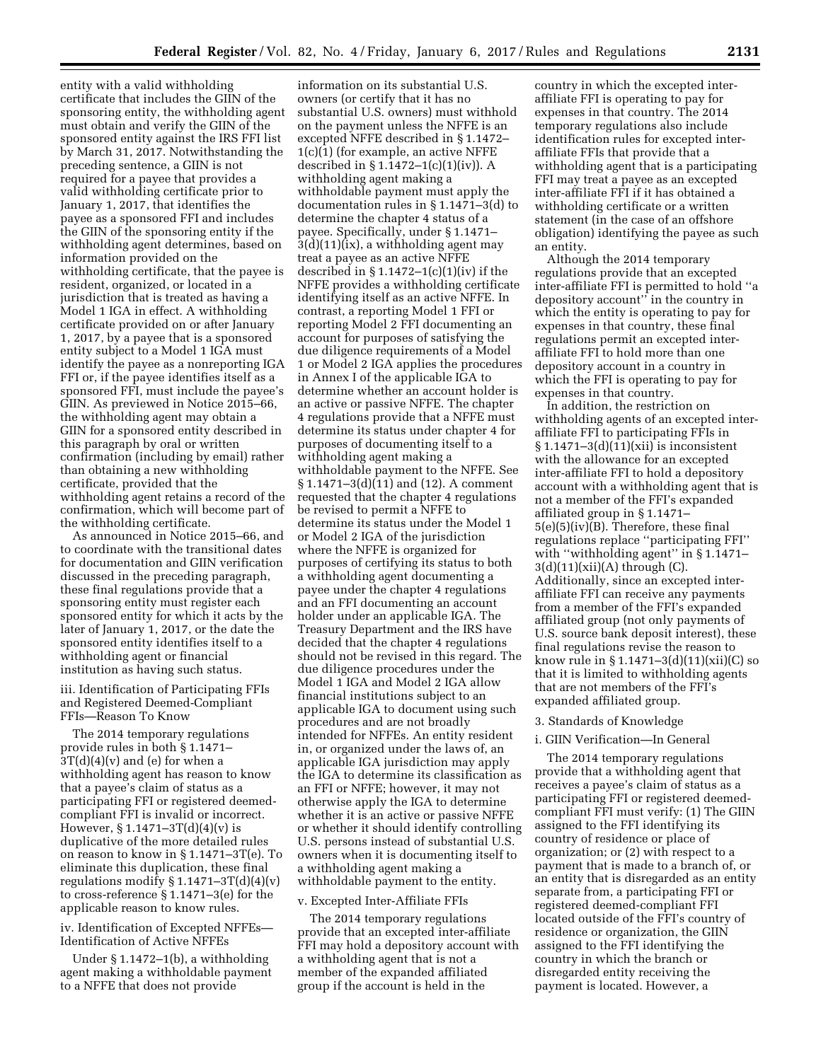entity with a valid withholding certificate that includes the GIIN of the sponsoring entity, the withholding agent must obtain and verify the GIIN of the sponsored entity against the IRS FFI list by March 31, 2017. Notwithstanding the preceding sentence, a GIIN is not required for a payee that provides a valid withholding certificate prior to January 1, 2017, that identifies the payee as a sponsored FFI and includes the GIIN of the sponsoring entity if the withholding agent determines, based on information provided on the withholding certificate, that the payee is resident, organized, or located in a jurisdiction that is treated as having a Model 1 IGA in effect. A withholding certificate provided on or after January 1, 2017, by a payee that is a sponsored entity subject to a Model 1 IGA must identify the payee as a nonreporting IGA FFI or, if the payee identifies itself as a sponsored FFI, must include the payee's GIIN. As previewed in Notice 2015–66, the withholding agent may obtain a GIIN for a sponsored entity described in this paragraph by oral or written confirmation (including by email) rather than obtaining a new withholding certificate, provided that the withholding agent retains a record of the confirmation, which will become part of the withholding certificate.

As announced in Notice 2015–66, and to coordinate with the transitional dates for documentation and GIIN verification discussed in the preceding paragraph, these final regulations provide that a sponsoring entity must register each sponsored entity for which it acts by the later of January 1, 2017, or the date the sponsored entity identifies itself to a withholding agent or financial institution as having such status.

iii. Identification of Participating FFIs and Registered Deemed-Compliant FFIs—Reason To Know

The 2014 temporary regulations provide rules in both § 1.1471–  $3T(d)(4)(v)$  and (e) for when a withholding agent has reason to know that a payee's claim of status as a participating FFI or registered deemedcompliant FFI is invalid or incorrect. However,  $$1.1471 - 3T(d)(4)(v)$  is duplicative of the more detailed rules on reason to know in § 1.1471–3T(e). To eliminate this duplication, these final regulations modify  $\S 1.1471 - 3T(d)(4)(v)$ to cross-reference § 1.1471–3(e) for the applicable reason to know rules.

# iv. Identification of Excepted NFFEs— Identification of Active NFFEs

Under § 1.1472–1(b), a withholding agent making a withholdable payment to a NFFE that does not provide

information on its substantial U.S. owners (or certify that it has no substantial U.S. owners) must withhold on the payment unless the NFFE is an excepted NFFE described in § 1.1472– 1(c)(1) (for example, an active NFFE described in § 1.1472–1(c)(1)(iv)). A withholding agent making a withholdable payment must apply the documentation rules in § 1.1471–3(d) to determine the chapter 4 status of a payee. Specifically, under § 1.1471–  $3(d)(11)(ix)$ , a withholding agent may treat a payee as an active NFFE described in  $\S 1.1472-1(c)(1)(iv)$  if the NFFE provides a withholding certificate identifying itself as an active NFFE. In contrast, a reporting Model 1 FFI or reporting Model 2 FFI documenting an account for purposes of satisfying the due diligence requirements of a Model 1 or Model 2 IGA applies the procedures in Annex I of the applicable IGA to determine whether an account holder is an active or passive NFFE. The chapter 4 regulations provide that a NFFE must determine its status under chapter 4 for purposes of documenting itself to a withholding agent making a withholdable payment to the NFFE. See § 1.1471–3(d)(11) and (12). A comment requested that the chapter 4 regulations be revised to permit a NFFE to determine its status under the Model 1 or Model 2 IGA of the jurisdiction where the NFFE is organized for purposes of certifying its status to both a withholding agent documenting a payee under the chapter 4 regulations and an FFI documenting an account holder under an applicable IGA. The Treasury Department and the IRS have decided that the chapter 4 regulations should not be revised in this regard. The due diligence procedures under the Model 1 IGA and Model 2 IGA allow financial institutions subject to an applicable IGA to document using such procedures and are not broadly intended for NFFEs. An entity resident in, or organized under the laws of, an applicable IGA jurisdiction may apply the IGA to determine its classification as an FFI or NFFE; however, it may not otherwise apply the IGA to determine whether it is an active or passive NFFE or whether it should identify controlling U.S. persons instead of substantial U.S. owners when it is documenting itself to a withholding agent making a withholdable payment to the entity.

#### v. Excepted Inter-Affiliate FFIs

The 2014 temporary regulations provide that an excepted inter-affiliate FFI may hold a depository account with a withholding agent that is not a member of the expanded affiliated group if the account is held in the

country in which the excepted interaffiliate FFI is operating to pay for expenses in that country. The 2014 temporary regulations also include identification rules for excepted interaffiliate FFIs that provide that a withholding agent that is a participating FFI may treat a payee as an excepted inter-affiliate FFI if it has obtained a withholding certificate or a written statement (in the case of an offshore obligation) identifying the payee as such an entity.

Although the 2014 temporary regulations provide that an excepted inter-affiliate FFI is permitted to hold ''a depository account'' in the country in which the entity is operating to pay for expenses in that country, these final regulations permit an excepted interaffiliate FFI to hold more than one depository account in a country in which the FFI is operating to pay for expenses in that country.

In addition, the restriction on withholding agents of an excepted interaffiliate FFI to participating FFIs in § 1.1471–3(d)(11)(xii) is inconsistent with the allowance for an excepted inter-affiliate FFI to hold a depository account with a withholding agent that is not a member of the FFI's expanded affiliated group in § 1.1471– 5(e)(5)(iv)(B). Therefore, these final regulations replace ''participating FFI'' with ''withholding agent'' in § 1.1471–  $3(d)(11)(xii)(A)$  through (C). Additionally, since an excepted interaffiliate FFI can receive any payments from a member of the FFI's expanded affiliated group (not only payments of U.S. source bank deposit interest), these final regulations revise the reason to know rule in § 1.1471–3(d)(11)(xii)(C) so that it is limited to withholding agents that are not members of the FFI's expanded affiliated group.

### 3. Standards of Knowledge

### i. GIIN Verification—In General

The 2014 temporary regulations provide that a withholding agent that receives a payee's claim of status as a participating FFI or registered deemedcompliant FFI must verify: (1) The GIIN assigned to the FFI identifying its country of residence or place of organization; or (2) with respect to a payment that is made to a branch of, or an entity that is disregarded as an entity separate from, a participating FFI or registered deemed-compliant FFI located outside of the FFI's country of residence or organization, the GIIN assigned to the FFI identifying the country in which the branch or disregarded entity receiving the payment is located. However, a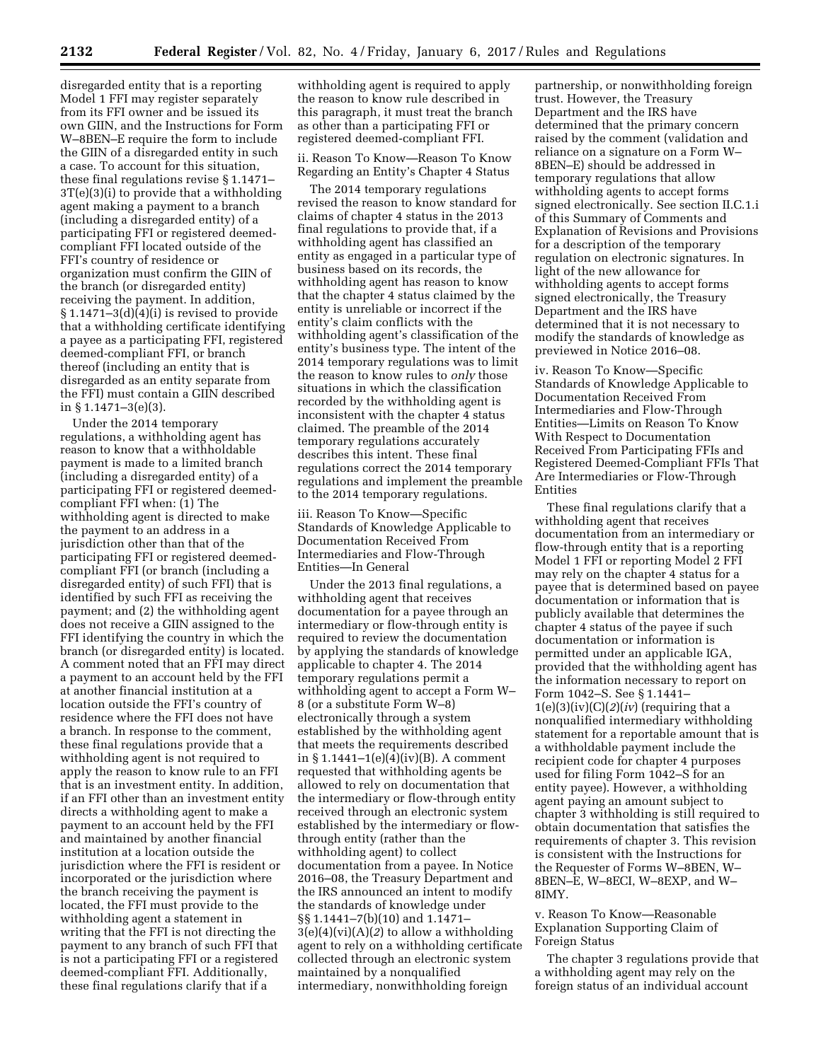disregarded entity that is a reporting Model 1 FFI may register separately from its FFI owner and be issued its own GIIN, and the Instructions for Form W–8BEN–E require the form to include the GIIN of a disregarded entity in such a case. To account for this situation, these final regulations revise § 1.1471– 3T(e)(3)(i) to provide that a withholding agent making a payment to a branch (including a disregarded entity) of a participating FFI or registered deemedcompliant FFI located outside of the FFI's country of residence or organization must confirm the GIIN of the branch (or disregarded entity) receiving the payment. In addition,  $\S 1.1471-3(d)(4)(i)$  is revised to provide that a withholding certificate identifying a payee as a participating FFI, registered deemed-compliant FFI, or branch thereof (including an entity that is disregarded as an entity separate from the FFI) must contain a GIIN described in § 1.1471–3(e)(3).

Under the 2014 temporary regulations, a withholding agent has reason to know that a withholdable payment is made to a limited branch (including a disregarded entity) of a participating FFI or registered deemedcompliant FFI when: (1) The withholding agent is directed to make the payment to an address in a jurisdiction other than that of the participating FFI or registered deemedcompliant FFI (or branch (including a disregarded entity) of such FFI) that is identified by such FFI as receiving the payment; and (2) the withholding agent does not receive a GIIN assigned to the FFI identifying the country in which the branch (or disregarded entity) is located. A comment noted that an FFI may direct a payment to an account held by the FFI at another financial institution at a location outside the FFI's country of residence where the FFI does not have a branch. In response to the comment, these final regulations provide that a withholding agent is not required to apply the reason to know rule to an FFI that is an investment entity. In addition, if an FFI other than an investment entity directs a withholding agent to make a payment to an account held by the FFI and maintained by another financial institution at a location outside the jurisdiction where the FFI is resident or incorporated or the jurisdiction where the branch receiving the payment is located, the FFI must provide to the withholding agent a statement in writing that the FFI is not directing the payment to any branch of such FFI that is not a participating FFI or a registered deemed-compliant FFI. Additionally, these final regulations clarify that if a

withholding agent is required to apply the reason to know rule described in this paragraph, it must treat the branch as other than a participating FFI or registered deemed-compliant FFI.

ii. Reason To Know—Reason To Know Regarding an Entity's Chapter 4 Status

The 2014 temporary regulations revised the reason to know standard for claims of chapter 4 status in the 2013 final regulations to provide that, if a withholding agent has classified an entity as engaged in a particular type of business based on its records, the withholding agent has reason to know that the chapter 4 status claimed by the entity is unreliable or incorrect if the entity's claim conflicts with the withholding agent's classification of the entity's business type. The intent of the 2014 temporary regulations was to limit the reason to know rules to *only* those situations in which the classification recorded by the withholding agent is inconsistent with the chapter 4 status claimed. The preamble of the 2014 temporary regulations accurately describes this intent. These final regulations correct the 2014 temporary regulations and implement the preamble to the 2014 temporary regulations.

iii. Reason To Know—Specific Standards of Knowledge Applicable to Documentation Received From Intermediaries and Flow-Through Entities—In General

Under the 2013 final regulations, a withholding agent that receives documentation for a payee through an intermediary or flow-through entity is required to review the documentation by applying the standards of knowledge applicable to chapter 4. The 2014 temporary regulations permit a withholding agent to accept a Form W– 8 (or a substitute Form W–8) electronically through a system established by the withholding agent that meets the requirements described in § 1.1441–1(e)(4)(iv)(B). A comment requested that withholding agents be allowed to rely on documentation that the intermediary or flow-through entity received through an electronic system established by the intermediary or flowthrough entity (rather than the withholding agent) to collect documentation from a payee. In Notice 2016–08, the Treasury Department and the IRS announced an intent to modify the standards of knowledge under §§ 1.1441–7(b)(10) and 1.1471– 3(e)(4)(vi)(A)(*2*) to allow a withholding agent to rely on a withholding certificate collected through an electronic system maintained by a nonqualified intermediary, nonwithholding foreign

partnership, or nonwithholding foreign trust. However, the Treasury Department and the IRS have determined that the primary concern raised by the comment (validation and reliance on a signature on a Form W– 8BEN–E) should be addressed in temporary regulations that allow withholding agents to accept forms signed electronically. See section II.C.1.i of this Summary of Comments and Explanation of Revisions and Provisions for a description of the temporary regulation on electronic signatures. In light of the new allowance for withholding agents to accept forms signed electronically, the Treasury Department and the IRS have determined that it is not necessary to modify the standards of knowledge as previewed in Notice 2016–08.

iv. Reason To Know—Specific Standards of Knowledge Applicable to Documentation Received From Intermediaries and Flow-Through Entities—Limits on Reason To Know With Respect to Documentation Received From Participating FFIs and Registered Deemed-Compliant FFIs That Are Intermediaries or Flow-Through Entities

These final regulations clarify that a withholding agent that receives documentation from an intermediary or flow-through entity that is a reporting Model 1 FFI or reporting Model 2 FFI may rely on the chapter 4 status for a payee that is determined based on payee documentation or information that is publicly available that determines the chapter 4 status of the payee if such documentation or information is permitted under an applicable IGA, provided that the withholding agent has the information necessary to report on Form 1042–S. See § 1.1441–  $1(e)(3)(iv)(C)(2)(iv)$  (requiring that a nonqualified intermediary withholding statement for a reportable amount that is a withholdable payment include the recipient code for chapter 4 purposes used for filing Form 1042–S for an entity payee). However, a withholding agent paying an amount subject to chapter 3 withholding is still required to obtain documentation that satisfies the requirements of chapter 3. This revision is consistent with the Instructions for the Requester of Forms W–8BEN, W– 8BEN–E, W–8ECI, W–8EXP, and W– 8IMY.

v. Reason To Know—Reasonable Explanation Supporting Claim of Foreign Status

The chapter 3 regulations provide that a withholding agent may rely on the foreign status of an individual account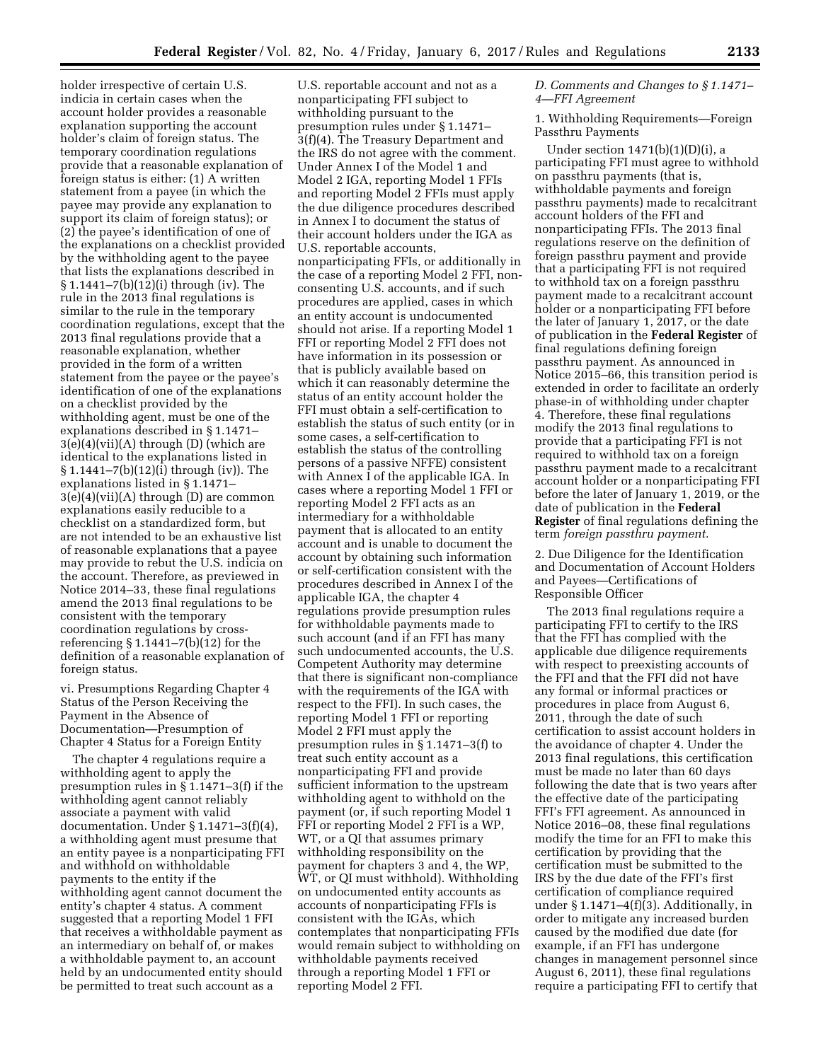holder irrespective of certain U.S. indicia in certain cases when the account holder provides a reasonable explanation supporting the account holder's claim of foreign status. The temporary coordination regulations provide that a reasonable explanation of foreign status is either: (1) A written statement from a payee (in which the payee may provide any explanation to support its claim of foreign status); or (2) the payee's identification of one of the explanations on a checklist provided by the withholding agent to the payee that lists the explanations described in § 1.1441–7(b)(12)(i) through (iv). The rule in the 2013 final regulations is similar to the rule in the temporary coordination regulations, except that the 2013 final regulations provide that a reasonable explanation, whether provided in the form of a written statement from the payee or the payee's identification of one of the explanations on a checklist provided by the withholding agent, must be one of the explanations described in § 1.1471– 3(e)(4)(vii)(A) through (D) (which are identical to the explanations listed in § 1.1441–7(b)(12)(i) through (iv)). The explanations listed in § 1.1471– 3(e)(4)(vii)(A) through (D) are common explanations easily reducible to a checklist on a standardized form, but are not intended to be an exhaustive list of reasonable explanations that a payee may provide to rebut the U.S. indicia on the account. Therefore, as previewed in Notice 2014–33, these final regulations amend the 2013 final regulations to be consistent with the temporary coordination regulations by crossreferencing § 1.1441–7(b)(12) for the definition of a reasonable explanation of foreign status.

vi. Presumptions Regarding Chapter 4 Status of the Person Receiving the Payment in the Absence of Documentation—Presumption of Chapter 4 Status for a Foreign Entity

The chapter 4 regulations require a withholding agent to apply the presumption rules in § 1.1471–3(f) if the withholding agent cannot reliably associate a payment with valid documentation. Under § 1.1471–3(f)(4), a withholding agent must presume that an entity payee is a nonparticipating FFI and withhold on withholdable payments to the entity if the withholding agent cannot document the entity's chapter 4 status. A comment suggested that a reporting Model 1 FFI that receives a withholdable payment as an intermediary on behalf of, or makes a withholdable payment to, an account held by an undocumented entity should be permitted to treat such account as a

U.S. reportable account and not as a nonparticipating FFI subject to withholding pursuant to the presumption rules under § 1.1471– 3(f)(4). The Treasury Department and the IRS do not agree with the comment. Under Annex I of the Model 1 and Model 2 IGA, reporting Model 1 FFIs and reporting Model 2 FFIs must apply the due diligence procedures described in Annex I to document the status of their account holders under the IGA as U.S. reportable accounts, nonparticipating FFIs, or additionally in the case of a reporting Model 2 FFI, nonconsenting U.S. accounts, and if such procedures are applied, cases in which an entity account is undocumented should not arise. If a reporting Model 1 FFI or reporting Model 2 FFI does not have information in its possession or that is publicly available based on which it can reasonably determine the status of an entity account holder the FFI must obtain a self-certification to establish the status of such entity (or in some cases, a self-certification to establish the status of the controlling persons of a passive NFFE) consistent with Annex I of the applicable IGA. In cases where a reporting Model 1 FFI or reporting Model 2 FFI acts as an intermediary for a withholdable payment that is allocated to an entity account and is unable to document the account by obtaining such information or self-certification consistent with the procedures described in Annex I of the applicable IGA, the chapter 4 regulations provide presumption rules for withholdable payments made to such account (and if an FFI has many such undocumented accounts, the U.S. Competent Authority may determine that there is significant non-compliance with the requirements of the IGA with respect to the FFI). In such cases, the reporting Model 1 FFI or reporting Model 2 FFI must apply the presumption rules in § 1.1471–3(f) to treat such entity account as a nonparticipating FFI and provide sufficient information to the upstream withholding agent to withhold on the payment (or, if such reporting Model 1 FFI or reporting Model 2 FFI is a WP, WT, or a QI that assumes primary withholding responsibility on the payment for chapters 3 and 4, the WP, WT, or QI must withhold). Withholding on undocumented entity accounts as accounts of nonparticipating FFIs is consistent with the IGAs, which contemplates that nonparticipating FFIs would remain subject to withholding on withholdable payments received through a reporting Model 1 FFI or reporting Model 2 FFI.

# *D. Comments and Changes to § 1.1471– 4—FFI Agreement*

1. Withholding Requirements—Foreign Passthru Payments

Under section  $1471(b)(1)(D)(i)$ , a participating FFI must agree to withhold on passthru payments (that is, withholdable payments and foreign passthru payments) made to recalcitrant account holders of the FFI and nonparticipating FFIs. The 2013 final regulations reserve on the definition of foreign passthru payment and provide that a participating FFI is not required to withhold tax on a foreign passthru payment made to a recalcitrant account holder or a nonparticipating FFI before the later of January 1, 2017, or the date of publication in the **Federal Register** of final regulations defining foreign passthru payment. As announced in Notice 2015–66, this transition period is extended in order to facilitate an orderly phase-in of withholding under chapter 4. Therefore, these final regulations modify the 2013 final regulations to provide that a participating FFI is not required to withhold tax on a foreign passthru payment made to a recalcitrant account holder or a nonparticipating FFI before the later of January 1, 2019, or the date of publication in the **Federal Register** of final regulations defining the term *foreign passthru payment.* 

2. Due Diligence for the Identification and Documentation of Account Holders and Payees—Certifications of Responsible Officer

The 2013 final regulations require a participating FFI to certify to the IRS that the FFI has complied with the applicable due diligence requirements with respect to preexisting accounts of the FFI and that the FFI did not have any formal or informal practices or procedures in place from August 6, 2011, through the date of such certification to assist account holders in the avoidance of chapter 4. Under the 2013 final regulations, this certification must be made no later than 60 days following the date that is two years after the effective date of the participating FFI's FFI agreement. As announced in Notice 2016–08, these final regulations modify the time for an FFI to make this certification by providing that the certification must be submitted to the IRS by the due date of the FFI's first certification of compliance required under § 1.1471–4(f)(3). Additionally, in order to mitigate any increased burden caused by the modified due date (for example, if an FFI has undergone changes in management personnel since August 6, 2011), these final regulations require a participating FFI to certify that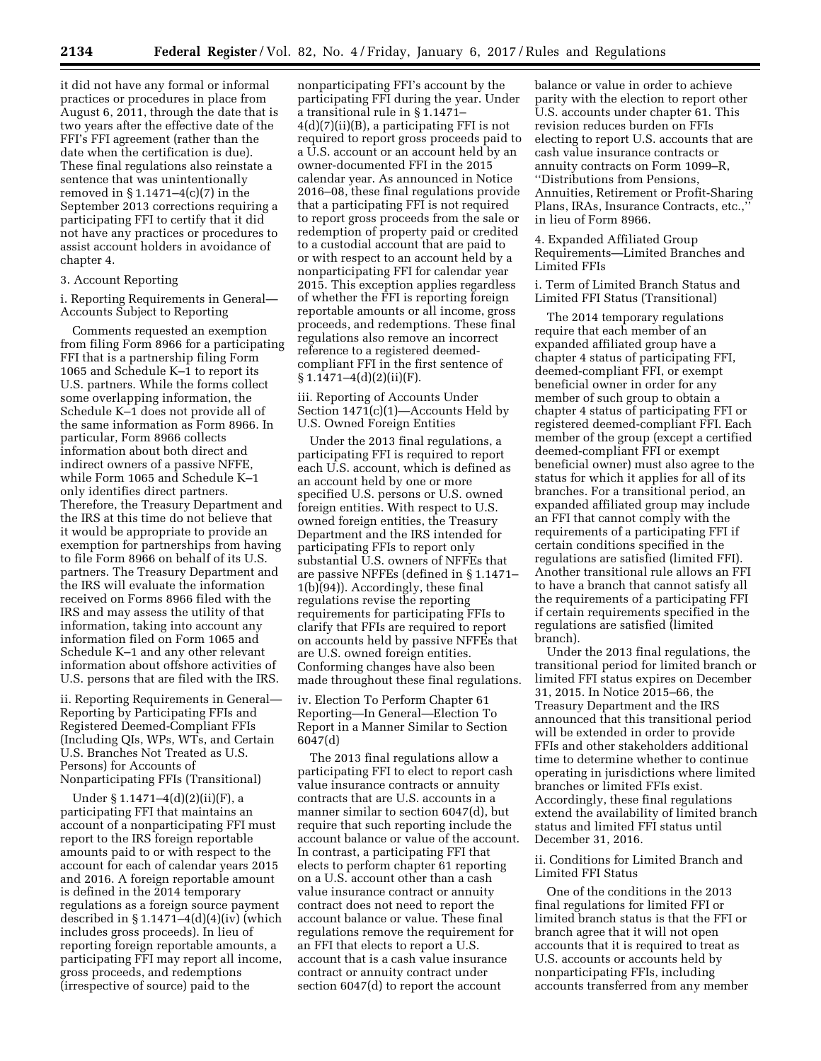it did not have any formal or informal practices or procedures in place from August 6, 2011, through the date that is two years after the effective date of the FFI's FFI agreement (rather than the date when the certification is due). These final regulations also reinstate a sentence that was unintentionally removed in § 1.1471–4(c)(7) in the September 2013 corrections requiring a participating FFI to certify that it did not have any practices or procedures to assist account holders in avoidance of chapter 4.

### 3. Account Reporting

i. Reporting Requirements in General— Accounts Subject to Reporting

Comments requested an exemption from filing Form 8966 for a participating FFI that is a partnership filing Form 1065 and Schedule K–1 to report its U.S. partners. While the forms collect some overlapping information, the Schedule K–1 does not provide all of the same information as Form 8966. In particular, Form 8966 collects information about both direct and indirect owners of a passive NFFE, while Form 1065 and Schedule K–1 only identifies direct partners. Therefore, the Treasury Department and the IRS at this time do not believe that it would be appropriate to provide an exemption for partnerships from having to file Form 8966 on behalf of its U.S. partners. The Treasury Department and the IRS will evaluate the information received on Forms 8966 filed with the IRS and may assess the utility of that information, taking into account any information filed on Form 1065 and Schedule K–1 and any other relevant information about offshore activities of U.S. persons that are filed with the IRS.

ii. Reporting Requirements in General— Reporting by Participating FFIs and Registered Deemed-Compliant FFIs (Including QIs, WPs, WTs, and Certain U.S. Branches Not Treated as U.S. Persons) for Accounts of Nonparticipating FFIs (Transitional)

Under § 1.1471–4(d)(2)(ii)(F), a participating FFI that maintains an account of a nonparticipating FFI must report to the IRS foreign reportable amounts paid to or with respect to the account for each of calendar years 2015 and 2016. A foreign reportable amount is defined in the 2014 temporary regulations as a foreign source payment described in  $\S 1.1471-4(d)(4)(iv)$  (which includes gross proceeds). In lieu of reporting foreign reportable amounts, a participating FFI may report all income, gross proceeds, and redemptions (irrespective of source) paid to the

nonparticipating FFI's account by the participating FFI during the year. Under a transitional rule in § 1.1471– 4(d)(7)(ii)(B), a participating FFI is not required to report gross proceeds paid to a U.S. account or an account held by an owner-documented FFI in the 2015 calendar year. As announced in Notice 2016–08, these final regulations provide that a participating FFI is not required to report gross proceeds from the sale or redemption of property paid or credited to a custodial account that are paid to or with respect to an account held by a nonparticipating FFI for calendar year 2015. This exception applies regardless of whether the FFI is reporting foreign reportable amounts or all income, gross proceeds, and redemptions. These final regulations also remove an incorrect reference to a registered deemedcompliant FFI in the first sentence of  $§ 1.1471 - 4(d)(2)(ii)(F).$ 

iii. Reporting of Accounts Under Section 1471(c)(1)—Accounts Held by U.S. Owned Foreign Entities

Under the 2013 final regulations, a participating FFI is required to report each U.S. account, which is defined as an account held by one or more specified U.S. persons or U.S. owned foreign entities. With respect to U.S. owned foreign entities, the Treasury Department and the IRS intended for participating FFIs to report only substantial U.S. owners of NFFEs that are passive NFFEs (defined in § 1.1471–  $1(b)(94)$ ). Accordingly, these final regulations revise the reporting requirements for participating FFIs to clarify that FFIs are required to report on accounts held by passive NFFEs that are U.S. owned foreign entities. Conforming changes have also been made throughout these final regulations.

iv. Election To Perform Chapter 61 Reporting—In General—Election To Report in a Manner Similar to Section 6047(d)

The 2013 final regulations allow a participating FFI to elect to report cash value insurance contracts or annuity contracts that are U.S. accounts in a manner similar to section 6047(d), but require that such reporting include the account balance or value of the account. In contrast, a participating FFI that elects to perform chapter 61 reporting on a U.S. account other than a cash value insurance contract or annuity contract does not need to report the account balance or value. These final regulations remove the requirement for an FFI that elects to report a U.S. account that is a cash value insurance contract or annuity contract under section 6047(d) to report the account

balance or value in order to achieve parity with the election to report other U.S. accounts under chapter 61. This revision reduces burden on FFIs electing to report U.S. accounts that are cash value insurance contracts or annuity contracts on Form 1099–R, ''Distributions from Pensions, Annuities, Retirement or Profit-Sharing Plans, IRAs, Insurance Contracts, etc.,'' in lieu of Form 8966.

4. Expanded Affiliated Group Requirements—Limited Branches and Limited FFIs

i. Term of Limited Branch Status and Limited FFI Status (Transitional)

The 2014 temporary regulations require that each member of an expanded affiliated group have a chapter 4 status of participating FFI, deemed-compliant FFI, or exempt beneficial owner in order for any member of such group to obtain a chapter 4 status of participating FFI or registered deemed-compliant FFI. Each member of the group (except a certified deemed-compliant FFI or exempt beneficial owner) must also agree to the status for which it applies for all of its branches. For a transitional period, an expanded affiliated group may include an FFI that cannot comply with the requirements of a participating FFI if certain conditions specified in the regulations are satisfied (limited FFI). Another transitional rule allows an FFI to have a branch that cannot satisfy all the requirements of a participating FFI if certain requirements specified in the regulations are satisfied (limited branch).

Under the 2013 final regulations, the transitional period for limited branch or limited FFI status expires on December 31, 2015. In Notice 2015–66, the Treasury Department and the IRS announced that this transitional period will be extended in order to provide FFIs and other stakeholders additional time to determine whether to continue operating in jurisdictions where limited branches or limited FFIs exist. Accordingly, these final regulations extend the availability of limited branch status and limited FFI status until December 31, 2016.

ii. Conditions for Limited Branch and Limited FFI Status

One of the conditions in the 2013 final regulations for limited FFI or limited branch status is that the FFI or branch agree that it will not open accounts that it is required to treat as U.S. accounts or accounts held by nonparticipating FFIs, including accounts transferred from any member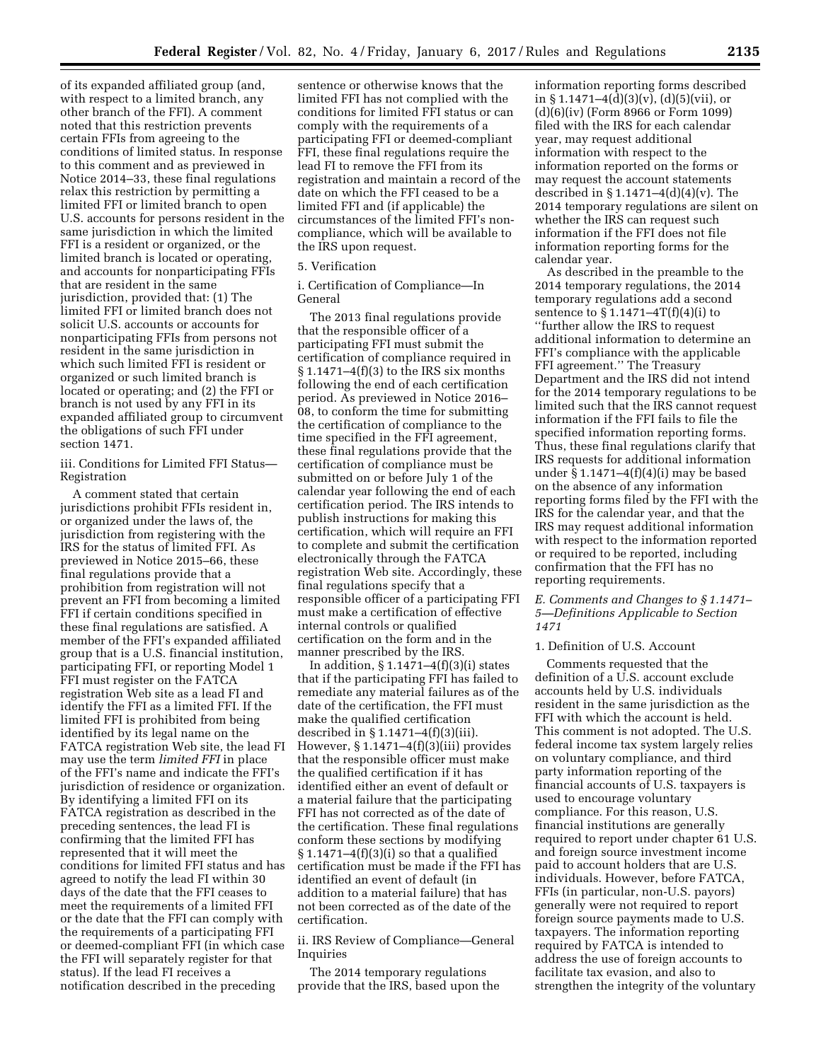of its expanded affiliated group (and, with respect to a limited branch, any other branch of the FFI). A comment noted that this restriction prevents certain FFIs from agreeing to the conditions of limited status. In response to this comment and as previewed in Notice 2014–33, these final regulations relax this restriction by permitting a limited FFI or limited branch to open U.S. accounts for persons resident in the same jurisdiction in which the limited FFI is a resident or organized, or the limited branch is located or operating, and accounts for nonparticipating FFIs that are resident in the same jurisdiction, provided that: (1) The limited FFI or limited branch does not solicit U.S. accounts or accounts for nonparticipating FFIs from persons not resident in the same jurisdiction in which such limited FFI is resident or organized or such limited branch is located or operating; and (2) the FFI or branch is not used by any FFI in its expanded affiliated group to circumvent the obligations of such FFI under section 1471.

iii. Conditions for Limited FFI Status— Registration

A comment stated that certain jurisdictions prohibit FFIs resident in, or organized under the laws of, the jurisdiction from registering with the IRS for the status of limited FFI. As previewed in Notice 2015–66, these final regulations provide that a prohibition from registration will not prevent an FFI from becoming a limited FFI if certain conditions specified in these final regulations are satisfied. A member of the FFI's expanded affiliated group that is a U.S. financial institution, participating FFI, or reporting Model 1 FFI must register on the FATCA registration Web site as a lead FI and identify the FFI as a limited FFI. If the limited FFI is prohibited from being identified by its legal name on the FATCA registration Web site, the lead FI may use the term *limited FFI* in place of the FFI's name and indicate the FFI's jurisdiction of residence or organization. By identifying a limited FFI on its FATCA registration as described in the preceding sentences, the lead FI is confirming that the limited FFI has represented that it will meet the conditions for limited FFI status and has agreed to notify the lead FI within 30 days of the date that the FFI ceases to meet the requirements of a limited FFI or the date that the FFI can comply with the requirements of a participating FFI or deemed-compliant FFI (in which case the FFI will separately register for that status). If the lead FI receives a notification described in the preceding

sentence or otherwise knows that the limited FFI has not complied with the conditions for limited FFI status or can comply with the requirements of a participating FFI or deemed-compliant FFI, these final regulations require the lead FI to remove the FFI from its registration and maintain a record of the date on which the FFI ceased to be a limited FFI and (if applicable) the circumstances of the limited FFI's noncompliance, which will be available to the IRS upon request.

### 5. Verification

i. Certification of Compliance—In General

The 2013 final regulations provide that the responsible officer of a participating FFI must submit the certification of compliance required in  $§ 1.1471-4(f)(3)$  to the IRS six months following the end of each certification period. As previewed in Notice 2016– 08, to conform the time for submitting the certification of compliance to the time specified in the FFI agreement, these final regulations provide that the certification of compliance must be submitted on or before July 1 of the calendar year following the end of each certification period. The IRS intends to publish instructions for making this certification, which will require an FFI to complete and submit the certification electronically through the FATCA registration Web site. Accordingly, these final regulations specify that a responsible officer of a participating FFI must make a certification of effective internal controls or qualified certification on the form and in the manner prescribed by the IRS.

In addition,  $\S 1.1471 - 4(f)(3)(i)$  states that if the participating FFI has failed to remediate any material failures as of the date of the certification, the FFI must make the qualified certification described in § 1.1471–4(f)(3)(iii). However,  $§ 1.1471-4(f)(3)(iii)$  provides that the responsible officer must make the qualified certification if it has identified either an event of default or a material failure that the participating FFI has not corrected as of the date of the certification. These final regulations conform these sections by modifying § 1.1471–4(f)(3)(i) so that a qualified certification must be made if the FFI has identified an event of default (in addition to a material failure) that has not been corrected as of the date of the certification.

ii. IRS Review of Compliance—General Inquiries

The 2014 temporary regulations provide that the IRS, based upon the information reporting forms described in § 1.1471–4(d)(3)(v), (d)(5)(vii), or (d)(6)(iv) (Form 8966 or Form 1099) filed with the IRS for each calendar year, may request additional information with respect to the information reported on the forms or may request the account statements described in  $\S 1.1471-4(d)(4)(v)$ . The 2014 temporary regulations are silent on whether the IRS can request such information if the FFI does not file information reporting forms for the calendar year.

As described in the preamble to the 2014 temporary regulations, the 2014 temporary regulations add a second sentence to § 1.1471–4T(f)(4)(i) to ''further allow the IRS to request additional information to determine an FFI's compliance with the applicable FFI agreement.'' The Treasury Department and the IRS did not intend for the 2014 temporary regulations to be limited such that the IRS cannot request information if the FFI fails to file the specified information reporting forms. Thus, these final regulations clarify that IRS requests for additional information under § 1.1471–4(f)(4)(i) may be based on the absence of any information reporting forms filed by the FFI with the IRS for the calendar year, and that the IRS may request additional information with respect to the information reported or required to be reported, including confirmation that the FFI has no reporting requirements.

*E. Comments and Changes to § 1.1471– 5—Definitions Applicable to Section 1471* 

# 1. Definition of U.S. Account

Comments requested that the definition of a U.S. account exclude accounts held by U.S. individuals resident in the same jurisdiction as the FFI with which the account is held. This comment is not adopted. The U.S. federal income tax system largely relies on voluntary compliance, and third party information reporting of the financial accounts of U.S. taxpayers is used to encourage voluntary compliance. For this reason, U.S. financial institutions are generally required to report under chapter 61 U.S. and foreign source investment income paid to account holders that are U.S. individuals. However, before FATCA, FFIs (in particular, non-U.S. payors) generally were not required to report foreign source payments made to U.S. taxpayers. The information reporting required by FATCA is intended to address the use of foreign accounts to facilitate tax evasion, and also to strengthen the integrity of the voluntary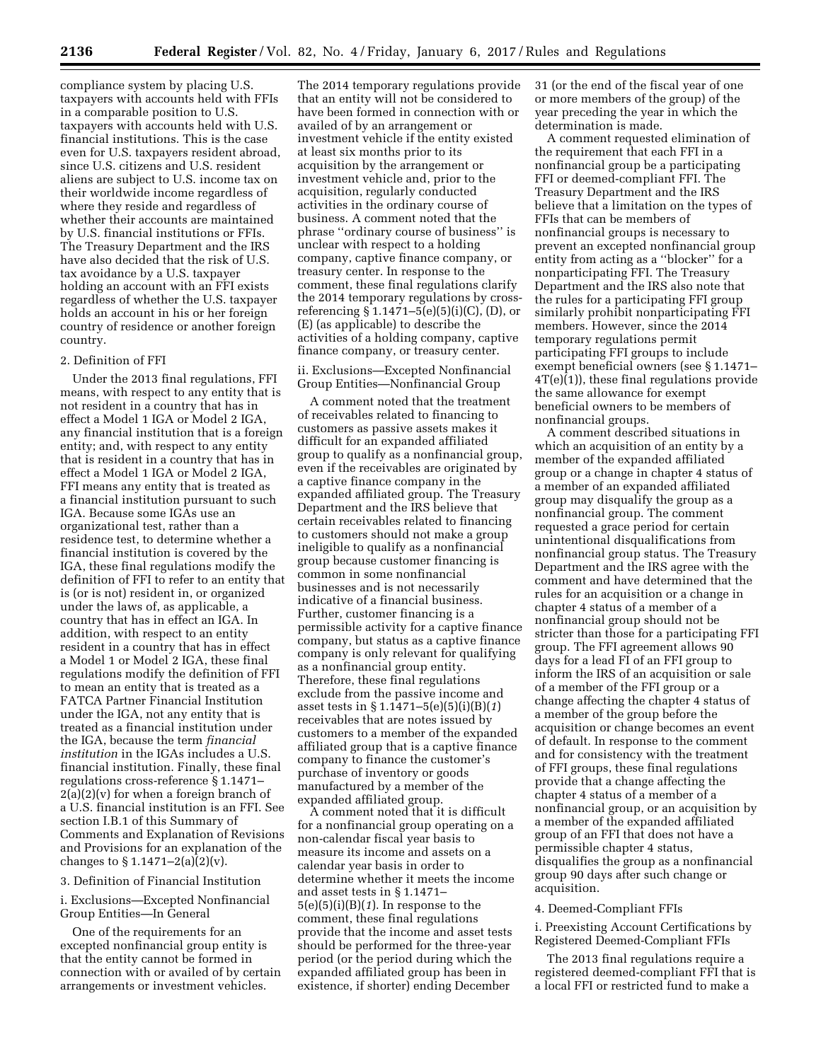compliance system by placing U.S. taxpayers with accounts held with FFIs in a comparable position to U.S. taxpayers with accounts held with U.S. financial institutions. This is the case even for U.S. taxpayers resident abroad, since U.S. citizens and U.S. resident aliens are subject to U.S. income tax on their worldwide income regardless of where they reside and regardless of whether their accounts are maintained by U.S. financial institutions or FFIs. The Treasury Department and the IRS have also decided that the risk of U.S. tax avoidance by a U.S. taxpayer holding an account with an FFI exists regardless of whether the U.S. taxpayer holds an account in his or her foreign country of residence or another foreign country.

### 2. Definition of FFI

Under the 2013 final regulations, FFI means, with respect to any entity that is not resident in a country that has in effect a Model 1 IGA or Model 2 IGA, any financial institution that is a foreign entity; and, with respect to any entity that is resident in a country that has in effect a Model 1 IGA or Model 2 IGA, FFI means any entity that is treated as a financial institution pursuant to such IGA. Because some IGAs use an organizational test, rather than a residence test, to determine whether a financial institution is covered by the IGA, these final regulations modify the definition of FFI to refer to an entity that is (or is not) resident in, or organized under the laws of, as applicable, a country that has in effect an IGA. In addition, with respect to an entity resident in a country that has in effect a Model 1 or Model 2 IGA, these final regulations modify the definition of FFI to mean an entity that is treated as a FATCA Partner Financial Institution under the IGA, not any entity that is treated as a financial institution under the IGA, because the term *financial institution* in the IGAs includes a U.S. financial institution. Finally, these final regulations cross-reference § 1.1471–  $2(a)(2)(v)$  for when a foreign branch of a U.S. financial institution is an FFI. See section I.B.1 of this Summary of Comments and Explanation of Revisions and Provisions for an explanation of the changes to  $\S 1.1471 - 2(a)(2)(v)$ .

#### 3. Definition of Financial Institution

i. Exclusions—Excepted Nonfinancial Group Entities—In General

One of the requirements for an excepted nonfinancial group entity is that the entity cannot be formed in connection with or availed of by certain arrangements or investment vehicles.

The 2014 temporary regulations provide that an entity will not be considered to have been formed in connection with or availed of by an arrangement or investment vehicle if the entity existed at least six months prior to its acquisition by the arrangement or investment vehicle and, prior to the acquisition, regularly conducted activities in the ordinary course of business. A comment noted that the phrase ''ordinary course of business'' is unclear with respect to a holding company, captive finance company, or treasury center. In response to the comment, these final regulations clarify the 2014 temporary regulations by crossreferencing § 1.1471–5(e)(5)(i)(C), (D), or (E) (as applicable) to describe the activities of a holding company, captive finance company, or treasury center.

# ii. Exclusions—Excepted Nonfinancial Group Entities—Nonfinancial Group

A comment noted that the treatment of receivables related to financing to customers as passive assets makes it difficult for an expanded affiliated group to qualify as a nonfinancial group, even if the receivables are originated by a captive finance company in the expanded affiliated group. The Treasury Department and the IRS believe that certain receivables related to financing to customers should not make a group ineligible to qualify as a nonfinancial group because customer financing is common in some nonfinancial businesses and is not necessarily indicative of a financial business. Further, customer financing is a permissible activity for a captive finance company, but status as a captive finance company is only relevant for qualifying as a nonfinancial group entity. Therefore, these final regulations exclude from the passive income and asset tests in § 1.1471–5(e)(5)(i)(B)(*1*) receivables that are notes issued by customers to a member of the expanded affiliated group that is a captive finance company to finance the customer's purchase of inventory or goods manufactured by a member of the expanded affiliated group.

A comment noted that it is difficult for a nonfinancial group operating on a non-calendar fiscal year basis to measure its income and assets on a calendar year basis in order to determine whether it meets the income and asset tests in § 1.1471– 5(e)(5)(i)(B)(*1*). In response to the comment, these final regulations provide that the income and asset tests should be performed for the three-year period (or the period during which the expanded affiliated group has been in existence, if shorter) ending December

31 (or the end of the fiscal year of one or more members of the group) of the year preceding the year in which the determination is made.

A comment requested elimination of the requirement that each FFI in a nonfinancial group be a participating FFI or deemed-compliant FFI. The Treasury Department and the IRS believe that a limitation on the types of FFIs that can be members of nonfinancial groups is necessary to prevent an excepted nonfinancial group entity from acting as a ''blocker'' for a nonparticipating FFI. The Treasury Department and the IRS also note that the rules for a participating FFI group similarly prohibit nonparticipating FFI members. However, since the 2014 temporary regulations permit participating FFI groups to include exempt beneficial owners (see § 1.1471– 4T(e)(1)), these final regulations provide the same allowance for exempt beneficial owners to be members of nonfinancial groups.

A comment described situations in which an acquisition of an entity by a member of the expanded affiliated group or a change in chapter 4 status of a member of an expanded affiliated group may disqualify the group as a nonfinancial group. The comment requested a grace period for certain unintentional disqualifications from nonfinancial group status. The Treasury Department and the IRS agree with the comment and have determined that the rules for an acquisition or a change in chapter 4 status of a member of a nonfinancial group should not be stricter than those for a participating FFI group. The FFI agreement allows 90 days for a lead FI of an FFI group to inform the IRS of an acquisition or sale of a member of the FFI group or a change affecting the chapter 4 status of a member of the group before the acquisition or change becomes an event of default. In response to the comment and for consistency with the treatment of FFI groups, these final regulations provide that a change affecting the chapter 4 status of a member of a nonfinancial group, or an acquisition by a member of the expanded affiliated group of an FFI that does not have a permissible chapter 4 status, disqualifies the group as a nonfinancial group 90 days after such change or acquisition.

### 4. Deemed-Compliant FFIs

i. Preexisting Account Certifications by Registered Deemed-Compliant FFIs

The 2013 final regulations require a registered deemed-compliant FFI that is a local FFI or restricted fund to make a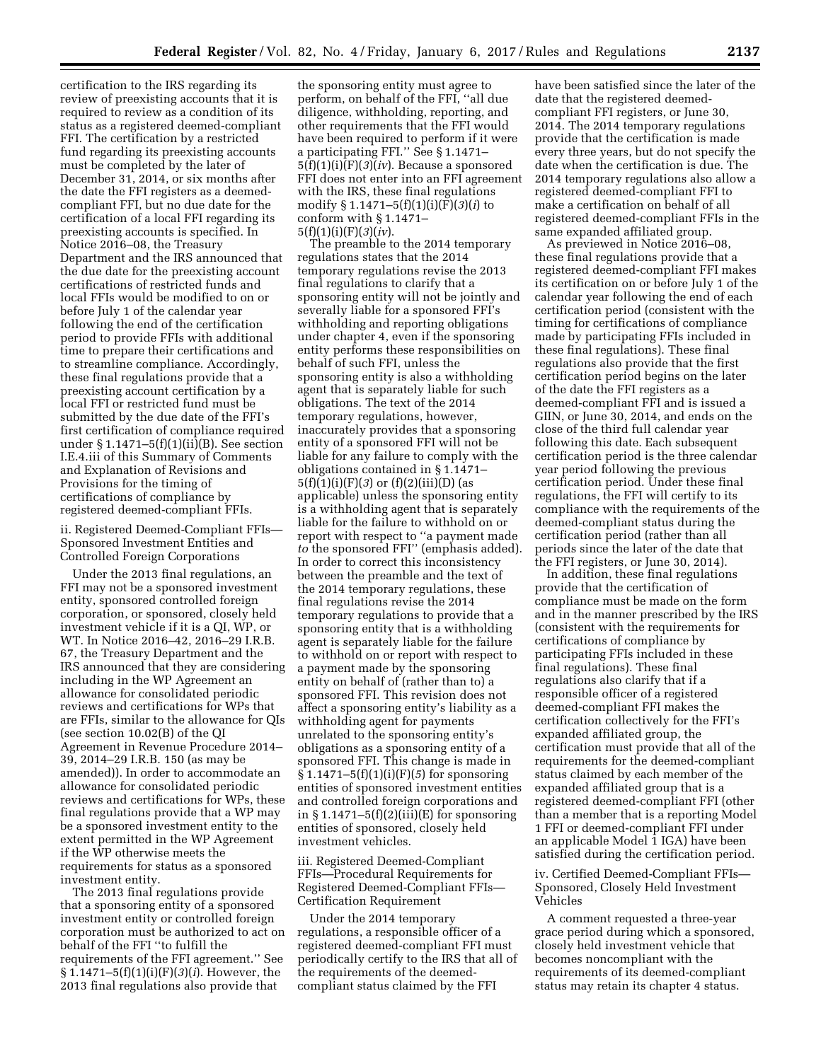certification to the IRS regarding its review of preexisting accounts that it is required to review as a condition of its status as a registered deemed-compliant FFI. The certification by a restricted fund regarding its preexisting accounts must be completed by the later of December 31, 2014, or six months after the date the FFI registers as a deemedcompliant FFI, but no due date for the certification of a local FFI regarding its preexisting accounts is specified. In Notice 2016–08, the Treasury Department and the IRS announced that the due date for the preexisting account certifications of restricted funds and local FFIs would be modified to on or before July 1 of the calendar year following the end of the certification period to provide FFIs with additional time to prepare their certifications and to streamline compliance. Accordingly, these final regulations provide that a preexisting account certification by a local FFI or restricted fund must be submitted by the due date of the FFI's first certification of compliance required under § 1.1471–5(f)(1)(ii)(B). See section I.E.4.iii of this Summary of Comments and Explanation of Revisions and Provisions for the timing of certifications of compliance by registered deemed-compliant FFIs.

ii. Registered Deemed-Compliant FFIs— Sponsored Investment Entities and Controlled Foreign Corporations

Under the 2013 final regulations, an FFI may not be a sponsored investment entity, sponsored controlled foreign corporation, or sponsored, closely held investment vehicle if it is a QI, WP, or WT. In Notice 2016–42, 2016–29 I.R.B. 67, the Treasury Department and the IRS announced that they are considering including in the WP Agreement an allowance for consolidated periodic reviews and certifications for WPs that are FFIs, similar to the allowance for QIs (see section 10.02(B) of the QI Agreement in Revenue Procedure 2014– 39, 2014–29 I.R.B. 150 (as may be amended)). In order to accommodate an allowance for consolidated periodic reviews and certifications for WPs, these final regulations provide that a WP may be a sponsored investment entity to the extent permitted in the WP Agreement if the WP otherwise meets the requirements for status as a sponsored investment entity.

The 2013 final regulations provide that a sponsoring entity of a sponsored investment entity or controlled foreign corporation must be authorized to act on behalf of the FFI ''to fulfill the requirements of the FFI agreement.'' See § 1.1471–5(f)(1)(i)(F)(*3*)(*i*). However, the 2013 final regulations also provide that

the sponsoring entity must agree to perform, on behalf of the FFI, ''all due diligence, withholding, reporting, and other requirements that the FFI would have been required to perform if it were a participating FFI.'' See § 1.1471– 5(f)(1)(i)(F)(*3*)(*iv*). Because a sponsored FFI does not enter into an FFI agreement with the IRS, these final regulations modify § 1.1471–5(f)(1)(i)(F)(*3*)(*i*) to conform with § 1.1471– 5(f)(1)(i)(F)(*3*)(*iv*).

The preamble to the 2014 temporary regulations states that the 2014 temporary regulations revise the 2013 final regulations to clarify that a sponsoring entity will not be jointly and severally liable for a sponsored FFI's withholding and reporting obligations under chapter 4, even if the sponsoring entity performs these responsibilities on behalf of such FFI, unless the sponsoring entity is also a withholding agent that is separately liable for such obligations. The text of the 2014 temporary regulations, however, inaccurately provides that a sponsoring entity of a sponsored FFI will not be liable for any failure to comply with the obligations contained in § 1.1471– 5(f)(1)(i)(F)(*3*) or (f)(2)(iii)(D) (as applicable) unless the sponsoring entity is a withholding agent that is separately liable for the failure to withhold on or report with respect to ''a payment made *to* the sponsored FFI'' (emphasis added). In order to correct this inconsistency between the preamble and the text of the 2014 temporary regulations, these final regulations revise the 2014 temporary regulations to provide that a sponsoring entity that is a withholding agent is separately liable for the failure to withhold on or report with respect to a payment made by the sponsoring entity on behalf of (rather than to) a sponsored FFI. This revision does not affect a sponsoring entity's liability as a withholding agent for payments unrelated to the sponsoring entity's obligations as a sponsoring entity of a sponsored FFI. This change is made in § 1.1471–5(f)(1)(i)(F)(*5*) for sponsoring entities of sponsored investment entities and controlled foreign corporations and in  $\S 1.1471 - 5(f)(2)(iii)(E)$  for sponsoring entities of sponsored, closely held investment vehicles.

iii. Registered Deemed-Compliant FFIs—Procedural Requirements for Registered Deemed-Compliant FFIs— Certification Requirement

Under the 2014 temporary regulations, a responsible officer of a registered deemed-compliant FFI must periodically certify to the IRS that all of the requirements of the deemedcompliant status claimed by the FFI

have been satisfied since the later of the date that the registered deemedcompliant FFI registers, or June 30, 2014. The 2014 temporary regulations provide that the certification is made every three years, but do not specify the date when the certification is due. The 2014 temporary regulations also allow a registered deemed-compliant FFI to make a certification on behalf of all registered deemed-compliant FFIs in the same expanded affiliated group.

As previewed in Notice 2016–08, these final regulations provide that a registered deemed-compliant FFI makes its certification on or before July 1 of the calendar year following the end of each certification period (consistent with the timing for certifications of compliance made by participating FFIs included in these final regulations). These final regulations also provide that the first certification period begins on the later of the date the FFI registers as a deemed-compliant FFI and is issued a GIIN, or June 30, 2014, and ends on the close of the third full calendar year following this date. Each subsequent certification period is the three calendar year period following the previous certification period. Under these final regulations, the FFI will certify to its compliance with the requirements of the deemed-compliant status during the certification period (rather than all periods since the later of the date that the FFI registers, or June 30, 2014).

In addition, these final regulations provide that the certification of compliance must be made on the form and in the manner prescribed by the IRS (consistent with the requirements for certifications of compliance by participating FFIs included in these final regulations). These final regulations also clarify that if a responsible officer of a registered deemed-compliant FFI makes the certification collectively for the FFI's expanded affiliated group, the certification must provide that all of the requirements for the deemed-compliant status claimed by each member of the expanded affiliated group that is a registered deemed-compliant FFI (other than a member that is a reporting Model 1 FFI or deemed-compliant FFI under an applicable Model 1 IGA) have been satisfied during the certification period.

iv. Certified Deemed-Compliant FFIs— Sponsored, Closely Held Investment Vehicles

A comment requested a three-year grace period during which a sponsored, closely held investment vehicle that becomes noncompliant with the requirements of its deemed-compliant status may retain its chapter 4 status.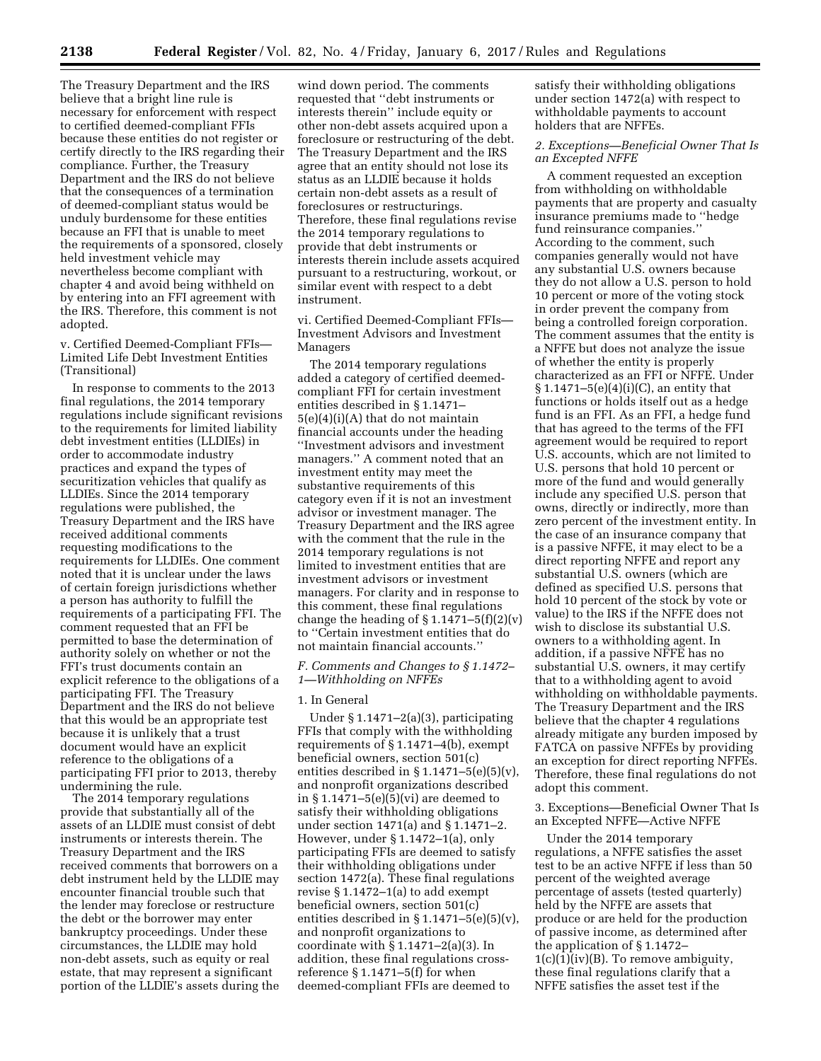The Treasury Department and the IRS believe that a bright line rule is necessary for enforcement with respect to certified deemed-compliant FFIs because these entities do not register or certify directly to the IRS regarding their compliance. Further, the Treasury Department and the IRS do not believe that the consequences of a termination of deemed-compliant status would be unduly burdensome for these entities because an FFI that is unable to meet the requirements of a sponsored, closely held investment vehicle may nevertheless become compliant with chapter 4 and avoid being withheld on by entering into an FFI agreement with the IRS. Therefore, this comment is not adopted.

v. Certified Deemed-Compliant FFIs— Limited Life Debt Investment Entities (Transitional)

In response to comments to the 2013 final regulations, the 2014 temporary regulations include significant revisions to the requirements for limited liability debt investment entities (LLDIEs) in order to accommodate industry practices and expand the types of securitization vehicles that qualify as LLDIEs. Since the 2014 temporary regulations were published, the Treasury Department and the IRS have received additional comments requesting modifications to the requirements for LLDIEs. One comment noted that it is unclear under the laws of certain foreign jurisdictions whether a person has authority to fulfill the requirements of a participating FFI. The comment requested that an FFI be permitted to base the determination of authority solely on whether or not the FFI's trust documents contain an explicit reference to the obligations of a participating FFI. The Treasury Department and the IRS do not believe that this would be an appropriate test because it is unlikely that a trust document would have an explicit reference to the obligations of a participating FFI prior to 2013, thereby undermining the rule.

The 2014 temporary regulations provide that substantially all of the assets of an LLDIE must consist of debt instruments or interests therein. The Treasury Department and the IRS received comments that borrowers on a debt instrument held by the LLDIE may encounter financial trouble such that the lender may foreclose or restructure the debt or the borrower may enter bankruptcy proceedings. Under these circumstances, the LLDIE may hold non-debt assets, such as equity or real estate, that may represent a significant portion of the LLDIE's assets during the

wind down period. The comments requested that ''debt instruments or interests therein'' include equity or other non-debt assets acquired upon a foreclosure or restructuring of the debt. The Treasury Department and the IRS agree that an entity should not lose its status as an LLDIE because it holds certain non-debt assets as a result of foreclosures or restructurings. Therefore, these final regulations revise the 2014 temporary regulations to provide that debt instruments or interests therein include assets acquired pursuant to a restructuring, workout, or similar event with respect to a debt instrument.

vi. Certified Deemed-Compliant FFIs— Investment Advisors and Investment Managers

The 2014 temporary regulations added a category of certified deemedcompliant FFI for certain investment entities described in § 1.1471– 5(e)(4)(i)(A) that do not maintain financial accounts under the heading ''Investment advisors and investment managers.'' A comment noted that an investment entity may meet the substantive requirements of this category even if it is not an investment advisor or investment manager. The Treasury Department and the IRS agree with the comment that the rule in the 2014 temporary regulations is not limited to investment entities that are investment advisors or investment managers. For clarity and in response to this comment, these final regulations change the heading of  $\S 1.1471 - 5(f)(2)(v)$ to ''Certain investment entities that do not maintain financial accounts.''

# *F. Comments and Changes to § 1.1472– 1—Withholding on NFFEs*

# 1. In General

Under § 1.1471–2(a)(3), participating FFIs that comply with the withholding requirements of § 1.1471–4(b), exempt beneficial owners, section 501(c) entities described in § 1.1471–5(e)(5)(v), and nonprofit organizations described in § 1.1471–5(e)(5)(vi) are deemed to satisfy their withholding obligations under section 1471(a) and § 1.1471–2. However, under § 1.1472–1(a), only participating FFIs are deemed to satisfy their withholding obligations under section 1472(a). These final regulations revise § 1.1472–1(a) to add exempt beneficial owners, section 501(c) entities described in  $\S 1.1471-5(e)(5)(v)$ , and nonprofit organizations to coordinate with  $\S 1.1471 - 2(a)(3)$ . In addition, these final regulations crossreference § 1.1471–5(f) for when deemed-compliant FFIs are deemed to

satisfy their withholding obligations under section 1472(a) with respect to withholdable payments to account holders that are NFFEs.

# *2. Exceptions—Beneficial Owner That Is an Excepted NFFE*

A comment requested an exception from withholding on withholdable payments that are property and casualty insurance premiums made to ''hedge fund reinsurance companies.'' According to the comment, such companies generally would not have any substantial U.S. owners because they do not allow a U.S. person to hold 10 percent or more of the voting stock in order prevent the company from being a controlled foreign corporation. The comment assumes that the entity is a NFFE but does not analyze the issue of whether the entity is properly characterized as an FFI or NFFE. Under  $§ 1.1471 - 5(e)(4)(i)(C)$ , an entity that functions or holds itself out as a hedge fund is an FFI. As an FFI, a hedge fund that has agreed to the terms of the FFI agreement would be required to report U.S. accounts, which are not limited to U.S. persons that hold 10 percent or more of the fund and would generally include any specified U.S. person that owns, directly or indirectly, more than zero percent of the investment entity. In the case of an insurance company that is a passive NFFE, it may elect to be a direct reporting NFFE and report any substantial U.S. owners (which are defined as specified U.S. persons that hold 10 percent of the stock by vote or value) to the IRS if the NFFE does not wish to disclose its substantial U.S. owners to a withholding agent. In addition, if a passive NFFE has no substantial U.S. owners, it may certify that to a withholding agent to avoid withholding on withholdable payments. The Treasury Department and the IRS believe that the chapter 4 regulations already mitigate any burden imposed by FATCA on passive NFFEs by providing an exception for direct reporting NFFEs. Therefore, these final regulations do not adopt this comment.

3. Exceptions—Beneficial Owner That Is an Excepted NFFE—Active NFFE

Under the 2014 temporary regulations, a NFFE satisfies the asset test to be an active NFFE if less than 50 percent of the weighted average percentage of assets (tested quarterly) held by the NFFE are assets that produce or are held for the production of passive income, as determined after the application of § 1.1472–  $1(c)(1)(iv)(B)$ . To remove ambiguity, these final regulations clarify that a NFFE satisfies the asset test if the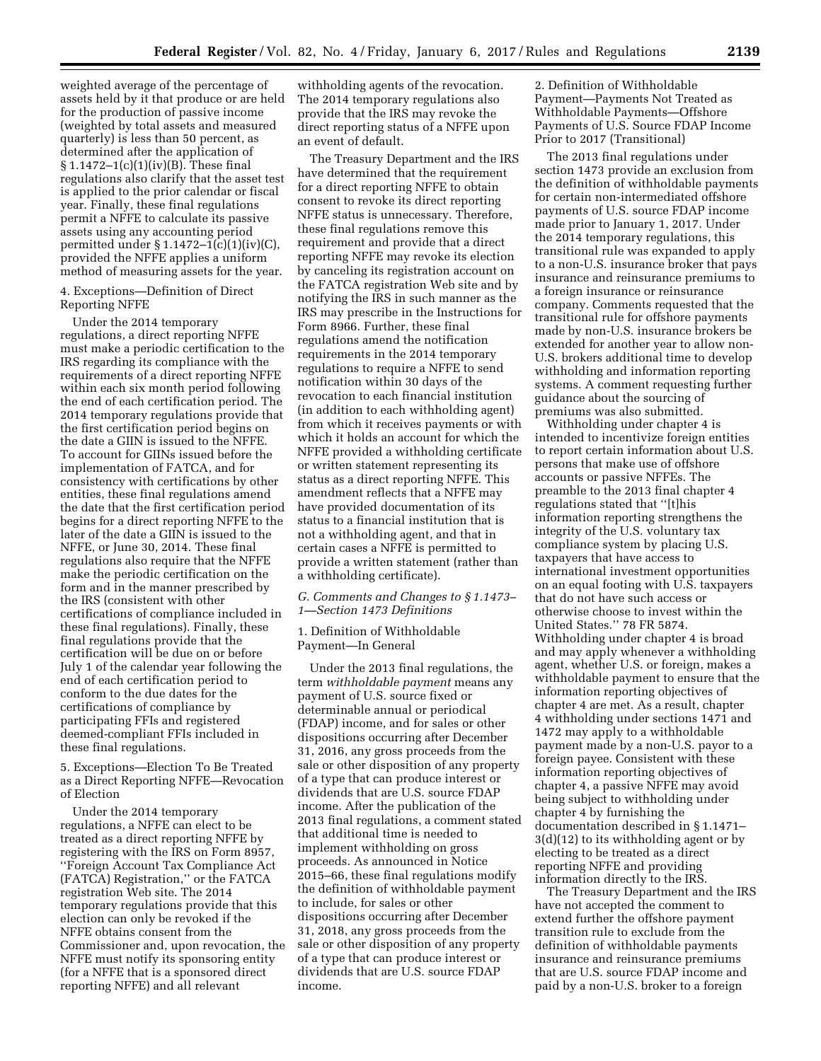weighted average of the percentage of assets held by it that produce or are held for the production of passive income (weighted by total assets and measured quarterly) is less than 50 percent, as determined after the application of  $\S 1.1472 - 1(c)(1)(iv)(B)$ . These final regulations also clarify that the asset test is applied to the prior calendar or fiscal year. Finally, these final regulations permit a NFFE to calculate its passive assets using any accounting period permitted under § 1.1472–1(c)(1)(iv)(C), provided the NFFE applies a uniform method of measuring assets for the year.

4. Exceptions—Definition of Direct Reporting NFFE

Under the 2014 temporary regulations, a direct reporting NFFE must make a periodic certification to the IRS regarding its compliance with the requirements of a direct reporting NFFE within each six month period following the end of each certification period. The 2014 temporary regulations provide that the first certification period begins on the date a GIIN is issued to the NFFE. To account for GIINs issued before the implementation of FATCA, and for consistency with certifications by other entities, these final regulations amend the date that the first certification period begins for a direct reporting NFFE to the later of the date a GIIN is issued to the NFFE, or June 30, 2014. These final regulations also require that the NFFE make the periodic certification on the form and in the manner prescribed by the IRS (consistent with other certifications of compliance included in these final regulations). Finally, these final regulations provide that the certification will be due on or before July 1 of the calendar year following the end of each certification period to conform to the due dates for the certifications of compliance by participating FFIs and registered deemed-compliant FFIs included in these final regulations.

5. Exceptions—Election To Be Treated as a Direct Reporting NFFE—Revocation of Election

Under the 2014 temporary regulations, a NFFE can elect to be treated as a direct reporting NFFE by registering with the IRS on Form 8957, ''Foreign Account Tax Compliance Act (FATCA) Registration,'' or the FATCA registration Web site. The 2014 temporary regulations provide that this election can only be revoked if the NFFE obtains consent from the Commissioner and, upon revocation, the NFFE must notify its sponsoring entity (for a NFFE that is a sponsored direct reporting NFFE) and all relevant

withholding agents of the revocation. The 2014 temporary regulations also provide that the IRS may revoke the direct reporting status of a NFFE upon an event of default.

The Treasury Department and the IRS have determined that the requirement for a direct reporting NFFE to obtain consent to revoke its direct reporting NFFE status is unnecessary. Therefore, these final regulations remove this requirement and provide that a direct reporting NFFE may revoke its election by canceling its registration account on the FATCA registration Web site and by notifying the IRS in such manner as the IRS may prescribe in the Instructions for Form 8966. Further, these final regulations amend the notification requirements in the 2014 temporary regulations to require a NFFE to send notification within 30 days of the revocation to each financial institution (in addition to each withholding agent) from which it receives payments or with which it holds an account for which the NFFE provided a withholding certificate or written statement representing its status as a direct reporting NFFE. This amendment reflects that a NFFE may have provided documentation of its status to a financial institution that is not a withholding agent, and that in certain cases a NFFE is permitted to provide a written statement (rather than a withholding certificate).

# *G. Comments and Changes to § 1.1473– 1—Section 1473 Definitions*

1. Definition of Withholdable Payment—In General

Under the 2013 final regulations, the term *withholdable payment* means any payment of U.S. source fixed or determinable annual or periodical (FDAP) income, and for sales or other dispositions occurring after December 31, 2016, any gross proceeds from the sale or other disposition of any property of a type that can produce interest or dividends that are U.S. source FDAP income. After the publication of the 2013 final regulations, a comment stated that additional time is needed to implement withholding on gross proceeds. As announced in Notice 2015–66, these final regulations modify the definition of withholdable payment to include, for sales or other dispositions occurring after December 31, 2018, any gross proceeds from the sale or other disposition of any property of a type that can produce interest or dividends that are U.S. source FDAP income.

2. Definition of Withholdable Payment—Payments Not Treated as Withholdable Payments—Offshore Payments of U.S. Source FDAP Income Prior to 2017 (Transitional)

The 2013 final regulations under section 1473 provide an exclusion from the definition of withholdable payments for certain non-intermediated offshore payments of U.S. source FDAP income made prior to January 1, 2017. Under the 2014 temporary regulations, this transitional rule was expanded to apply to a non-U.S. insurance broker that pays insurance and reinsurance premiums to a foreign insurance or reinsurance company. Comments requested that the transitional rule for offshore payments made by non-U.S. insurance brokers be extended for another year to allow non-U.S. brokers additional time to develop withholding and information reporting systems. A comment requesting further guidance about the sourcing of premiums was also submitted.

Withholding under chapter 4 is intended to incentivize foreign entities to report certain information about U.S. persons that make use of offshore accounts or passive NFFEs. The preamble to the 2013 final chapter 4 regulations stated that ''[t]his information reporting strengthens the integrity of the U.S. voluntary tax compliance system by placing U.S. taxpayers that have access to international investment opportunities on an equal footing with U.S. taxpayers that do not have such access or otherwise choose to invest within the United States.'' 78 FR 5874. Withholding under chapter 4 is broad and may apply whenever a withholding agent, whether U.S. or foreign, makes a withholdable payment to ensure that the information reporting objectives of chapter 4 are met. As a result, chapter 4 withholding under sections 1471 and 1472 may apply to a withholdable payment made by a non-U.S. payor to a foreign payee. Consistent with these information reporting objectives of chapter 4, a passive NFFE may avoid being subject to withholding under chapter 4 by furnishing the documentation described in § 1.1471– 3(d)(12) to its withholding agent or by electing to be treated as a direct reporting NFFE and providing information directly to the IRS.

The Treasury Department and the IRS have not accepted the comment to extend further the offshore payment transition rule to exclude from the definition of withholdable payments insurance and reinsurance premiums that are U.S. source FDAP income and paid by a non-U.S. broker to a foreign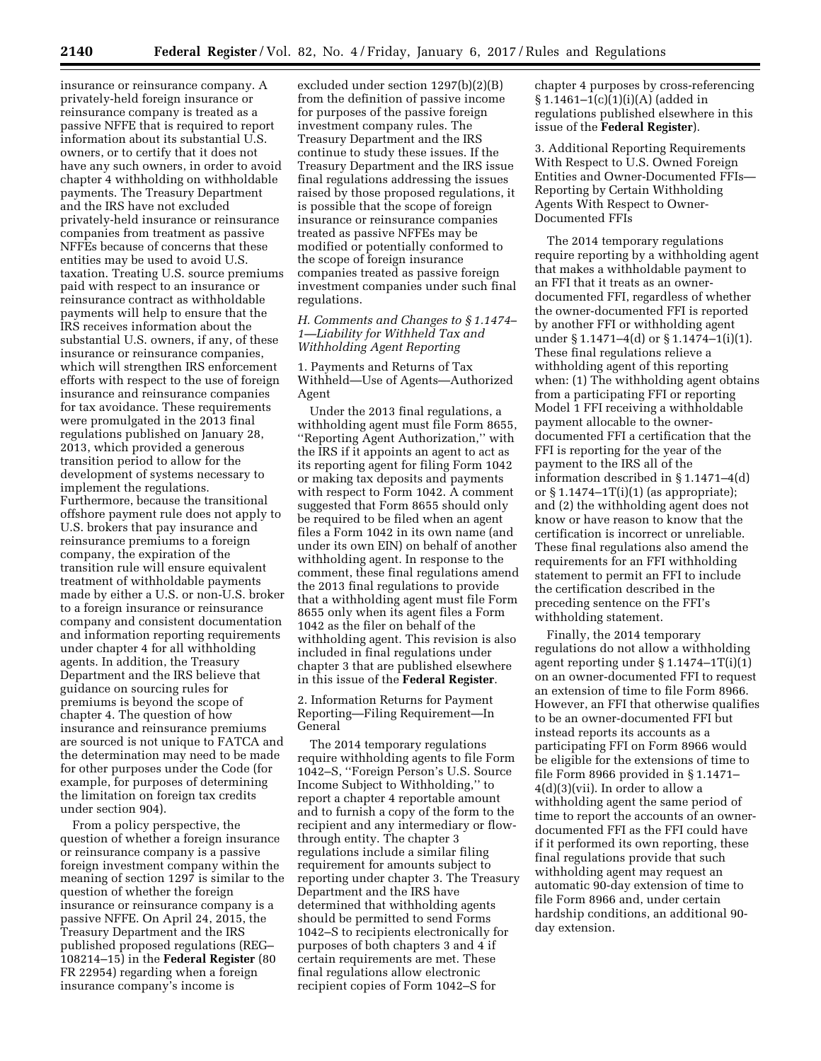insurance or reinsurance company. A privately-held foreign insurance or reinsurance company is treated as a passive NFFE that is required to report information about its substantial U.S. owners, or to certify that it does not have any such owners, in order to avoid chapter 4 withholding on withholdable payments. The Treasury Department and the IRS have not excluded privately-held insurance or reinsurance companies from treatment as passive NFFEs because of concerns that these entities may be used to avoid U.S. taxation. Treating U.S. source premiums paid with respect to an insurance or reinsurance contract as withholdable payments will help to ensure that the IRS receives information about the substantial U.S. owners, if any, of these insurance or reinsurance companies, which will strengthen IRS enforcement efforts with respect to the use of foreign insurance and reinsurance companies for tax avoidance. These requirements were promulgated in the 2013 final regulations published on January 28, 2013, which provided a generous transition period to allow for the development of systems necessary to implement the regulations. Furthermore, because the transitional offshore payment rule does not apply to U.S. brokers that pay insurance and reinsurance premiums to a foreign company, the expiration of the transition rule will ensure equivalent treatment of withholdable payments made by either a U.S. or non-U.S. broker to a foreign insurance or reinsurance company and consistent documentation and information reporting requirements under chapter 4 for all withholding agents. In addition, the Treasury Department and the IRS believe that guidance on sourcing rules for premiums is beyond the scope of chapter 4. The question of how insurance and reinsurance premiums are sourced is not unique to FATCA and the determination may need to be made for other purposes under the Code (for example, for purposes of determining the limitation on foreign tax credits under section 904).

From a policy perspective, the question of whether a foreign insurance or reinsurance company is a passive foreign investment company within the meaning of section 1297 is similar to the question of whether the foreign insurance or reinsurance company is a passive NFFE. On April 24, 2015, the Treasury Department and the IRS published proposed regulations (REG– 108214–15) in the **Federal Register** (80 FR 22954) regarding when a foreign insurance company's income is

excluded under section 1297(b)(2)(B) from the definition of passive income for purposes of the passive foreign investment company rules. The Treasury Department and the IRS continue to study these issues. If the Treasury Department and the IRS issue final regulations addressing the issues raised by those proposed regulations, it is possible that the scope of foreign insurance or reinsurance companies treated as passive NFFEs may be modified or potentially conformed to the scope of foreign insurance companies treated as passive foreign investment companies under such final regulations.

*H. Comments and Changes to § 1.1474– 1—Liability for Withheld Tax and Withholding Agent Reporting* 

1. Payments and Returns of Tax Withheld—Use of Agents—Authorized Agent

Under the 2013 final regulations, a withholding agent must file Form 8655, ''Reporting Agent Authorization,'' with the IRS if it appoints an agent to act as its reporting agent for filing Form 1042 or making tax deposits and payments with respect to Form 1042. A comment suggested that Form 8655 should only be required to be filed when an agent files a Form 1042 in its own name (and under its own EIN) on behalf of another withholding agent. In response to the comment, these final regulations amend the 2013 final regulations to provide that a withholding agent must file Form 8655 only when its agent files a Form 1042 as the filer on behalf of the withholding agent. This revision is also included in final regulations under chapter 3 that are published elsewhere in this issue of the **Federal Register**.

2. Information Returns for Payment Reporting—Filing Requirement—In General

The 2014 temporary regulations require withholding agents to file Form 1042–S, ''Foreign Person's U.S. Source Income Subject to Withholding,'' to report a chapter 4 reportable amount and to furnish a copy of the form to the recipient and any intermediary or flowthrough entity. The chapter 3 regulations include a similar filing requirement for amounts subject to reporting under chapter 3. The Treasury Department and the IRS have determined that withholding agents should be permitted to send Forms 1042–S to recipients electronically for purposes of both chapters 3 and 4 if certain requirements are met. These final regulations allow electronic recipient copies of Form 1042–S for

chapter 4 purposes by cross-referencing § 1.1461–1(c)(1)(i)(A) (added in regulations published elsewhere in this issue of the **Federal Register**).

3. Additional Reporting Requirements With Respect to U.S. Owned Foreign Entities and Owner-Documented FFIs— Reporting by Certain Withholding Agents With Respect to Owner-Documented FFIs

The 2014 temporary regulations require reporting by a withholding agent that makes a withholdable payment to an FFI that it treats as an ownerdocumented FFI, regardless of whether the owner-documented FFI is reported by another FFI or withholding agent under § 1.1471–4(d) or § 1.1474–1(i)(1). These final regulations relieve a withholding agent of this reporting when: (1) The withholding agent obtains from a participating FFI or reporting Model 1 FFI receiving a withholdable payment allocable to the ownerdocumented FFI a certification that the FFI is reporting for the year of the payment to the IRS all of the information described in § 1.1471–4(d) or  $§ 1.1474-1T(i)(1)$  (as appropriate); and (2) the withholding agent does not know or have reason to know that the certification is incorrect or unreliable. These final regulations also amend the requirements for an FFI withholding statement to permit an FFI to include the certification described in the preceding sentence on the FFI's withholding statement.

Finally, the 2014 temporary regulations do not allow a withholding agent reporting under § 1.1474–1T(i)(1) on an owner-documented FFI to request an extension of time to file Form 8966. However, an FFI that otherwise qualifies to be an owner-documented FFI but instead reports its accounts as a participating FFI on Form 8966 would be eligible for the extensions of time to file Form 8966 provided in § 1.1471– 4(d)(3)(vii). In order to allow a withholding agent the same period of time to report the accounts of an ownerdocumented FFI as the FFI could have if it performed its own reporting, these final regulations provide that such withholding agent may request an automatic 90-day extension of time to file Form 8966 and, under certain hardship conditions, an additional 90 day extension.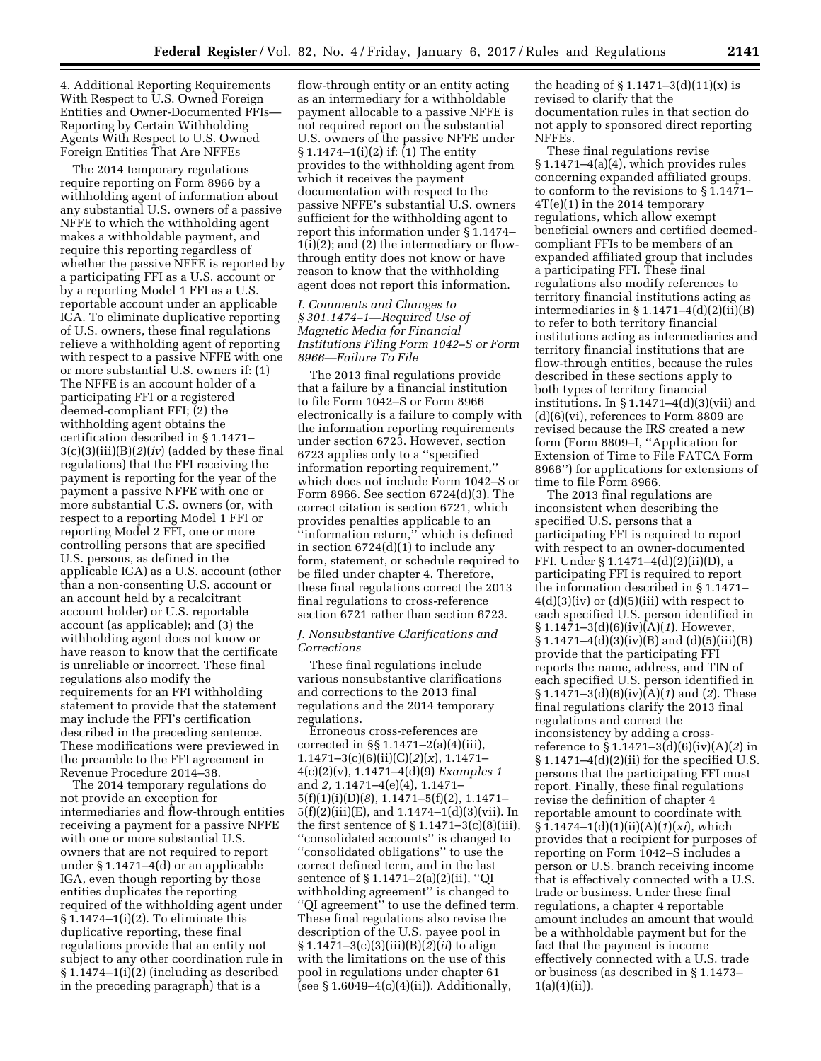4. Additional Reporting Requirements With Respect to U.S. Owned Foreign Entities and Owner-Documented FFIs— Reporting by Certain Withholding Agents With Respect to U.S. Owned Foreign Entities That Are NFFEs

The 2014 temporary regulations require reporting on Form 8966 by a withholding agent of information about any substantial U.S. owners of a passive NFFE to which the withholding agent makes a withholdable payment, and require this reporting regardless of whether the passive NFFE is reported by a participating FFI as a U.S. account or by a reporting Model 1 FFI as a U.S. reportable account under an applicable IGA. To eliminate duplicative reporting of U.S. owners, these final regulations relieve a withholding agent of reporting with respect to a passive NFFE with one or more substantial U.S. owners if: (1) The NFFE is an account holder of a participating FFI or a registered deemed-compliant FFI; (2) the withholding agent obtains the certification described in § 1.1471– 3(c)(3)(iii)(B)(*2*)(*iv*) (added by these final regulations) that the FFI receiving the payment is reporting for the year of the payment a passive NFFE with one or more substantial U.S. owners (or, with respect to a reporting Model 1 FFI or reporting Model 2 FFI, one or more controlling persons that are specified U.S. persons, as defined in the applicable IGA) as a U.S. account (other than a non-consenting U.S. account or an account held by a recalcitrant account holder) or U.S. reportable account (as applicable); and (3) the withholding agent does not know or have reason to know that the certificate is unreliable or incorrect. These final regulations also modify the requirements for an FFI withholding statement to provide that the statement may include the FFI's certification described in the preceding sentence. These modifications were previewed in the preamble to the FFI agreement in Revenue Procedure 2014–38.

The 2014 temporary regulations do not provide an exception for intermediaries and flow-through entities receiving a payment for a passive NFFE with one or more substantial U.S. owners that are not required to report under § 1.1471–4(d) or an applicable IGA, even though reporting by those entities duplicates the reporting required of the withholding agent under § 1.1474–1(i)(2). To eliminate this duplicative reporting, these final regulations provide that an entity not subject to any other coordination rule in § 1.1474–1(i)(2) (including as described in the preceding paragraph) that is a

flow-through entity or an entity acting as an intermediary for a withholdable payment allocable to a passive NFFE is not required report on the substantial U.S. owners of the passive NFFE under § 1.1474–1(i)(2) if: (1) The entity provides to the withholding agent from which it receives the payment documentation with respect to the passive NFFE's substantial U.S. owners sufficient for the withholding agent to report this information under § 1.1474– 1(i)(2); and (2) the intermediary or flowthrough entity does not know or have reason to know that the withholding agent does not report this information.

# *I. Comments and Changes to § 301.1474–1—Required Use of Magnetic Media for Financial Institutions Filing Form 1042–S or Form 8966—Failure To File*

The 2013 final regulations provide that a failure by a financial institution to file Form 1042–S or Form 8966 electronically is a failure to comply with the information reporting requirements under section 6723. However, section 6723 applies only to a ''specified information reporting requirement,'' which does not include Form 1042–S or Form 8966. See section 6724(d)(3). The correct citation is section 6721, which provides penalties applicable to an ''information return,'' which is defined in section  $6724(d)(1)$  to include any form, statement, or schedule required to be filed under chapter 4. Therefore, these final regulations correct the 2013 final regulations to cross-reference section 6721 rather than section 6723.

# *J. Nonsubstantive Clarifications and Corrections*

These final regulations include various nonsubstantive clarifications and corrections to the 2013 final regulations and the 2014 temporary regulations.

Erroneous cross-references are corrected in §§ 1.1471–2(a)(4)(iii), 1.1471–3(c)(6)(ii)(C)(*2*)(*x*), 1.1471– 4(c)(2)(v), 1.1471–4(d)(9) *Examples 1*  and *2,* 1.1471–4(e)(4), 1.1471– 5(f)(1)(i)(D)(*8*), 1.1471–5(f)(2), 1.1471–  $5(f)(2)(iii)(E)$ , and  $1.1474-1(d)(3)(vii)$ . In the first sentence of  $\S 1.1471-3(c)(8)(iii)$ , ''consolidated accounts'' is changed to ''consolidated obligations'' to use the correct defined term, and in the last sentence of § 1.1471–2(a)(2)(ii), ''QI withholding agreement'' is changed to ''QI agreement'' to use the defined term. These final regulations also revise the description of the U.S. payee pool in § 1.1471–3(c)(3)(iii)(B)(*2*)(*ii*) to align with the limitations on the use of this pool in regulations under chapter 61 (see § 1.6049–4(c)(4)(ii)). Additionally,

the heading of  $\S 1.1471 - 3(d)(11)(x)$  is revised to clarify that the documentation rules in that section do not apply to sponsored direct reporting NFFEs.

These final regulations revise  $§ 1.1471-4(a)(4)$ , which provides rules concerning expanded affiliated groups, to conform to the revisions to § 1.1471– 4T(e)(1) in the 2014 temporary regulations, which allow exempt beneficial owners and certified deemedcompliant FFIs to be members of an expanded affiliated group that includes a participating FFI. These final regulations also modify references to territory financial institutions acting as intermediaries in  $\S 1.1471-4(d)(2)(ii)(B)$ to refer to both territory financial institutions acting as intermediaries and territory financial institutions that are flow-through entities, because the rules described in these sections apply to both types of territory financial institutions. In  $\S 1.1471 - 4(d)(3)(vii)$  and (d)(6)(vi), references to Form 8809 are revised because the IRS created a new form (Form 8809–I, ''Application for Extension of Time to File FATCA Form 8966'') for applications for extensions of time to file Form 8966.

The 2013 final regulations are inconsistent when describing the specified U.S. persons that a participating FFI is required to report with respect to an owner-documented FFI. Under § 1.1471–4(d)(2)(ii)(D), a participating FFI is required to report the information described in § 1.1471–  $4(d)(3)(iv)$  or  $(d)(5)(iii)$  with respect to each specified U.S. person identified in § 1.1471–3(d)(6)(iv)(A)(*1*). However,  $§ 1.1471–4(d)(3)(iv)(B)$  and  $(d)(5)(iii)(B)$ provide that the participating FFI reports the name, address, and TIN of each specified U.S. person identified in § 1.1471–3(d)(6)(iv)(A)(*1*) and (*2*). These final regulations clarify the 2013 final regulations and correct the inconsistency by adding a crossreference to § 1.1471–3(d)(6)(iv)(A)(*2*) in  $§ 1.1471-4(d)(2)(ii)$  for the specified U.S. persons that the participating FFI must report. Finally, these final regulations revise the definition of chapter 4 reportable amount to coordinate with § 1.1474–1(d)(1)(ii)(A)(*1*)(*xi*), which provides that a recipient for purposes of reporting on Form 1042–S includes a person or U.S. branch receiving income that is effectively connected with a U.S. trade or business. Under these final regulations, a chapter 4 reportable amount includes an amount that would be a withholdable payment but for the fact that the payment is income effectively connected with a U.S. trade or business (as described in § 1.1473–  $1(a)(4)(ii)$ .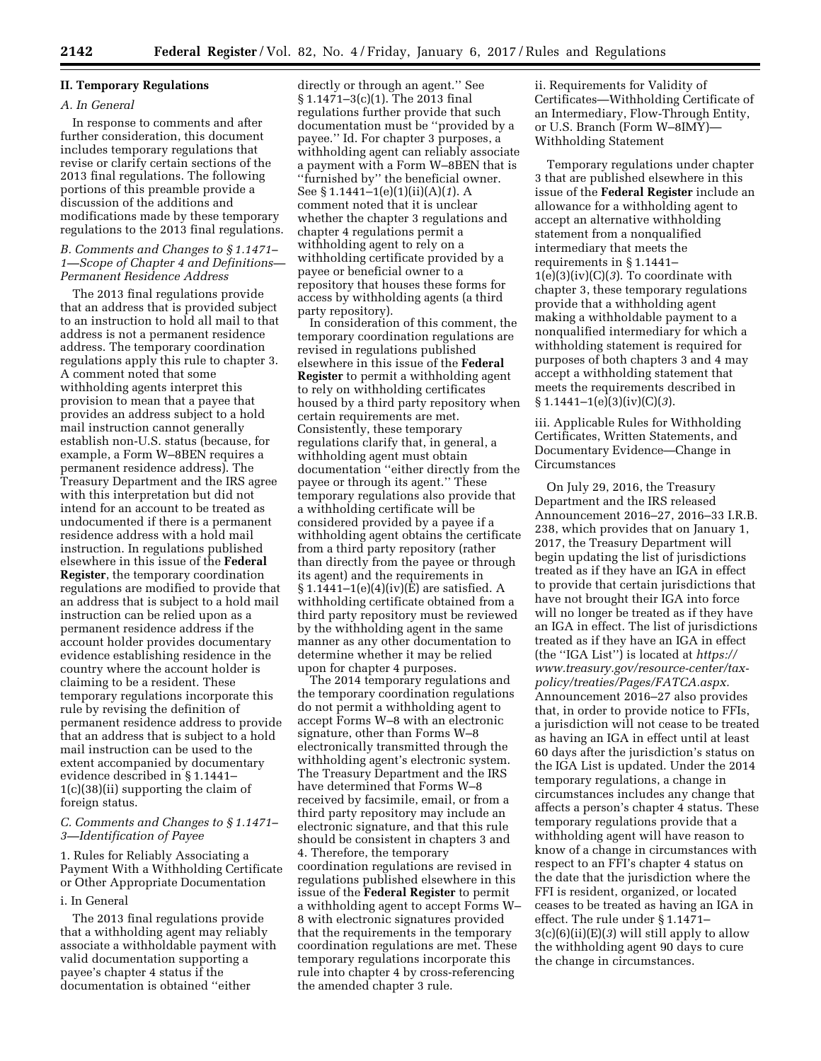# **II. Temporary Regulations**

# *A. In General*

In response to comments and after further consideration, this document includes temporary regulations that revise or clarify certain sections of the 2013 final regulations. The following portions of this preamble provide a discussion of the additions and modifications made by these temporary regulations to the 2013 final regulations.

# *B. Comments and Changes to § 1.1471– 1—Scope of Chapter 4 and Definitions— Permanent Residence Address*

The 2013 final regulations provide that an address that is provided subject to an instruction to hold all mail to that address is not a permanent residence address. The temporary coordination regulations apply this rule to chapter 3. A comment noted that some withholding agents interpret this provision to mean that a payee that provides an address subject to a hold mail instruction cannot generally establish non-U.S. status (because, for example, a Form W–8BEN requires a permanent residence address). The Treasury Department and the IRS agree with this interpretation but did not intend for an account to be treated as undocumented if there is a permanent residence address with a hold mail instruction. In regulations published elsewhere in this issue of the **Federal Register**, the temporary coordination regulations are modified to provide that an address that is subject to a hold mail instruction can be relied upon as a permanent residence address if the account holder provides documentary evidence establishing residence in the country where the account holder is claiming to be a resident. These temporary regulations incorporate this rule by revising the definition of permanent residence address to provide that an address that is subject to a hold mail instruction can be used to the extent accompanied by documentary evidence described in § 1.1441– 1(c)(38)(ii) supporting the claim of foreign status.

# *C. Comments and Changes to § 1.1471– 3—Identification of Payee*

1. Rules for Reliably Associating a Payment With a Withholding Certificate or Other Appropriate Documentation

# i. In General

The 2013 final regulations provide that a withholding agent may reliably associate a withholdable payment with valid documentation supporting a payee's chapter 4 status if the documentation is obtained ''either

directly or through an agent.'' See § 1.1471–3(c)(1). The 2013 final regulations further provide that such documentation must be ''provided by a payee.'' Id. For chapter 3 purposes, a withholding agent can reliably associate a payment with a Form W–8BEN that is ''furnished by'' the beneficial owner. See § 1.1441–1(e)(1)(ii)(A)(*1*). A comment noted that it is unclear whether the chapter 3 regulations and chapter 4 regulations permit a withholding agent to rely on a withholding certificate provided by a payee or beneficial owner to a repository that houses these forms for access by withholding agents (a third party repository).

In consideration of this comment, the temporary coordination regulations are revised in regulations published elsewhere in this issue of the **Federal Register** to permit a withholding agent to rely on withholding certificates housed by a third party repository when certain requirements are met. Consistently, these temporary regulations clarify that, in general, a withholding agent must obtain documentation ''either directly from the payee or through its agent.'' These temporary regulations also provide that a withholding certificate will be considered provided by a payee if a withholding agent obtains the certificate from a third party repository (rather than directly from the payee or through its agent) and the requirements in  $§ 1.1441-1(e)(4)(iv)(E)$  are satisfied. A withholding certificate obtained from a third party repository must be reviewed by the withholding agent in the same manner as any other documentation to determine whether it may be relied upon for chapter 4 purposes.

The 2014 temporary regulations and the temporary coordination regulations do not permit a withholding agent to accept Forms W–8 with an electronic signature, other than Forms W–8 electronically transmitted through the withholding agent's electronic system. The Treasury Department and the IRS have determined that Forms W–8 received by facsimile, email, or from a third party repository may include an electronic signature, and that this rule should be consistent in chapters 3 and 4. Therefore, the temporary coordination regulations are revised in regulations published elsewhere in this issue of the **Federal Register** to permit a withholding agent to accept Forms W– 8 with electronic signatures provided that the requirements in the temporary coordination regulations are met. These temporary regulations incorporate this rule into chapter 4 by cross-referencing the amended chapter 3 rule.

ii. Requirements for Validity of Certificates—Withholding Certificate of an Intermediary, Flow-Through Entity, or U.S. Branch (Form W–8IMY)— Withholding Statement

Temporary regulations under chapter 3 that are published elsewhere in this issue of the **Federal Register** include an allowance for a withholding agent to accept an alternative withholding statement from a nonqualified intermediary that meets the requirements in § 1.1441– 1(e)(3)(iv)(C)(*3*). To coordinate with chapter 3, these temporary regulations provide that a withholding agent making a withholdable payment to a nonqualified intermediary for which a withholding statement is required for purposes of both chapters 3 and 4 may accept a withholding statement that meets the requirements described in § 1.1441–1(e)(3)(iv)(C)(*3*).

iii. Applicable Rules for Withholding Certificates, Written Statements, and Documentary Evidence—Change in Circumstances

On July 29, 2016, the Treasury Department and the IRS released Announcement 2016–27, 2016–33 I.R.B. 238, which provides that on January 1, 2017, the Treasury Department will begin updating the list of jurisdictions treated as if they have an IGA in effect to provide that certain jurisdictions that have not brought their IGA into force will no longer be treated as if they have an IGA in effect. The list of jurisdictions treated as if they have an IGA in effect (the ''IGA List'') is located at *[https://](https://www.treasury.gov/resource-center/tax-policy/treaties/Pages/FATCA.aspx) [www.treasury.gov/resource-center/tax](https://www.treasury.gov/resource-center/tax-policy/treaties/Pages/FATCA.aspx)[policy/treaties/Pages/FATCA.aspx.](https://www.treasury.gov/resource-center/tax-policy/treaties/Pages/FATCA.aspx)*  Announcement 2016–27 also provides that, in order to provide notice to FFIs, a jurisdiction will not cease to be treated as having an IGA in effect until at least 60 days after the jurisdiction's status on the IGA List is updated. Under the 2014 temporary regulations, a change in circumstances includes any change that affects a person's chapter 4 status. These temporary regulations provide that a withholding agent will have reason to know of a change in circumstances with respect to an FFI's chapter 4 status on the date that the jurisdiction where the FFI is resident, organized, or located ceases to be treated as having an IGA in effect. The rule under § 1.1471– 3(c)(6)(ii)(E)(*3*) will still apply to allow the withholding agent 90 days to cure the change in circumstances.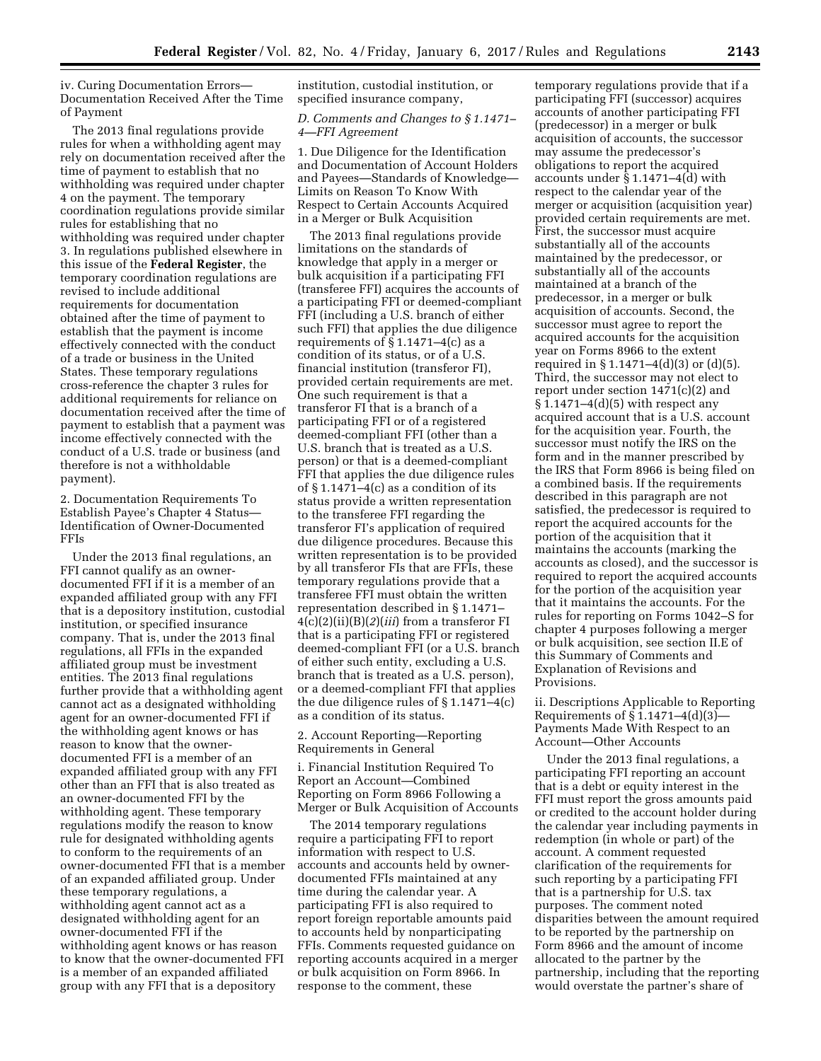iv. Curing Documentation Errors— Documentation Received After the Time of Payment

The 2013 final regulations provide rules for when a withholding agent may rely on documentation received after the time of payment to establish that no withholding was required under chapter 4 on the payment. The temporary coordination regulations provide similar rules for establishing that no withholding was required under chapter 3. In regulations published elsewhere in this issue of the **Federal Register**, the temporary coordination regulations are revised to include additional requirements for documentation obtained after the time of payment to establish that the payment is income effectively connected with the conduct of a trade or business in the United States. These temporary regulations cross-reference the chapter 3 rules for additional requirements for reliance on documentation received after the time of payment to establish that a payment was income effectively connected with the conduct of a U.S. trade or business (and therefore is not a withholdable payment).

2. Documentation Requirements To Establish Payee's Chapter 4 Status— Identification of Owner-Documented FFIs

Under the 2013 final regulations, an FFI cannot qualify as an ownerdocumented FFI if it is a member of an expanded affiliated group with any FFI that is a depository institution, custodial institution, or specified insurance company. That is, under the 2013 final regulations, all FFIs in the expanded affiliated group must be investment entities. The 2013 final regulations further provide that a withholding agent cannot act as a designated withholding agent for an owner-documented FFI if the withholding agent knows or has reason to know that the ownerdocumented FFI is a member of an expanded affiliated group with any FFI other than an FFI that is also treated as an owner-documented FFI by the withholding agent. These temporary regulations modify the reason to know rule for designated withholding agents to conform to the requirements of an owner-documented FFI that is a member of an expanded affiliated group. Under these temporary regulations, a withholding agent cannot act as a designated withholding agent for an owner-documented FFI if the withholding agent knows or has reason to know that the owner-documented FFI is a member of an expanded affiliated group with any FFI that is a depository

institution, custodial institution, or specified insurance company,

# *D. Comments and Changes to § 1.1471– 4—FFI Agreement*

1. Due Diligence for the Identification and Documentation of Account Holders and Payees—Standards of Knowledge— Limits on Reason To Know With Respect to Certain Accounts Acquired in a Merger or Bulk Acquisition

The 2013 final regulations provide limitations on the standards of knowledge that apply in a merger or bulk acquisition if a participating FFI (transferee FFI) acquires the accounts of a participating FFI or deemed-compliant FFI (including a U.S. branch of either such FFI) that applies the due diligence requirements of  $\S 1.1471 - 4(c)$  as a condition of its status, or of a U.S. financial institution (transferor FI), provided certain requirements are met. One such requirement is that a transferor FI that is a branch of a participating FFI or of a registered deemed-compliant FFI (other than a U.S. branch that is treated as a U.S. person) or that is a deemed-compliant FFI that applies the due diligence rules of  $\S 1.1471-4(c)$  as a condition of its status provide a written representation to the transferee FFI regarding the transferor FI's application of required due diligence procedures. Because this written representation is to be provided by all transferor FIs that are FFIs, these temporary regulations provide that a transferee FFI must obtain the written representation described in § 1.1471– 4(c)(2)(ii)(B)(*2*)(*iii*) from a transferor FI that is a participating FFI or registered deemed-compliant FFI (or a U.S. branch of either such entity, excluding a U.S. branch that is treated as a U.S. person), or a deemed-compliant FFI that applies the due diligence rules of § 1.1471–4(c) as a condition of its status.

2. Account Reporting—Reporting Requirements in General

i. Financial Institution Required To Report an Account—Combined Reporting on Form 8966 Following a Merger or Bulk Acquisition of Accounts

The 2014 temporary regulations require a participating FFI to report information with respect to U.S. accounts and accounts held by ownerdocumented FFIs maintained at any time during the calendar year. A participating FFI is also required to report foreign reportable amounts paid to accounts held by nonparticipating FFIs. Comments requested guidance on reporting accounts acquired in a merger or bulk acquisition on Form 8966. In response to the comment, these

temporary regulations provide that if a participating FFI (successor) acquires accounts of another participating FFI (predecessor) in a merger or bulk acquisition of accounts, the successor may assume the predecessor's obligations to report the acquired accounts under § 1.1471–4(d) with respect to the calendar year of the merger or acquisition (acquisition year) provided certain requirements are met. First, the successor must acquire substantially all of the accounts maintained by the predecessor, or substantially all of the accounts maintained at a branch of the predecessor, in a merger or bulk acquisition of accounts. Second, the successor must agree to report the acquired accounts for the acquisition year on Forms 8966 to the extent required in § 1.1471–4(d)(3) or (d)(5). Third, the successor may not elect to report under section 1471(c)(2) and § 1.1471–4(d)(5) with respect any acquired account that is a U.S. account for the acquisition year. Fourth, the successor must notify the IRS on the form and in the manner prescribed by the IRS that Form 8966 is being filed on a combined basis. If the requirements described in this paragraph are not satisfied, the predecessor is required to report the acquired accounts for the portion of the acquisition that it maintains the accounts (marking the accounts as closed), and the successor is required to report the acquired accounts for the portion of the acquisition year that it maintains the accounts. For the rules for reporting on Forms 1042–S for chapter 4 purposes following a merger or bulk acquisition, see section II.E of this Summary of Comments and Explanation of Revisions and Provisions.

ii. Descriptions Applicable to Reporting Requirements of  $\S 1.1471-4(d)(3)$ Payments Made With Respect to an Account—Other Accounts

Under the 2013 final regulations, a participating FFI reporting an account that is a debt or equity interest in the FFI must report the gross amounts paid or credited to the account holder during the calendar year including payments in redemption (in whole or part) of the account. A comment requested clarification of the requirements for such reporting by a participating FFI that is a partnership for U.S. tax purposes. The comment noted disparities between the amount required to be reported by the partnership on Form 8966 and the amount of income allocated to the partner by the partnership, including that the reporting would overstate the partner's share of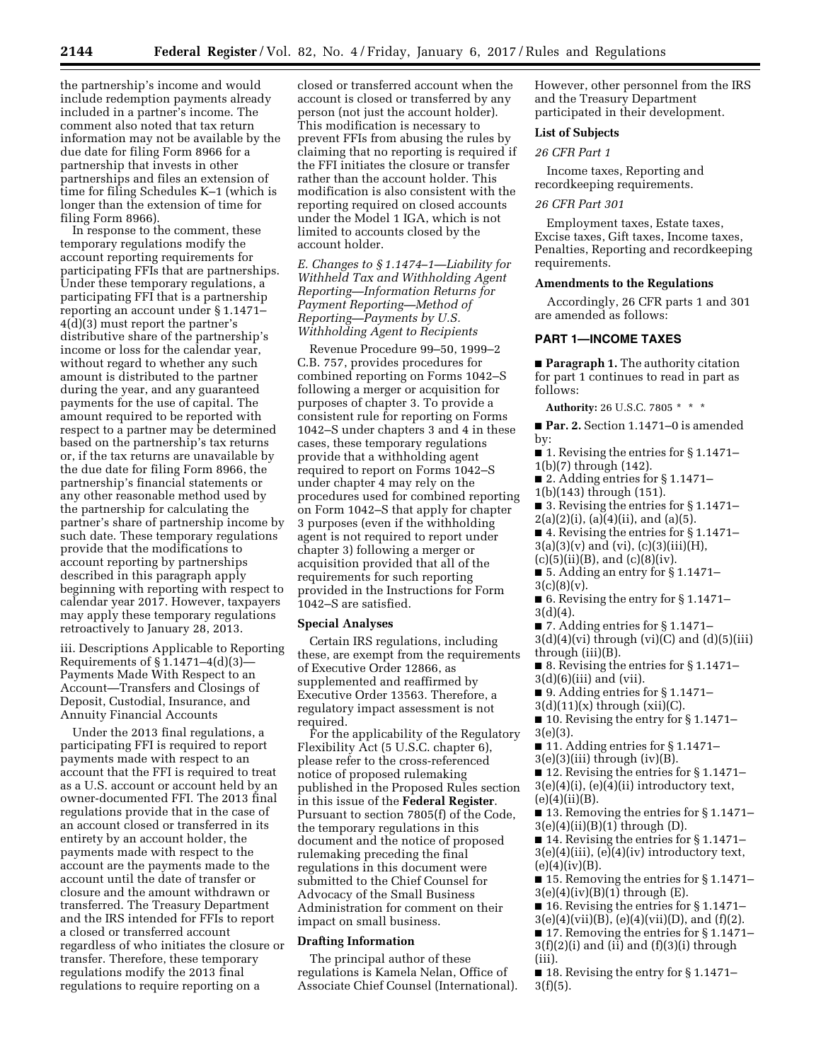the partnership's income and would include redemption payments already included in a partner's income. The comment also noted that tax return information may not be available by the due date for filing Form 8966 for a partnership that invests in other partnerships and files an extension of time for filing Schedules K–1 (which is longer than the extension of time for filing Form 8966).

In response to the comment, these temporary regulations modify the account reporting requirements for participating FFIs that are partnerships. Under these temporary regulations, a participating FFI that is a partnership reporting an account under § 1.1471– 4(d)(3) must report the partner's distributive share of the partnership's income or loss for the calendar year, without regard to whether any such amount is distributed to the partner during the year, and any guaranteed payments for the use of capital. The amount required to be reported with respect to a partner may be determined based on the partnership's tax returns or, if the tax returns are unavailable by the due date for filing Form 8966, the partnership's financial statements or any other reasonable method used by the partnership for calculating the partner's share of partnership income by such date. These temporary regulations provide that the modifications to account reporting by partnerships described in this paragraph apply beginning with reporting with respect to calendar year 2017. However, taxpayers may apply these temporary regulations retroactively to January 28, 2013.

iii. Descriptions Applicable to Reporting Requirements of  $\S 1.1471-4(d)(3)$ -Payments Made With Respect to an Account—Transfers and Closings of Deposit, Custodial, Insurance, and Annuity Financial Accounts

Under the 2013 final regulations, a participating FFI is required to report payments made with respect to an account that the FFI is required to treat as a U.S. account or account held by an owner-documented FFI. The 2013 final regulations provide that in the case of an account closed or transferred in its entirety by an account holder, the payments made with respect to the account are the payments made to the account until the date of transfer or closure and the amount withdrawn or transferred. The Treasury Department and the IRS intended for FFIs to report a closed or transferred account regardless of who initiates the closure or transfer. Therefore, these temporary regulations modify the 2013 final regulations to require reporting on a

closed or transferred account when the account is closed or transferred by any person (not just the account holder). This modification is necessary to prevent FFIs from abusing the rules by claiming that no reporting is required if the FFI initiates the closure or transfer rather than the account holder. This modification is also consistent with the reporting required on closed accounts under the Model 1 IGA, which is not limited to accounts closed by the account holder.

*E. Changes to § 1.1474–1—Liability for Withheld Tax and Withholding Agent Reporting—Information Returns for Payment Reporting—Method of Reporting—Payments by U.S. Withholding Agent to Recipients* 

Revenue Procedure 99–50, 1999–2 C.B. 757, provides procedures for combined reporting on Forms 1042–S following a merger or acquisition for purposes of chapter 3. To provide a consistent rule for reporting on Forms 1042–S under chapters 3 and 4 in these cases, these temporary regulations provide that a withholding agent required to report on Forms 1042–S under chapter 4 may rely on the procedures used for combined reporting on Form 1042–S that apply for chapter 3 purposes (even if the withholding agent is not required to report under chapter 3) following a merger or acquisition provided that all of the requirements for such reporting provided in the Instructions for Form 1042–S are satisfied.

#### **Special Analyses**

Certain IRS regulations, including these, are exempt from the requirements of Executive Order 12866, as supplemented and reaffirmed by Executive Order 13563. Therefore, a regulatory impact assessment is not required.

For the applicability of the Regulatory Flexibility Act (5 U.S.C. chapter 6), please refer to the cross-referenced notice of proposed rulemaking published in the Proposed Rules section in this issue of the **Federal Register**. Pursuant to section 7805(f) of the Code, the temporary regulations in this document and the notice of proposed rulemaking preceding the final regulations in this document were submitted to the Chief Counsel for Advocacy of the Small Business Administration for comment on their impact on small business.

### **Drafting Information**

The principal author of these regulations is Kamela Nelan, Office of Associate Chief Counsel (International). However, other personnel from the IRS and the Treasury Department participated in their development.

# **List of Subjects**

# *26 CFR Part 1*

Income taxes, Reporting and recordkeeping requirements.

## *26 CFR Part 301*

Employment taxes, Estate taxes, Excise taxes, Gift taxes, Income taxes, Penalties, Reporting and recordkeeping requirements.

#### **Amendments to the Regulations**

Accordingly, 26 CFR parts 1 and 301 are amended as follows:

# **PART 1—INCOME TAXES**

■ **Paragraph 1.** The authority citation for part 1 continues to read in part as follows:

**Authority:** 26 U.S.C. 7805 \* \* \*

■ **Par. 2.** Section 1.1471–0 is amended by:

■ 1. Revising the entries for § 1.1471– 1(b)(7) through (142).

■ 2. Adding entries for § 1.1471– 1(b)(143) through (151).

■ 3. Revising the entries for § 1.1471–

 $2(a)(2)(i)$ ,  $(a)(4)(ii)$ , and  $(a)(5)$ .

■ 4. Revising the entries for § 1.1471–  $3(a)(3)(v)$  and (vi), (c)(3)(iii)(H),

 $(c)(5)(ii)(B)$ , and  $(c)(8)(iv)$ .

■ 5. Adding an entry for § 1.1471–  $3(c)(8)(v)$ .

■ 6. Revising the entry for § 1.1471– 3(d)(4).

 $\blacksquare$  7. Adding entries for § 1.1471–  $3(d)(4)(vi)$  through (vi)(C) and (d)(5)(iii) through (iii)(B).

■ 8. Revising the entries for § 1.1471–

 $3(d)(6)(iii)$  and (vii).

■ 9. Adding entries for § 1.1471–

 $3(d)(11)(x)$  through  $(xii)(C)$ .

■ 10. Revising the entry for § 1.1471– 3(e)(3).

■ 11. Adding entries for § 1.1471–  $3(e)(3)(iii)$  through  $(iv)(B)$ .

■ 12. Revising the entries for § 1.1471– 3(e)(4)(i), (e)(4)(ii) introductory text,  $(e)(4)(ii)(B).$ 

■ 13. Removing the entries for § 1.1471–  $3(e)(4)(ii)(B)(1)$  through  $(D)$ .

■ 14. Revising the entries for § 1.1471–  $3(e)(4)(iii)$ ,  $(e)(4)(iv)$  introductory text,  $(e)(4)(iv)(B).$ 

■ 15. Removing the entries for § 1.1471–  $3(e)(4)(iv)(B)(1)$  through  $(E)$ .

■ 16. Revising the entries for § 1.1471–  $3(e)(4)(vii)(B), (e)(4)(vii)(D), and (f)(2).$ 

■ 17. Removing the entries for § 1.1471–  $3(f)(2)(i)$  and (ii) and  $(f)(3)(i)$  through

(iii).

■ 18. Revising the entry for § 1.1471–  $3(f)(5)$ .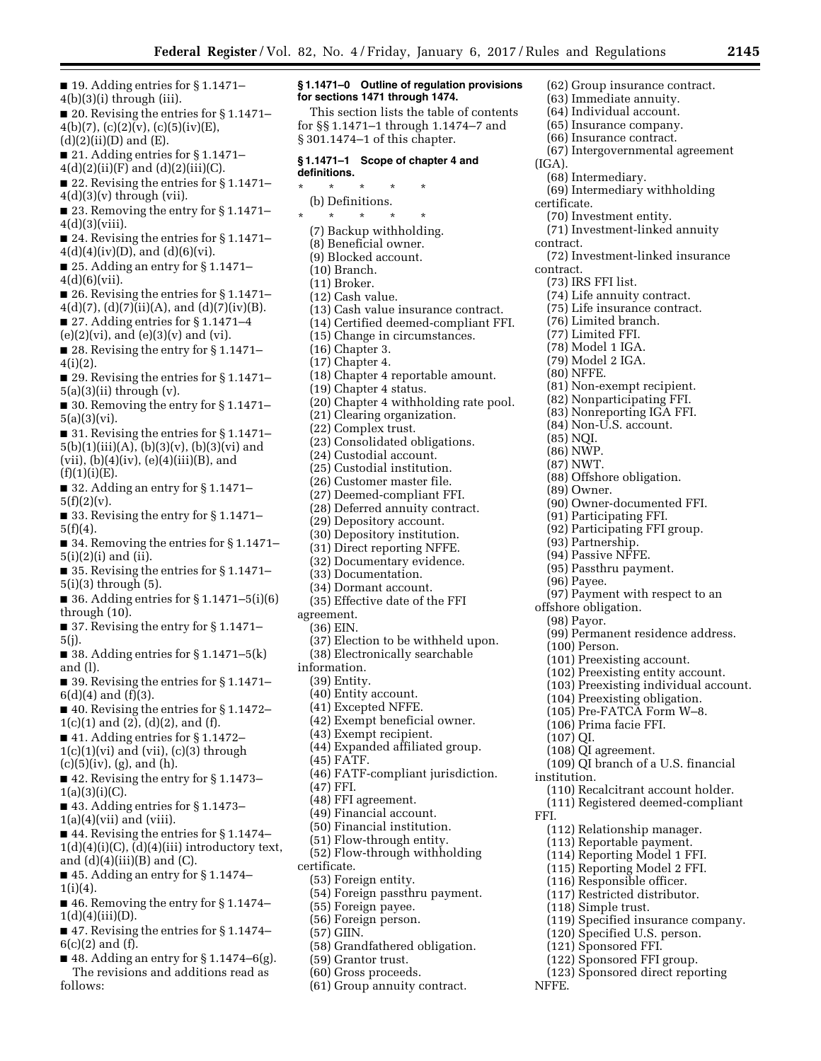$\blacksquare$  19. Adding entries for § 1.1471–  $4(b)(3)(i)$  through (iii). ■ 20. Revising the entries for § 1.1471–  $4(b)(7)$ , (c)(2)(v), (c)(5)(iv)(E),  $(d)(2)(ii)(D)$  and  $(E)$ . ■ 21. Adding entries for § 1.1471–  $4(d)(2)(ii)(F)$  and  $(d)(2)(iii)(C)$ . ■ 22. Revising the entries for § 1.1471–  $4(d)(3)(v)$  through (vii). ■ 23. Removing the entry for § 1.1471– 4(d)(3)(viii). ■ 24. Revising the entries for § 1.1471–  $4(d)(4)(iv)(D)$ , and  $(d)(6)(vi)$ . ■ 25. Adding an entry for § 1.1471- $4(d)(6)(vii)$ . ■ 26. Revising the entries for § 1.1471- $4(d)(7)$ ,  $(d)(7)(ii)(A)$ , and  $(d)(7)(iv)(B)$ . ■ 27. Adding entries for § 1.1471-4  $(e)(2)(vi)$ , and  $(e)(3)(v)$  and  $(vi)$ . ■ 28. Revising the entry for § 1.1471– 4(i)(2). ■ 29. Revising the entries for § 1.1471–  $5(a)(3)(ii)$  through  $(v)$ . ■ 30. Removing the entry for § 1.1471–  $5(a)(3)(vi).$ ■ 31. Revising the entries for § 1.1471–  $5(b)(1)(iii)(A), (b)(3)(v), (b)(3)(vi)$  and  $(vii)$ ,  $(b)(4)(iv)$ ,  $(e)(4)(iii)(B)$ , and  $(f)(1)(i)(E).$ ■ 32. Adding an entry for § 1.1471–  $5(f)(2)(v)$ . ■ 33. Revising the entry for § 1.1471–  $5(f)(4)$ . ■ 34. Removing the entries for § 1.1471– 5(i)(2)(i) and (ii). ■ 35. Revising the entries for § 1.1471– 5(i)(3) through (5). ■ 36. Adding entries for  $§ 1.1471-5(i)(6)$ through (10). ■ 37. Revising the entry for § 1.1471– 5(j). ■ 38. Adding entries for  $§ 1.1471-5(k)$ and (l). ■ 39. Revising the entries for § 1.1471–  $6(d)(4)$  and  $(f)(3)$ . ■ 40. Revising the entries for § 1.1472– 1(c)(1) and (2), (d)(2), and (f). ■ 41. Adding entries for § 1.1472–  $1(c)(1)(vi)$  and (vii),  $(c)(3)$  through  $(c)(5)(iv)$ ,  $(g)$ , and  $(h)$ . ■ 42. Revising the entry for § 1.1473- $1(a)(3)(i)(C)$ . ■ 43. Adding entries for § 1.1473- $1(a)(4)(vii)$  and (viii). ■ 44. Revising the entries for § 1.1474–  $1(d)(4)(i)(C)$ ,  $(d)(4)(iii)$  introductory text, and  $(d)(4)(iii)(B)$  and  $(C)$ .  $\blacksquare$  45. Adding an entry for § 1.1474– 1(i)(4). ■ 46. Removing the entry for § 1.1474–  $1(d)(4)(iii)(D).$ ■ 47. Revising the entries for § 1.1474–  $6(c)(2)$  and  $(f)$ . ■ 48. Adding an entry for § 1.1474–6(g). The revisions and additions read as follows:

**§ 1.1471–0 Outline of regulation provisions for sections 1471 through 1474.**  This section lists the table of contents for §§ 1.1471–1 through 1.1474–7 and § 301.1474–1 of this chapter. **§ 1.1471–1 Scope of chapter 4 and definitions.**  \* \* \* \* \* (b) Definitions. \* \* \* \* \* (7) Backup withholding. (8) Beneficial owner. (9) Blocked account. (10) Branch. (11) Broker. (12) Cash value. (13) Cash value insurance contract. (14) Certified deemed-compliant FFI. (15) Change in circumstances. (16) Chapter 3. (17) Chapter 4. (18) Chapter 4 reportable amount. (19) Chapter 4 status. (20) Chapter 4 withholding rate pool. (21) Clearing organization. (22) Complex trust. (23) Consolidated obligations. (24) Custodial account. (25) Custodial institution. (26) Customer master file. (27) Deemed-compliant FFI. (28) Deferred annuity contract. (29) Depository account. (30) Depository institution. (31) Direct reporting NFFE. (32) Documentary evidence. (33) Documentation. (34) Dormant account. (35) Effective date of the FFI agreement. (36) EIN. (37) Election to be withheld upon. (38) Electronically searchable information. (39) Entity. (40) Entity account. (41) Excepted NFFE. (42) Exempt beneficial owner. (43) Exempt recipient. (44) Expanded affiliated group. (45) FATF. (46) FATF-compliant jurisdiction. (47) FFI. (48) FFI agreement. (49) Financial account. (50) Financial institution. (51) Flow-through entity. (52) Flow-through withholding certificate. (53) Foreign entity. (54) Foreign passthru payment. (55) Foreign payee. (56) Foreign person. (57) GIIN. (58) Grandfathered obligation. (59) Grantor trust. (60) Gross proceeds. (61) Group annuity contract.

(62) Group insurance contract. (63) Immediate annuity. (64) Individual account. (65) Insurance company. (66) Insurance contract. (67) Intergovernmental agreement (IGA). (68) Intermediary. (69) Intermediary withholding certificate. (70) Investment entity. (71) Investment-linked annuity contract. (72) Investment-linked insurance contract. (73) IRS FFI list. (74) Life annuity contract. (75) Life insurance contract. (76) Limited branch. (77) Limited FFI. (78) Model 1 IGA. (79) Model 2 IGA. (80) NFFE. (81) Non-exempt recipient. (82) Nonparticipating FFI. (83) Nonreporting IGA FFI. (84) Non-U.S. account. (85) NQI. (86) NWP. (87) NWT. (88) Offshore obligation. (89) Owner. (90) Owner-documented FFI. (91) Participating FFI. (92) Participating FFI group. (93) Partnership. (94) Passive NFFE. (95) Passthru payment. (96) Payee. (97) Payment with respect to an offshore obligation. (98) Payor. (99) Permanent residence address. (100) Person. (101) Preexisting account. (102) Preexisting entity account. (103) Preexisting individual account. (104) Preexisting obligation. (105) Pre-FATCA Form W–8. (106) Prima facie FFI. (107) QI. (108) QI agreement. (109) QI branch of a U.S. financial institution. (110) Recalcitrant account holder. (111) Registered deemed-compliant FFI. (112) Relationship manager. (113) Reportable payment. (114) Reporting Model 1 FFI. (115) Reporting Model 2 FFI. (116) Responsible officer. (117) Restricted distributor. (118) Simple trust. (119) Specified insurance company. (120) Specified U.S. person. (121) Sponsored FFI. (122) Sponsored FFI group. (123) Sponsored direct reporting

NFFE.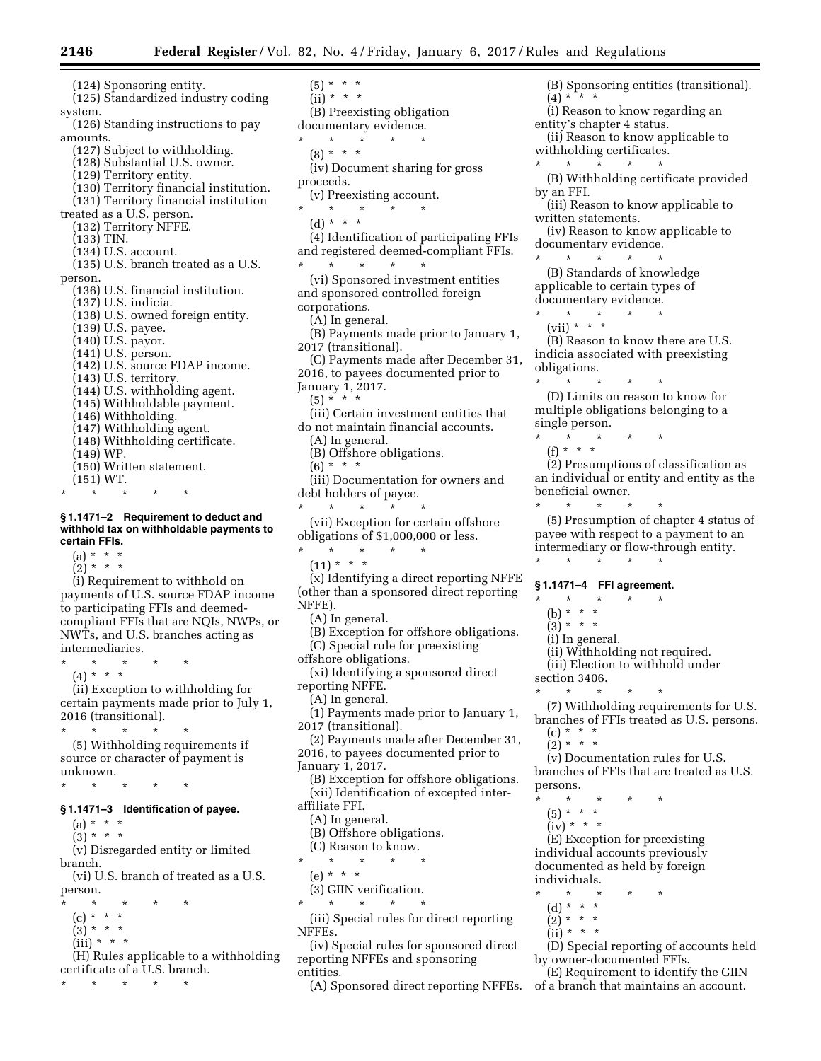(124) Sponsoring entity. (125) Standardized industry coding system. (126) Standing instructions to pay amounts. (127) Subject to withholding. (128) Substantial U.S. owner. (129) Territory entity. (130) Territory financial institution. (131) Territory financial institution treated as a U.S. person. (132) Territory NFFE. (133) TIN. (134) U.S. account. (135) U.S. branch treated as a U.S. person. (136) U.S. financial institution. (137) U.S. indicia. (138) U.S. owned foreign entity. (139) U.S. payee. (140) U.S. payor. (141) U.S. person. (142) U.S. source FDAP income. (143) U.S. territory. (144) U.S. withholding agent. (145) Withholdable payment. (146) Withholding. (147) Withholding agent. (148) Withholding certificate. (149) WP. (150) Written statement. (151) WT.

\* \* \* \* \* **§ 1.1471–2 Requirement to deduct and** 

# **withhold tax on withholdable payments to certain FFIs.**

 $(a) * * * *$  $(2) * * * *$ 

(i) Requirement to withhold on payments of U.S. source FDAP income to participating FFIs and deemedcompliant FFIs that are NQIs, NWPs, or NWTs, and U.S. branches acting as intermediaries.

- $\star$   $\star$
- $(4) * * * *$

(ii) Exception to withholding for certain payments made prior to July 1, 2016 (transitional).

\* \* \* \* \*

(5) Withholding requirements if source or character of payment is unknown.

\* \* \* \* \*

# **§ 1.1471–3 Identification of payee.**

 $(a) * * * *$  $(3) * * * *$ 

(v) Disregarded entity or limited branch.

(vi) U.S. branch of treated as a U.S. person.

- \* \* \* \* \*
- (c) \* \* \*
- $(3) * * * *$
- $(iii) * * * *$

(H) Rules applicable to a withholding certificate of a U.S. branch.

\* \* \* \* \*

 $(5) * * * *$  $(ii) * * * *$ (B) Preexisting obligation documentary evidence. \* \* \* \* \* (8) \* \* \* (iv) Document sharing for gross proceeds. (v) Preexisting account. \* \* \* \* \* (d) \* \* \* (4) Identification of participating FFIs and registered deemed-compliant FFIs.  $\star$   $\star$   $\star$   $\star$ (vi) Sponsored investment entities and sponsored controlled foreign corporations. (A) In general. (B) Payments made prior to January 1, 2017 (transitional). (C) Payments made after December 31, 2016, to payees documented prior to January 1, 2017.  $(5) * * * *$ (iii) Certain investment entities that do not maintain financial accounts. (A) In general. (B) Offshore obligations.  $(6) * * * *$ (iii) Documentation for owners and debt holders of payee. \* \* \* \* \* (vii) Exception for certain offshore obligations of \$1,000,000 or less. \* \* \* \* \*  $(11) * * * *$ (x) Identifying a direct reporting NFFE (other than a sponsored direct reporting NFFE). (A) In general. (B) Exception for offshore obligations. (C) Special rule for preexisting offshore obligations. (xi) Identifying a sponsored direct reporting NFFE. (A) In general. (1) Payments made prior to January 1, 2017 (transitional). (2) Payments made after December 31, 2016, to payees documented prior to January 1, 2017. (B) Exception for offshore obligations. (xii) Identification of excepted interaffiliate FFI. (A) In general. (B) Offshore obligations. (C) Reason to know. \* \* \* \* \* (e) \* \* \* (3) GIIN verification.

\* \* \* \* \*

(iii) Special rules for direct reporting NFFEs.

(iv) Special rules for sponsored direct reporting NFFEs and sponsoring entities.

(A) Sponsored direct reporting NFFEs.

(B) Sponsoring entities (transitional).  $(4) * * * *$ (i) Reason to know regarding an entity's chapter 4 status. (ii) Reason to know applicable to withholding certificates. \* \* \* \* \* (B) Withholding certificate provided by an FFI. (iii) Reason to know applicable to written statements. (iv) Reason to know applicable to documentary evidence. \* \* \* \* \* (B) Standards of knowledge applicable to certain types of documentary evidence. \* \* \* \* \*  $(vii) * * * *$ (B) Reason to know there are U.S. indicia associated with preexisting obligations. \* \* \* \* \* (D) Limits on reason to know for multiple obligations belonging to a single person. \* \* \* \* \* (f) \* \* \* (2) Presumptions of classification as an individual or entity and entity as the beneficial owner. \* \* \* \* \* (5) Presumption of chapter 4 status of payee with respect to a payment to an intermediary or flow-through entity. \* \* \* \* \* **§ 1.1471–4 FFI agreement.**  \* \* \* \* \* (b) \* \* \*  $(3) * * * *$ (i) In general. (ii) Withholding not required. (iii) Election to withhold under section 3406. \* \* \* \* \* (7) Withholding requirements for U.S. branches of FFIs treated as U.S. persons.  $(c) * * * *$  $(2) * * * *$ (v) Documentation rules for U.S. branches of FFIs that are treated as U.S. persons. \* \* \* \* \* (5) \* \* \*  $(iv) * * * *$ (E) Exception for preexisting individual accounts previously documented as held by foreign individuals. \* \* \* \* \* (d) \* \* \*

- $(2) * * * *$
- $(ii) * * * *$

(D) Special reporting of accounts held by owner-documented FFIs.

(E) Requirement to identify the GIIN of a branch that maintains an account.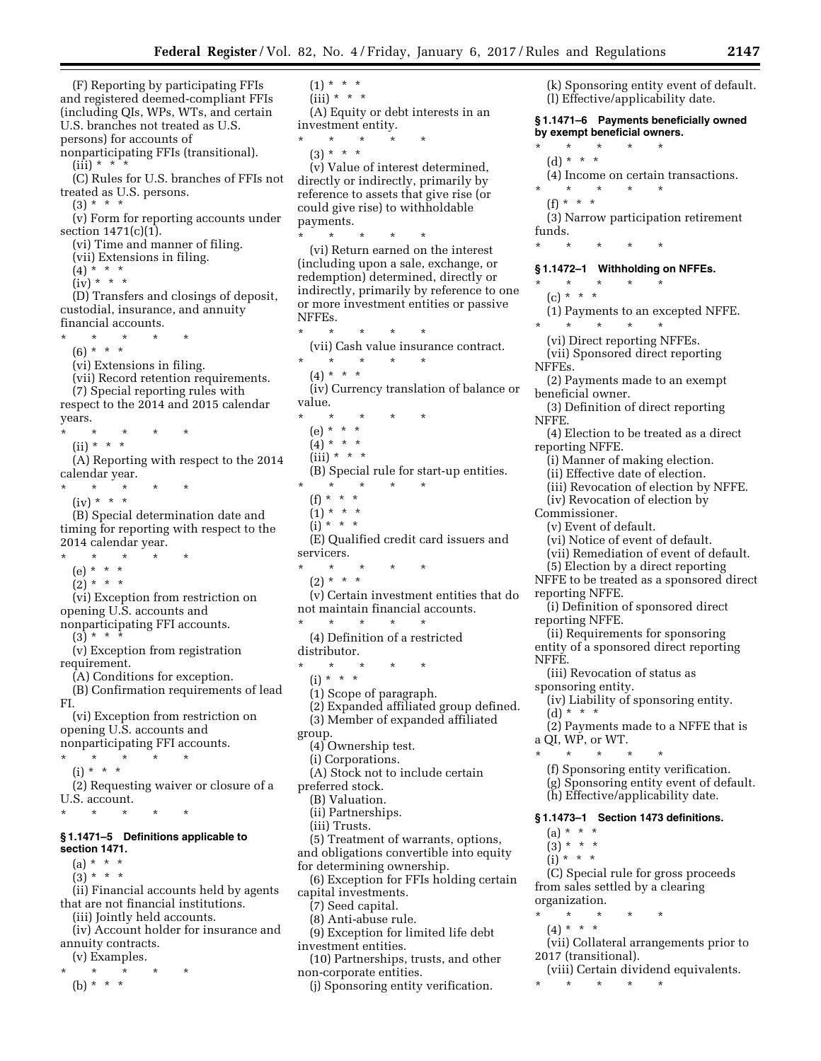(k) Sponsoring entity event of default.

(F) Reporting by participating FFIs and registered deemed-compliant FFIs (including QIs, WPs, WTs, and certain U.S. branches not treated as U.S. persons) for accounts of nonparticipating FFIs (transitional).  $(iii) * * * *$ (C) Rules for U.S. branches of FFIs not treated as U.S. persons.  $(3) * * * *$ (v) Form for reporting accounts under section 1471(c)(1). (vi) Time and manner of filing. (vii) Extensions in filing. (4) \* \* \*  $(iv) * * * *$ (D) Transfers and closings of deposit, custodial, insurance, and annuity financial accounts. \* \* \* \* \* (6) \* \* \* (vi) Extensions in filing. (vii) Record retention requirements. (7) Special reporting rules with respect to the 2014 and 2015 calendar years. \* \* \* \* \* (ii) \* \* \* (A) Reporting with respect to the 2014 calendar year. \* \* \* \* \*  $(iv) * * * *$ (B) Special determination date and timing for reporting with respect to the 2014 calendar year. \* \* \* \* \* (e) \* \* \*  $(2)^*$  \* \* \* (vi) Exception from restriction on opening U.S. accounts and nonparticipating FFI accounts.  $(3) * * * *$ (v) Exception from registration requirement. (A) Conditions for exception. (B) Confirmation requirements of lead FI. (vi) Exception from restriction on opening U.S. accounts and nonparticipating FFI accounts. \* \* \* \* \*  $(i) * * * *$ (2) Requesting waiver or closure of a U.S. account. \* \* \* \* \* **§ 1.1471–5 Definitions applicable to section 1471.**   $(a) * * * *$  $(3) * * * *$ (ii) Financial accounts held by agents

that are not financial institutions. (iii) Jointly held accounts.

(iv) Account holder for insurance and annuity contracts.

- (v) Examples.  $\overrightarrow{x}$  \* \* \*
- (b) \* \* \*
- $(1) * * * *$  $(iii) * * * *$ (A) Equity or debt interests in an investment entity. \* \* \* \* \*  $(3) * * * *$ (v) Value of interest determined, directly or indirectly, primarily by reference to assets that give rise (or could give rise) to withholdable payments. \* \* \* \* \* (vi) Return earned on the interest (including upon a sale, exchange, or redemption) determined, directly or indirectly, primarily by reference to one or more investment entities or passive NFFEs. \* \* \* \* \* (vii) Cash value insurance contract. \* \* \* \* \*  $(4) * * * *$ (iv) Currency translation of balance or value. \* \* \* \* \* (e) \* \* \*  $(4) * * * *$  $(iii) * * * *$ (B) Special rule for start-up entities. \* \* \* \* \* (f) \* \* \*  $(1) * * * *$  $(i)$  \* \* \* (E) Qualified credit card issuers and servicers. \* \* \* \* \* (2) \* \* \* (v) Certain investment entities that do not maintain financial accounts. \* \* \* \* \* (4) Definition of a restricted distributor. \* \* \* \* \*  $(i) * * * *$ (1) Scope of paragraph. (2) Expanded affiliated group defined. (3) Member of expanded affiliated group. (4) Ownership test. (i) Corporations. (A) Stock not to include certain preferred stock. (B) Valuation. (ii) Partnerships. (iii) Trusts. (5) Treatment of warrants, options, and obligations convertible into equity for determining ownership. (6) Exception for FFIs holding certain capital investments. (7) Seed capital. (8) Anti-abuse rule. (9) Exception for limited life debt investment entities.
	- (10) Partnerships, trusts, and other non-corporate entities.
	- (j) Sponsoring entity verification.

(l) Effective/applicability date. **§ 1.1471–6 Payments beneficially owned by exempt beneficial owners.**  \* \* \* \* \* (d) \* \* \* (4) Income on certain transactions. \* \* \* \* \*  $(f) * * * *$ (3) Narrow participation retirement funds. \* \* \* \* \* **§ 1.1472–1 Withholding on NFFEs.**  \* \* \* \* \* (c) \* \* \* (1) Payments to an excepted NFFE. \* \* \* \* \* (vi) Direct reporting NFFEs. (vii) Sponsored direct reporting NFFEs. (2) Payments made to an exempt beneficial owner. (3) Definition of direct reporting NFFE. (4) Election to be treated as a direct reporting NFFE. (i) Manner of making election. (ii) Effective date of election. (iii) Revocation of election by NFFE. (iv) Revocation of election by Commissioner. (v) Event of default. (vi) Notice of event of default. (vii) Remediation of event of default. (5) Election by a direct reporting NFFE to be treated as a sponsored direct reporting NFFE. (i) Definition of sponsored direct reporting NFFE. (ii) Requirements for sponsoring entity of a sponsored direct reporting NFFE. (iii) Revocation of status as sponsoring entity. (iv) Liability of sponsoring entity. (d) \* \* \* (2) Payments made to a NFFE that is a QI, WP, or WT. \* \* \* \* \* (f) Sponsoring entity verification. (g) Sponsoring entity event of default. (h) Effective/applicability date. **§ 1.1473–1 Section 1473 definitions.**   $(a) * * * *$  $(3) * * * *$  $(i) * * * *$ (C) Special rule for gross proceeds from sales settled by a clearing organization. \* \* \* \* \*  $(4) * * * *$ (vii) Collateral arrangements prior to

2017 (transitional).

(viii) Certain dividend equivalents. \* \* \* \* \*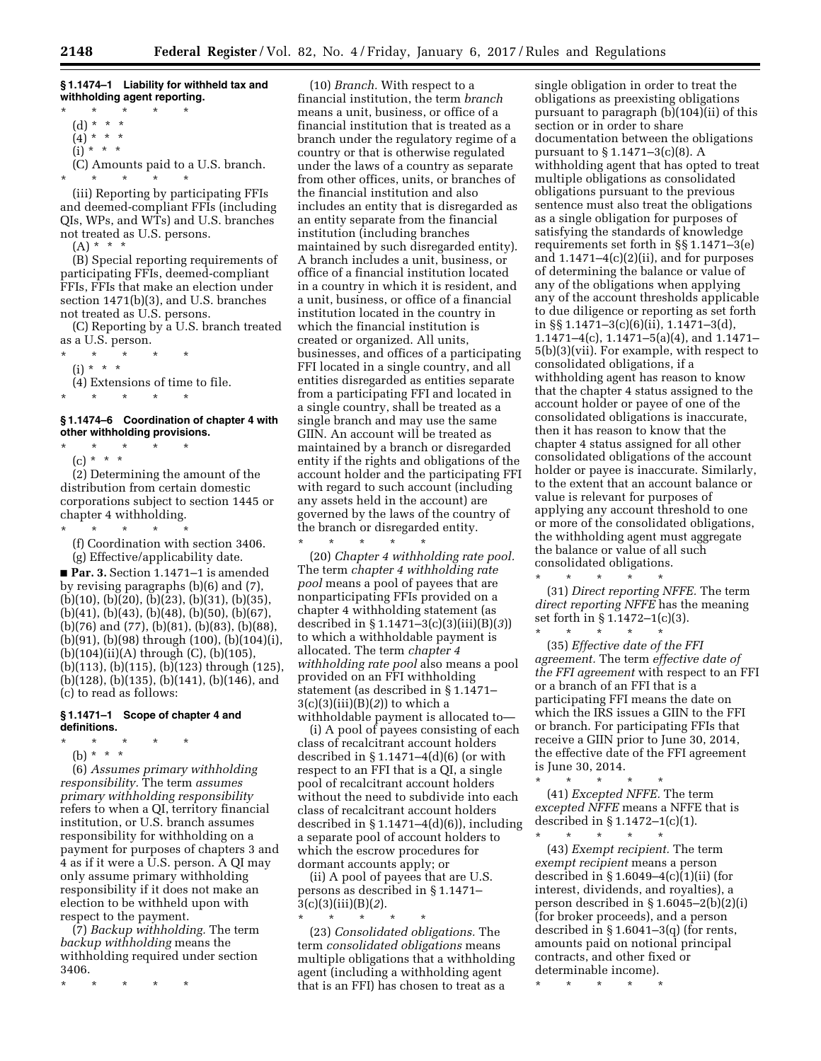# **§ 1.1474–1 Liability for withheld tax and withholding agent reporting.**

\* \* \* \* \* (d) \* \* \*  $(4) * * * *$  $(i) * * * *$ (C) Amounts paid to a U.S. branch.

\* \* \* \* \*

(iii) Reporting by participating FFIs and deemed-compliant FFIs (including QIs, WPs, and WTs) and U.S. branches not treated as U.S. persons.

(A) \* \* \*

(B) Special reporting requirements of participating FFIs, deemed-compliant FFIs, FFIs that make an election under section 1471(b)(3), and U.S. branches not treated as U.S. persons.

(C) Reporting by a U.S. branch treated as a U.S. person.

\* \* \* \* \* (i) \* \* \* (4) Extensions of time to file. \* \* \* \* \*

# **§ 1.1474–6 Coordination of chapter 4 with other withholding provisions.**

 $\star$   $\star$   $\star$ (c) \* \* \*

(2) Determining the amount of the distribution from certain domestic corporations subject to section 1445 or chapter 4 withholding.

\* \* \* \* \*

(f) Coordination with section 3406. (g) Effective/applicability date.

■ **Par. 3.** Section 1.1471–1 is amended by revising paragraphs (b)(6) and (7), (b)(10), (b)(20), (b)(23), (b)(31), (b)(35), (b)(41), (b)(43), (b)(48), (b)(50), (b)(67), (b)(76) and (77), (b)(81), (b)(83), (b)(88), (b)(91), (b)(98) through (100), (b)(104)(i), (b)(104)(ii)(A) through (C), (b)(105), (b)(113), (b)(115), (b)(123) through (125), (b)(128), (b)(135), (b)(141), (b)(146), and (c) to read as follows:

### **§ 1.1471–1 Scope of chapter 4 and definitions.**

- \* \* \* \* \*
- (b) \* \* \*

(6) *Assumes primary withholding responsibility.* The term *assumes primary withholding responsibility*  refers to when a QI, territory financial institution, or U.S. branch assumes responsibility for withholding on a payment for purposes of chapters 3 and 4 as if it were a U.S. person. A QI may only assume primary withholding responsibility if it does not make an election to be withheld upon with respect to the payment.

(7) *Backup withholding.* The term *backup withholding* means the withholding required under section 3406.

\* \* \* \* \*

(10) *Branch.* With respect to a financial institution, the term *branch*  means a unit, business, or office of a financial institution that is treated as a branch under the regulatory regime of a country or that is otherwise regulated under the laws of a country as separate from other offices, units, or branches of the financial institution and also includes an entity that is disregarded as an entity separate from the financial institution (including branches maintained by such disregarded entity). A branch includes a unit, business, or office of a financial institution located in a country in which it is resident, and a unit, business, or office of a financial institution located in the country in which the financial institution is created or organized. All units, businesses, and offices of a participating FFI located in a single country, and all entities disregarded as entities separate from a participating FFI and located in a single country, shall be treated as a single branch and may use the same GIIN. An account will be treated as maintained by a branch or disregarded entity if the rights and obligations of the account holder and the participating FFI with regard to such account (including any assets held in the account) are governed by the laws of the country of the branch or disregarded entity. \* \* \* \* \*

(20) *Chapter 4 withholding rate pool.*  The term *chapter 4 withholding rate pool* means a pool of payees that are nonparticipating FFIs provided on a chapter 4 withholding statement (as described in § 1.1471–3(c)(3)(iii)(B)(*3*)) to which a withholdable payment is allocated. The term *chapter 4 withholding rate pool* also means a pool provided on an FFI withholding statement (as described in § 1.1471– 3(c)(3)(iii)(B)(*2*)) to which a withholdable payment is allocated to—

(i) A pool of payees consisting of each class of recalcitrant account holders described in  $\S 1.1471-4(d)(6)$  (or with respect to an FFI that is a QI, a single pool of recalcitrant account holders without the need to subdivide into each class of recalcitrant account holders described in  $\S 1.1471-4(d)(6)$ , including a separate pool of account holders to which the escrow procedures for dormant accounts apply; or

(ii) A pool of payees that are U.S. persons as described in § 1.1471– 3(c)(3)(iii)(B)(*2*).

\* \* \* \* \* (23) *Consolidated obligations.* The term *consolidated obligations* means multiple obligations that a withholding agent (including a withholding agent that is an FFI) has chosen to treat as a

single obligation in order to treat the obligations as preexisting obligations pursuant to paragraph (b)(104)(ii) of this section or in order to share documentation between the obligations pursuant to § 1.1471–3(c)(8). A withholding agent that has opted to treat multiple obligations as consolidated obligations pursuant to the previous sentence must also treat the obligations as a single obligation for purposes of satisfying the standards of knowledge requirements set forth in §§ 1.1471–3(e) and  $1.1471-4(c)(2)(ii)$ , and for purposes of determining the balance or value of any of the obligations when applying any of the account thresholds applicable to due diligence or reporting as set forth in §§ 1.1471–3(c)(6)(ii), 1.1471–3(d), 1.1471–4(c), 1.1471–5(a)(4), and 1.1471– 5(b)(3)(vii). For example, with respect to consolidated obligations, if a withholding agent has reason to know that the chapter 4 status assigned to the account holder or payee of one of the consolidated obligations is inaccurate, then it has reason to know that the chapter 4 status assigned for all other consolidated obligations of the account holder or payee is inaccurate. Similarly, to the extent that an account balance or value is relevant for purposes of applying any account threshold to one or more of the consolidated obligations, the withholding agent must aggregate the balance or value of all such consolidated obligations.

\* \* \* \* \* (31) *Direct reporting NFFE.* The term *direct reporting NFFE* has the meaning set forth in § 1.1472–1(c)(3).  $\star$   $\star$   $\star$   $\star$ 

(35) *Effective date of the FFI agreement.* The term *effective date of the FFI agreement* with respect to an FFI or a branch of an FFI that is a participating FFI means the date on which the IRS issues a GIIN to the FFI or branch. For participating FFIs that receive a GIIN prior to June 30, 2014, the effective date of the FFI agreement is June 30, 2014.

\* \* \* \* \* (41) *Excepted NFFE.* The term *excepted NFFE* means a NFFE that is described in § 1.1472–1(c)(1).

\* \* \* \* \* (43) *Exempt recipient.* The term *exempt recipient* means a person described in § 1.6049–4(c)(1)(ii) (for interest, dividends, and royalties), a person described in § 1.6045–2(b)(2)(i) (for broker proceeds), and a person described in § 1.6041–3(q) (for rents, amounts paid on notional principal contracts, and other fixed or determinable income).

\* \* \* \* \*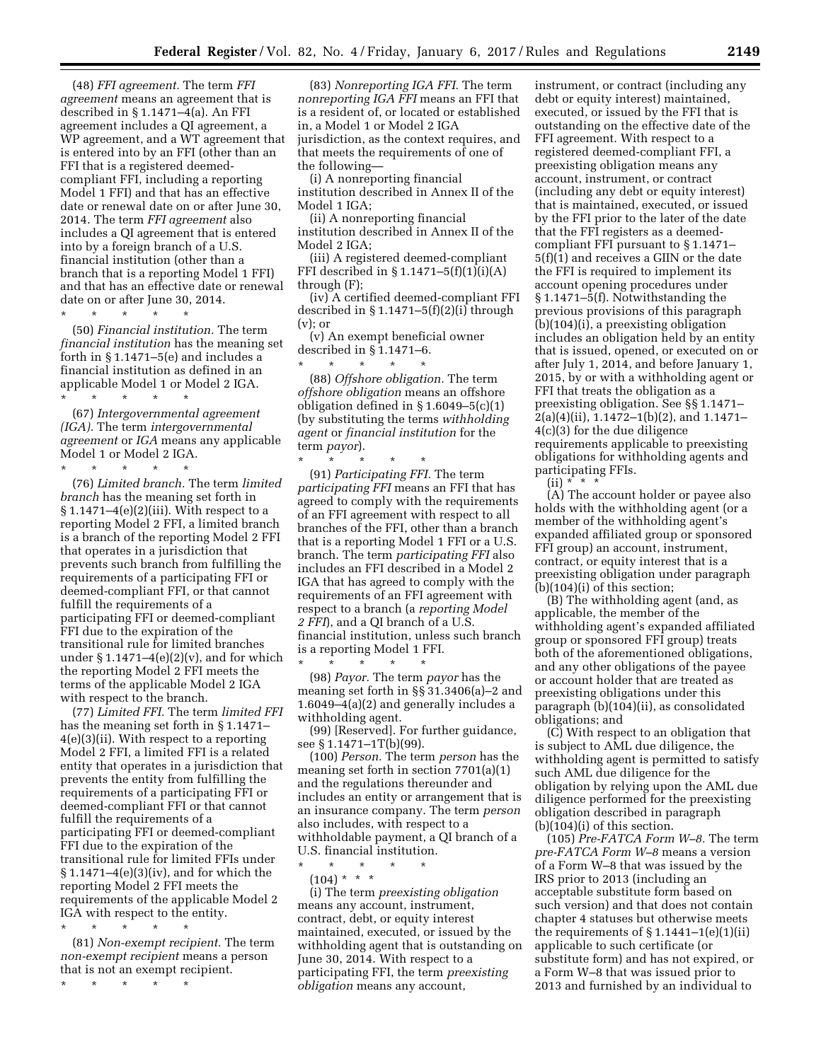(48) *FFI agreement.* The term *FFI agreement* means an agreement that is described in § 1.1471–4(a). An FFI agreement includes a QI agreement, a WP agreement, and a WT agreement that is entered into by an FFI (other than an FFI that is a registered deemedcompliant FFI, including a reporting Model 1 FFI) and that has an effective date or renewal date on or after June 30, 2014. The term *FFI agreement* also includes a QI agreement that is entered into by a foreign branch of a U.S. financial institution (other than a branch that is a reporting Model 1 FFI) and that has an effective date or renewal date on or after June 30, 2014.

\* \* \* \* \*

(50) *Financial institution.* The term *financial institution* has the meaning set forth in § 1.1471–5(e) and includes a financial institution as defined in an applicable Model 1 or Model 2 IGA. \* \* \* \* \*

(67) *Intergovernmental agreement (IGA).* The term *intergovernmental agreement* or *IGA* means any applicable Model 1 or Model 2 IGA.

\* \* \* \* \* (76) *Limited branch.* The term *limited branch* has the meaning set forth in  $\S 1.1471-4(e)(2)$ (iii). With respect to a reporting Model 2 FFI, a limited branch is a branch of the reporting Model 2 FFI that operates in a jurisdiction that prevents such branch from fulfilling the requirements of a participating FFI or deemed-compliant FFI, or that cannot fulfill the requirements of a participating FFI or deemed-compliant FFI due to the expiration of the transitional rule for limited branches under  $\S 1.1471-4(e)(2)(v)$ , and for which the reporting Model 2 FFI meets the terms of the applicable Model 2 IGA with respect to the branch.

(77) *Limited FFI.* The term *limited FFI*  has the meaning set forth in § 1.1471– 4(e)(3)(ii). With respect to a reporting Model 2 FFI, a limited FFI is a related entity that operates in a jurisdiction that prevents the entity from fulfilling the requirements of a participating FFI or deemed-compliant FFI or that cannot fulfill the requirements of a participating FFI or deemed-compliant FFI due to the expiration of the transitional rule for limited FFIs under § 1.1471–4(e)(3)(iv), and for which the reporting Model 2 FFI meets the requirements of the applicable Model 2 IGA with respect to the entity.

\* \* \* \* \*

(81) *Non-exempt recipient.* The term *non-exempt recipient* means a person that is not an exempt recipient.

\* \* \* \* \*

(83) *Nonreporting IGA FFI.* The term *nonreporting IGA FFI* means an FFI that is a resident of, or located or established in, a Model 1 or Model 2 IGA jurisdiction, as the context requires, and that meets the requirements of one of the following—

(i) A nonreporting financial

institution described in Annex II of the Model 1 IGA;

(ii) A nonreporting financial institution described in Annex II of the Model 2 IGA;

(iii) A registered deemed-compliant FFI described in § 1.1471–5(f)(1)(i)(A) through (F);

(iv) A certified deemed-compliant FFI described in  $\S 1.1471 - 5(f)(2)(i)$  through (v); or

(v) An exempt beneficial owner described in § 1.1471–6.

\* \* \* \* \* (88) *Offshore obligation.* The term *offshore obligation* means an offshore obligation defined in § 1.6049–5(c)(1) (by substituting the terms *withholding agent* or *financial institution* for the term *payor*).

\* \* \* \* \* (91) *Participating FFI.* The term *participating FFI* means an FFI that has agreed to comply with the requirements of an FFI agreement with respect to all branches of the FFI, other than a branch that is a reporting Model 1 FFI or a U.S. branch. The term *participating FFI* also includes an FFI described in a Model 2 IGA that has agreed to comply with the requirements of an FFI agreement with respect to a branch (a *reporting Model 2 FFI*), and a QI branch of a U.S. financial institution, unless such branch is a reporting Model 1 FFI.

\* \* \* \* \* (98) *Payor.* The term *payor* has the meaning set forth in §§ 31.3406(a)–2 and 1.6049–4(a)(2) and generally includes a withholding agent.

(99) [Reserved]. For further guidance, see § 1.1471–1T(b)(99).

(100) *Person.* The term *person* has the meaning set forth in section 7701(a)(1) and the regulations thereunder and includes an entity or arrangement that is an insurance company. The term *person*  also includes, with respect to a withholdable payment, a QI branch of a U.S. financial institution.

\* \* \* \* \*  $(104) * * * *$ 

(i) The term *preexisting obligation*  means any account, instrument, contract, debt, or equity interest maintained, executed, or issued by the withholding agent that is outstanding on June 30, 2014. With respect to a participating FFI, the term *preexisting obligation* means any account,

instrument, or contract (including any debt or equity interest) maintained, executed, or issued by the FFI that is outstanding on the effective date of the FFI agreement. With respect to a registered deemed-compliant FFI, a preexisting obligation means any account, instrument, or contract (including any debt or equity interest) that is maintained, executed, or issued by the FFI prior to the later of the date that the FFI registers as a deemedcompliant FFI pursuant to § 1.1471– 5(f)(1) and receives a GIIN or the date the FFI is required to implement its account opening procedures under § 1.1471–5(f). Notwithstanding the previous provisions of this paragraph (b)(104)(i), a preexisting obligation includes an obligation held by an entity that is issued, opened, or executed on or after July 1, 2014, and before January 1, 2015, by or with a withholding agent or FFI that treats the obligation as a preexisting obligation. See §§ 1.1471– 2(a)(4)(ii), 1.1472–1(b)(2), and 1.1471– 4(c)(3) for the due diligence requirements applicable to preexisting obligations for withholding agents and participating FFIs.

 $(ii) * * *$ 

(A) The account holder or payee also holds with the withholding agent (or a member of the withholding agent's expanded affiliated group or sponsored FFI group) an account, instrument, contract, or equity interest that is a preexisting obligation under paragraph  $(b)(104)(i)$  of this section;

(B) The withholding agent (and, as applicable, the member of the withholding agent's expanded affiliated group or sponsored FFI group) treats both of the aforementioned obligations, and any other obligations of the payee or account holder that are treated as preexisting obligations under this paragraph (b)(104)(ii), as consolidated obligations; and

(C) With respect to an obligation that is subject to AML due diligence, the withholding agent is permitted to satisfy such AML due diligence for the obligation by relying upon the AML due diligence performed for the preexisting obligation described in paragraph (b)(104)(i) of this section.

(105) *Pre-FATCA Form W–8.* The term *pre-FATCA Form W–8* means a version of a Form W–8 that was issued by the IRS prior to 2013 (including an acceptable substitute form based on such version) and that does not contain chapter 4 statuses but otherwise meets the requirements of  $\S 1.1441 - 1(e)(1)(ii)$ applicable to such certificate (or substitute form) and has not expired, or a Form W–8 that was issued prior to 2013 and furnished by an individual to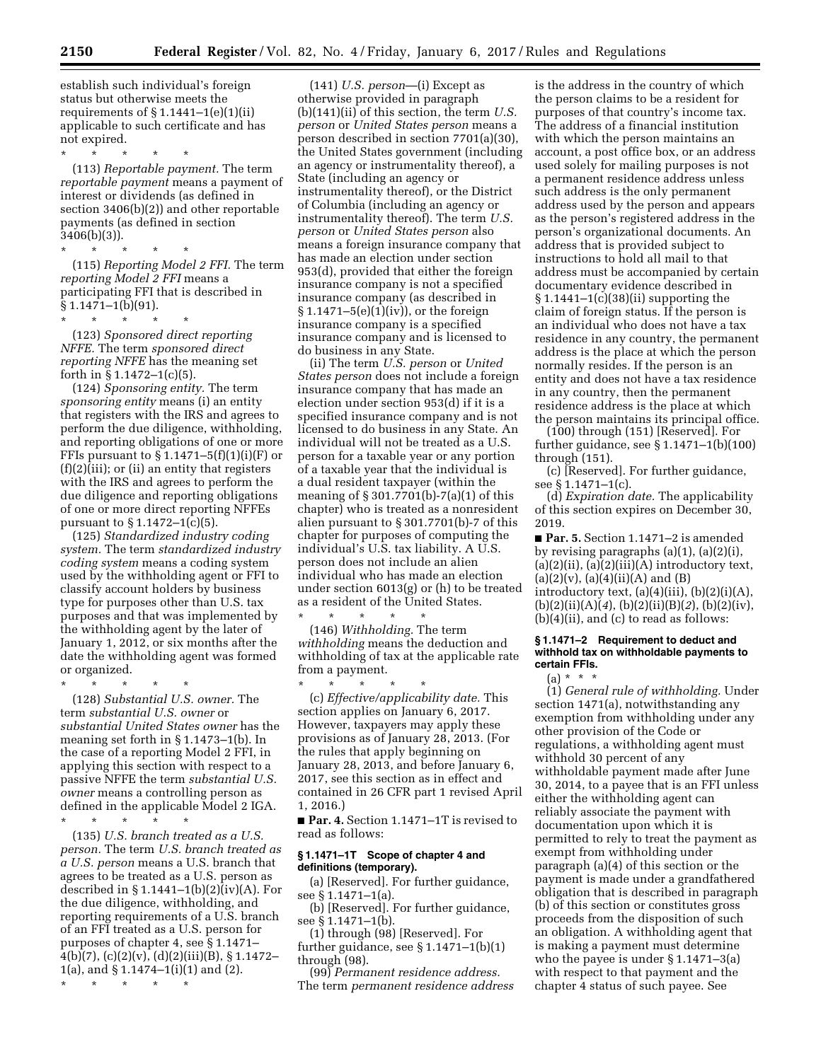establish such individual's foreign

status but otherwise meets the requirements of  $\S 1.1441 - 1(e)(1)(ii)$ applicable to such certificate and has not expired.

\* \* \* \* \*

(113) *Reportable payment.* The term *reportable payment* means a payment of interest or dividends (as defined in section 3406(b)(2)) and other reportable payments (as defined in section 3406(b)(3)).

\* \* \* \* \* (115) *Reporting Model 2 FFI.* The term *reporting Model 2 FFI* means a participating FFI that is described in  $§ 1.1471-1(b)(91).$ 

\* \* \* \* \*

(123) *Sponsored direct reporting NFFE.* The term *sponsored direct reporting NFFE* has the meaning set forth in § 1.1472–1(c)(5).

(124) *Sponsoring entity.* The term *sponsoring entity* means (i) an entity that registers with the IRS and agrees to perform the due diligence, withholding, and reporting obligations of one or more FFIs pursuant to  $\S 1.1471-5(f)(1)(i)(F)$  or (f)(2)(iii); or (ii) an entity that registers with the IRS and agrees to perform the due diligence and reporting obligations of one or more direct reporting NFFEs pursuant to § 1.1472–1(c)(5).

(125) *Standardized industry coding system.* The term *standardized industry coding system* means a coding system used by the withholding agent or FFI to classify account holders by business type for purposes other than U.S. tax purposes and that was implemented by the withholding agent by the later of January 1, 2012, or six months after the date the withholding agent was formed or organized.

\* \* \* \* \* (128) *Substantial U.S. owner.* The term *substantial U.S. owner* or *substantial United States owner* has the meaning set forth in § 1.1473–1(b). In the case of a reporting Model 2 FFI, in applying this section with respect to a passive NFFE the term *substantial U.S. owner* means a controlling person as defined in the applicable Model 2 IGA.

\* \* \* \* \* (135) *U.S. branch treated as a U.S. person.* The term *U.S. branch treated as a U.S. person* means a U.S. branch that agrees to be treated as a U.S. person as described in  $\S 1.1441-1(b)(2)(iv)(A)$ . For the due diligence, withholding, and reporting requirements of a U.S. branch of an FFI treated as a U.S. person for purposes of chapter 4, see § 1.1471– 4(b)(7), (c)(2)(v), (d)(2)(iii)(B), § 1.1472– 1(a), and § 1.1474–1(i)(1) and (2).

\* \* \* \* \*

(141) *U.S. person*—(i) Except as otherwise provided in paragraph (b)(141)(ii) of this section, the term *U.S. person* or *United States person* means a person described in section 7701(a)(30), the United States government (including an agency or instrumentality thereof), a State (including an agency or instrumentality thereof), or the District of Columbia (including an agency or instrumentality thereof). The term *U.S. person* or *United States person* also means a foreign insurance company that has made an election under section 953(d), provided that either the foreign insurance company is not a specified insurance company (as described in § 1.1471–5(e)(1)(iv)), or the foreign insurance company is a specified insurance company and is licensed to do business in any State.

(ii) The term *U.S. person* or *United States person* does not include a foreign insurance company that has made an election under section 953(d) if it is a specified insurance company and is not licensed to do business in any State. An individual will not be treated as a U.S. person for a taxable year or any portion of a taxable year that the individual is a dual resident taxpayer (within the meaning of § 301.7701(b)-7(a)(1) of this chapter) who is treated as a nonresident alien pursuant to § 301.7701(b)-7 of this chapter for purposes of computing the individual's U.S. tax liability. A U.S. person does not include an alien individual who has made an election under section 6013(g) or (h) to be treated as a resident of the United States.

\* \* \* \* \* (146) *Withholding.* The term *withholding* means the deduction and withholding of tax at the applicable rate from a payment.

\* \* \* \* \* (c) *Effective/applicability date.* This section applies on January 6, 2017. However, taxpayers may apply these provisions as of January 28, 2013. (For the rules that apply beginning on January 28, 2013, and before January 6, 2017, see this section as in effect and contained in 26 CFR part 1 revised April 1, 2016.)

■ **Par. 4.** Section 1.1471–1T is revised to read as follows:

### **§ 1.1471–1T Scope of chapter 4 and definitions (temporary).**

(a) [Reserved]. For further guidance, see § 1.1471–1(a).

(b) [Reserved]. For further guidance, see § 1.1471–1(b).

(1) through (98) [Reserved]. For further guidance, see  $\S 1.1471 - 1(b)(1)$ through (98).

(99) *Permanent residence address.*  The term *permanent residence address* 

is the address in the country of which the person claims to be a resident for purposes of that country's income tax. The address of a financial institution with which the person maintains an account, a post office box, or an address used solely for mailing purposes is not a permanent residence address unless such address is the only permanent address used by the person and appears as the person's registered address in the person's organizational documents. An address that is provided subject to instructions to hold all mail to that address must be accompanied by certain documentary evidence described in  $§ 1.1441-1(c)(38)(ii)$  supporting the claim of foreign status. If the person is an individual who does not have a tax residence in any country, the permanent address is the place at which the person normally resides. If the person is an entity and does not have a tax residence in any country, then the permanent residence address is the place at which the person maintains its principal office.

(100) through (151) [Reserved]. For further guidance, see § 1.1471–1(b)(100) through (151).

(c) [Reserved]. For further guidance, see § 1.1471–1(c).

(d) *Expiration date.* The applicability of this section expires on December 30, 2019.

■ **Par. 5.** Section 1.1471–2 is amended by revising paragraphs  $(a)(1)$ ,  $(a)(2)(i)$ ,  $(a)(2)(ii)$ ,  $(a)(2)(iii)(A)$  introductory text,  $(a)(2)(v)$ ,  $(a)(4)(ii)(A)$  and  $(B)$ introductory text,  $(a)(4)(iii)$ ,  $(b)(2)(i)(A)$ , (b)(2)(ii)(A)(*4*), (b)(2)(ii)(B)(*2*), (b)(2)(iv), (b)(4)(ii), and (c) to read as follows:

# **§ 1.1471–2 Requirement to deduct and withhold tax on withholdable payments to certain FFIs.**

(a) \* \* \*

(1) *General rule of withholding.* Under section 1471(a), notwithstanding any exemption from withholding under any other provision of the Code or regulations, a withholding agent must withhold 30 percent of any withholdable payment made after June 30, 2014, to a payee that is an FFI unless either the withholding agent can reliably associate the payment with documentation upon which it is permitted to rely to treat the payment as exempt from withholding under paragraph (a)(4) of this section or the payment is made under a grandfathered obligation that is described in paragraph (b) of this section or constitutes gross proceeds from the disposition of such an obligation. A withholding agent that is making a payment must determine who the payee is under § 1.1471–3(a) with respect to that payment and the chapter 4 status of such payee. See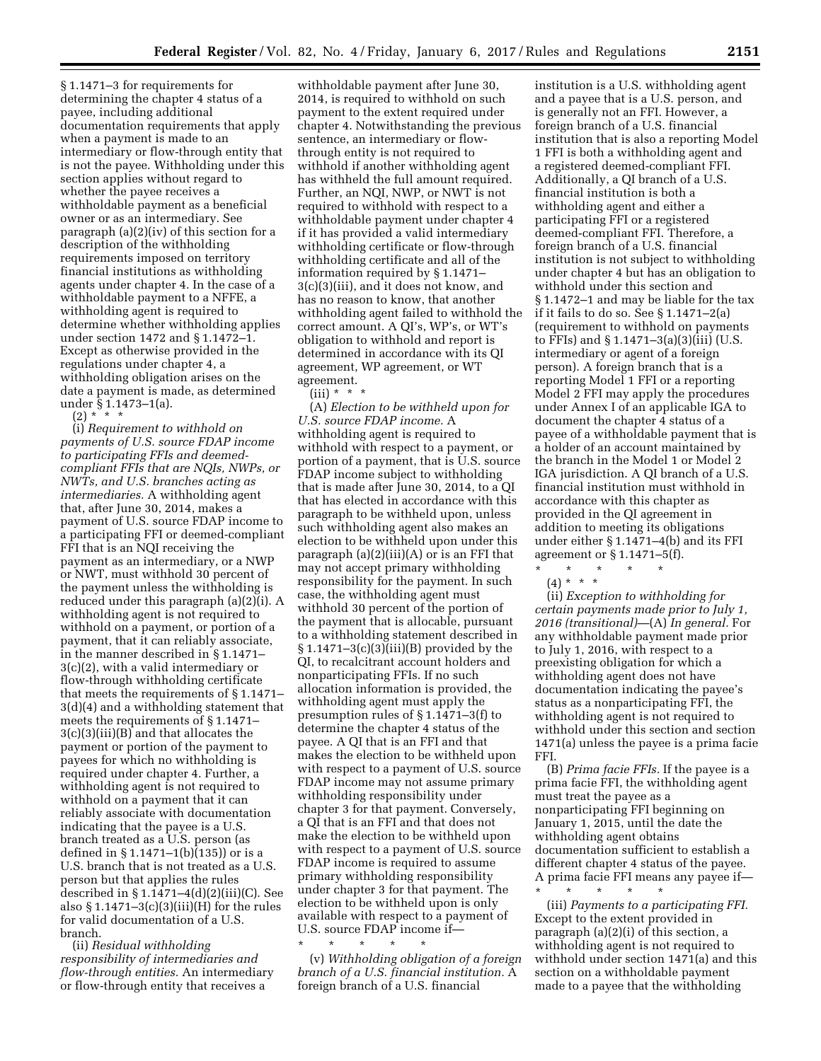§ 1.1471–3 for requirements for determining the chapter 4 status of a payee, including additional documentation requirements that apply when a payment is made to an intermediary or flow-through entity that is not the payee. Withholding under this section applies without regard to whether the payee receives a withholdable payment as a beneficial owner or as an intermediary. See paragraph (a)(2)(iv) of this section for a description of the withholding requirements imposed on territory financial institutions as withholding agents under chapter 4. In the case of a withholdable payment to a NFFE, a withholding agent is required to determine whether withholding applies under section 1472 and § 1.1472–1. Except as otherwise provided in the regulations under chapter 4, a withholding obligation arises on the date a payment is made, as determined under § 1.1473–1(a).

(2) \* \* \*

(i) *Requirement to withhold on payments of U.S. source FDAP income to participating FFIs and deemedcompliant FFIs that are NQIs, NWPs, or NWTs, and U.S. branches acting as intermediaries.* A withholding agent that, after June 30, 2014, makes a payment of U.S. source FDAP income to a participating FFI or deemed-compliant FFI that is an NQI receiving the payment as an intermediary, or a NWP or NWT, must withhold 30 percent of the payment unless the withholding is reduced under this paragraph (a)(2)(i). A withholding agent is not required to withhold on a payment, or portion of a payment, that it can reliably associate, in the manner described in § 1.1471– 3(c)(2), with a valid intermediary or flow-through withholding certificate that meets the requirements of § 1.1471– 3(d)(4) and a withholding statement that meets the requirements of § 1.1471– 3(c)(3)(iii)(B) and that allocates the payment or portion of the payment to payees for which no withholding is required under chapter 4. Further, a withholding agent is not required to withhold on a payment that it can reliably associate with documentation indicating that the payee is a U.S. branch treated as a U.S. person (as defined in § 1.1471–1(b) $(135)$  or is a U.S. branch that is not treated as a U.S. person but that applies the rules described in § 1.1471–4(d)(2)(iii)(C). See also  $§ 1.1471-3(c)(3)(iii)(H)$  for the rules for valid documentation of a U.S. branch.

(ii) *Residual withholding responsibility of intermediaries and flow-through entities.* An intermediary or flow-through entity that receives a

withholdable payment after June 30, 2014, is required to withhold on such payment to the extent required under chapter 4. Notwithstanding the previous sentence, an intermediary or flowthrough entity is not required to withhold if another withholding agent has withheld the full amount required. Further, an NQI, NWP, or NWT is not required to withhold with respect to a withholdable payment under chapter 4 if it has provided a valid intermediary withholding certificate or flow-through withholding certificate and all of the information required by § 1.1471– 3(c)(3)(iii), and it does not know, and has no reason to know, that another withholding agent failed to withhold the correct amount. A QI's, WP's, or WT's obligation to withhold and report is determined in accordance with its QI agreement, WP agreement, or WT agreement.

 $(iii) * * * *$ 

(A) *Election to be withheld upon for U.S. source FDAP income.* A withholding agent is required to withhold with respect to a payment, or portion of a payment, that is U.S. source FDAP income subject to withholding that is made after June 30, 2014, to a QI that has elected in accordance with this paragraph to be withheld upon, unless such withholding agent also makes an election to be withheld upon under this paragraph  $(a)(2)(iii)(A)$  or is an FFI that may not accept primary withholding responsibility for the payment. In such case, the withholding agent must withhold 30 percent of the portion of the payment that is allocable, pursuant to a withholding statement described in § 1.1471–3(c)(3)(iii)(B) provided by the QI, to recalcitrant account holders and nonparticipating FFIs. If no such allocation information is provided, the withholding agent must apply the presumption rules of § 1.1471–3(f) to determine the chapter 4 status of the payee. A QI that is an FFI and that makes the election to be withheld upon with respect to a payment of U.S. source FDAP income may not assume primary withholding responsibility under chapter 3 for that payment. Conversely, a QI that is an FFI and that does not make the election to be withheld upon with respect to a payment of U.S. source FDAP income is required to assume primary withholding responsibility under chapter 3 for that payment. The election to be withheld upon is only available with respect to a payment of U.S. source FDAP income if—

\* \* \* \* \* (v) *Withholding obligation of a foreign branch of a U.S. financial institution.* A foreign branch of a U.S. financial

institution is a U.S. withholding agent and a payee that is a U.S. person, and is generally not an FFI. However, a foreign branch of a U.S. financial institution that is also a reporting Model 1 FFI is both a withholding agent and a registered deemed-compliant FFI. Additionally, a QI branch of a U.S. financial institution is both a withholding agent and either a participating FFI or a registered deemed-compliant FFI. Therefore, a foreign branch of a U.S. financial institution is not subject to withholding under chapter 4 but has an obligation to withhold under this section and § 1.1472–1 and may be liable for the tax if it fails to do so. See § 1.1471–2(a) (requirement to withhold on payments to FFIs) and § 1.1471–3(a)(3)(iii) (U.S. intermediary or agent of a foreign person). A foreign branch that is a reporting Model 1 FFI or a reporting Model 2 FFI may apply the procedures under Annex I of an applicable IGA to document the chapter 4 status of a payee of a withholdable payment that is a holder of an account maintained by the branch in the Model 1 or Model 2 IGA jurisdiction. A QI branch of a U.S. financial institution must withhold in accordance with this chapter as provided in the QI agreement in addition to meeting its obligations under either § 1.1471–4(b) and its FFI agreement or § 1.1471–5(f).

 $\star$   $\qquad$   $\star$   $\qquad$   $\star$ 

 $(4) * * * *$ (ii) *Exception to withholding for certain payments made prior to July 1, 2016 (transitional)*—(A) *In general.* For any withholdable payment made prior to July 1, 2016, with respect to a preexisting obligation for which a withholding agent does not have documentation indicating the payee's status as a nonparticipating FFI, the withholding agent is not required to withhold under this section and section

FFI. (B) *Prima facie FFIs.* If the payee is a prima facie FFI, the withholding agent must treat the payee as a nonparticipating FFI beginning on January 1, 2015, until the date the withholding agent obtains documentation sufficient to establish a different chapter 4 status of the payee. A prima facie FFI means any payee if—

1471(a) unless the payee is a prima facie

\* \* \* \* \* (iii) *Payments to a participating FFI.*  Except to the extent provided in paragraph (a)(2)(i) of this section, a withholding agent is not required to withhold under section 1471(a) and this section on a withholdable payment made to a payee that the withholding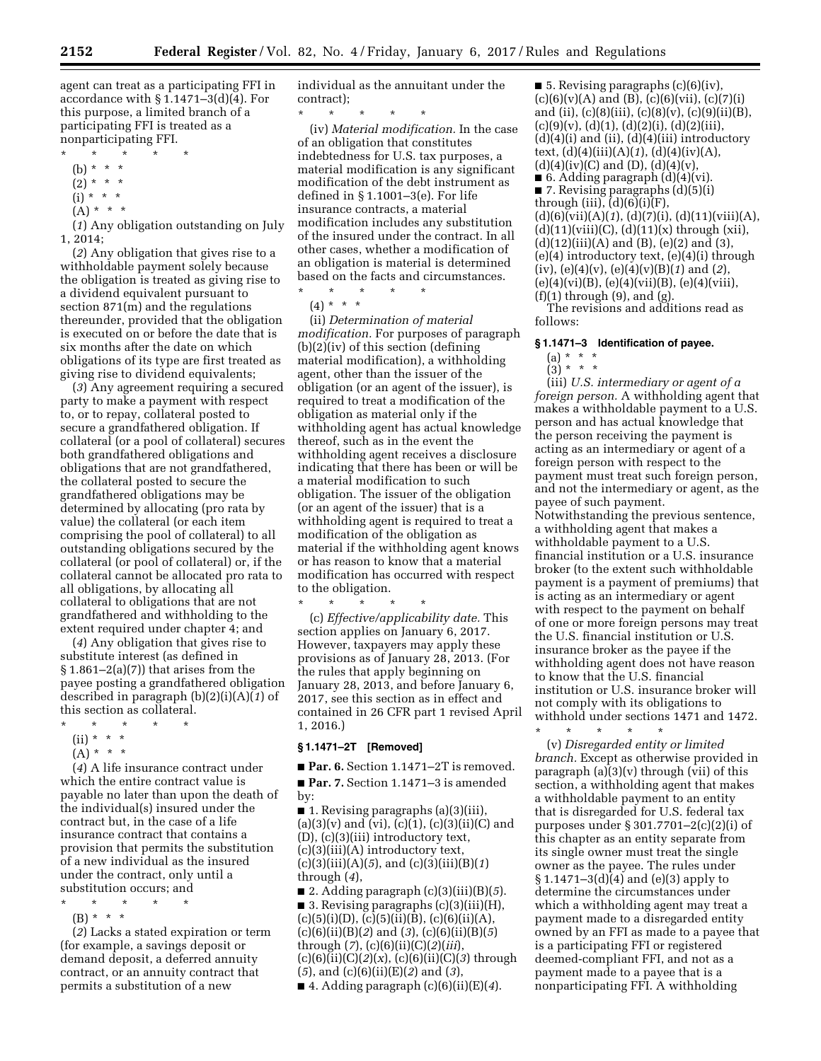agent can treat as a participating FFI in accordance with § 1.1471–3(d)(4). For this purpose, a limited branch of a participating FFI is treated as a nonparticipating FFI.

\* \* \* \* \* (b) \* \* \*  $(2) * * * *$  $(i) * * * *$  $(A) * * * *$ 

(*1*) Any obligation outstanding on July 1, 2014;

(*2*) Any obligation that gives rise to a withholdable payment solely because the obligation is treated as giving rise to a dividend equivalent pursuant to section 871(m) and the regulations thereunder, provided that the obligation is executed on or before the date that is six months after the date on which obligations of its type are first treated as giving rise to dividend equivalents;

(*3*) Any agreement requiring a secured party to make a payment with respect to, or to repay, collateral posted to secure a grandfathered obligation. If collateral (or a pool of collateral) secures both grandfathered obligations and obligations that are not grandfathered, the collateral posted to secure the grandfathered obligations may be determined by allocating (pro rata by value) the collateral (or each item comprising the pool of collateral) to all outstanding obligations secured by the collateral (or pool of collateral) or, if the collateral cannot be allocated pro rata to all obligations, by allocating all collateral to obligations that are not grandfathered and withholding to the extent required under chapter 4; and

(*4*) Any obligation that gives rise to substitute interest (as defined in  $§ 1.861-2(a)(7))$  that arises from the payee posting a grandfathered obligation described in paragraph (b)(2)(i)(A)(*1*) of this section as collateral.

- \* \* \* \* \*
- (ii) \* \* \*
- $(A) * * * *$

(*4*) A life insurance contract under which the entire contract value is payable no later than upon the death of the individual(s) insured under the contract but, in the case of a life insurance contract that contains a provision that permits the substitution of a new individual as the insured under the contract, only until a substitution occurs; and

\* \* \* \* \*

(B) \* \* \*

(*2*) Lacks a stated expiration or term (for example, a savings deposit or demand deposit, a deferred annuity contract, or an annuity contract that permits a substitution of a new

individual as the annuitant under the contract);

\* \* \* \* \* (iv) *Material modification.* In the case of an obligation that constitutes indebtedness for U.S. tax purposes, a material modification is any significant modification of the debt instrument as defined in § 1.1001–3(e). For life insurance contracts, a material modification includes any substitution of the insured under the contract. In all other cases, whether a modification of an obligation is material is determined based on the facts and circumstances. \* \* \* \* \*

 $(4) * * * *$ 

(ii) *Determination of material modification.* For purposes of paragraph (b)(2)(iv) of this section (defining material modification), a withholding agent, other than the issuer of the obligation (or an agent of the issuer), is required to treat a modification of the obligation as material only if the withholding agent has actual knowledge thereof, such as in the event the withholding agent receives a disclosure indicating that there has been or will be a material modification to such obligation. The issuer of the obligation (or an agent of the issuer) that is a withholding agent is required to treat a modification of the obligation as material if the withholding agent knows or has reason to know that a material modification has occurred with respect to the obligation.

\* \* \* \* \*

(c) *Effective/applicability date.* This section applies on January 6, 2017. However, taxpayers may apply these provisions as of January 28, 2013. (For the rules that apply beginning on January 28, 2013, and before January 6, 2017, see this section as in effect and contained in 26 CFR part 1 revised April 1, 2016.)

# **§ 1.1471–2T [Removed]**

■ **Par. 6.** Section 1.1471–2T is removed.

■ **Par. 7.** Section 1.1471-3 is amended

by:  $\blacksquare$  1. Revising paragraphs (a)(3)(iii),  $(a)(3)(v)$  and  $(vi)$ ,  $(c)(1)$ ,  $(c)(3)(ii)(C)$  and (D), (c)(3)(iii) introductory text, (c)(3)(iii)(A) introductory text, (c)(3)(iii)(A)(*5*), and (c)(3)(iii)(B)(*1*) through (*4*),

■ 2. Adding paragraph (c)(3)(iii)(B)(*5*). ■ 3. Revising paragraphs (c)(3)(iii)(H),  $(c)(5)(i)(D), (c)(5)(ii)(B), (c)(6)(ii)(A),$ (c)(6)(ii)(B)(*2*) and (*3*), (c)(6)(ii)(B)(*5*) through (*7*), (c)(6)(ii)(C)(*2*)(*iii*), (c)(6)(ii)(C)(*2*)(*x*), (c)(6)(ii)(C)(*3*) through (*5*), and (c)(6)(ii)(E)(*2*) and (*3*),

■ 4. Adding paragraph (c)(6)(ii)(E)(*4*).

■ 5. Revising paragraphs  $(c)(6)(iv)$ ,  $(c)(6)(v)(A)$  and  $(B)$ ,  $(c)(6)(vii)$ ,  $(c)(7)(i)$ and (ii),  $(c)(8)(iii)$ ,  $(c)(8)(v)$ ,  $(c)(9)(ii)(B)$ ,  $(c)(9)(v), (d)(1), (d)(2)(i), (d)(2)(iii),$  $(d)(4)(i)$  and  $(ii)$ ,  $(d)(4)(iii)$  introductory text, (d)(4)(iii)(A)(*1*), (d)(4)(iv)(A),  $(d)(4)(iv)(C)$  and  $(D)$ ,  $(d)(4)(v)$ ,

■ 6. Adding paragraph  $(d)(4)(vi)$ . ■ 7. Revising paragraphs (d)(5)(i) through (iii), (d)(6)(i)(F), (d)(6)(vii)(A)(*1*), (d)(7)(i), (d)(11)(viii)(A),  $(d)(11)(viii)(C), (d)(11)(x)$  through  $(xii)$ ,  $(d)(12)(iii)(A)$  and  $(B)$ ,  $(e)(2)$  and  $(3)$ , (e)(4) introductory text, (e)(4)(i) through (iv), (e)(4)(v), (e)(4)(v)(B)(*1*) and (*2*),  $(e)(4)(vi)(B), (e)(4)(vii)(B), (e)(4)(viii),$  $(f)(1)$  through  $(9)$ , and  $(g)$ .

The revisions and additions read as follows:

### **§ 1.1471–3 Identification of payee.**

- $(a) * * * *$
- $(3) * * * *$

(iii) *U.S. intermediary or agent of a foreign person.* A withholding agent that makes a withholdable payment to a U.S. person and has actual knowledge that the person receiving the payment is acting as an intermediary or agent of a foreign person with respect to the payment must treat such foreign person, and not the intermediary or agent, as the payee of such payment.

Notwithstanding the previous sentence, a withholding agent that makes a withholdable payment to a U.S. financial institution or a U.S. insurance broker (to the extent such withholdable payment is a payment of premiums) that is acting as an intermediary or agent with respect to the payment on behalf of one or more foreign persons may treat the U.S. financial institution or U.S. insurance broker as the payee if the withholding agent does not have reason to know that the U.S. financial institution or U.S. insurance broker will not comply with its obligations to withhold under sections 1471 and 1472.

\* \* \* \* \* (v) *Disregarded entity or limited branch.* Except as otherwise provided in paragraph  $(a)(3)(v)$  through (vii) of this section, a withholding agent that makes a withholdable payment to an entity that is disregarded for U.S. federal tax purposes under § 301.7701–2(c)(2)(i) of this chapter as an entity separate from its single owner must treat the single owner as the payee. The rules under § 1.1471–3(d)(4) and (e)(3) apply to determine the circumstances under which a withholding agent may treat a payment made to a disregarded entity owned by an FFI as made to a payee that is a participating FFI or registered deemed-compliant FFI, and not as a payment made to a payee that is a nonparticipating FFI. A withholding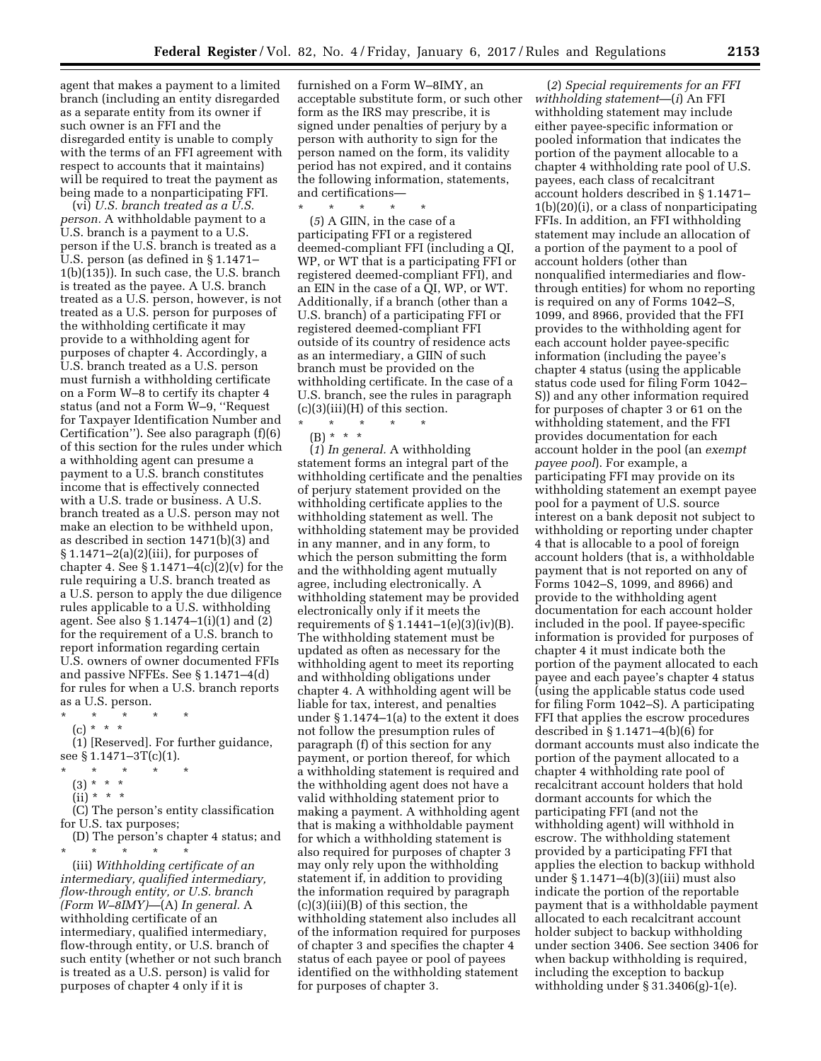agent that makes a payment to a limited branch (including an entity disregarded as a separate entity from its owner if such owner is an FFI and the disregarded entity is unable to comply with the terms of an FFI agreement with respect to accounts that it maintains) will be required to treat the payment as being made to a nonparticipating FFI.

(vi) *U.S. branch treated as a U.S. person.* A withholdable payment to a U.S. branch is a payment to a U.S. person if the U.S. branch is treated as a U.S. person (as defined in § 1.1471– 1(b)(135)). In such case, the U.S. branch is treated as the payee. A U.S. branch treated as a U.S. person, however, is not treated as a U.S. person for purposes of the withholding certificate it may provide to a withholding agent for purposes of chapter 4. Accordingly, a U.S. branch treated as a U.S. person must furnish a withholding certificate on a Form W–8 to certify its chapter 4 status (and not a Form W–9, ''Request for Taxpayer Identification Number and Certification''). See also paragraph (f)(6) of this section for the rules under which a withholding agent can presume a payment to a U.S. branch constitutes income that is effectively connected with a U.S. trade or business. A U.S. branch treated as a U.S. person may not make an election to be withheld upon, as described in section 1471(b)(3) and § 1.1471–2(a)(2)(iii), for purposes of chapter 4. See  $\S 1.1471-4(c)(2)(v)$  for the rule requiring a U.S. branch treated as a U.S. person to apply the due diligence rules applicable to a U.S. withholding agent. See also § 1.1474–1(i)(1) and (2) for the requirement of a U.S. branch to report information regarding certain U.S. owners of owner documented FFIs and passive NFFEs. See § 1.1471–4(d) for rules for when a U.S. branch reports as a U.S. person.

\* \* \* \* \* (c) \* \* \*

(1) [Reserved]. For further guidance, see § 1.1471–3T(c)(1).

- \* \* \* \* \*
- $(3) * * * *$
- $(ii) * * * *$

(C) The person's entity classification for U.S. tax purposes;

(D) The person's chapter 4 status; and \* \* \* \* \*

(iii) *Withholding certificate of an intermediary, qualified intermediary, flow-through entity, or U.S. branch (Form W–8IMY)*—(A) *In general.* A withholding certificate of an intermediary, qualified intermediary, flow-through entity, or U.S. branch of such entity (whether or not such branch is treated as a U.S. person) is valid for purposes of chapter 4 only if it is

furnished on a Form W–8IMY, an acceptable substitute form, or such other form as the IRS may prescribe, it is signed under penalties of perjury by a person with authority to sign for the person named on the form, its validity period has not expired, and it contains the following information, statements, and certifications— \* \* \* \* \*

(*5*) A GIIN, in the case of a participating FFI or a registered deemed-compliant FFI (including a QI, WP, or WT that is a participating FFI or registered deemed-compliant FFI), and an EIN in the case of a QI, WP, or WT. Additionally, if a branch (other than a U.S. branch) of a participating FFI or registered deemed-compliant FFI outside of its country of residence acts as an intermediary, a GIIN of such branch must be provided on the withholding certificate. In the case of a U.S. branch, see the rules in paragraph (c)(3)(iii)(H) of this section.

\* \* \* \* \* (B) \* \* \*

(*1*) *In general.* A withholding statement forms an integral part of the withholding certificate and the penalties of perjury statement provided on the withholding certificate applies to the withholding statement as well. The withholding statement may be provided in any manner, and in any form, to which the person submitting the form and the withholding agent mutually agree, including electronically. A withholding statement may be provided electronically only if it meets the requirements of  $\S 1.1441-1(e)(3)(iv)(B)$ . The withholding statement must be updated as often as necessary for the withholding agent to meet its reporting and withholding obligations under chapter 4. A withholding agent will be liable for tax, interest, and penalties under § 1.1474–1(a) to the extent it does not follow the presumption rules of paragraph (f) of this section for any payment, or portion thereof, for which a withholding statement is required and the withholding agent does not have a valid withholding statement prior to making a payment. A withholding agent that is making a withholdable payment for which a withholding statement is also required for purposes of chapter 3 may only rely upon the withholding statement if, in addition to providing the information required by paragraph (c)(3)(iii)(B) of this section, the withholding statement also includes all of the information required for purposes of chapter 3 and specifies the chapter 4 status of each payee or pool of payees identified on the withholding statement for purposes of chapter 3.

(*2*) *Special requirements for an FFI withholding statement*—(*i*) An FFI withholding statement may include either payee-specific information or pooled information that indicates the portion of the payment allocable to a chapter 4 withholding rate pool of U.S. payees, each class of recalcitrant account holders described in § 1.1471– 1(b)(20)(i), or a class of nonparticipating FFIs. In addition, an FFI withholding statement may include an allocation of a portion of the payment to a pool of account holders (other than nonqualified intermediaries and flowthrough entities) for whom no reporting is required on any of Forms 1042–S, 1099, and 8966, provided that the FFI provides to the withholding agent for each account holder payee-specific information (including the payee's chapter 4 status (using the applicable status code used for filing Form 1042– S)) and any other information required for purposes of chapter 3 or 61 on the withholding statement, and the FFI provides documentation for each account holder in the pool (an *exempt payee pool*). For example, a participating FFI may provide on its withholding statement an exempt payee pool for a payment of U.S. source interest on a bank deposit not subject to withholding or reporting under chapter 4 that is allocable to a pool of foreign account holders (that is, a withholdable payment that is not reported on any of Forms 1042–S, 1099, and 8966) and provide to the withholding agent documentation for each account holder included in the pool. If payee-specific information is provided for purposes of chapter 4 it must indicate both the portion of the payment allocated to each payee and each payee's chapter 4 status (using the applicable status code used for filing Form 1042–S). A participating FFI that applies the escrow procedures described in § 1.1471–4(b)(6) for dormant accounts must also indicate the portion of the payment allocated to a chapter 4 withholding rate pool of recalcitrant account holders that hold dormant accounts for which the participating FFI (and not the withholding agent) will withhold in escrow. The withholding statement provided by a participating FFI that applies the election to backup withhold under § 1.1471–4(b)(3)(iii) must also indicate the portion of the reportable payment that is a withholdable payment allocated to each recalcitrant account holder subject to backup withholding under section 3406. See section 3406 for when backup withholding is required, including the exception to backup withholding under § 31.3406(g)-1(e).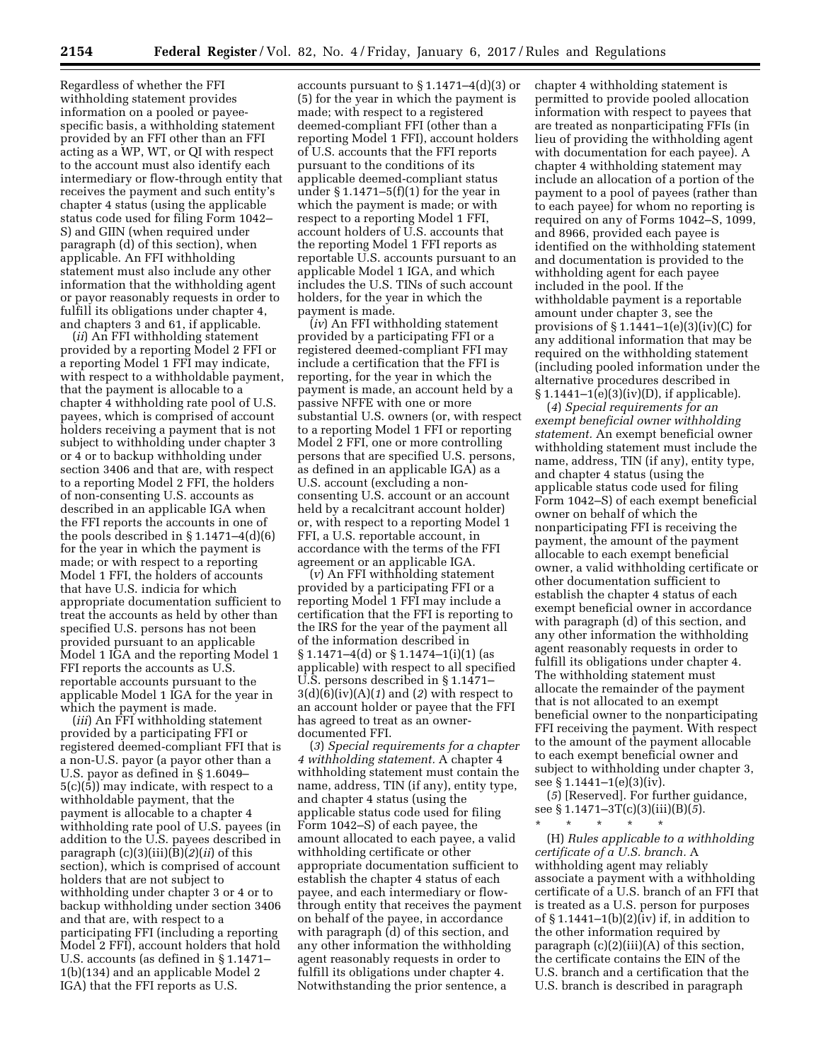Regardless of whether the FFI withholding statement provides information on a pooled or payeespecific basis, a withholding statement provided by an FFI other than an FFI acting as a WP, WT, or QI with respect to the account must also identify each intermediary or flow-through entity that receives the payment and such entity's chapter 4 status (using the applicable status code used for filing Form 1042– S) and GIIN (when required under paragraph (d) of this section), when applicable. An FFI withholding statement must also include any other information that the withholding agent or payor reasonably requests in order to fulfill its obligations under chapter 4, and chapters 3 and 61, if applicable.

(*ii*) An FFI withholding statement provided by a reporting Model 2 FFI or a reporting Model 1 FFI may indicate, with respect to a withholdable payment, that the payment is allocable to a chapter 4 withholding rate pool of U.S. payees, which is comprised of account holders receiving a payment that is not subject to withholding under chapter 3 or 4 or to backup withholding under section 3406 and that are, with respect to a reporting Model 2 FFI, the holders of non-consenting U.S. accounts as described in an applicable IGA when the FFI reports the accounts in one of the pools described in  $\S 1.1471-4(d)(6)$ for the year in which the payment is made; or with respect to a reporting Model 1 FFI, the holders of accounts that have U.S. indicia for which appropriate documentation sufficient to treat the accounts as held by other than specified U.S. persons has not been provided pursuant to an applicable Model 1 IGA and the reporting Model 1 FFI reports the accounts as U.S. reportable accounts pursuant to the applicable Model 1 IGA for the year in which the payment is made.

(*iii*) An FFI withholding statement provided by a participating FFI or registered deemed-compliant FFI that is a non-U.S. payor (a payor other than a U.S. payor as defined in § 1.6049– 5(c)(5)) may indicate, with respect to a withholdable payment, that the payment is allocable to a chapter 4 withholding rate pool of U.S. payees (in addition to the U.S. payees described in paragraph  $(c)(3)(iii)(B)(2)(ii)$  of this section), which is comprised of account holders that are not subject to withholding under chapter 3 or 4 or to backup withholding under section 3406 and that are, with respect to a participating FFI (including a reporting Model 2 FFI), account holders that hold U.S. accounts (as defined in § 1.1471– 1(b)(134) and an applicable Model 2 IGA) that the FFI reports as U.S.

accounts pursuant to § 1.1471–4(d)(3) or (5) for the year in which the payment is made; with respect to a registered deemed-compliant FFI (other than a reporting Model 1 FFI), account holders of U.S. accounts that the FFI reports pursuant to the conditions of its applicable deemed-compliant status under § 1.1471–5(f)(1) for the year in which the payment is made; or with respect to a reporting Model 1 FFI, account holders of U.S. accounts that the reporting Model 1 FFI reports as reportable U.S. accounts pursuant to an applicable Model 1 IGA, and which includes the U.S. TINs of such account holders, for the year in which the payment is made.

(*iv*) An FFI withholding statement provided by a participating FFI or a registered deemed-compliant FFI may include a certification that the FFI is reporting, for the year in which the payment is made, an account held by a passive NFFE with one or more substantial U.S. owners (or, with respect to a reporting Model 1 FFI or reporting Model 2 FFI, one or more controlling persons that are specified U.S. persons, as defined in an applicable IGA) as a U.S. account (excluding a nonconsenting U.S. account or an account held by a recalcitrant account holder) or, with respect to a reporting Model 1 FFI, a U.S. reportable account, in accordance with the terms of the FFI agreement or an applicable IGA.

(*v*) An FFI withholding statement provided by a participating FFI or a reporting Model 1 FFI may include a certification that the FFI is reporting to the IRS for the year of the payment all of the information described in  $§ 1.1471-4(d)$  or  $§ 1.1474-1(i)(1)$  (as applicable) with respect to all specified U.S. persons described in § 1.1471– 3(d)(6)(iv)(A)(*1*) and (*2*) with respect to an account holder or payee that the FFI has agreed to treat as an ownerdocumented FFI.

(*3*) *Special requirements for a chapter 4 withholding statement.* A chapter 4 withholding statement must contain the name, address, TIN (if any), entity type, and chapter 4 status (using the applicable status code used for filing Form 1042–S) of each payee, the amount allocated to each payee, a valid withholding certificate or other appropriate documentation sufficient to establish the chapter 4 status of each payee, and each intermediary or flowthrough entity that receives the payment on behalf of the payee, in accordance with paragraph (d) of this section, and any other information the withholding agent reasonably requests in order to fulfill its obligations under chapter 4. Notwithstanding the prior sentence, a

chapter 4 withholding statement is permitted to provide pooled allocation information with respect to payees that are treated as nonparticipating FFIs (in lieu of providing the withholding agent with documentation for each payee). A chapter 4 withholding statement may include an allocation of a portion of the payment to a pool of payees (rather than to each payee) for whom no reporting is required on any of Forms 1042–S, 1099, and 8966, provided each payee is identified on the withholding statement and documentation is provided to the withholding agent for each payee included in the pool. If the withholdable payment is a reportable amount under chapter 3, see the provisions of  $\S 1.1441-1(e)(3)(iv)(C)$  for any additional information that may be required on the withholding statement (including pooled information under the alternative procedures described in § 1.1441–1(e)(3)(iv)(D), if applicable).

(*4*) *Special requirements for an exempt beneficial owner withholding statement.* An exempt beneficial owner withholding statement must include the name, address, TIN (if any), entity type, and chapter 4 status (using the applicable status code used for filing Form 1042–S) of each exempt beneficial owner on behalf of which the nonparticipating FFI is receiving the payment, the amount of the payment allocable to each exempt beneficial owner, a valid withholding certificate or other documentation sufficient to establish the chapter 4 status of each exempt beneficial owner in accordance with paragraph (d) of this section, and any other information the withholding agent reasonably requests in order to fulfill its obligations under chapter 4. The withholding statement must allocate the remainder of the payment that is not allocated to an exempt beneficial owner to the nonparticipating FFI receiving the payment. With respect to the amount of the payment allocable to each exempt beneficial owner and subject to withholding under chapter 3, see § 1.1441–1(e)(3)(iv).

(*5*) [Reserved]. For further guidance, see § 1.1471–3T(c)(3)(iii)(B)(*5*).

\* \* \* \* \*

(H) *Rules applicable to a withholding certificate of a U.S. branch.* A withholding agent may reliably associate a payment with a withholding certificate of a U.S. branch of an FFI that is treated as a U.S. person for purposes of  $\S 1.1441-1(b)(2)(iv)$  if, in addition to the other information required by paragraph (c)(2)(iii)(A) of this section, the certificate contains the EIN of the U.S. branch and a certification that the U.S. branch is described in paragraph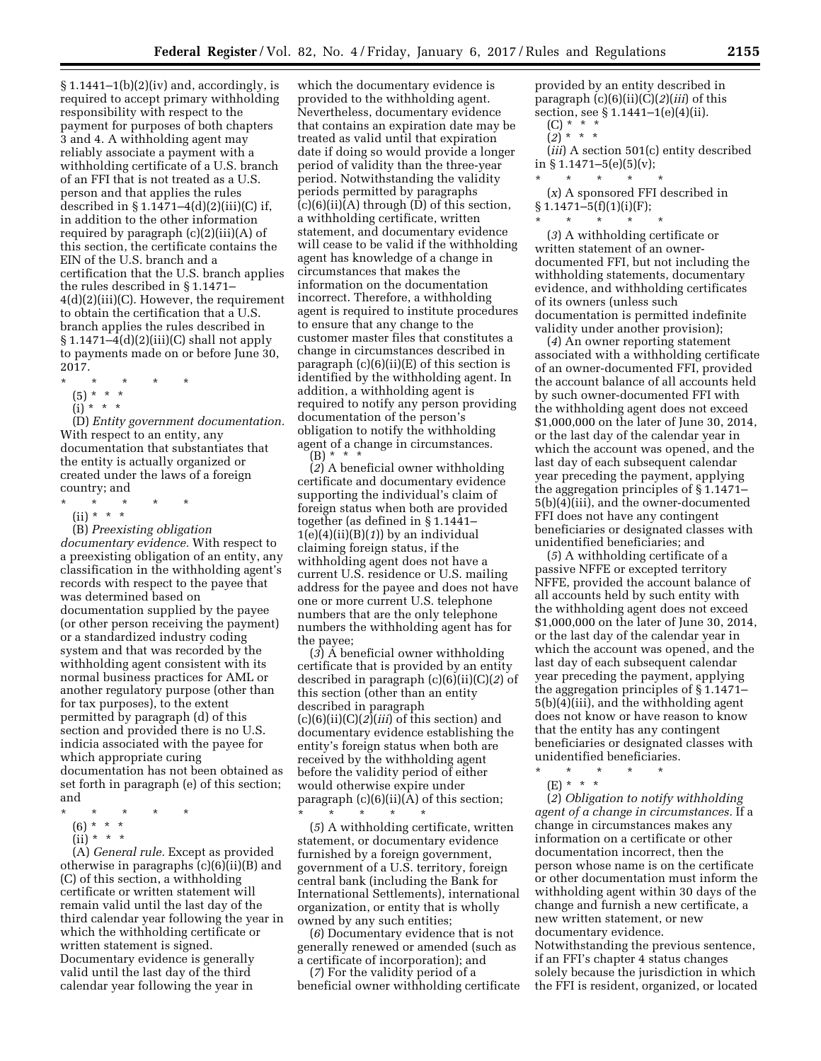$§ 1.1441-1(b)(2)(iv)$  and, accordingly, is required to accept primary withholding responsibility with respect to the payment for purposes of both chapters 3 and 4. A withholding agent may reliably associate a payment with a withholding certificate of a U.S. branch of an FFI that is not treated as a U.S. person and that applies the rules described in § 1.1471–4(d)(2)(iii)(C) if, in addition to the other information required by paragraph (c)(2)(iii)(A) of this section, the certificate contains the EIN of the U.S. branch and a certification that the U.S. branch applies the rules described in § 1.1471– 4(d)(2)(iii)(C). However, the requirement to obtain the certification that a U.S. branch applies the rules described in  $\S 1.1471-4(d)(2)(iii)(C)$  shall not apply to payments made on or before June 30, 2017.

- \* \* \* \* \*
- (5) \* \* \*
- $(i) * * * *$

(D) *Entity government documentation.*  With respect to an entity, any documentation that substantiates that the entity is actually organized or created under the laws of a foreign country; and

- \* \* \* \* \*
- (ii) \* \* \*

(B) *Preexisting obligation documentary evidence.* With respect to a preexisting obligation of an entity, any classification in the withholding agent's records with respect to the payee that was determined based on documentation supplied by the payee (or other person receiving the payment) or a standardized industry coding system and that was recorded by the withholding agent consistent with its normal business practices for AML or another regulatory purpose (other than for tax purposes), to the extent permitted by paragraph (d) of this section and provided there is no U.S. indicia associated with the payee for which appropriate curing documentation has not been obtained as set forth in paragraph (e) of this section; and

- \* \* \* \* \*
	- (6) \* \* \*
	- $(ii) * * * *$

(A) *General rule.* Except as provided otherwise in paragraphs (c)(6)(ii)(B) and (C) of this section, a withholding certificate or written statement will remain valid until the last day of the third calendar year following the year in which the withholding certificate or written statement is signed. Documentary evidence is generally valid until the last day of the third calendar year following the year in

which the documentary evidence is provided to the withholding agent. Nevertheless, documentary evidence that contains an expiration date may be treated as valid until that expiration date if doing so would provide a longer period of validity than the three-year period. Notwithstanding the validity periods permitted by paragraphs  $(c)(6)(ii)(A)$  through  $(D)$  of this section, a withholding certificate, written statement, and documentary evidence will cease to be valid if the withholding agent has knowledge of a change in circumstances that makes the information on the documentation incorrect. Therefore, a withholding agent is required to institute procedures to ensure that any change to the customer master files that constitutes a change in circumstances described in paragraph  $(c)(6)(ii)(E)$  of this section is identified by the withholding agent. In addition, a withholding agent is required to notify any person providing documentation of the person's obligation to notify the withholding agent of a change in circumstances.  $(B) * * * *$ 

(*2*) A beneficial owner withholding certificate and documentary evidence supporting the individual's claim of foreign status when both are provided together (as defined in § 1.1441–  $1(e)(4)(ii)(B)(1)$  by an individual claiming foreign status, if the withholding agent does not have a current U.S. residence or U.S. mailing address for the payee and does not have one or more current U.S. telephone numbers that are the only telephone numbers the withholding agent has for the payee;

(*3*) A beneficial owner withholding certificate that is provided by an entity described in paragraph (c)(6)(ii)(C)(*2*) of this section (other than an entity described in paragraph (c)(6)(ii)(C)(*2*)(*iii*) of this section) and documentary evidence establishing the entity's foreign status when both are received by the withholding agent before the validity period of either would otherwise expire under paragraph  $(c)(6)(ii)(A)$  of this section;

\* \* \* \* \* (*5*) A withholding certificate, written statement, or documentary evidence furnished by a foreign government, government of a U.S. territory, foreign central bank (including the Bank for International Settlements), international organization, or entity that is wholly owned by any such entities;

(*6*) Documentary evidence that is not generally renewed or amended (such as a certificate of incorporation); and

(*7*) For the validity period of a beneficial owner withholding certificate provided by an entity described in paragraph (c)(6)(ii)(C)(*2*)(*iii*) of this section, see § 1.1441–1(e)(4)(ii).  $(C) * 4 * 8$ 

(*iii*) A section 501(c) entity described in  $§ 1.1471 - 5(e)(5)(v);$ \* \* \* \* \*

(*x*) A sponsored FFI described in  $§ 1.1471-5(f)(1)(i)(F);$ \* \* \* \* \*

(*3*) A withholding certificate or written statement of an ownerdocumented FFI, but not including the withholding statements, documentary evidence, and withholding certificates of its owners (unless such documentation is permitted indefinite validity under another provision);

(*4*) An owner reporting statement associated with a withholding certificate of an owner-documented FFI, provided the account balance of all accounts held by such owner-documented FFI with the withholding agent does not exceed \$1,000,000 on the later of June 30, 2014, or the last day of the calendar year in which the account was opened, and the last day of each subsequent calendar year preceding the payment, applying the aggregation principles of § 1.1471– 5(b)(4)(iii), and the owner-documented FFI does not have any contingent beneficiaries or designated classes with unidentified beneficiaries; and

(*5*) A withholding certificate of a passive NFFE or excepted territory NFFE, provided the account balance of all accounts held by such entity with the withholding agent does not exceed \$1,000,000 on the later of June 30, 2014, or the last day of the calendar year in which the account was opened, and the last day of each subsequent calendar year preceding the payment, applying the aggregation principles of § 1.1471– 5(b)(4)(iii), and the withholding agent does not know or have reason to know that the entity has any contingent beneficiaries or designated classes with unidentified beneficiaries.

- \* \* \* \* \*
- (E) \* \* \*

(*2*) *Obligation to notify withholding agent of a change in circumstances.* If a change in circumstances makes any information on a certificate or other documentation incorrect, then the person whose name is on the certificate or other documentation must inform the withholding agent within 30 days of the change and furnish a new certificate, a new written statement, or new documentary evidence.

Notwithstanding the previous sentence, if an FFI's chapter 4 status changes solely because the jurisdiction in which the FFI is resident, organized, or located

<sup>(</sup>*2*) \* \* \*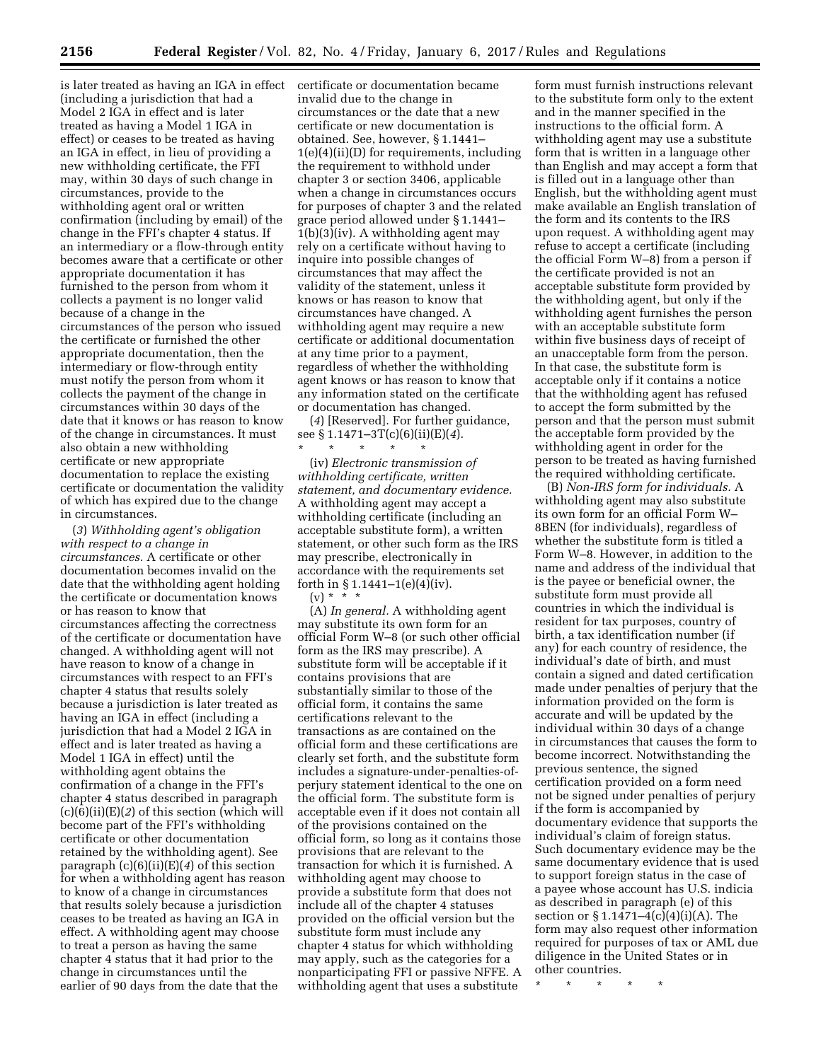is later treated as having an IGA in effect (including a jurisdiction that had a Model 2 IGA in effect and is later treated as having a Model 1 IGA in effect) or ceases to be treated as having an IGA in effect, in lieu of providing a new withholding certificate, the FFI may, within 30 days of such change in circumstances, provide to the withholding agent oral or written confirmation (including by email) of the change in the FFI's chapter 4 status. If an intermediary or a flow-through entity becomes aware that a certificate or other appropriate documentation it has furnished to the person from whom it collects a payment is no longer valid because of a change in the circumstances of the person who issued the certificate or furnished the other appropriate documentation, then the intermediary or flow-through entity must notify the person from whom it collects the payment of the change in circumstances within 30 days of the date that it knows or has reason to know of the change in circumstances. It must also obtain a new withholding certificate or new appropriate documentation to replace the existing certificate or documentation the validity of which has expired due to the change in circumstances.

(*3*) *Withholding agent's obligation with respect to a change in circumstances.* A certificate or other documentation becomes invalid on the date that the withholding agent holding the certificate or documentation knows or has reason to know that circumstances affecting the correctness of the certificate or documentation have changed. A withholding agent will not have reason to know of a change in circumstances with respect to an FFI's chapter 4 status that results solely because a jurisdiction is later treated as having an IGA in effect (including a jurisdiction that had a Model 2 IGA in effect and is later treated as having a Model 1 IGA in effect) until the withholding agent obtains the confirmation of a change in the FFI's chapter 4 status described in paragraph (c)(6)(ii)(E)(*2*) of this section (which will become part of the FFI's withholding certificate or other documentation retained by the withholding agent). See paragraph (c)(6)(ii)(E)(*4*) of this section for when a withholding agent has reason to know of a change in circumstances that results solely because a jurisdiction ceases to be treated as having an IGA in effect. A withholding agent may choose to treat a person as having the same chapter 4 status that it had prior to the change in circumstances until the earlier of 90 days from the date that the

certificate or documentation became invalid due to the change in circumstances or the date that a new certificate or new documentation is obtained. See, however, § 1.1441– 1(e)(4)(ii)(D) for requirements, including the requirement to withhold under chapter 3 or section 3406, applicable when a change in circumstances occurs for purposes of chapter 3 and the related grace period allowed under § 1.1441–  $1(b)(3)(iv)$ . A withholding agent may rely on a certificate without having to inquire into possible changes of circumstances that may affect the validity of the statement, unless it knows or has reason to know that circumstances have changed. A withholding agent may require a new certificate or additional documentation at any time prior to a payment, regardless of whether the withholding agent knows or has reason to know that any information stated on the certificate or documentation has changed.

(*4*) [Reserved]. For further guidance, see § 1.1471–3T(c)(6)(ii)(E)(*4*).

\* \* \* \* \* (iv) *Electronic transmission of withholding certificate, written statement, and documentary evidence.*  A withholding agent may accept a withholding certificate (including an acceptable substitute form), a written statement, or other such form as the IRS may prescribe, electronically in accordance with the requirements set forth in  $\S 1.1441 - 1(e)(4)(iv)$ .

 $(v) * * * *$ (A) *In general.* A withholding agent may substitute its own form for an official Form W–8 (or such other official form as the IRS may prescribe). A substitute form will be acceptable if it contains provisions that are substantially similar to those of the official form, it contains the same certifications relevant to the transactions as are contained on the official form and these certifications are clearly set forth, and the substitute form includes a signature-under-penalties-ofperjury statement identical to the one on the official form. The substitute form is acceptable even if it does not contain all of the provisions contained on the official form, so long as it contains those provisions that are relevant to the transaction for which it is furnished. A withholding agent may choose to provide a substitute form that does not include all of the chapter 4 statuses provided on the official version but the substitute form must include any chapter 4 status for which withholding may apply, such as the categories for a nonparticipating FFI or passive NFFE. A withholding agent that uses a substitute

form must furnish instructions relevant to the substitute form only to the extent and in the manner specified in the instructions to the official form. A withholding agent may use a substitute form that is written in a language other than English and may accept a form that is filled out in a language other than English, but the withholding agent must make available an English translation of the form and its contents to the IRS upon request. A withholding agent may refuse to accept a certificate (including the official Form W–8) from a person if the certificate provided is not an acceptable substitute form provided by the withholding agent, but only if the withholding agent furnishes the person with an acceptable substitute form within five business days of receipt of an unacceptable form from the person. In that case, the substitute form is acceptable only if it contains a notice that the withholding agent has refused to accept the form submitted by the person and that the person must submit the acceptable form provided by the withholding agent in order for the person to be treated as having furnished the required withholding certificate.

(B) *Non-IRS form for individuals.* A withholding agent may also substitute its own form for an official Form W– 8BEN (for individuals), regardless of whether the substitute form is titled a Form W–8. However, in addition to the name and address of the individual that is the payee or beneficial owner, the substitute form must provide all countries in which the individual is resident for tax purposes, country of birth, a tax identification number (if any) for each country of residence, the individual's date of birth, and must contain a signed and dated certification made under penalties of perjury that the information provided on the form is accurate and will be updated by the individual within 30 days of a change in circumstances that causes the form to become incorrect. Notwithstanding the previous sentence, the signed certification provided on a form need not be signed under penalties of perjury if the form is accompanied by documentary evidence that supports the individual's claim of foreign status. Such documentary evidence may be the same documentary evidence that is used to support foreign status in the case of a payee whose account has U.S. indicia as described in paragraph (e) of this section or § 1.1471–4(c)(4)(i)(A). The form may also request other information required for purposes of tax or AML due diligence in the United States or in other countries.

\* \* \* \* \*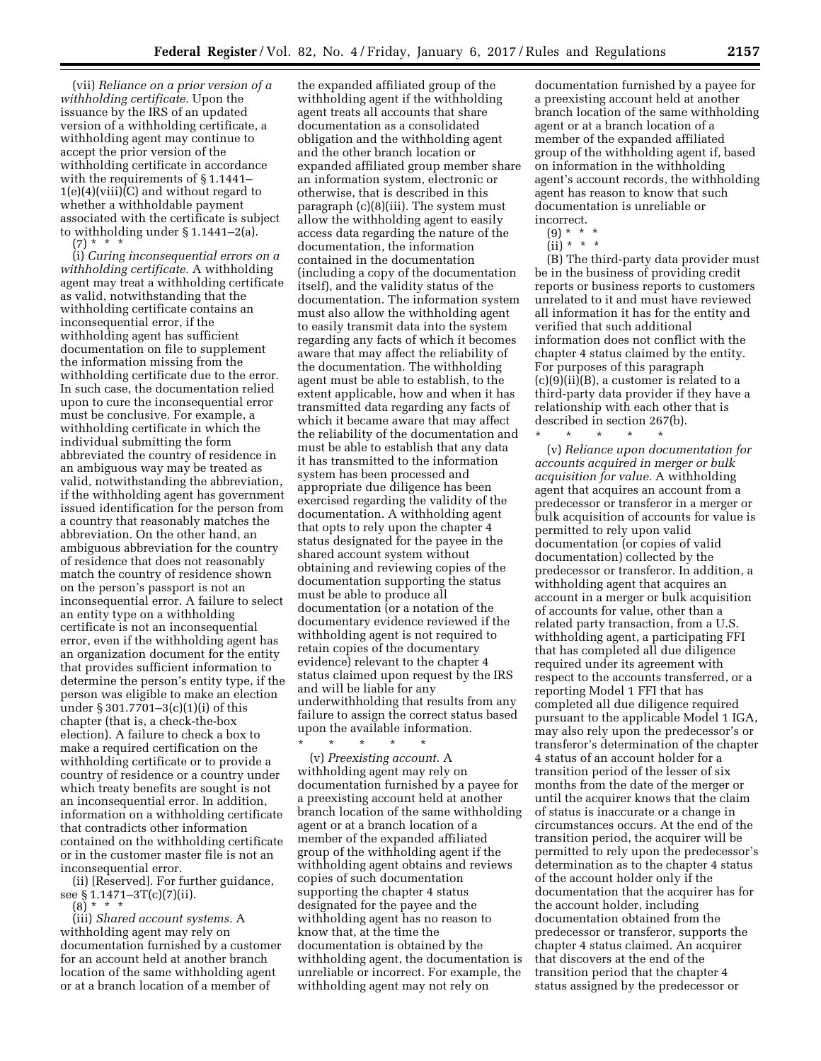(vii) *Reliance on a prior version of a withholding certificate.* Upon the issuance by the IRS of an updated version of a withholding certificate, a withholding agent may continue to accept the prior version of the withholding certificate in accordance with the requirements of § 1.1441–  $1(e)(4)(viii)(C)$  and without regard to whether a withholdable payment associated with the certificate is subject to withholding under § 1.1441–2(a).

 $(7) * * * *$ (i) *Curing inconsequential errors on a withholding certificate.* A withholding agent may treat a withholding certificate as valid, notwithstanding that the withholding certificate contains an inconsequential error, if the withholding agent has sufficient documentation on file to supplement the information missing from the withholding certificate due to the error. In such case, the documentation relied upon to cure the inconsequential error must be conclusive. For example, a withholding certificate in which the individual submitting the form abbreviated the country of residence in an ambiguous way may be treated as valid, notwithstanding the abbreviation, if the withholding agent has government issued identification for the person from a country that reasonably matches the abbreviation. On the other hand, an ambiguous abbreviation for the country of residence that does not reasonably match the country of residence shown on the person's passport is not an inconsequential error. A failure to select an entity type on a withholding certificate is not an inconsequential error, even if the withholding agent has an organization document for the entity that provides sufficient information to determine the person's entity type, if the person was eligible to make an election under § 301.7701–3(c)(1)(i) of this chapter (that is, a check-the-box election). A failure to check a box to make a required certification on the withholding certificate or to provide a country of residence or a country under which treaty benefits are sought is not an inconsequential error. In addition, information on a withholding certificate that contradicts other information contained on the withholding certificate or in the customer master file is not an inconsequential error.

(ii) [Reserved]. For further guidance, see § 1.1471–3T(c)(7)(ii).

 $(8) * * * *$ 

(iii) *Shared account systems.* A withholding agent may rely on documentation furnished by a customer for an account held at another branch location of the same withholding agent or at a branch location of a member of

the expanded affiliated group of the withholding agent if the withholding agent treats all accounts that share documentation as a consolidated obligation and the withholding agent and the other branch location or expanded affiliated group member share an information system, electronic or otherwise, that is described in this paragraph (c)(8)(iii). The system must allow the withholding agent to easily access data regarding the nature of the documentation, the information contained in the documentation (including a copy of the documentation itself), and the validity status of the documentation. The information system must also allow the withholding agent to easily transmit data into the system regarding any facts of which it becomes aware that may affect the reliability of the documentation. The withholding agent must be able to establish, to the extent applicable, how and when it has transmitted data regarding any facts of which it became aware that may affect the reliability of the documentation and must be able to establish that any data it has transmitted to the information system has been processed and appropriate due diligence has been exercised regarding the validity of the documentation. A withholding agent that opts to rely upon the chapter 4 status designated for the payee in the shared account system without obtaining and reviewing copies of the documentation supporting the status must be able to produce all documentation (or a notation of the documentary evidence reviewed if the withholding agent is not required to retain copies of the documentary evidence) relevant to the chapter 4 status claimed upon request by the IRS and will be liable for any underwithholding that results from any failure to assign the correct status based upon the available information.

\* \* \* \* \* (v) *Preexisting account.* A withholding agent may rely on documentation furnished by a payee for a preexisting account held at another branch location of the same withholding agent or at a branch location of a member of the expanded affiliated group of the withholding agent if the withholding agent obtains and reviews copies of such documentation supporting the chapter 4 status designated for the payee and the withholding agent has no reason to know that, at the time the documentation is obtained by the withholding agent, the documentation is unreliable or incorrect. For example, the withholding agent may not rely on

documentation furnished by a payee for a preexisting account held at another branch location of the same withholding agent or at a branch location of a member of the expanded affiliated group of the withholding agent if, based on information in the withholding agent's account records, the withholding agent has reason to know that such documentation is unreliable or incorrect.

- $(9) * * * *$
- $(ii) * * * *$

(B) The third-party data provider must be in the business of providing credit reports or business reports to customers unrelated to it and must have reviewed all information it has for the entity and verified that such additional information does not conflict with the chapter 4 status claimed by the entity. For purposes of this paragraph  $(c)(9)(ii)(B)$ , a customer is related to a third-party data provider if they have a relationship with each other that is described in section 267(b).

\* \* \* \* \* (v) *Reliance upon documentation for accounts acquired in merger or bulk acquisition for value.* A withholding agent that acquires an account from a predecessor or transferor in a merger or bulk acquisition of accounts for value is permitted to rely upon valid documentation (or copies of valid documentation) collected by the predecessor or transferor. In addition, a withholding agent that acquires an account in a merger or bulk acquisition of accounts for value, other than a related party transaction, from a U.S. withholding agent, a participating FFI that has completed all due diligence required under its agreement with respect to the accounts transferred, or a reporting Model 1 FFI that has completed all due diligence required pursuant to the applicable Model 1 IGA, may also rely upon the predecessor's or transferor's determination of the chapter 4 status of an account holder for a transition period of the lesser of six months from the date of the merger or until the acquirer knows that the claim of status is inaccurate or a change in circumstances occurs. At the end of the transition period, the acquirer will be permitted to rely upon the predecessor's determination as to the chapter 4 status of the account holder only if the documentation that the acquirer has for the account holder, including documentation obtained from the predecessor or transferor, supports the chapter 4 status claimed. An acquirer that discovers at the end of the transition period that the chapter 4 status assigned by the predecessor or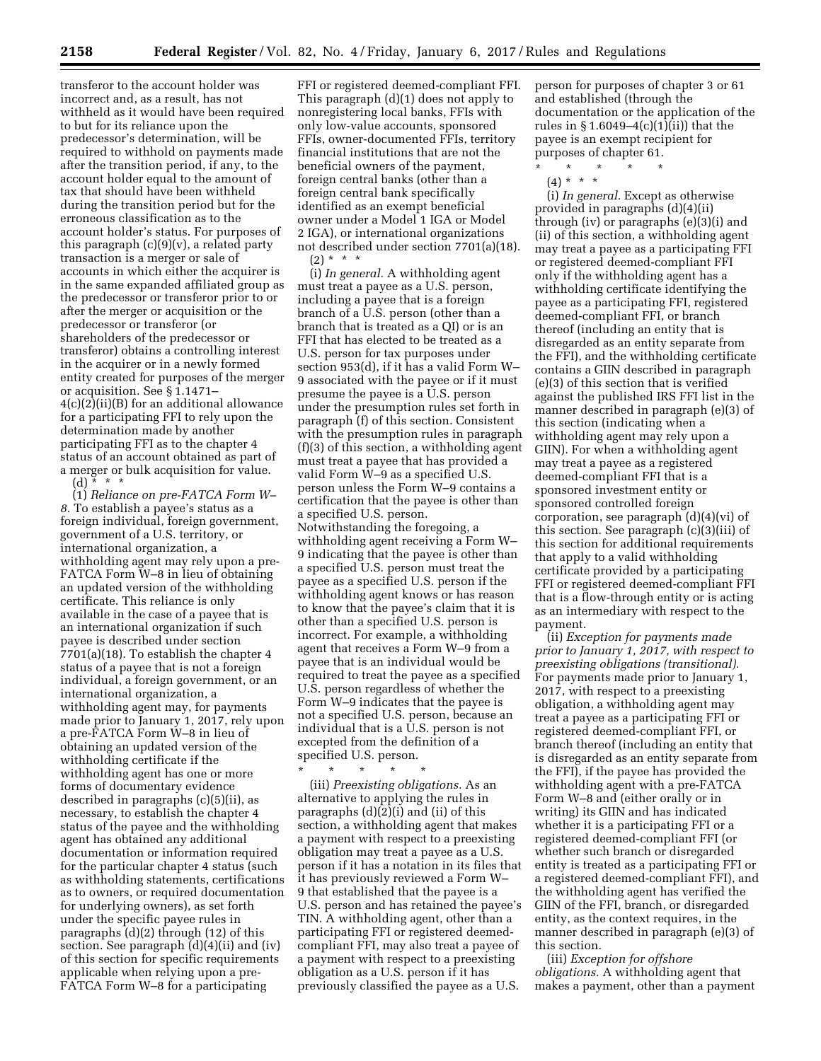transferor to the account holder was incorrect and, as a result, has not withheld as it would have been required to but for its reliance upon the predecessor's determination, will be required to withhold on payments made after the transition period, if any, to the account holder equal to the amount of tax that should have been withheld during the transition period but for the erroneous classification as to the account holder's status. For purposes of this paragraph  $(c)(9)(v)$ , a related party transaction is a merger or sale of accounts in which either the acquirer is in the same expanded affiliated group as the predecessor or transferor prior to or after the merger or acquisition or the predecessor or transferor (or shareholders of the predecessor or transferor) obtains a controlling interest in the acquirer or in a newly formed entity created for purposes of the merger or acquisition. See § 1.1471– 4(c)(2)(ii)(B) for an additional allowance for a participating FFI to rely upon the determination made by another participating FFI as to the chapter 4 status of an account obtained as part of a merger or bulk acquisition for value. (d)  $*$   $*$ 

(1) *Reliance on pre-FATCA Form W– 8.* To establish a payee's status as a foreign individual, foreign government, government of a U.S. territory, or international organization, a withholding agent may rely upon a pre-FATCA Form W–8 in lieu of obtaining an updated version of the withholding certificate. This reliance is only available in the case of a payee that is an international organization if such payee is described under section 7701(a)(18). To establish the chapter 4 status of a payee that is not a foreign individual, a foreign government, or an international organization, a withholding agent may, for payments made prior to January 1, 2017, rely upon a pre-FATCA Form W–8 in lieu of obtaining an updated version of the withholding certificate if the withholding agent has one or more forms of documentary evidence described in paragraphs (c)(5)(ii), as necessary, to establish the chapter 4 status of the payee and the withholding agent has obtained any additional documentation or information required for the particular chapter 4 status (such as withholding statements, certifications as to owners, or required documentation for underlying owners), as set forth under the specific payee rules in paragraphs (d)(2) through (12) of this section. See paragraph (d)(4)(ii) and (iv) of this section for specific requirements applicable when relying upon a pre-FATCA Form W–8 for a participating

FFI or registered deemed-compliant FFI. This paragraph (d)(1) does not apply to nonregistering local banks, FFIs with only low-value accounts, sponsored FFIs, owner-documented FFIs, territory financial institutions that are not the beneficial owners of the payment, foreign central banks (other than a foreign central bank specifically identified as an exempt beneficial owner under a Model 1 IGA or Model 2 IGA), or international organizations not described under section 7701(a)(18).  $(2) * * * *$ 

(i) *In general.* A withholding agent must treat a payee as a U.S. person, including a payee that is a foreign branch of a U.S. person (other than a branch that is treated as a QI) or is an FFI that has elected to be treated as a U.S. person for tax purposes under section 953(d), if it has a valid Form W– 9 associated with the payee or if it must presume the payee is a U.S. person under the presumption rules set forth in paragraph (f) of this section. Consistent with the presumption rules in paragraph (f)(3) of this section, a withholding agent must treat a payee that has provided a valid Form W–9 as a specified U.S. person unless the Form W–9 contains a certification that the payee is other than a specified U.S. person. Notwithstanding the foregoing, a withholding agent receiving a Form W– 9 indicating that the payee is other than a specified U.S. person must treat the payee as a specified U.S. person if the withholding agent knows or has reason to know that the payee's claim that it is other than a specified U.S. person is incorrect. For example, a withholding agent that receives a Form W–9 from a payee that is an individual would be required to treat the payee as a specified U.S. person regardless of whether the Form W–9 indicates that the payee is not a specified U.S. person, because an individual that is a U.S. person is not excepted from the definition of a specified U.S. person.

\* \* \* \* \* (iii) *Preexisting obligations.* As an alternative to applying the rules in paragraphs (d)(2)(i) and (ii) of this section, a withholding agent that makes a payment with respect to a preexisting obligation may treat a payee as a U.S. person if it has a notation in its files that it has previously reviewed a Form W– 9 that established that the payee is a U.S. person and has retained the payee's TIN. A withholding agent, other than a participating FFI or registered deemedcompliant FFI, may also treat a payee of a payment with respect to a preexisting obligation as a U.S. person if it has previously classified the payee as a U.S.

person for purposes of chapter 3 or 61 and established (through the documentation or the application of the rules in  $\S 1.6049-4(c)(1)(ii)$  that the payee is an exempt recipient for purposes of chapter 61.

- \* \* \* \* \*
- (4) \* \* \*

(i) *In general.* Except as otherwise provided in paragraphs (d)(4)(ii) through (iv) or paragraphs (e)(3)(i) and (ii) of this section, a withholding agent may treat a payee as a participating FFI or registered deemed-compliant FFI only if the withholding agent has a withholding certificate identifying the payee as a participating FFI, registered deemed-compliant FFI, or branch thereof (including an entity that is disregarded as an entity separate from the FFI), and the withholding certificate contains a GIIN described in paragraph (e)(3) of this section that is verified against the published IRS FFI list in the manner described in paragraph (e)(3) of this section (indicating when a withholding agent may rely upon a GIIN). For when a withholding agent may treat a payee as a registered deemed-compliant FFI that is a sponsored investment entity or sponsored controlled foreign corporation, see paragraph (d)(4)(vi) of this section. See paragraph (c)(3)(iii) of this section for additional requirements that apply to a valid withholding certificate provided by a participating FFI or registered deemed-compliant FFI that is a flow-through entity or is acting as an intermediary with respect to the payment.

(ii) *Exception for payments made prior to January 1, 2017, with respect to preexisting obligations (transitional).*  For payments made prior to January 1, 2017, with respect to a preexisting obligation, a withholding agent may treat a payee as a participating FFI or registered deemed-compliant FFI, or branch thereof (including an entity that is disregarded as an entity separate from the FFI), if the payee has provided the withholding agent with a pre-FATCA Form W–8 and (either orally or in writing) its GIIN and has indicated whether it is a participating FFI or a registered deemed-compliant FFI (or whether such branch or disregarded entity is treated as a participating FFI or a registered deemed-compliant FFI), and the withholding agent has verified the GIIN of the FFI, branch, or disregarded entity, as the context requires, in the manner described in paragraph (e)(3) of this section.

(iii) *Exception for offshore obligations.* A withholding agent that makes a payment, other than a payment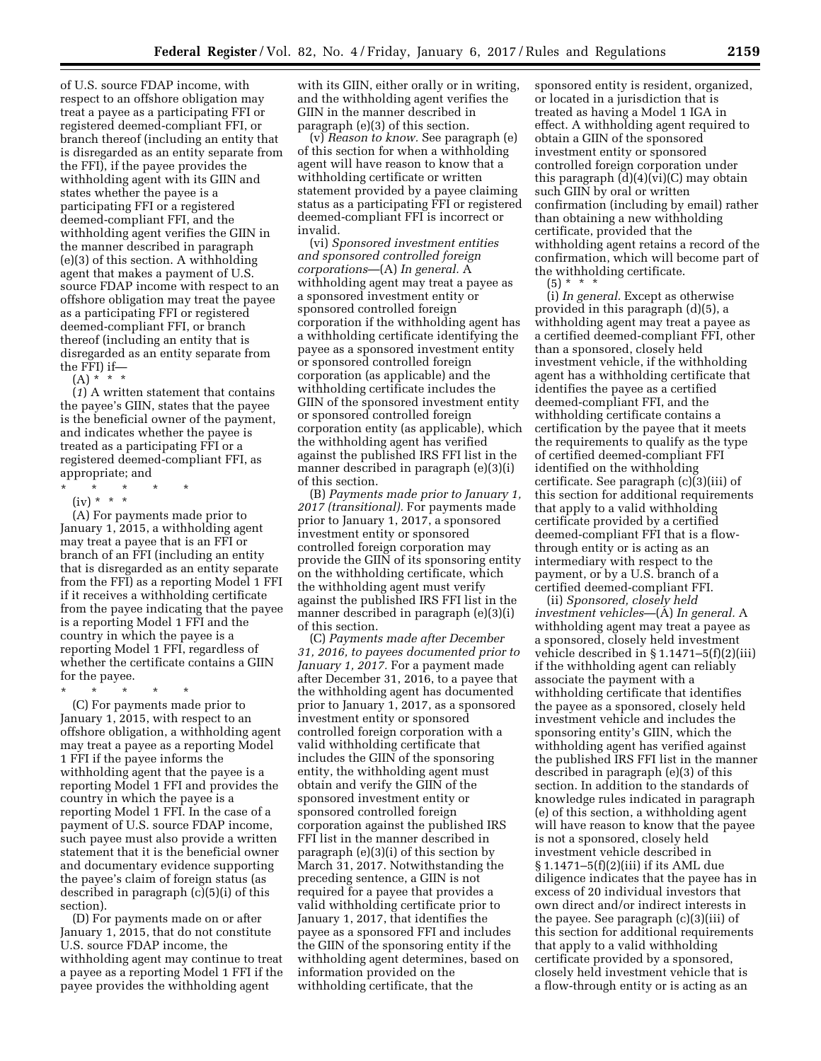of U.S. source FDAP income, with respect to an offshore obligation may treat a payee as a participating FFI or registered deemed-compliant FFI, or branch thereof (including an entity that is disregarded as an entity separate from the FFI), if the payee provides the withholding agent with its GIIN and states whether the payee is a participating FFI or a registered deemed-compliant FFI, and the withholding agent verifies the GIIN in the manner described in paragraph (e)(3) of this section. A withholding agent that makes a payment of U.S. source FDAP income with respect to an offshore obligation may treat the payee as a participating FFI or registered deemed-compliant FFI, or branch thereof (including an entity that is disregarded as an entity separate from the FFI) if—

 $(A) * * * *$ 

(*1*) A written statement that contains the payee's GIIN, states that the payee is the beneficial owner of the payment, and indicates whether the payee is treated as a participating FFI or a registered deemed-compliant FFI, as appropriate; and

 $\star$   $\star$ 

 $(iv) * * * *$ 

(A) For payments made prior to January 1, 2015, a withholding agent may treat a payee that is an FFI or branch of an FFI (including an entity that is disregarded as an entity separate from the FFI) as a reporting Model 1 FFI if it receives a withholding certificate from the payee indicating that the payee is a reporting Model 1 FFI and the country in which the payee is a reporting Model 1 FFI, regardless of whether the certificate contains a GIIN for the payee.

\* \* \* \* \*

(C) For payments made prior to January 1, 2015, with respect to an offshore obligation, a withholding agent may treat a payee as a reporting Model 1 FFI if the payee informs the withholding agent that the payee is a reporting Model 1 FFI and provides the country in which the payee is a reporting Model 1 FFI. In the case of a payment of U.S. source FDAP income, such payee must also provide a written statement that it is the beneficial owner and documentary evidence supporting the payee's claim of foreign status (as described in paragraph (c)(5)(i) of this section).

(D) For payments made on or after January 1, 2015, that do not constitute U.S. source FDAP income, the withholding agent may continue to treat a payee as a reporting Model 1 FFI if the payee provides the withholding agent

with its GIIN, either orally or in writing, and the withholding agent verifies the GIIN in the manner described in paragraph (e)(3) of this section.

(v) *Reason to know.* See paragraph (e) of this section for when a withholding agent will have reason to know that a withholding certificate or written statement provided by a payee claiming status as a participating FFI or registered deemed-compliant FFI is incorrect or invalid.

(vi) *Sponsored investment entities and sponsored controlled foreign corporations*—(A) *In general.* A withholding agent may treat a payee as a sponsored investment entity or sponsored controlled foreign corporation if the withholding agent has a withholding certificate identifying the payee as a sponsored investment entity or sponsored controlled foreign corporation (as applicable) and the withholding certificate includes the GIIN of the sponsored investment entity or sponsored controlled foreign corporation entity (as applicable), which the withholding agent has verified against the published IRS FFI list in the manner described in paragraph (e)(3)(i) of this section.

(B) *Payments made prior to January 1, 2017 (transitional).* For payments made prior to January 1, 2017, a sponsored investment entity or sponsored controlled foreign corporation may provide the GIIN of its sponsoring entity on the withholding certificate, which the withholding agent must verify against the published IRS FFI list in the manner described in paragraph (e)(3)(i) of this section.

(C) *Payments made after December 31, 2016, to payees documented prior to January 1, 2017.* For a payment made after December 31, 2016, to a payee that the withholding agent has documented prior to January 1, 2017, as a sponsored investment entity or sponsored controlled foreign corporation with a valid withholding certificate that includes the GIIN of the sponsoring entity, the withholding agent must obtain and verify the GIIN of the sponsored investment entity or sponsored controlled foreign corporation against the published IRS FFI list in the manner described in paragraph (e)(3)(i) of this section by March 31, 2017. Notwithstanding the preceding sentence, a GIIN is not required for a payee that provides a valid withholding certificate prior to January 1, 2017, that identifies the payee as a sponsored FFI and includes the GIIN of the sponsoring entity if the withholding agent determines, based on information provided on the withholding certificate, that the

sponsored entity is resident, organized, or located in a jurisdiction that is treated as having a Model 1 IGA in effect. A withholding agent required to obtain a GIIN of the sponsored investment entity or sponsored controlled foreign corporation under this paragraph (d)(4)(vi)(C) may obtain such GIIN by oral or written confirmation (including by email) rather than obtaining a new withholding certificate, provided that the withholding agent retains a record of the confirmation, which will become part of the withholding certificate.

 $(5) * *$ 

(i) *In general.* Except as otherwise provided in this paragraph (d)(5), a withholding agent may treat a payee as a certified deemed-compliant FFI, other than a sponsored, closely held investment vehicle, if the withholding agent has a withholding certificate that identifies the payee as a certified deemed-compliant FFI, and the withholding certificate contains a certification by the payee that it meets the requirements to qualify as the type of certified deemed-compliant FFI identified on the withholding certificate. See paragraph (c)(3)(iii) of this section for additional requirements that apply to a valid withholding certificate provided by a certified deemed-compliant FFI that is a flowthrough entity or is acting as an intermediary with respect to the payment, or by a U.S. branch of a certified deemed-compliant FFI.

(ii) *Sponsored, closely held investment vehicles*—(A) *In general.* A withholding agent may treat a payee as a sponsored, closely held investment vehicle described in § 1.1471–5(f)(2)(iii) if the withholding agent can reliably associate the payment with a withholding certificate that identifies the payee as a sponsored, closely held investment vehicle and includes the sponsoring entity's GIIN, which the withholding agent has verified against the published IRS FFI list in the manner described in paragraph (e)(3) of this section. In addition to the standards of knowledge rules indicated in paragraph (e) of this section, a withholding agent will have reason to know that the payee is not a sponsored, closely held investment vehicle described in § 1.1471–5(f)(2)(iii) if its AML due diligence indicates that the payee has in excess of 20 individual investors that own direct and/or indirect interests in the payee. See paragraph (c)(3)(iii) of this section for additional requirements that apply to a valid withholding certificate provided by a sponsored, closely held investment vehicle that is a flow-through entity or is acting as an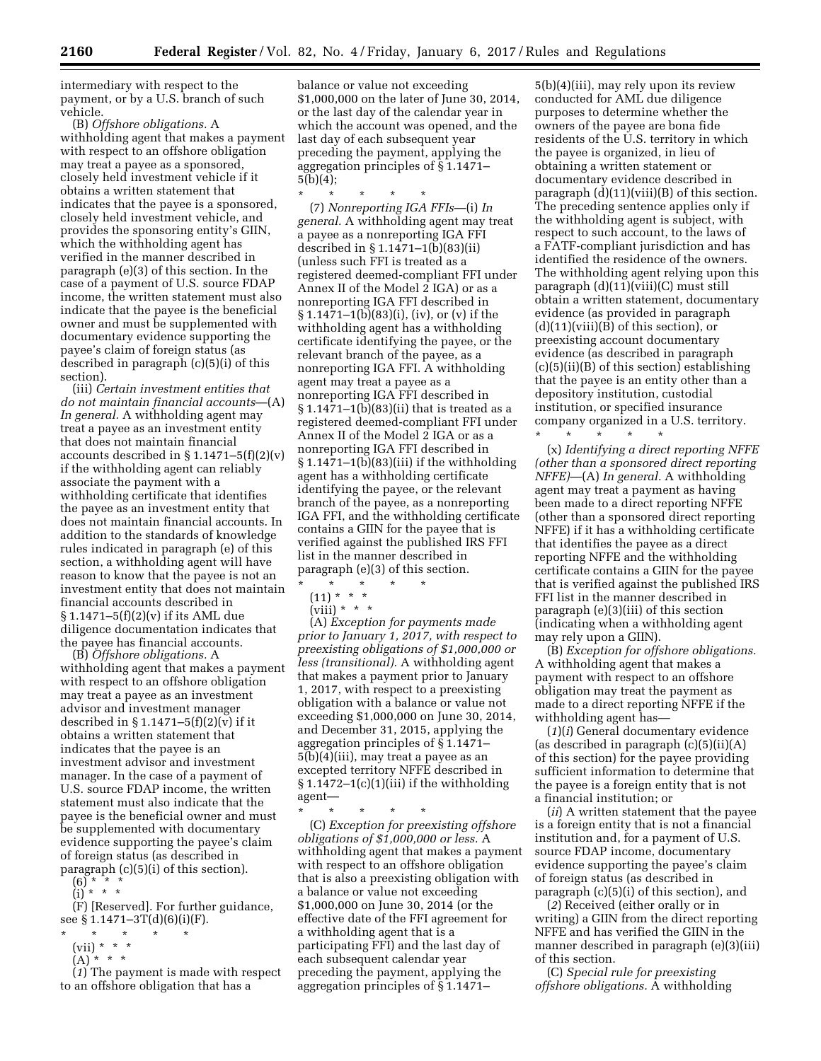intermediary with respect to the payment, or by a U.S. branch of such vehicle.

(B) *Offshore obligations.* A withholding agent that makes a payment with respect to an offshore obligation may treat a payee as a sponsored, closely held investment vehicle if it obtains a written statement that indicates that the payee is a sponsored, closely held investment vehicle, and provides the sponsoring entity's GIIN, which the withholding agent has verified in the manner described in paragraph (e)(3) of this section. In the case of a payment of U.S. source FDAP income, the written statement must also indicate that the payee is the beneficial owner and must be supplemented with documentary evidence supporting the payee's claim of foreign status (as described in paragraph (c)(5)(i) of this section).

(iii) *Certain investment entities that do not maintain financial accounts*—(A) *In general.* A withholding agent may treat a payee as an investment entity that does not maintain financial accounts described in  $\S 1.1471 - 5(f)(2)(v)$ if the withholding agent can reliably associate the payment with a withholding certificate that identifies the payee as an investment entity that does not maintain financial accounts. In addition to the standards of knowledge rules indicated in paragraph (e) of this section, a withholding agent will have reason to know that the payee is not an investment entity that does not maintain financial accounts described in § 1.1471–5(f)(2)(v) if its AML due diligence documentation indicates that the payee has financial accounts.

(B) *Offshore obligations.* A withholding agent that makes a payment with respect to an offshore obligation may treat a payee as an investment advisor and investment manager described in § 1.1471–5(f)(2)(v) if it obtains a written statement that indicates that the payee is an investment advisor and investment manager. In the case of a payment of U.S. source FDAP income, the written statement must also indicate that the payee is the beneficial owner and must be supplemented with documentary evidence supporting the payee's claim of foreign status (as described in paragraph (c)(5)(i) of this section).

 $(6)$ <sup>\*</sup> \* \*

 $(i) * * * *$ 

(F) [Reserved]. For further guidance, see § 1.1471–3T(d)(6)(i)(F).

- \* \* \* \* \*
	- (vii) \* \* \*  $(A)$ <sup>'\*</sup> \* \*
	-

(*1*) The payment is made with respect to an offshore obligation that has a

balance or value not exceeding \$1,000,000 on the later of June 30, 2014, or the last day of the calendar year in which the account was opened, and the last day of each subsequent year preceding the payment, applying the aggregation principles of § 1.1471– 5(b)(4);

\* \* \* \* \* (7) *Nonreporting IGA FFIs*—(i) *In general.* A withholding agent may treat a payee as a nonreporting IGA FFI described in § 1.1471–1(b)(83)(ii) (unless such FFI is treated as a registered deemed-compliant FFI under Annex II of the Model 2 IGA) or as a nonreporting IGA FFI described in § 1.1471–1(b)(83)(i), (iv), or (v) if the withholding agent has a withholding certificate identifying the payee, or the relevant branch of the payee, as a nonreporting IGA FFI. A withholding agent may treat a payee as a nonreporting IGA FFI described in § 1.1471–1(b)(83)(ii) that is treated as a registered deemed-compliant FFI under Annex II of the Model 2 IGA or as a nonreporting IGA FFI described in § 1.1471–1(b)(83)(iii) if the withholding agent has a withholding certificate identifying the payee, or the relevant branch of the payee, as a nonreporting IGA FFI, and the withholding certificate contains a GIIN for the payee that is verified against the published IRS FFI list in the manner described in paragraph (e)(3) of this section.

- \* \* \* \* \*
- $(11) * * * *$
- (viii) \* \* \*

(A) *Exception for payments made prior to January 1, 2017, with respect to preexisting obligations of \$1,000,000 or less (transitional).* A withholding agent that makes a payment prior to January 1, 2017, with respect to a preexisting obligation with a balance or value not exceeding \$1,000,000 on June 30, 2014, and December 31, 2015, applying the aggregation principles of § 1.1471– 5(b)(4)(iii), may treat a payee as an excepted territory NFFE described in  $§ 1.1472-1(c)(1)(iii)$  if the withholding agent—

\* \* \* \* \* (C) *Exception for preexisting offshore obligations of \$1,000,000 or less.* A withholding agent that makes a payment with respect to an offshore obligation that is also a preexisting obligation with a balance or value not exceeding \$1,000,000 on June 30, 2014 (or the effective date of the FFI agreement for a withholding agent that is a participating FFI) and the last day of each subsequent calendar year preceding the payment, applying the aggregation principles of § 1.1471–

5(b)(4)(iii), may rely upon its review conducted for AML due diligence purposes to determine whether the owners of the payee are bona fide residents of the U.S. territory in which the payee is organized, in lieu of obtaining a written statement or documentary evidence described in paragraph (d)(11)(viii)(B) of this section. The preceding sentence applies only if the withholding agent is subject, with respect to such account, to the laws of a FATF-compliant jurisdiction and has identified the residence of the owners. The withholding agent relying upon this paragraph (d)(11)(viii)(C) must still obtain a written statement, documentary evidence (as provided in paragraph (d)(11)(viii)(B) of this section), or preexisting account documentary evidence (as described in paragraph (c)(5)(ii)(B) of this section) establishing that the payee is an entity other than a depository institution, custodial institution, or specified insurance company organized in a U.S. territory.

\* \* \* \* \*

(x) *Identifying a direct reporting NFFE (other than a sponsored direct reporting NFFE)*—(A) *In general.* A withholding agent may treat a payment as having been made to a direct reporting NFFE (other than a sponsored direct reporting NFFE) if it has a withholding certificate that identifies the payee as a direct reporting NFFE and the withholding certificate contains a GIIN for the payee that is verified against the published IRS FFI list in the manner described in paragraph (e)(3)(iii) of this section (indicating when a withholding agent may rely upon a GIIN).

(B) *Exception for offshore obligations.*  A withholding agent that makes a payment with respect to an offshore obligation may treat the payment as made to a direct reporting NFFE if the withholding agent has—

(*1*)(*i*) General documentary evidence (as described in paragraph (c)(5)(ii)(A) of this section) for the payee providing sufficient information to determine that the payee is a foreign entity that is not a financial institution; or

(*ii*) A written statement that the payee is a foreign entity that is not a financial institution and, for a payment of U.S. source FDAP income, documentary evidence supporting the payee's claim of foreign status (as described in paragraph (c)(5)(i) of this section), and

(*2*) Received (either orally or in writing) a GIIN from the direct reporting NFFE and has verified the GIIN in the manner described in paragraph (e)(3)(iii) of this section.

(C) *Special rule for preexisting offshore obligations.* A withholding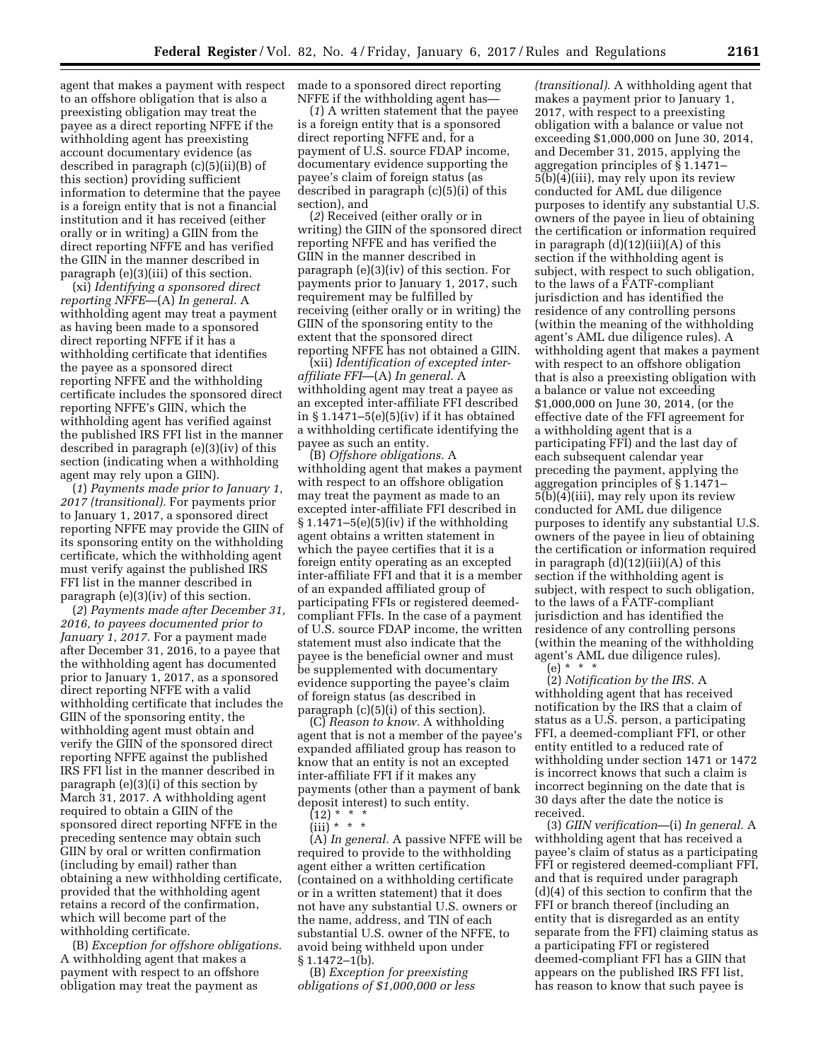agent that makes a payment with respect to an offshore obligation that is also a preexisting obligation may treat the payee as a direct reporting NFFE if the withholding agent has preexisting account documentary evidence (as described in paragraph (c)(5)(ii)(B) of this section) providing sufficient information to determine that the payee is a foreign entity that is not a financial institution and it has received (either orally or in writing) a GIIN from the direct reporting NFFE and has verified the GIIN in the manner described in paragraph (e)(3)(iii) of this section.

(xi) *Identifying a sponsored direct reporting NFFE*—(A) *In general.* A withholding agent may treat a payment as having been made to a sponsored direct reporting NFFE if it has a withholding certificate that identifies the payee as a sponsored direct reporting NFFE and the withholding certificate includes the sponsored direct reporting NFFE's GIIN, which the withholding agent has verified against the published IRS FFI list in the manner described in paragraph (e)(3)(iv) of this section (indicating when a withholding agent may rely upon a GIIN).

(*1*) *Payments made prior to January 1, 2017 (transitional).* For payments prior to January 1, 2017, a sponsored direct reporting NFFE may provide the GIIN of its sponsoring entity on the withholding certificate, which the withholding agent must verify against the published IRS FFI list in the manner described in paragraph (e)(3)(iv) of this section.

(*2*) *Payments made after December 31, 2016, to payees documented prior to January 1, 2017.* For a payment made after December 31, 2016, to a payee that the withholding agent has documented prior to January 1, 2017, as a sponsored direct reporting NFFE with a valid withholding certificate that includes the GIIN of the sponsoring entity, the withholding agent must obtain and verify the GIIN of the sponsored direct reporting NFFE against the published IRS FFI list in the manner described in paragraph (e)(3)(i) of this section by March 31, 2017. A withholding agent required to obtain a GIIN of the sponsored direct reporting NFFE in the preceding sentence may obtain such GIIN by oral or written confirmation (including by email) rather than obtaining a new withholding certificate, provided that the withholding agent retains a record of the confirmation, which will become part of the withholding certificate.

(B) *Exception for offshore obligations.*  A withholding agent that makes a payment with respect to an offshore obligation may treat the payment as

made to a sponsored direct reporting NFFE if the withholding agent has—

(*1*) A written statement that the payee is a foreign entity that is a sponsored direct reporting NFFE and, for a payment of U.S. source FDAP income, documentary evidence supporting the payee's claim of foreign status (as described in paragraph (c)(5)(i) of this section), and

(*2*) Received (either orally or in writing) the GIIN of the sponsored direct reporting NFFE and has verified the GIIN in the manner described in paragraph (e)(3)(iv) of this section. For payments prior to January 1, 2017, such requirement may be fulfilled by receiving (either orally or in writing) the GIIN of the sponsoring entity to the extent that the sponsored direct reporting NFFE has not obtained a GIIN.

(xii) *Identification of excepted interaffiliate FFI*—(A) *In general.* A withholding agent may treat a payee as an excepted inter-affiliate FFI described in  $\S 1.1471 - 5(e)(5)(iv)$  if it has obtained a withholding certificate identifying the payee as such an entity.

(B) *Offshore obligations.* A withholding agent that makes a payment with respect to an offshore obligation may treat the payment as made to an excepted inter-affiliate FFI described in  $§ 1.1471-5(e)(5)(iv)$  if the withholding agent obtains a written statement in which the payee certifies that it is a foreign entity operating as an excepted inter-affiliate FFI and that it is a member of an expanded affiliated group of participating FFIs or registered deemedcompliant FFIs. In the case of a payment of U.S. source FDAP income, the written statement must also indicate that the payee is the beneficial owner and must be supplemented with documentary evidence supporting the payee's claim of foreign status (as described in paragraph (c)(5)(i) of this section).

(C) *Reason to know.* A withholding agent that is not a member of the payee's expanded affiliated group has reason to know that an entity is not an excepted inter-affiliate FFI if it makes any payments (other than a payment of bank deposit interest) to such entity.

 $(12)$  \* \* \*

(iii) \* \* \*

(A) *In general.* A passive NFFE will be required to provide to the withholding agent either a written certification (contained on a withholding certificate or in a written statement) that it does not have any substantial U.S. owners or the name, address, and TIN of each substantial U.S. owner of the NFFE, to avoid being withheld upon under § 1.1472–1(b).

(B) *Exception for preexisting obligations of \$1,000,000 or less* 

*(transitional).* A withholding agent that makes a payment prior to January 1, 2017, with respect to a preexisting obligation with a balance or value not exceeding \$1,000,000 on June 30, 2014, and December 31, 2015, applying the aggregation principles of § 1.1471– 5(b)(4)(iii), may rely upon its review conducted for AML due diligence purposes to identify any substantial U.S. owners of the payee in lieu of obtaining the certification or information required in paragraph  $(d)(12)(iii)(A)$  of this section if the withholding agent is subject, with respect to such obligation, to the laws of a FATF-compliant jurisdiction and has identified the residence of any controlling persons (within the meaning of the withholding agent's AML due diligence rules). A withholding agent that makes a payment with respect to an offshore obligation that is also a preexisting obligation with a balance or value not exceeding \$1,000,000 on June 30, 2014, (or the effective date of the FFI agreement for a withholding agent that is a participating FFI) and the last day of each subsequent calendar year preceding the payment, applying the aggregation principles of § 1.1471– 5(b)(4)(iii), may rely upon its review conducted for AML due diligence purposes to identify any substantial U.S. owners of the payee in lieu of obtaining the certification or information required in paragraph  $(d)(12)(iii)(A)$  of this section if the withholding agent is subject, with respect to such obligation, to the laws of a FATF-compliant jurisdiction and has identified the residence of any controlling persons (within the meaning of the withholding agent's AML due diligence rules).

 $(e) * * * *$ 

(2) *Notification by the IRS.* A withholding agent that has received notification by the IRS that a claim of status as a U.S. person, a participating FFI, a deemed-compliant FFI, or other entity entitled to a reduced rate of withholding under section 1471 or 1472 is incorrect knows that such a claim is incorrect beginning on the date that is 30 days after the date the notice is received.

(3) *GIIN verification*—(i) *In general.* A withholding agent that has received a payee's claim of status as a participating FFI or registered deemed-compliant FFI, and that is required under paragraph (d)(4) of this section to confirm that the FFI or branch thereof (including an entity that is disregarded as an entity separate from the FFI) claiming status as a participating FFI or registered deemed-compliant FFI has a GIIN that appears on the published IRS FFI list, has reason to know that such payee is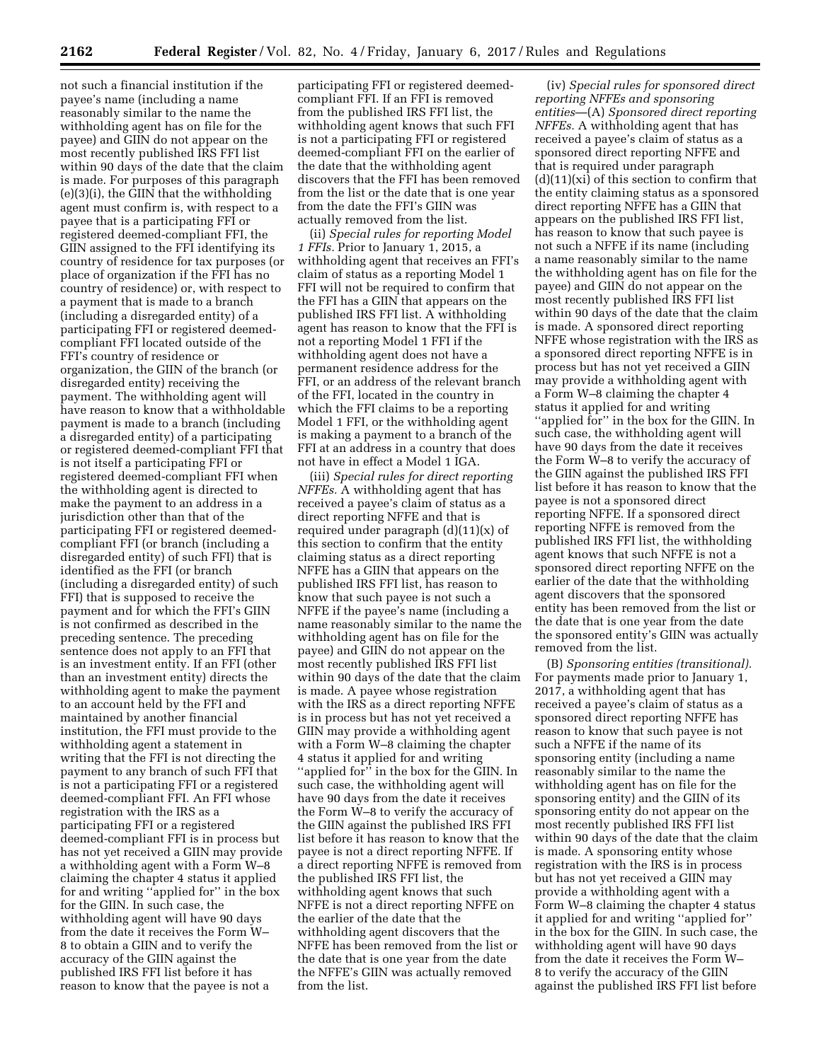not such a financial institution if the payee's name (including a name reasonably similar to the name the withholding agent has on file for the payee) and GIIN do not appear on the most recently published IRS FFI list within 90 days of the date that the claim is made. For purposes of this paragraph (e)(3)(i), the GIIN that the withholding agent must confirm is, with respect to a payee that is a participating FFI or registered deemed-compliant FFI, the GIIN assigned to the FFI identifying its country of residence for tax purposes (or place of organization if the FFI has no country of residence) or, with respect to a payment that is made to a branch (including a disregarded entity) of a participating FFI or registered deemedcompliant FFI located outside of the FFI's country of residence or organization, the GIIN of the branch (or disregarded entity) receiving the payment. The withholding agent will have reason to know that a withholdable payment is made to a branch (including a disregarded entity) of a participating or registered deemed-compliant FFI that is not itself a participating FFI or registered deemed-compliant FFI when the withholding agent is directed to make the payment to an address in a jurisdiction other than that of the participating FFI or registered deemedcompliant FFI (or branch (including a disregarded entity) of such FFI) that is identified as the FFI (or branch (including a disregarded entity) of such FFI) that is supposed to receive the payment and for which the FFI's GIIN is not confirmed as described in the preceding sentence. The preceding sentence does not apply to an FFI that is an investment entity. If an FFI (other than an investment entity) directs the withholding agent to make the payment to an account held by the FFI and maintained by another financial institution, the FFI must provide to the withholding agent a statement in writing that the FFI is not directing the payment to any branch of such FFI that is not a participating FFI or a registered deemed-compliant FFI. An FFI whose registration with the IRS as a participating FFI or a registered deemed-compliant FFI is in process but has not yet received a GIIN may provide a withholding agent with a Form W–8 claiming the chapter 4 status it applied for and writing ''applied for'' in the box for the GIIN. In such case, the withholding agent will have 90 days from the date it receives the Form W– 8 to obtain a GIIN and to verify the accuracy of the GIIN against the published IRS FFI list before it has reason to know that the payee is not a

participating FFI or registered deemedcompliant FFI. If an FFI is removed from the published IRS FFI list, the withholding agent knows that such FFI is not a participating FFI or registered deemed-compliant FFI on the earlier of the date that the withholding agent discovers that the FFI has been removed from the list or the date that is one year from the date the FFI's GIIN was actually removed from the list.

(ii) *Special rules for reporting Model 1 FFIs.* Prior to January 1, 2015, a withholding agent that receives an FFI's claim of status as a reporting Model 1 FFI will not be required to confirm that the FFI has a GIIN that appears on the published IRS FFI list. A withholding agent has reason to know that the FFI is not a reporting Model 1 FFI if the withholding agent does not have a permanent residence address for the FFI, or an address of the relevant branch of the FFI, located in the country in which the FFI claims to be a reporting Model 1 FFI, or the withholding agent is making a payment to a branch of the FFI at an address in a country that does not have in effect a Model 1 IGA.

(iii) *Special rules for direct reporting NFFEs.* A withholding agent that has received a payee's claim of status as a direct reporting NFFE and that is required under paragraph (d)(11)(x) of this section to confirm that the entity claiming status as a direct reporting NFFE has a GIIN that appears on the published IRS FFI list, has reason to know that such payee is not such a NFFE if the payee's name (including a name reasonably similar to the name the withholding agent has on file for the payee) and GIIN do not appear on the most recently published IRS FFI list within 90 days of the date that the claim is made. A payee whose registration with the IRS as a direct reporting NFFE is in process but has not yet received a GIIN may provide a withholding agent with a Form W–8 claiming the chapter 4 status it applied for and writing "applied for" in the box for the GIIN. In such case, the withholding agent will have 90 days from the date it receives the Form W–8 to verify the accuracy of the GIIN against the published IRS FFI list before it has reason to know that the payee is not a direct reporting NFFE. If a direct reporting NFFE is removed from the published IRS FFI list, the withholding agent knows that such NFFE is not a direct reporting NFFE on the earlier of the date that the withholding agent discovers that the NFFE has been removed from the list or the date that is one year from the date the NFFE's GIIN was actually removed from the list.

(iv) *Special rules for sponsored direct reporting NFFEs and sponsoring entities*—(A) *Sponsored direct reporting NFFEs.* A withholding agent that has received a payee's claim of status as a sponsored direct reporting NFFE and that is required under paragraph  $(d)(11)(xi)$  of this section to confirm that the entity claiming status as a sponsored direct reporting NFFE has a GIIN that appears on the published IRS FFI list, has reason to know that such payee is not such a NFFE if its name (including a name reasonably similar to the name the withholding agent has on file for the payee) and GIIN do not appear on the most recently published IRS FFI list within 90 days of the date that the claim is made. A sponsored direct reporting NFFE whose registration with the IRS as a sponsored direct reporting NFFE is in process but has not yet received a GIIN may provide a withholding agent with a Form W–8 claiming the chapter 4 status it applied for and writing ''applied for'' in the box for the GIIN. In such case, the withholding agent will have 90 days from the date it receives the Form W–8 to verify the accuracy of the GIIN against the published IRS FFI list before it has reason to know that the payee is not a sponsored direct reporting NFFE. If a sponsored direct reporting NFFE is removed from the published IRS FFI list, the withholding agent knows that such NFFE is not a sponsored direct reporting NFFE on the earlier of the date that the withholding agent discovers that the sponsored entity has been removed from the list or the date that is one year from the date the sponsored entity's GIIN was actually removed from the list.

(B) *Sponsoring entities (transitional).*  For payments made prior to January 1, 2017, a withholding agent that has received a payee's claim of status as a sponsored direct reporting NFFE has reason to know that such payee is not such a NFFE if the name of its sponsoring entity (including a name reasonably similar to the name the withholding agent has on file for the sponsoring entity) and the GIIN of its sponsoring entity do not appear on the most recently published IRS FFI list within 90 days of the date that the claim is made. A sponsoring entity whose registration with the IRS is in process but has not yet received a GIIN may provide a withholding agent with a Form W–8 claiming the chapter 4 status it applied for and writing ''applied for'' in the box for the GIIN. In such case, the withholding agent will have 90 days from the date it receives the Form W– 8 to verify the accuracy of the GIIN against the published IRS FFI list before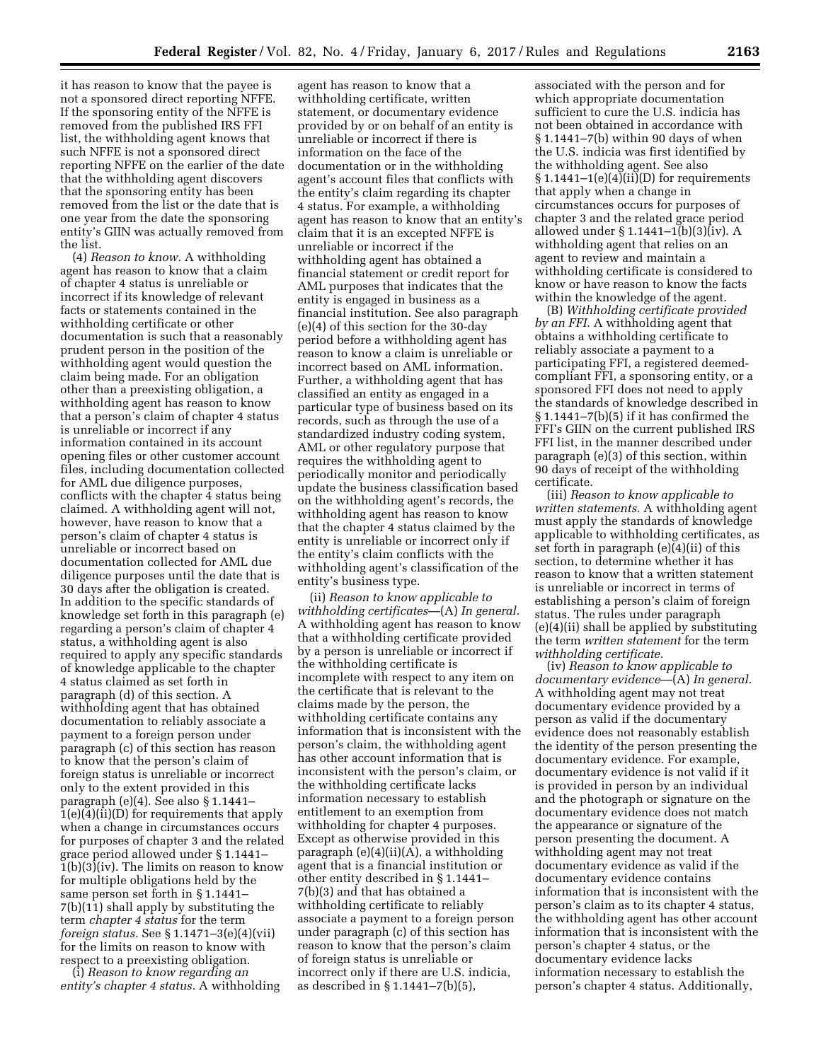it has reason to know that the payee is not a sponsored direct reporting NFFE. If the sponsoring entity of the NFFE is removed from the published IRS FFI list, the withholding agent knows that such NFFE is not a sponsored direct reporting NFFE on the earlier of the date that the withholding agent discovers that the sponsoring entity has been removed from the list or the date that is one year from the date the sponsoring entity's GIIN was actually removed from the list.

(4) *Reason to know.* A withholding agent has reason to know that a claim of chapter 4 status is unreliable or incorrect if its knowledge of relevant facts or statements contained in the withholding certificate or other documentation is such that a reasonably prudent person in the position of the withholding agent would question the claim being made. For an obligation other than a preexisting obligation, a withholding agent has reason to know that a person's claim of chapter 4 status is unreliable or incorrect if any information contained in its account opening files or other customer account files, including documentation collected for AML due diligence purposes, conflicts with the chapter 4 status being claimed. A withholding agent will not, however, have reason to know that a person's claim of chapter 4 status is unreliable or incorrect based on documentation collected for AML due diligence purposes until the date that is 30 days after the obligation is created. In addition to the specific standards of knowledge set forth in this paragraph (e) regarding a person's claim of chapter 4 status, a withholding agent is also required to apply any specific standards of knowledge applicable to the chapter 4 status claimed as set forth in paragraph (d) of this section. A withholding agent that has obtained documentation to reliably associate a payment to a foreign person under paragraph (c) of this section has reason to know that the person's claim of foreign status is unreliable or incorrect only to the extent provided in this paragraph (e)(4). See also § 1.1441– 1(e)(4)(ii)(D) for requirements that apply when a change in circumstances occurs for purposes of chapter 3 and the related grace period allowed under § 1.1441– 1(b)(3)(iv). The limits on reason to know for multiple obligations held by the same person set forth in § 1.1441– 7(b)(11) shall apply by substituting the term *chapter 4 status* for the term *foreign status.* See § 1.1471–3(e)(4)(vii) for the limits on reason to know with respect to a preexisting obligation.

(i) *Reason to know regarding an entity's chapter 4 status.* A withholding

agent has reason to know that a withholding certificate, written statement, or documentary evidence provided by or on behalf of an entity is unreliable or incorrect if there is information on the face of the documentation or in the withholding agent's account files that conflicts with the entity's claim regarding its chapter 4 status. For example, a withholding agent has reason to know that an entity's claim that it is an excepted NFFE is unreliable or incorrect if the withholding agent has obtained a financial statement or credit report for AML purposes that indicates that the entity is engaged in business as a financial institution. See also paragraph (e)(4) of this section for the 30-day period before a withholding agent has reason to know a claim is unreliable or incorrect based on AML information. Further, a withholding agent that has classified an entity as engaged in a particular type of business based on its records, such as through the use of a standardized industry coding system, AML or other regulatory purpose that requires the withholding agent to periodically monitor and periodically update the business classification based on the withholding agent's records, the withholding agent has reason to know that the chapter 4 status claimed by the entity is unreliable or incorrect only if the entity's claim conflicts with the withholding agent's classification of the entity's business type.

(ii) *Reason to know applicable to withholding certificates*—(A) *In general.*  A withholding agent has reason to know that a withholding certificate provided by a person is unreliable or incorrect if the withholding certificate is incomplete with respect to any item on the certificate that is relevant to the claims made by the person, the withholding certificate contains any information that is inconsistent with the person's claim, the withholding agent has other account information that is inconsistent with the person's claim, or the withholding certificate lacks information necessary to establish entitlement to an exemption from withholding for chapter 4 purposes. Except as otherwise provided in this paragraph (e)(4)(ii)(A), a withholding agent that is a financial institution or other entity described in § 1.1441– 7(b)(3) and that has obtained a withholding certificate to reliably associate a payment to a foreign person under paragraph (c) of this section has reason to know that the person's claim of foreign status is unreliable or incorrect only if there are U.S. indicia, as described in § 1.1441–7(b)(5),

associated with the person and for which appropriate documentation sufficient to cure the U.S. indicia has not been obtained in accordance with § 1.1441–7(b) within 90 days of when the U.S. indicia was first identified by the withholding agent. See also  $§ 1.1441-1(e)(4)(ii)(D)$  for requirements that apply when a change in circumstances occurs for purposes of chapter 3 and the related grace period allowed under § 1.1441–1(b)(3)(iv). A withholding agent that relies on an agent to review and maintain a withholding certificate is considered to know or have reason to know the facts within the knowledge of the agent.

(B) *Withholding certificate provided by an FFI.* A withholding agent that obtains a withholding certificate to reliably associate a payment to a participating FFI, a registered deemedcompliant FFI, a sponsoring entity, or a sponsored FFI does not need to apply the standards of knowledge described in § 1.1441–7(b)(5) if it has confirmed the FFI's GIIN on the current published IRS FFI list, in the manner described under paragraph (e)(3) of this section, within 90 days of receipt of the withholding certificate.

(iii) *Reason to know applicable to written statements.* A withholding agent must apply the standards of knowledge applicable to withholding certificates, as set forth in paragraph (e)(4)(ii) of this section, to determine whether it has reason to know that a written statement is unreliable or incorrect in terms of establishing a person's claim of foreign status. The rules under paragraph (e)(4)(ii) shall be applied by substituting the term *written statement* for the term *withholding certificate.* 

(iv) *Reason to know applicable to documentary evidence*—(A) *In general.*  A withholding agent may not treat documentary evidence provided by a person as valid if the documentary evidence does not reasonably establish the identity of the person presenting the documentary evidence. For example, documentary evidence is not valid if it is provided in person by an individual and the photograph or signature on the documentary evidence does not match the appearance or signature of the person presenting the document. A withholding agent may not treat documentary evidence as valid if the documentary evidence contains information that is inconsistent with the person's claim as to its chapter 4 status, the withholding agent has other account information that is inconsistent with the person's chapter 4 status, or the documentary evidence lacks information necessary to establish the person's chapter 4 status. Additionally,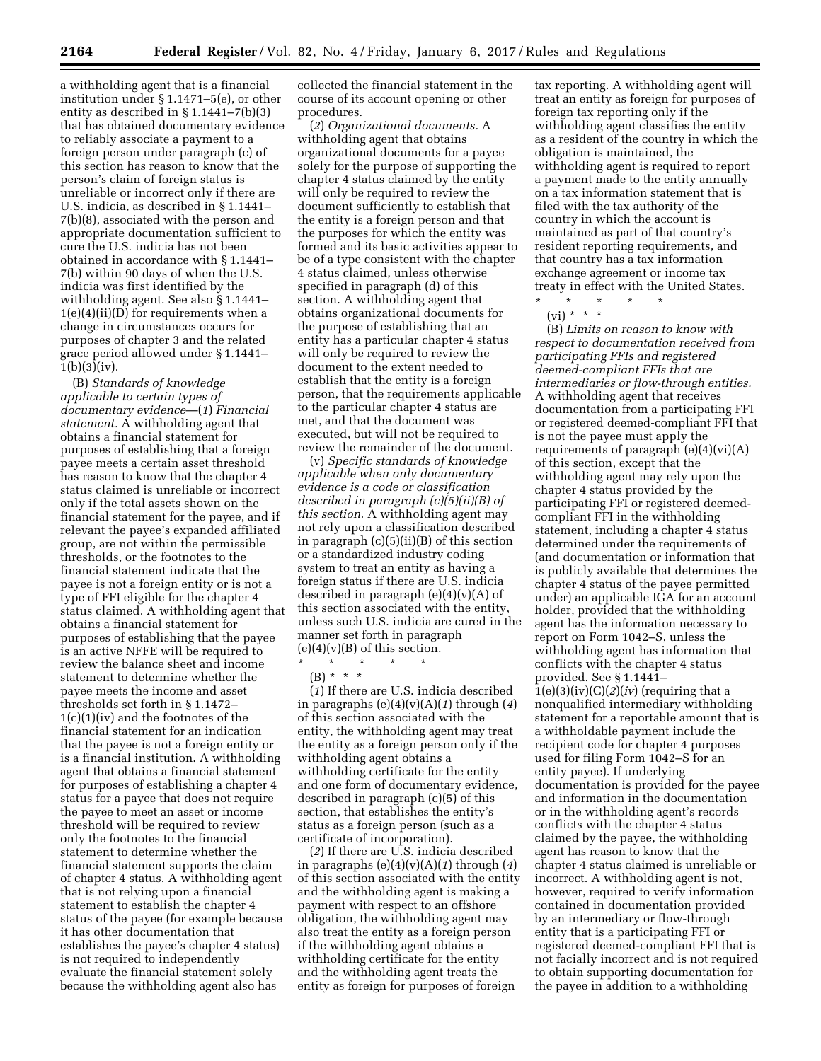a withholding agent that is a financial institution under § 1.1471–5(e), or other entity as described in § 1.1441–7(b)(3) that has obtained documentary evidence to reliably associate a payment to a foreign person under paragraph (c) of this section has reason to know that the person's claim of foreign status is unreliable or incorrect only if there are U.S. indicia, as described in § 1.1441– 7(b)(8), associated with the person and appropriate documentation sufficient to cure the U.S. indicia has not been obtained in accordance with § 1.1441– 7(b) within 90 days of when the U.S. indicia was first identified by the withholding agent. See also § 1.1441– 1(e)(4)(ii)(D) for requirements when a change in circumstances occurs for purposes of chapter 3 and the related grace period allowed under § 1.1441–  $1(b)(3)(iv).$ 

(B) *Standards of knowledge applicable to certain types of documentary evidence*—(*1*) *Financial statement.* A withholding agent that obtains a financial statement for purposes of establishing that a foreign payee meets a certain asset threshold has reason to know that the chapter 4 status claimed is unreliable or incorrect only if the total assets shown on the financial statement for the payee, and if relevant the payee's expanded affiliated group, are not within the permissible thresholds, or the footnotes to the financial statement indicate that the payee is not a foreign entity or is not a type of FFI eligible for the chapter 4 status claimed. A withholding agent that obtains a financial statement for purposes of establishing that the payee is an active NFFE will be required to review the balance sheet and income statement to determine whether the payee meets the income and asset thresholds set forth in § 1.1472– 1(c)(1)(iv) and the footnotes of the financial statement for an indication that the payee is not a foreign entity or is a financial institution. A withholding agent that obtains a financial statement for purposes of establishing a chapter 4 status for a payee that does not require the payee to meet an asset or income threshold will be required to review only the footnotes to the financial statement to determine whether the financial statement supports the claim of chapter 4 status. A withholding agent that is not relying upon a financial statement to establish the chapter 4 status of the payee (for example because it has other documentation that establishes the payee's chapter 4 status) is not required to independently evaluate the financial statement solely because the withholding agent also has

collected the financial statement in the course of its account opening or other procedures.

(*2*) *Organizational documents.* A withholding agent that obtains organizational documents for a payee solely for the purpose of supporting the chapter 4 status claimed by the entity will only be required to review the document sufficiently to establish that the entity is a foreign person and that the purposes for which the entity was formed and its basic activities appear to be of a type consistent with the chapter 4 status claimed, unless otherwise specified in paragraph (d) of this section. A withholding agent that obtains organizational documents for the purpose of establishing that an entity has a particular chapter 4 status will only be required to review the document to the extent needed to establish that the entity is a foreign person, that the requirements applicable to the particular chapter 4 status are met, and that the document was executed, but will not be required to review the remainder of the document.

(v) *Specific standards of knowledge applicable when only documentary evidence is a code or classification described in paragraph (c)(5)(ii)(B) of this section.* A withholding agent may not rely upon a classification described in paragraph (c)(5)(ii)(B) of this section or a standardized industry coding system to treat an entity as having a foreign status if there are U.S. indicia described in paragraph  $(e)(4)(v)(A)$  of this section associated with the entity, unless such U.S. indicia are cured in the manner set forth in paragraph  $(e)(4)(v)(B)$  of this section.

\* \* \* \* \*

(B) \* \* \*

(*1*) If there are U.S. indicia described in paragraphs (e)(4)(v)(A)(*1*) through (*4*) of this section associated with the entity, the withholding agent may treat the entity as a foreign person only if the withholding agent obtains a withholding certificate for the entity and one form of documentary evidence, described in paragraph (c)(5) of this section, that establishes the entity's status as a foreign person (such as a certificate of incorporation).

(*2*) If there are U.S. indicia described in paragraphs (e)(4)(v)(A)(*1*) through (*4*) of this section associated with the entity and the withholding agent is making a payment with respect to an offshore obligation, the withholding agent may also treat the entity as a foreign person if the withholding agent obtains a withholding certificate for the entity and the withholding agent treats the entity as foreign for purposes of foreign

tax reporting. A withholding agent will treat an entity as foreign for purposes of foreign tax reporting only if the withholding agent classifies the entity as a resident of the country in which the obligation is maintained, the withholding agent is required to report a payment made to the entity annually on a tax information statement that is filed with the tax authority of the country in which the account is maintained as part of that country's resident reporting requirements, and that country has a tax information exchange agreement or income tax treaty in effect with the United States.

\* \* \* \* \*

 $(vi) * * * *$ 

(B) *Limits on reason to know with respect to documentation received from participating FFIs and registered deemed-compliant FFIs that are intermediaries or flow-through entities.*  A withholding agent that receives documentation from a participating FFI or registered deemed-compliant FFI that is not the payee must apply the requirements of paragraph  $(e)(4)(vi)(A)$ of this section, except that the withholding agent may rely upon the chapter 4 status provided by the participating FFI or registered deemedcompliant FFI in the withholding statement, including a chapter 4 status determined under the requirements of (and documentation or information that is publicly available that determines the chapter 4 status of the payee permitted under) an applicable IGA for an account holder, provided that the withholding agent has the information necessary to report on Form 1042–S, unless the withholding agent has information that conflicts with the chapter 4 status provided. See § 1.1441–  $1(e)(3)(iv)(C)(2)(iv)$  (requiring that a nonqualified intermediary withholding statement for a reportable amount that is a withholdable payment include the recipient code for chapter 4 purposes used for filing Form 1042–S for an entity payee). If underlying documentation is provided for the payee and information in the documentation or in the withholding agent's records conflicts with the chapter 4 status claimed by the payee, the withholding agent has reason to know that the chapter 4 status claimed is unreliable or incorrect. A withholding agent is not, however, required to verify information contained in documentation provided by an intermediary or flow-through entity that is a participating FFI or registered deemed-compliant FFI that is not facially incorrect and is not required to obtain supporting documentation for the payee in addition to a withholding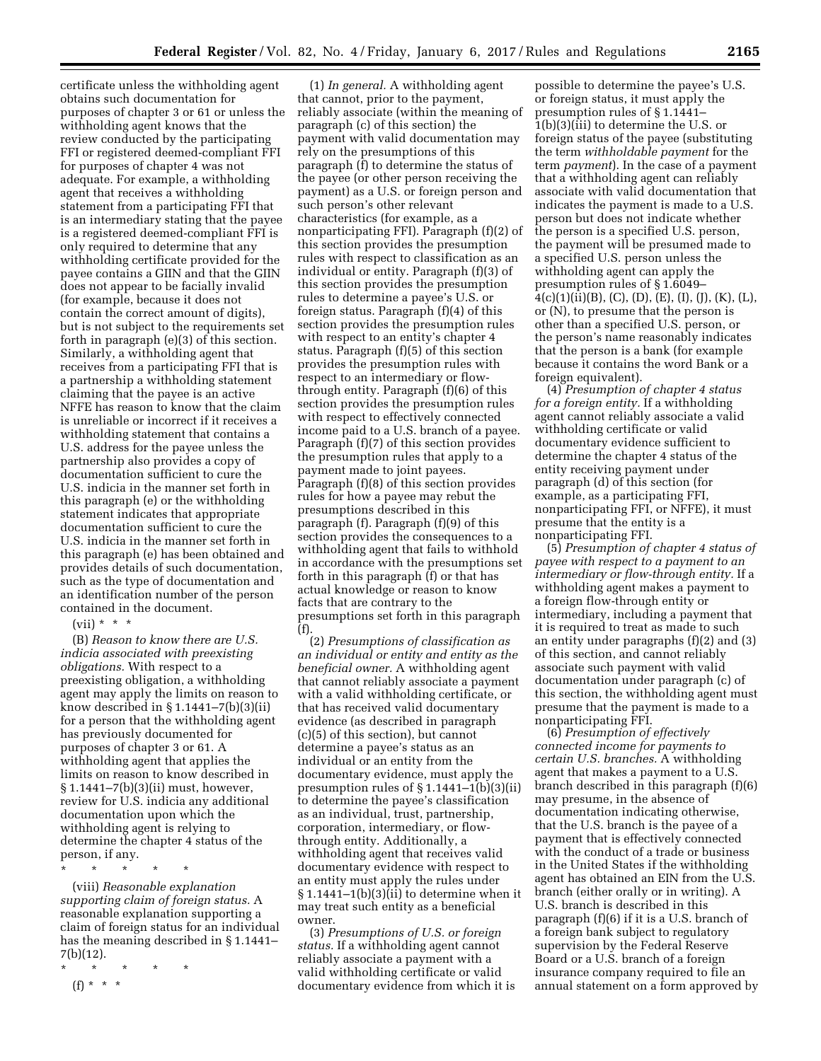certificate unless the withholding agent obtains such documentation for purposes of chapter 3 or 61 or unless the withholding agent knows that the review conducted by the participating FFI or registered deemed-compliant FFI for purposes of chapter 4 was not adequate. For example, a withholding agent that receives a withholding statement from a participating FFI that is an intermediary stating that the payee is a registered deemed-compliant FFI is only required to determine that any withholding certificate provided for the payee contains a GIIN and that the GIIN does not appear to be facially invalid (for example, because it does not contain the correct amount of digits), but is not subject to the requirements set forth in paragraph (e)(3) of this section. Similarly, a withholding agent that receives from a participating FFI that is a partnership a withholding statement claiming that the payee is an active NFFE has reason to know that the claim is unreliable or incorrect if it receives a withholding statement that contains a U.S. address for the payee unless the partnership also provides a copy of documentation sufficient to cure the U.S. indicia in the manner set forth in this paragraph (e) or the withholding statement indicates that appropriate documentation sufficient to cure the U.S. indicia in the manner set forth in this paragraph (e) has been obtained and provides details of such documentation, such as the type of documentation and an identification number of the person contained in the document.

# $(vii) * * * *$

(B) *Reason to know there are U.S. indicia associated with preexisting obligations.* With respect to a preexisting obligation, a withholding agent may apply the limits on reason to know described in § 1.1441–7(b)(3)(ii) for a person that the withholding agent has previously documented for purposes of chapter 3 or 61. A withholding agent that applies the limits on reason to know described in § 1.1441–7(b)(3)(ii) must, however, review for U.S. indicia any additional documentation upon which the withholding agent is relying to determine the chapter 4 status of the person, if any.

\* \* \* \* \*

(viii) *Reasonable explanation supporting claim of foreign status.* A reasonable explanation supporting a claim of foreign status for an individual has the meaning described in § 1.1441– 7(b)(12).

\* \* \* \* \* (f) \* \* \*

(1) *In general.* A withholding agent that cannot, prior to the payment, reliably associate (within the meaning of paragraph (c) of this section) the payment with valid documentation may rely on the presumptions of this paragraph (f) to determine the status of the payee (or other person receiving the payment) as a U.S. or foreign person and such person's other relevant characteristics (for example, as a nonparticipating FFI). Paragraph (f)(2) of this section provides the presumption rules with respect to classification as an individual or entity. Paragraph (f)(3) of this section provides the presumption rules to determine a payee's U.S. or foreign status. Paragraph (f)(4) of this section provides the presumption rules with respect to an entity's chapter 4 status. Paragraph (f)(5) of this section provides the presumption rules with respect to an intermediary or flowthrough entity. Paragraph (f)(6) of this section provides the presumption rules with respect to effectively connected income paid to a U.S. branch of a payee. Paragraph (f)(7) of this section provides the presumption rules that apply to a payment made to joint payees. Paragraph (f)(8) of this section provides rules for how a payee may rebut the presumptions described in this paragraph (f). Paragraph (f)(9) of this section provides the consequences to a withholding agent that fails to withhold in accordance with the presumptions set forth in this paragraph (f) or that has actual knowledge or reason to know facts that are contrary to the presumptions set forth in this paragraph (f).

(2) *Presumptions of classification as an individual or entity and entity as the beneficial owner.* A withholding agent that cannot reliably associate a payment with a valid withholding certificate, or that has received valid documentary evidence (as described in paragraph (c)(5) of this section), but cannot determine a payee's status as an individual or an entity from the documentary evidence, must apply the presumption rules of  $\S 1.1441-1(b)(3)(ii)$ to determine the payee's classification as an individual, trust, partnership, corporation, intermediary, or flowthrough entity. Additionally, a withholding agent that receives valid documentary evidence with respect to an entity must apply the rules under  $§ 1.1441-1(b)(3)(ii)$  to determine when it may treat such entity as a beneficial owner.

(3) *Presumptions of U.S. or foreign status.* If a withholding agent cannot reliably associate a payment with a valid withholding certificate or valid documentary evidence from which it is

possible to determine the payee's U.S. or foreign status, it must apply the presumption rules of § 1.1441– 1(b)(3)(iii) to determine the U.S. or foreign status of the payee (substituting the term *withholdable payment* for the term *payment*). In the case of a payment that a withholding agent can reliably associate with valid documentation that indicates the payment is made to a U.S. person but does not indicate whether the person is a specified U.S. person, the payment will be presumed made to a specified U.S. person unless the withholding agent can apply the presumption rules of § 1.6049–  $4(c)(1)(ii)(B), (C), (D), (E), (I), (J), (K), (L),$ or (N), to presume that the person is other than a specified U.S. person, or the person's name reasonably indicates that the person is a bank (for example because it contains the word Bank or a foreign equivalent).

(4) *Presumption of chapter 4 status for a foreign entity.* If a withholding agent cannot reliably associate a valid withholding certificate or valid documentary evidence sufficient to determine the chapter 4 status of the entity receiving payment under paragraph (d) of this section (for example, as a participating FFI, nonparticipating FFI, or NFFE), it must presume that the entity is a nonparticipating FFI.

(5) *Presumption of chapter 4 status of payee with respect to a payment to an intermediary or flow-through entity.* If a withholding agent makes a payment to a foreign flow-through entity or intermediary, including a payment that it is required to treat as made to such an entity under paragraphs (f)(2) and (3) of this section, and cannot reliably associate such payment with valid documentation under paragraph (c) of this section, the withholding agent must presume that the payment is made to a nonparticipating FFI.

(6) *Presumption of effectively connected income for payments to certain U.S. branches.* A withholding agent that makes a payment to a U.S. branch described in this paragraph (f)(6) may presume, in the absence of documentation indicating otherwise, that the U.S. branch is the payee of a payment that is effectively connected with the conduct of a trade or business in the United States if the withholding agent has obtained an EIN from the U.S. branch (either orally or in writing). A U.S. branch is described in this paragraph (f)(6) if it is a U.S. branch of a foreign bank subject to regulatory supervision by the Federal Reserve Board or a U.S. branch of a foreign insurance company required to file an annual statement on a form approved by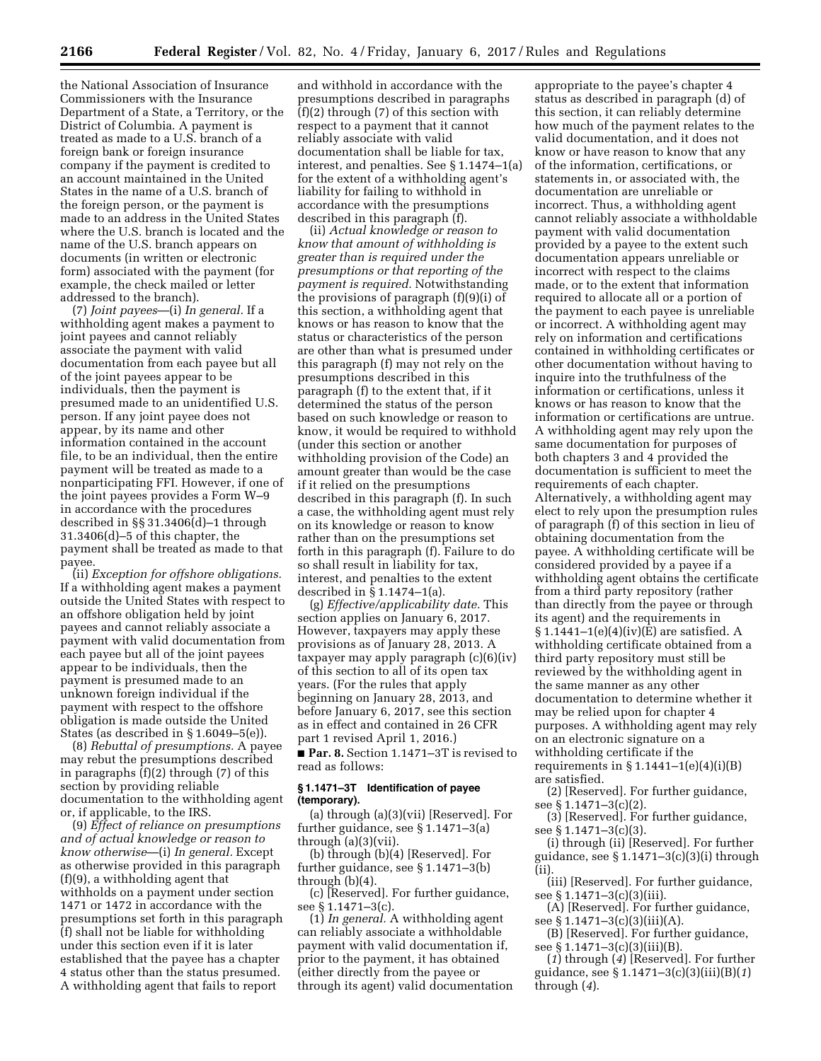the National Association of Insurance Commissioners with the Insurance Department of a State, a Territory, or the District of Columbia. A payment is treated as made to a U.S. branch of a foreign bank or foreign insurance company if the payment is credited to an account maintained in the United States in the name of a U.S. branch of the foreign person, or the payment is made to an address in the United States where the U.S. branch is located and the name of the U.S. branch appears on documents (in written or electronic form) associated with the payment (for example, the check mailed or letter addressed to the branch).

(7) *Joint payees*—(i) *In general.* If a withholding agent makes a payment to joint payees and cannot reliably associate the payment with valid documentation from each payee but all of the joint payees appear to be individuals, then the payment is presumed made to an unidentified U.S. person. If any joint payee does not appear, by its name and other information contained in the account file, to be an individual, then the entire payment will be treated as made to a nonparticipating FFI. However, if one of the joint payees provides a Form W–9 in accordance with the procedures described in §§ 31.3406(d)–1 through 31.3406(d)–5 of this chapter, the payment shall be treated as made to that payee.

(ii) *Exception for offshore obligations.*  If a withholding agent makes a payment outside the United States with respect to an offshore obligation held by joint payees and cannot reliably associate a payment with valid documentation from each payee but all of the joint payees appear to be individuals, then the payment is presumed made to an unknown foreign individual if the payment with respect to the offshore obligation is made outside the United States (as described in § 1.6049–5(e)).

(8) *Rebuttal of presumptions.* A payee may rebut the presumptions described in paragraphs (f)(2) through (7) of this section by providing reliable documentation to the withholding agent or, if applicable, to the IRS.

(9) *Effect of reliance on presumptions and of actual knowledge or reason to know otherwise*—(i) *In general.* Except as otherwise provided in this paragraph (f)(9), a withholding agent that withholds on a payment under section 1471 or 1472 in accordance with the presumptions set forth in this paragraph (f) shall not be liable for withholding under this section even if it is later established that the payee has a chapter 4 status other than the status presumed. A withholding agent that fails to report

and withhold in accordance with the presumptions described in paragraphs (f)(2) through (7) of this section with respect to a payment that it cannot reliably associate with valid documentation shall be liable for tax, interest, and penalties. See § 1.1474–1(a) for the extent of a withholding agent's liability for failing to withhold in accordance with the presumptions described in this paragraph (f).

(ii) *Actual knowledge or reason to know that amount of withholding is greater than is required under the presumptions or that reporting of the payment is required.* Notwithstanding the provisions of paragraph (f)(9)(i) of this section, a withholding agent that knows or has reason to know that the status or characteristics of the person are other than what is presumed under this paragraph (f) may not rely on the presumptions described in this paragraph (f) to the extent that, if it determined the status of the person based on such knowledge or reason to know, it would be required to withhold (under this section or another withholding provision of the Code) an amount greater than would be the case if it relied on the presumptions described in this paragraph (f). In such a case, the withholding agent must rely on its knowledge or reason to know rather than on the presumptions set forth in this paragraph (f). Failure to do so shall result in liability for tax, interest, and penalties to the extent described in § 1.1474–1(a).

(g) *Effective/applicability date.* This section applies on January 6, 2017. However, taxpayers may apply these provisions as of January 28, 2013. A taxpayer may apply paragraph (c)(6)(iv) of this section to all of its open tax years. (For the rules that apply beginning on January 28, 2013, and before January 6, 2017, see this section as in effect and contained in 26 CFR part 1 revised April 1, 2016.) ■ **Par. 8.** Section 1.1471–3T is revised to

read as follows:

# **§ 1.1471–3T Identification of payee (temporary).**

(a) through (a)(3)(vii) [Reserved]. For further guidance, see § 1.1471–3(a) through  $(a)(3)(vii)$ .

(b) through (b)(4) [Reserved]. For further guidance, see § 1.1471–3(b) through (b)(4).

(c) [Reserved]. For further guidance, see § 1.1471–3(c).

(1) *In general.* A withholding agent can reliably associate a withholdable payment with valid documentation if, prior to the payment, it has obtained (either directly from the payee or through its agent) valid documentation appropriate to the payee's chapter 4 status as described in paragraph (d) of this section, it can reliably determine how much of the payment relates to the valid documentation, and it does not know or have reason to know that any of the information, certifications, or statements in, or associated with, the documentation are unreliable or incorrect. Thus, a withholding agent cannot reliably associate a withholdable payment with valid documentation provided by a payee to the extent such documentation appears unreliable or incorrect with respect to the claims made, or to the extent that information required to allocate all or a portion of the payment to each payee is unreliable or incorrect. A withholding agent may rely on information and certifications contained in withholding certificates or other documentation without having to inquire into the truthfulness of the information or certifications, unless it knows or has reason to know that the information or certifications are untrue. A withholding agent may rely upon the same documentation for purposes of both chapters 3 and 4 provided the documentation is sufficient to meet the requirements of each chapter. Alternatively, a withholding agent may elect to rely upon the presumption rules of paragraph (f) of this section in lieu of obtaining documentation from the payee. A withholding certificate will be considered provided by a payee if a withholding agent obtains the certificate from a third party repository (rather than directly from the payee or through its agent) and the requirements in  $§ 1.1441-1(e)(4)(iv)(E)$  are satisfied. A withholding certificate obtained from a third party repository must still be reviewed by the withholding agent in the same manner as any other documentation to determine whether it may be relied upon for chapter 4 purposes. A withholding agent may rely on an electronic signature on a withholding certificate if the requirements in  $\S 1.1441-1(e)(4)(i)(B)$ are satisfied.

(2) [Reserved]. For further guidance, see § 1.1471–3(c)(2).

(3) [Reserved]. For further guidance, see § 1.1471–3(c)(3).

(i) through (ii) [Reserved]. For further guidance, see § 1.1471–3(c)(3)(i) through (ii).

(iii) [Reserved]. For further guidance, see § 1.1471–3(c)(3)(iii).

(A) [Reserved]. For further guidance, see § 1.1471–3(c)(3)(iii)(A).

(B) [Reserved]. For further guidance, see § 1.1471–3(c)(3)(iii)(B).

(*1*) through (*4*) [Reserved]. For further guidance, see § 1.1471–3(c)(3)(iii)(B)(*1*) through (*4*).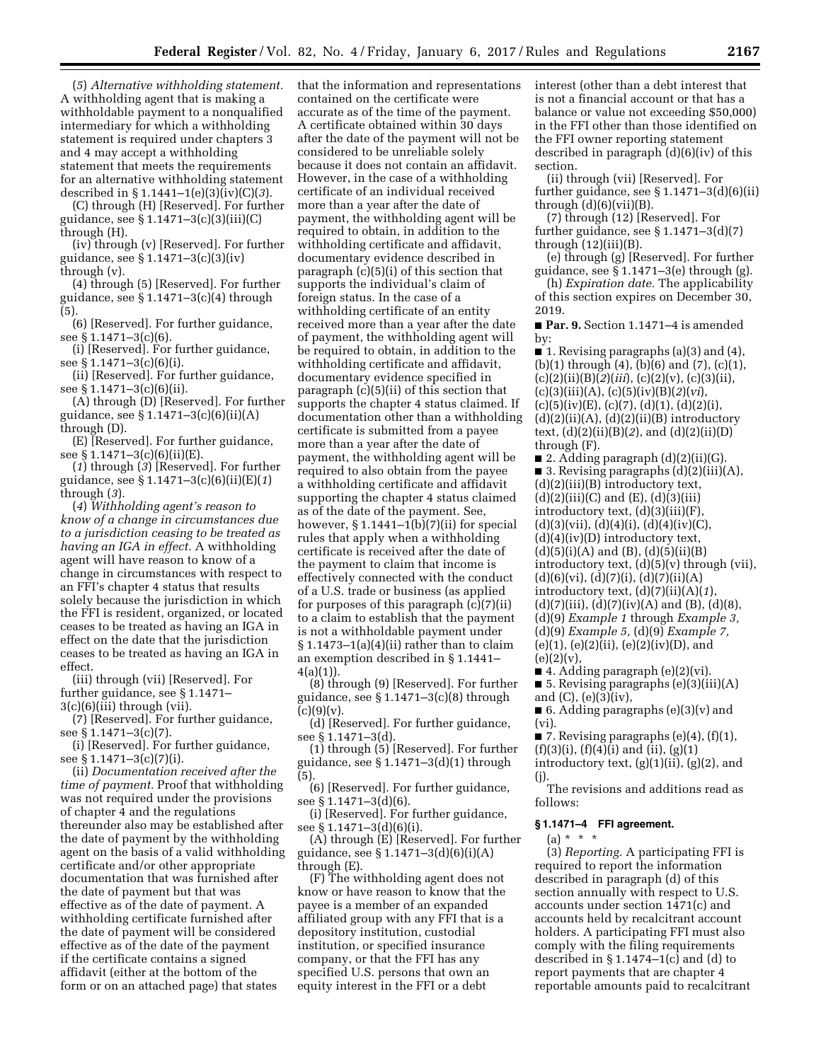(*5*) *Alternative withholding statement.*  A withholding agent that is making a withholdable payment to a nonqualified intermediary for which a withholding statement is required under chapters 3 and 4 may accept a withholding statement that meets the requirements for an alternative withholding statement described in § 1.1441–1(e)(3)(iv)(C)(*3*).

(C) through (H) [Reserved]. For further guidance, see § 1.1471–3(c)(3)(iii)(C) through (H).

(iv) through (v) [Reserved]. For further guidance, see § 1.1471–3(c)(3)(iv) through (v).

(4) through (5) [Reserved]. For further guidance, see § 1.1471–3(c)(4) through (5).

(6) [Reserved]. For further guidance, see § 1.1471–3(c)(6).

(i) [Reserved]. For further guidance, see § 1.1471–3(c)(6)(i).

(ii) [Reserved]. For further guidance, see § 1.1471–3(c)(6)(ii).

(A) through (D) [Reserved]. For further guidance, see § 1.1471–3(c)(6)(ii)(A) through (D).

(E) [Reserved]. For further guidance, see § 1.1471–3(c)(6)(ii)(E).

(*1*) through (*3*) [Reserved]. For further guidance, see § 1.1471–3(c)(6)(ii)(E)(*1*) through (*3*).

(*4*) *Withholding agent's reason to know of a change in circumstances due to a jurisdiction ceasing to be treated as having an IGA in effect.* A withholding agent will have reason to know of a change in circumstances with respect to an FFI's chapter 4 status that results solely because the jurisdiction in which the FFI is resident, organized, or located ceases to be treated as having an IGA in effect on the date that the jurisdiction ceases to be treated as having an IGA in effect.

(iii) through (vii) [Reserved]. For further guidance, see § 1.1471–

3(c)(6)(iii) through (vii).

(7) [Reserved]. For further guidance, see § 1.1471–3(c)(7).

(i) [Reserved]. For further guidance, see § 1.1471–3(c)(7)(i).

(ii) *Documentation received after the time of payment.* Proof that withholding was not required under the provisions of chapter 4 and the regulations thereunder also may be established after the date of payment by the withholding agent on the basis of a valid withholding certificate and/or other appropriate documentation that was furnished after the date of payment but that was effective as of the date of payment. A withholding certificate furnished after the date of payment will be considered effective as of the date of the payment if the certificate contains a signed affidavit (either at the bottom of the form or on an attached page) that states

that the information and representations contained on the certificate were accurate as of the time of the payment. A certificate obtained within 30 days after the date of the payment will not be considered to be unreliable solely because it does not contain an affidavit. However, in the case of a withholding certificate of an individual received more than a year after the date of payment, the withholding agent will be required to obtain, in addition to the withholding certificate and affidavit, documentary evidence described in paragraph (c)(5)(i) of this section that supports the individual's claim of foreign status. In the case of a withholding certificate of an entity received more than a year after the date of payment, the withholding agent will be required to obtain, in addition to the withholding certificate and affidavit, documentary evidence specified in paragraph (c)(5)(ii) of this section that supports the chapter 4 status claimed. If documentation other than a withholding certificate is submitted from a payee more than a year after the date of payment, the withholding agent will be required to also obtain from the payee a withholding certificate and affidavit supporting the chapter 4 status claimed as of the date of the payment. See, however,  $§ 1.1441-1(b)(7)(ii)$  for special rules that apply when a withholding certificate is received after the date of the payment to claim that income is effectively connected with the conduct of a U.S. trade or business (as applied for purposes of this paragraph (c)(7)(ii) to a claim to establish that the payment is not a withholdable payment under § 1.1473–1(a)(4)(ii) rather than to claim an exemption described in § 1.1441– 4(a)(1)).

(8) through (9) [Reserved]. For further guidance, see § 1.1471–3(c)(8) through  $(c)(9)(v).$ 

(d) [Reserved]. For further guidance, see § 1.1471–3(d).

(1) through (5) [Reserved]. For further guidance, see § 1.1471–3(d)(1) through (5).

(6) [Reserved]. For further guidance, see § 1.1471–3(d)(6).

(i) [Reserved]. For further guidance, see § 1.1471–3(d)(6)(i).

(A) through (E) [Reserved]. For further guidance, see § 1.1471–3(d)(6)(i)(A) through (E).

(F) The withholding agent does not know or have reason to know that the payee is a member of an expanded affiliated group with any FFI that is a depository institution, custodial institution, or specified insurance company, or that the FFI has any specified U.S. persons that own an equity interest in the FFI or a debt

interest (other than a debt interest that is not a financial account or that has a balance or value not exceeding \$50,000) in the FFI other than those identified on the FFI owner reporting statement described in paragraph (d)(6)(iv) of this section.

(ii) through (vii) [Reserved]. For further guidance, see § 1.1471–3(d)(6)(ii) through  $(d)(6)(vii)(B)$ .

(7) through (12) [Reserved]. For further guidance, see  $\S 1.1471 - 3(d)(7)$ through  $(12)(iii)(B)$ .

(e) through (g) [Reserved]. For further guidance, see § 1.1471–3(e) through (g).

(h) *Expiration date.* The applicability of this section expires on December 30, 2019.

■ **Par. 9.** Section 1.1471–4 is amended by:

■ 1. Revising paragraphs (a)(3) and (4), (b)(1) through (4), (b)(6) and (7), (c)(1), (c)(2)(ii)(B)(*2*)(*iii*), (c)(2)(v), (c)(3)(ii), (c)(3)(iii)(A), (c)(5)(iv)(B)(*2*)(*vi*),  $(c)(5)(iv)(E), (c)(7), (d)(1), (d)(2)(i),$  $(d)(2)(ii)(A), (d)(2)(ii)(B)$  introductory text, (d)(2)(ii)(B)(*2*), and (d)(2)(ii)(D) through (F).

■ 2. Adding paragraph (d)(2)(ii)(G). ■ 3. Revising paragraphs  $(d)(2)(iii)(A)$ , (d)(2)(iii)(B) introductory text,  $(d)(2)(iii)(C)$  and  $(E)$ ,  $(d)(3)(iii)$ introductory text, (d)(3)(iii)(F),  $(d)(3)(vii), (d)(4)(i), (d)(4)(iv)(C),$ (d)(4)(iv)(D) introductory text,  $(d)(5)(i)(A)$  and  $(B)$ ,  $(d)(5)(ii)(B)$ introductory text, (d)(5)(v) through (vii),  $(d)(6)(vi), (d)(7)(i), (d)(7)(ii)(A)$ introductory text, (d)(7)(ii)(A)(*1*),  $(d)(7)(iii)$ ,  $(d)(7)(iv)(A)$  and  $(B)$ ,  $(d)(8)$ , (d)(9) *Example 1* through *Example 3,*  (d)(9) *Example 5,* (d)(9) *Example 7,*   $(e)(1)$ ,  $(e)(2)(ii)$ ,  $(e)(2)(iv)(D)$ , and  $(e)(2)(v),$ 

■ 4. Adding paragraph (e)(2)(vi). ■ 5. Revising paragraphs  $(e)(3)(iii)(A)$ and  $(C)$ ,  $(e)(3)(iv)$ ,

■ 6. Adding paragraphs  $(e)(3)(v)$  and (vi).

■ 7. Revising paragraphs (e)(4), (f)(1),  $(f)(3)(i)$ ,  $(f)(4)(i)$  and  $(ii)$ ,  $(g)(1)$ introductory text,  $(g)(1)(ii)$ ,  $(g)(2)$ , and (j).

The revisions and additions read as follows:

# **§ 1.1471–4 FFI agreement.**

 $(a) * * * *$ 

(3) *Reporting.* A participating FFI is required to report the information described in paragraph (d) of this section annually with respect to U.S. accounts under section 1471(c) and accounts held by recalcitrant account holders. A participating FFI must also comply with the filing requirements described in  $\S 1.1474-1(c)$  and (d) to report payments that are chapter 4 reportable amounts paid to recalcitrant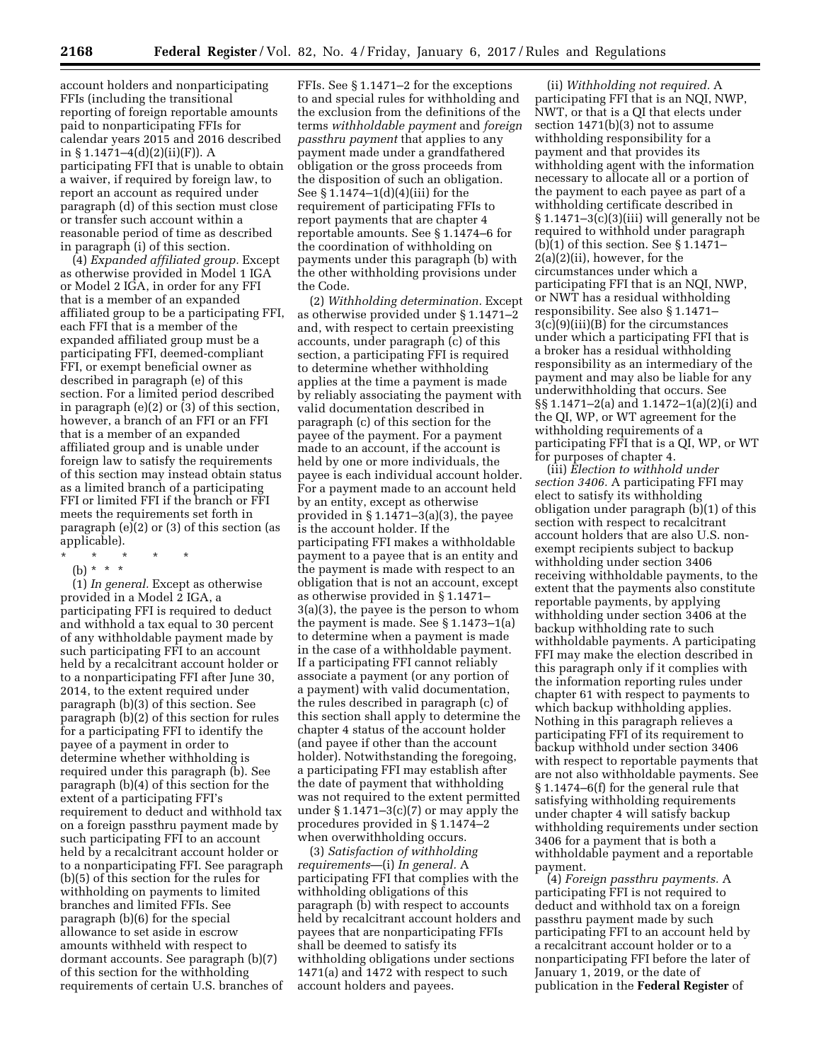account holders and nonparticipating FFIs (including the transitional reporting of foreign reportable amounts paid to nonparticipating FFIs for calendar years 2015 and 2016 described in § 1.1471–4(d)(2)(ii)(F)). A participating FFI that is unable to obtain a waiver, if required by foreign law, to report an account as required under paragraph (d) of this section must close or transfer such account within a reasonable period of time as described in paragraph (i) of this section.

(4) *Expanded affiliated group.* Except as otherwise provided in Model 1 IGA or Model 2 IGA, in order for any FFI that is a member of an expanded affiliated group to be a participating FFI, each FFI that is a member of the expanded affiliated group must be a participating FFI, deemed-compliant FFI, or exempt beneficial owner as described in paragraph (e) of this section. For a limited period described in paragraph (e)(2) or (3) of this section, however, a branch of an FFI or an FFI that is a member of an expanded affiliated group and is unable under foreign law to satisfy the requirements of this section may instead obtain status as a limited branch of a participating FFI or limited FFI if the branch or FFI meets the requirements set forth in paragraph (e)(2) or (3) of this section (as applicable).

\* \* \* \* \* (b) \* \* \*

(1) *In general.* Except as otherwise provided in a Model 2 IGA, a participating FFI is required to deduct and withhold a tax equal to 30 percent of any withholdable payment made by such participating FFI to an account held by a recalcitrant account holder or to a nonparticipating FFI after June 30, 2014, to the extent required under paragraph (b)(3) of this section. See paragraph (b)(2) of this section for rules for a participating FFI to identify the payee of a payment in order to determine whether withholding is required under this paragraph (b). See paragraph (b)(4) of this section for the extent of a participating FFI's requirement to deduct and withhold tax on a foreign passthru payment made by such participating FFI to an account held by a recalcitrant account holder or to a nonparticipating FFI. See paragraph (b)(5) of this section for the rules for withholding on payments to limited branches and limited FFIs. See paragraph (b)(6) for the special allowance to set aside in escrow amounts withheld with respect to dormant accounts. See paragraph (b)(7) of this section for the withholding requirements of certain U.S. branches of

FFIs. See § 1.1471–2 for the exceptions to and special rules for withholding and the exclusion from the definitions of the terms *withholdable payment* and *foreign passthru payment* that applies to any payment made under a grandfathered obligation or the gross proceeds from the disposition of such an obligation. See § 1.1474–1(d)(4)(iii) for the requirement of participating FFIs to report payments that are chapter 4 reportable amounts. See § 1.1474–6 for the coordination of withholding on payments under this paragraph (b) with the other withholding provisions under the Code.

(2) *Withholding determination.* Except as otherwise provided under § 1.1471–2 and, with respect to certain preexisting accounts, under paragraph (c) of this section, a participating FFI is required to determine whether withholding applies at the time a payment is made by reliably associating the payment with valid documentation described in paragraph (c) of this section for the payee of the payment. For a payment made to an account, if the account is held by one or more individuals, the payee is each individual account holder. For a payment made to an account held by an entity, except as otherwise provided in § 1.1471–3(a)(3), the payee is the account holder. If the participating FFI makes a withholdable payment to a payee that is an entity and the payment is made with respect to an obligation that is not an account, except as otherwise provided in § 1.1471– 3(a)(3), the payee is the person to whom the payment is made. See § 1.1473–1(a) to determine when a payment is made in the case of a withholdable payment. If a participating FFI cannot reliably associate a payment (or any portion of a payment) with valid documentation, the rules described in paragraph (c) of this section shall apply to determine the chapter 4 status of the account holder (and payee if other than the account holder). Notwithstanding the foregoing, a participating FFI may establish after the date of payment that withholding was not required to the extent permitted under  $\S 1.1471-3(c)(7)$  or may apply the procedures provided in § 1.1474–2 when overwithholding occurs.

(3) *Satisfaction of withholding requirements*—(i) *In general.* A participating FFI that complies with the withholding obligations of this paragraph (b) with respect to accounts held by recalcitrant account holders and payees that are nonparticipating FFIs shall be deemed to satisfy its withholding obligations under sections 1471(a) and 1472 with respect to such account holders and payees.

(ii) *Withholding not required.* A participating FFI that is an NQI, NWP, NWT, or that is a QI that elects under section 1471(b)(3) not to assume withholding responsibility for a payment and that provides its withholding agent with the information necessary to allocate all or a portion of the payment to each payee as part of a withholding certificate described in § 1.1471–3(c)(3)(iii) will generally not be required to withhold under paragraph (b)(1) of this section. See § 1.1471– 2(a)(2)(ii), however, for the circumstances under which a participating FFI that is an NQI, NWP, or NWT has a residual withholding responsibility. See also § 1.1471– 3(c)(9)(iii)(B) for the circumstances under which a participating FFI that is a broker has a residual withholding responsibility as an intermediary of the payment and may also be liable for any underwithholding that occurs. See §§ 1.1471–2(a) and 1.1472–1(a)(2)(i) and the QI, WP, or WT agreement for the withholding requirements of a participating FFI that is a QI, WP, or WT for purposes of chapter 4.

(iii) *Election to withhold under section 3406.* A participating FFI may elect to satisfy its withholding obligation under paragraph (b)(1) of this section with respect to recalcitrant account holders that are also U.S. nonexempt recipients subject to backup withholding under section 3406 receiving withholdable payments, to the extent that the payments also constitute reportable payments, by applying withholding under section 3406 at the backup withholding rate to such withholdable payments. A participating FFI may make the election described in this paragraph only if it complies with the information reporting rules under chapter 61 with respect to payments to which backup withholding applies. Nothing in this paragraph relieves a participating FFI of its requirement to backup withhold under section 3406 with respect to reportable payments that are not also withholdable payments. See § 1.1474–6(f) for the general rule that satisfying withholding requirements under chapter 4 will satisfy backup withholding requirements under section 3406 for a payment that is both a withholdable payment and a reportable payment.

(4) *Foreign passthru payments.* A participating FFI is not required to deduct and withhold tax on a foreign passthru payment made by such participating FFI to an account held by a recalcitrant account holder or to a nonparticipating FFI before the later of January 1, 2019, or the date of publication in the **Federal Register** of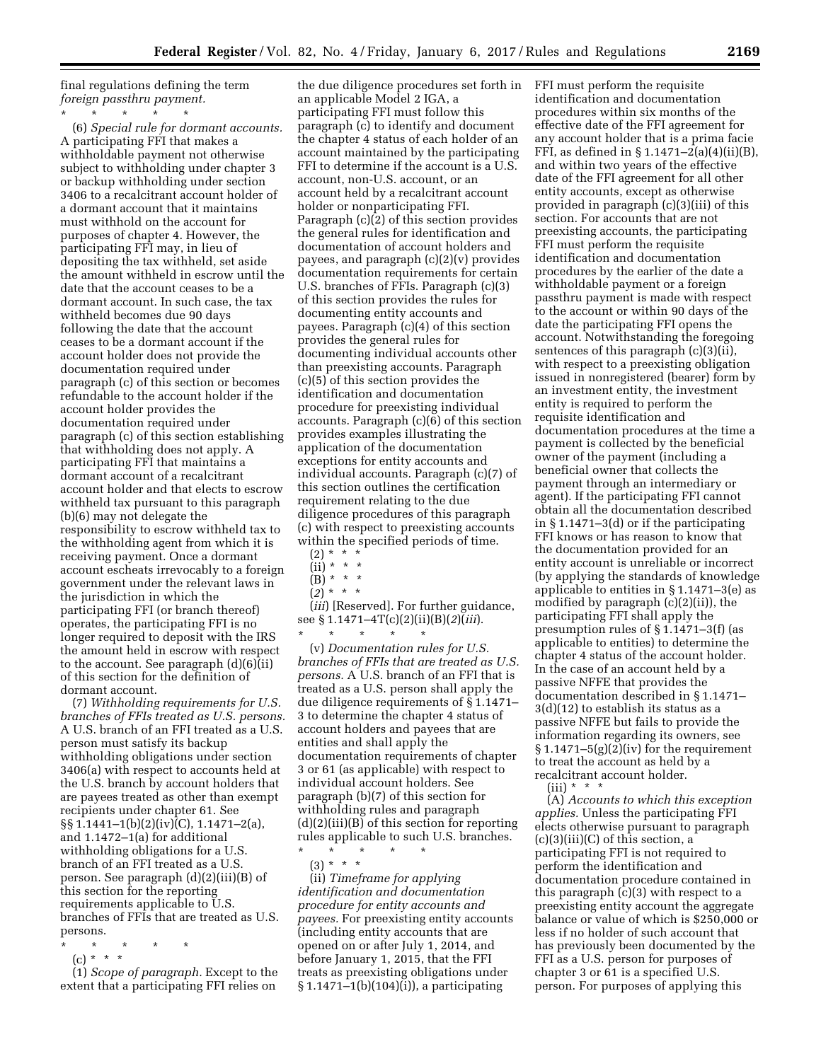final regulations defining the term *foreign passthru payment.* 

\* \* \* \* \* (6) *Special rule for dormant accounts.*  A participating FFI that makes a withholdable payment not otherwise subject to withholding under chapter 3 or backup withholding under section 3406 to a recalcitrant account holder of a dormant account that it maintains must withhold on the account for purposes of chapter 4. However, the participating FFI may, in lieu of depositing the tax withheld, set aside the amount withheld in escrow until the date that the account ceases to be a dormant account. In such case, the tax withheld becomes due 90 days following the date that the account ceases to be a dormant account if the account holder does not provide the documentation required under paragraph (c) of this section or becomes refundable to the account holder if the account holder provides the documentation required under paragraph (c) of this section establishing that withholding does not apply. A participating FFI that maintains a dormant account of a recalcitrant account holder and that elects to escrow withheld tax pursuant to this paragraph (b)(6) may not delegate the responsibility to escrow withheld tax to the withholding agent from which it is receiving payment. Once a dormant account escheats irrevocably to a foreign government under the relevant laws in the jurisdiction in which the participating FFI (or branch thereof) operates, the participating FFI is no longer required to deposit with the IRS the amount held in escrow with respect to the account. See paragraph (d)(6)(ii) of this section for the definition of dormant account.

(7) *Withholding requirements for U.S. branches of FFIs treated as U.S. persons.*  A U.S. branch of an FFI treated as a U.S. person must satisfy its backup withholding obligations under section 3406(a) with respect to accounts held at the U.S. branch by account holders that are payees treated as other than exempt recipients under chapter 61. See §§ 1.1441–1(b)(2)(iv)(C), 1.1471–2(a), and 1.1472–1(a) for additional withholding obligations for a U.S. branch of an FFI treated as a U.S. person. See paragraph (d)(2)(iii)(B) of this section for the reporting requirements applicable to U.S. branches of FFIs that are treated as U.S. persons.

- \* \* \* \* \*
- (c) \* \* \*

(1) *Scope of paragraph.* Except to the extent that a participating FFI relies on

the due diligence procedures set forth in an applicable Model 2 IGA, a participating FFI must follow this paragraph (c) to identify and document the chapter 4 status of each holder of an account maintained by the participating FFI to determine if the account is a U.S. account, non-U.S. account, or an account held by a recalcitrant account holder or nonparticipating FFI. Paragraph (c)(2) of this section provides the general rules for identification and documentation of account holders and payees, and paragraph (c)(2)(v) provides documentation requirements for certain U.S. branches of FFIs. Paragraph (c)(3) of this section provides the rules for documenting entity accounts and payees. Paragraph (c)(4) of this section provides the general rules for documenting individual accounts other than preexisting accounts. Paragraph (c)(5) of this section provides the identification and documentation procedure for preexisting individual accounts. Paragraph (c)(6) of this section provides examples illustrating the application of the documentation exceptions for entity accounts and individual accounts. Paragraph (c)(7) of this section outlines the certification requirement relating to the due diligence procedures of this paragraph (c) with respect to preexisting accounts within the specified periods of time.

- $(2)$  \* \* \*  $(ii)* **$
- $(B) * * * *$
- $(2)^{x}$  \* \* \*

(*iii*) [Reserved]. For further guidance, see § 1.1471–4T(c)(2)(ii)(B)(*2*)(*iii*).  $\star$   $\star$   $\star$ 

(v) *Documentation rules for U.S. branches of FFIs that are treated as U.S. persons.* A U.S. branch of an FFI that is treated as a U.S. person shall apply the due diligence requirements of § 1.1471– 3 to determine the chapter 4 status of account holders and payees that are entities and shall apply the documentation requirements of chapter 3 or 61 (as applicable) with respect to individual account holders. See paragraph (b)(7) of this section for withholding rules and paragraph (d)(2)(iii)(B) of this section for reporting rules applicable to such U.S. branches.

\* \* \* \* \*  $(3) * * * *$ 

(ii) *Timeframe for applying identification and documentation procedure for entity accounts and payees.* For preexisting entity accounts (including entity accounts that are opened on or after July 1, 2014, and before January 1, 2015, that the FFI treats as preexisting obligations under § 1.1471–1(b)(104)(i)), a participating

FFI must perform the requisite identification and documentation procedures within six months of the effective date of the FFI agreement for any account holder that is a prima facie FFI, as defined in  $\S 1.1471 - 2(a)(4)(ii)(B)$ , and within two years of the effective date of the FFI agreement for all other entity accounts, except as otherwise provided in paragraph (c)(3)(iii) of this section. For accounts that are not preexisting accounts, the participating FFI must perform the requisite identification and documentation procedures by the earlier of the date a withholdable payment or a foreign passthru payment is made with respect to the account or within 90 days of the date the participating FFI opens the account. Notwithstanding the foregoing sentences of this paragraph (c)(3)(ii), with respect to a preexisting obligation issued in nonregistered (bearer) form by an investment entity, the investment entity is required to perform the requisite identification and documentation procedures at the time a payment is collected by the beneficial owner of the payment (including a beneficial owner that collects the payment through an intermediary or agent). If the participating FFI cannot obtain all the documentation described in § 1.1471–3(d) or if the participating FFI knows or has reason to know that the documentation provided for an entity account is unreliable or incorrect (by applying the standards of knowledge applicable to entities in § 1.1471–3(e) as modified by paragraph (c)(2)(ii)), the participating FFI shall apply the presumption rules of § 1.1471–3(f) (as applicable to entities) to determine the chapter 4 status of the account holder. In the case of an account held by a passive NFFE that provides the documentation described in § 1.1471– 3(d)(12) to establish its status as a passive NFFE but fails to provide the information regarding its owners, see  $§ 1.1471-5(g)(2)(iv)$  for the requirement to treat the account as held by a recalcitrant account holder.

 $(iii) * * * *$ 

(A) *Accounts to which this exception applies.* Unless the participating FFI elects otherwise pursuant to paragraph (c)(3)(iii)(C) of this section, a participating FFI is not required to perform the identification and documentation procedure contained in this paragraph (c)(3) with respect to a preexisting entity account the aggregate balance or value of which is \$250,000 or less if no holder of such account that has previously been documented by the FFI as a U.S. person for purposes of chapter 3 or 61 is a specified U.S. person. For purposes of applying this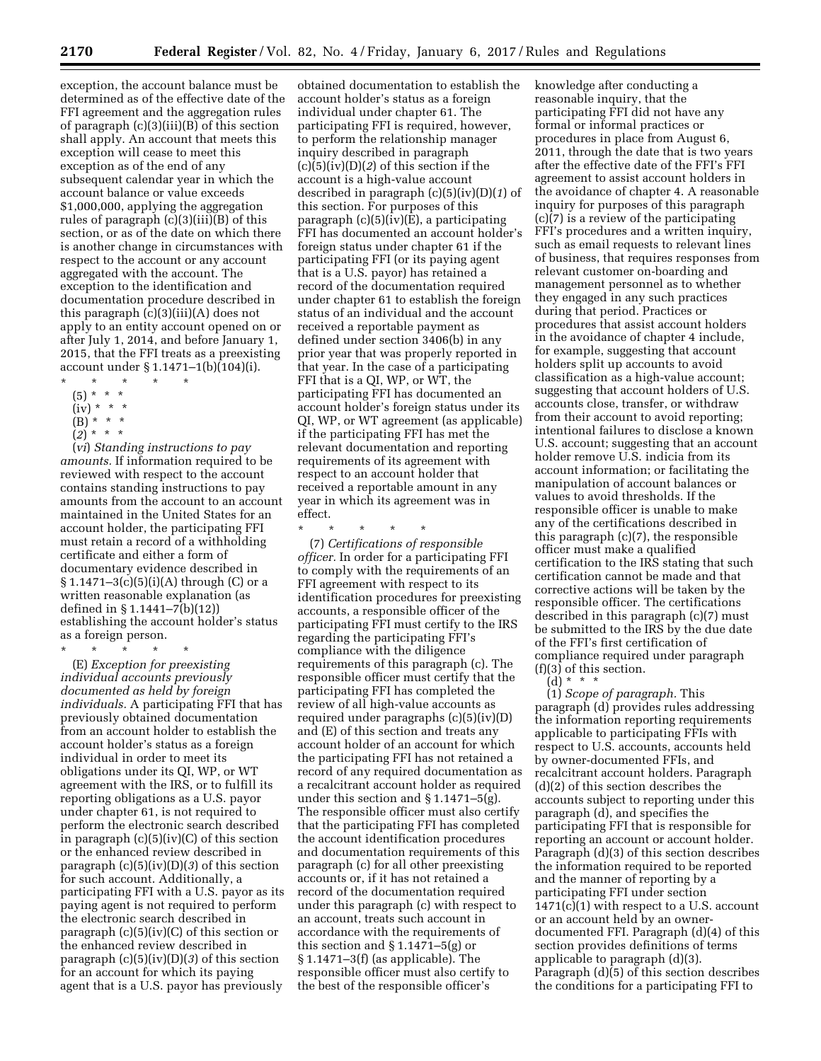exception, the account balance must be determined as of the effective date of the FFI agreement and the aggregation rules of paragraph (c)(3)(iii)(B) of this section shall apply. An account that meets this exception will cease to meet this exception as of the end of any subsequent calendar year in which the account balance or value exceeds \$1,000,000, applying the aggregation rules of paragraph  $(c)(3)(iii)(B)$  of this section, or as of the date on which there is another change in circumstances with respect to the account or any account aggregated with the account. The exception to the identification and documentation procedure described in this paragraph (c)(3)(iii)(A) does not apply to an entity account opened on or after July 1, 2014, and before January 1, 2015, that the FFI treats as a preexisting account under § 1.1471–1(b)(104)(i).

- \* \* \* \* \* (5) \* \* \*
	- $(iv) * * * *$
	- $(B) * * * *$
	- $(2)^{*}$  \* \*

(*vi*) *Standing instructions to pay amounts.* If information required to be reviewed with respect to the account contains standing instructions to pay amounts from the account to an account maintained in the United States for an account holder, the participating FFI must retain a record of a withholding certificate and either a form of documentary evidence described in § 1.1471–3(c)(5)(i)(A) through (C) or a written reasonable explanation (as defined in § 1.1441–7(b)(12)) establishing the account holder's status as a foreign person.

\* \* \* \* \*

(E) *Exception for preexisting individual accounts previously documented as held by foreign individuals.* A participating FFI that has previously obtained documentation from an account holder to establish the account holder's status as a foreign individual in order to meet its obligations under its QI, WP, or WT agreement with the IRS, or to fulfill its reporting obligations as a U.S. payor under chapter 61, is not required to perform the electronic search described in paragraph  $(c)(5)(iv)(C)$  of this section or the enhanced review described in paragraph (c)(5)(iv)(D)(*3*) of this section for such account. Additionally, a participating FFI with a U.S. payor as its paying agent is not required to perform the electronic search described in paragraph (c)(5)(iv)(C) of this section or the enhanced review described in paragraph (c)(5)(iv)(D)(*3*) of this section for an account for which its paying agent that is a U.S. payor has previously

obtained documentation to establish the account holder's status as a foreign individual under chapter 61. The participating FFI is required, however, to perform the relationship manager inquiry described in paragraph (c)(5)(iv)(D)(*2*) of this section if the account is a high-value account described in paragraph (c)(5)(iv)(D)(*1*) of this section. For purposes of this paragraph (c)(5)(iv)(E), a participating FFI has documented an account holder's foreign status under chapter 61 if the participating FFI (or its paying agent that is a U.S. payor) has retained a record of the documentation required under chapter 61 to establish the foreign status of an individual and the account received a reportable payment as defined under section 3406(b) in any prior year that was properly reported in that year. In the case of a participating FFI that is a QI, WP, or WT, the participating FFI has documented an account holder's foreign status under its QI, WP, or WT agreement (as applicable) if the participating FFI has met the relevant documentation and reporting requirements of its agreement with respect to an account holder that received a reportable amount in any year in which its agreement was in effect.

\* \* \* \* \* (7) *Certifications of responsible officer.* In order for a participating FFI to comply with the requirements of an FFI agreement with respect to its identification procedures for preexisting accounts, a responsible officer of the participating FFI must certify to the IRS regarding the participating FFI's compliance with the diligence requirements of this paragraph (c). The responsible officer must certify that the participating FFI has completed the review of all high-value accounts as required under paragraphs (c)(5)(iv)(D) and (E) of this section and treats any account holder of an account for which the participating FFI has not retained a record of any required documentation as a recalcitrant account holder as required under this section and § 1.1471–5(g). The responsible officer must also certify that the participating FFI has completed the account identification procedures and documentation requirements of this paragraph (c) for all other preexisting accounts or, if it has not retained a record of the documentation required under this paragraph (c) with respect to an account, treats such account in accordance with the requirements of this section and § 1.1471–5(g) or § 1.1471–3(f) (as applicable). The responsible officer must also certify to the best of the responsible officer's

knowledge after conducting a reasonable inquiry, that the participating FFI did not have any formal or informal practices or procedures in place from August 6, 2011, through the date that is two years after the effective date of the FFI's FFI agreement to assist account holders in the avoidance of chapter 4. A reasonable inquiry for purposes of this paragraph (c)(7) is a review of the participating FFI's procedures and a written inquiry, such as email requests to relevant lines of business, that requires responses from relevant customer on-boarding and management personnel as to whether they engaged in any such practices during that period. Practices or procedures that assist account holders in the avoidance of chapter 4 include, for example, suggesting that account holders split up accounts to avoid classification as a high-value account; suggesting that account holders of U.S. accounts close, transfer, or withdraw from their account to avoid reporting; intentional failures to disclose a known U.S. account; suggesting that an account holder remove U.S. indicia from its account information; or facilitating the manipulation of account balances or values to avoid thresholds. If the responsible officer is unable to make any of the certifications described in this paragraph (c)(7), the responsible officer must make a qualified certification to the IRS stating that such certification cannot be made and that corrective actions will be taken by the responsible officer. The certifications described in this paragraph (c)(7) must be submitted to the IRS by the due date of the FFI's first certification of compliance required under paragraph (f)(3) of this section.

(d) \* \* \*

(1) *Scope of paragraph.* This paragraph (d) provides rules addressing the information reporting requirements applicable to participating FFIs with respect to U.S. accounts, accounts held by owner-documented FFIs, and recalcitrant account holders. Paragraph (d)(2) of this section describes the accounts subject to reporting under this paragraph (d), and specifies the participating FFI that is responsible for reporting an account or account holder. Paragraph (d)(3) of this section describes the information required to be reported and the manner of reporting by a participating FFI under section  $1471(c)(1)$  with respect to a U.S. account or an account held by an ownerdocumented FFI. Paragraph (d)(4) of this section provides definitions of terms applicable to paragraph (d)(3). Paragraph  $(d)(5)$  of this section describes the conditions for a participating FFI to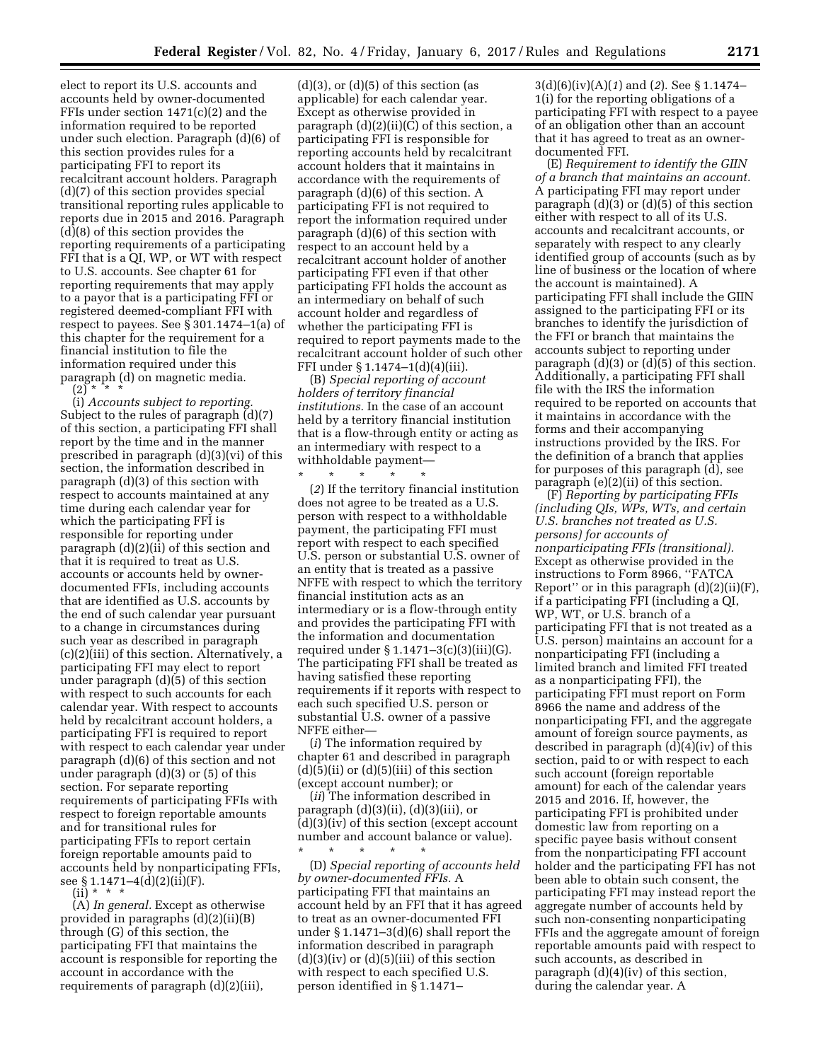elect to report its U.S. accounts and accounts held by owner-documented FFIs under section 1471(c)(2) and the information required to be reported under such election. Paragraph (d)(6) of this section provides rules for a participating FFI to report its recalcitrant account holders. Paragraph (d)(7) of this section provides special transitional reporting rules applicable to reports due in 2015 and 2016. Paragraph (d)(8) of this section provides the reporting requirements of a participating FFI that is a QI, WP, or WT with respect to U.S. accounts. See chapter 61 for reporting requirements that may apply to a payor that is a participating FFI or registered deemed-compliant FFI with respect to payees. See § 301.1474–1(a) of this chapter for the requirement for a financial institution to file the information required under this paragraph (d) on magnetic media.  $(2) *$ 

(i) *Accounts subject to reporting.*  Subject to the rules of paragraph (d)(7) of this section, a participating FFI shall report by the time and in the manner prescribed in paragraph (d)(3)(vi) of this section, the information described in paragraph (d)(3) of this section with respect to accounts maintained at any time during each calendar year for which the participating FFI is responsible for reporting under paragraph (d)(2)(ii) of this section and that it is required to treat as U.S. accounts or accounts held by ownerdocumented FFIs, including accounts that are identified as U.S. accounts by the end of such calendar year pursuant to a change in circumstances during such year as described in paragraph (c)(2)(iii) of this section. Alternatively, a participating FFI may elect to report under paragraph (d)(5) of this section with respect to such accounts for each calendar year. With respect to accounts held by recalcitrant account holders, a participating FFI is required to report with respect to each calendar year under paragraph (d)(6) of this section and not under paragraph (d)(3) or (5) of this section. For separate reporting requirements of participating FFIs with respect to foreign reportable amounts and for transitional rules for participating FFIs to report certain foreign reportable amounts paid to accounts held by nonparticipating FFIs, see § 1.1471–4(d)(2)(ii)(F).

(ii) \* \* \*

(A) *In general.* Except as otherwise provided in paragraphs (d)(2)(ii)(B) through (G) of this section, the participating FFI that maintains the account is responsible for reporting the account in accordance with the requirements of paragraph (d)(2)(iii),

 $(d)(3)$ , or  $(d)(5)$  of this section (as applicable) for each calendar year. Except as otherwise provided in paragraph (d)(2)(ii)(C) of this section, a participating FFI is responsible for reporting accounts held by recalcitrant account holders that it maintains in accordance with the requirements of paragraph (d)(6) of this section. A participating FFI is not required to report the information required under paragraph (d)(6) of this section with respect to an account held by a recalcitrant account holder of another participating FFI even if that other participating FFI holds the account as an intermediary on behalf of such account holder and regardless of whether the participating FFI is required to report payments made to the recalcitrant account holder of such other FFI under § 1.1474–1(d)(4)(iii).

(B) *Special reporting of account holders of territory financial institutions.* In the case of an account held by a territory financial institution that is a flow-through entity or acting as an intermediary with respect to a withholdable payment—

\* \* \* \* \* (*2*) If the territory financial institution does not agree to be treated as a U.S. person with respect to a withholdable payment, the participating FFI must report with respect to each specified U.S. person or substantial U.S. owner of an entity that is treated as a passive NFFE with respect to which the territory financial institution acts as an intermediary or is a flow-through entity and provides the participating FFI with the information and documentation required under § 1.1471–3(c)(3)(iii)(G). The participating FFI shall be treated as having satisfied these reporting requirements if it reports with respect to each such specified U.S. person or substantial U.S. owner of a passive NFFE either—

(*i*) The information required by chapter 61 and described in paragraph  $(d)(5)(ii)$  or  $(d)(5)(iii)$  of this section (except account number); or

(*ii*) The information described in paragraph  $(d)(3)(ii)$ ,  $(d)(3)(iii)$ , or (d)(3)(iv) of this section (except account number and account balance or value).

\* \* \* \* \* (D) *Special reporting of accounts held by owner-documented FFIs.* A participating FFI that maintains an account held by an FFI that it has agreed to treat as an owner-documented FFI under § 1.1471–3(d)(6) shall report the information described in paragraph  $(d)(3)(iv)$  or  $(d)(5)(iii)$  of this section with respect to each specified U.S. person identified in § 1.1471–

3(d)(6)(iv)(A)(*1*) and (*2*). See § 1.1474– 1(i) for the reporting obligations of a participating FFI with respect to a payee of an obligation other than an account that it has agreed to treat as an ownerdocumented FFI.

(E) *Requirement to identify the GIIN of a branch that maintains an account.*  A participating FFI may report under paragraph (d)(3) or (d)(5) of this section either with respect to all of its U.S. accounts and recalcitrant accounts, or separately with respect to any clearly identified group of accounts (such as by line of business or the location of where the account is maintained). A participating FFI shall include the GIIN assigned to the participating FFI or its branches to identify the jurisdiction of the FFI or branch that maintains the accounts subject to reporting under paragraph (d)(3) or (d)(5) of this section. Additionally, a participating FFI shall file with the IRS the information required to be reported on accounts that it maintains in accordance with the forms and their accompanying instructions provided by the IRS. For the definition of a branch that applies for purposes of this paragraph (d), see paragraph (e)(2)(ii) of this section.

(F) *Reporting by participating FFIs (including QIs, WPs, WTs, and certain U.S. branches not treated as U.S. persons) for accounts of nonparticipating FFIs (transitional).*  Except as otherwise provided in the instructions to Form 8966, ''FATCA Report'' or in this paragraph (d)(2)(ii)(F), if a participating FFI (including a QI, WP, WT, or U.S. branch of a participating FFI that is not treated as a U.S. person) maintains an account for a nonparticipating FFI (including a limited branch and limited FFI treated as a nonparticipating FFI), the participating FFI must report on Form 8966 the name and address of the nonparticipating FFI, and the aggregate amount of foreign source payments, as described in paragraph (d)(4)(iv) of this section, paid to or with respect to each such account (foreign reportable amount) for each of the calendar years 2015 and 2016. If, however, the participating FFI is prohibited under domestic law from reporting on a specific payee basis without consent from the nonparticipating FFI account holder and the participating FFI has not been able to obtain such consent, the participating FFI may instead report the aggregate number of accounts held by such non-consenting nonparticipating FFIs and the aggregate amount of foreign reportable amounts paid with respect to such accounts, as described in paragraph  $(d)(4)(iv)$  of this section, during the calendar year. A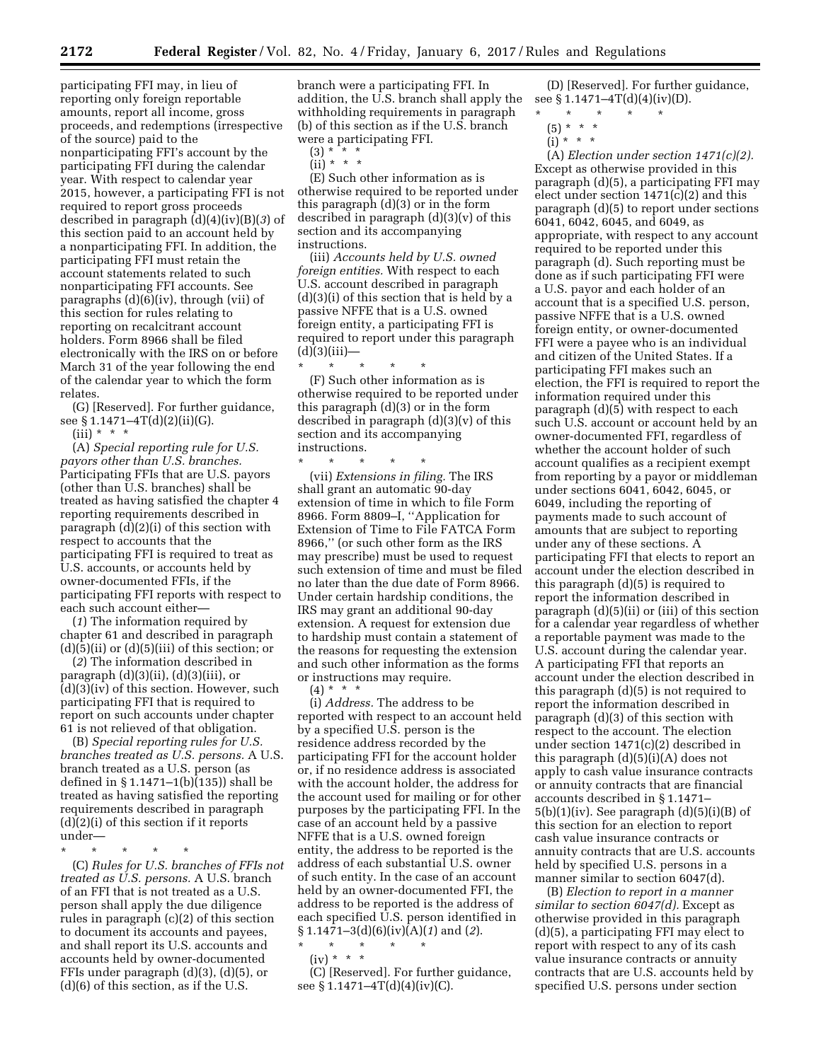participating FFI may, in lieu of reporting only foreign reportable amounts, report all income, gross proceeds, and redemptions (irrespective of the source) paid to the nonparticipating FFI's account by the participating FFI during the calendar year. With respect to calendar year 2015, however, a participating FFI is not required to report gross proceeds described in paragraph (d)(4)(iv)(B)(*3*) of this section paid to an account held by a nonparticipating FFI. In addition, the participating FFI must retain the account statements related to such nonparticipating FFI accounts. See paragraphs (d)(6)(iv), through (vii) of this section for rules relating to reporting on recalcitrant account holders. Form 8966 shall be filed electronically with the IRS on or before March 31 of the year following the end of the calendar year to which the form relates.

(G) [Reserved]. For further guidance, see § 1.1471–4T(d)(2)(ii)(G).

 $(iii) * * * *$ 

(A) *Special reporting rule for U.S. payors other than U.S. branches.*  Participating FFIs that are U.S. payors (other than U.S. branches) shall be treated as having satisfied the chapter 4 reporting requirements described in paragraph (d)(2)(i) of this section with respect to accounts that the participating FFI is required to treat as U.S. accounts, or accounts held by owner-documented FFIs, if the participating FFI reports with respect to each such account either—

(*1*) The information required by chapter 61 and described in paragraph  $(d)(5)(ii)$  or  $(d)(5)(iii)$  of this section; or

(*2*) The information described in paragraph  $(d)(3)(ii)$ ,  $(d)(3)(iii)$ , or (d)(3)(iv) of this section. However, such participating FFI that is required to report on such accounts under chapter 61 is not relieved of that obligation.

(B) *Special reporting rules for U.S. branches treated as U.S. persons.* A U.S. branch treated as a U.S. person (as defined in  $\S 1.1471-1(b)$ (135)) shall be treated as having satisfied the reporting requirements described in paragraph (d)(2)(i) of this section if it reports under—

\* \* \* \* \*

(C) *Rules for U.S. branches of FFIs not treated as U.S. persons.* A U.S. branch of an FFI that is not treated as a U.S. person shall apply the due diligence rules in paragraph (c)(2) of this section to document its accounts and payees, and shall report its U.S. accounts and accounts held by owner-documented FFIs under paragraph (d)(3), (d)(5), or (d)(6) of this section, as if the U.S.

branch were a participating FFI. In addition, the U.S. branch shall apply the withholding requirements in paragraph (b) of this section as if the U.S. branch were a participating FFI.<br>(3)  $* * * *$ 

(3) \* \* \*

(ii) \* \* \*

(E) Such other information as is otherwise required to be reported under this paragraph (d)(3) or in the form described in paragraph  $(d)(3)(v)$  of this section and its accompanying instructions.

(iii) *Accounts held by U.S. owned foreign entities.* With respect to each U.S. account described in paragraph (d)(3)(i) of this section that is held by a passive NFFE that is a U.S. owned foreign entity, a participating FFI is required to report under this paragraph  $(d)(3)(iii)$ —

\* \* \* \* \* (F) Such other information as is otherwise required to be reported under this paragraph (d)(3) or in the form described in paragraph (d)(3)(v) of this section and its accompanying instructions.

\* \* \* \* \* (vii) *Extensions in filing.* The IRS shall grant an automatic 90-day extension of time in which to file Form 8966. Form 8809–I, ''Application for Extension of Time to File FATCA Form 8966,'' (or such other form as the IRS may prescribe) must be used to request such extension of time and must be filed no later than the due date of Form 8966. Under certain hardship conditions, the IRS may grant an additional 90-day extension. A request for extension due to hardship must contain a statement of the reasons for requesting the extension and such other information as the forms or instructions may require.  $(4) * * * *$ 

(i) *Address.* The address to be reported with respect to an account held by a specified U.S. person is the residence address recorded by the participating FFI for the account holder or, if no residence address is associated with the account holder, the address for the account used for mailing or for other purposes by the participating FFI. In the case of an account held by a passive NFFE that is a U.S. owned foreign entity, the address to be reported is the address of each substantial U.S. owner of such entity. In the case of an account held by an owner-documented FFI, the address to be reported is the address of each specified U.S. person identified in § 1.1471–3(d)(6)(iv)(A)(*1*) and (*2*).

(iv) \* \* \*

(C) [Reserved]. For further guidance, see § 1.1471–4T(d)(4)(iv)(C).

(D) [Reserved]. For further guidance, see § 1.1471–4T(d)(4)(iv)(D).

- \* \* \* \* \*
	- (5) \* \* \*  $(i) * * * *$

(A) *Election under section 1471(c)(2).*  Except as otherwise provided in this paragraph (d)(5), a participating FFI may elect under section 1471(c)(2) and this paragraph (d)(5) to report under sections 6041, 6042, 6045, and 6049, as appropriate, with respect to any account required to be reported under this paragraph (d). Such reporting must be done as if such participating FFI were a U.S. payor and each holder of an account that is a specified U.S. person, passive NFFE that is a U.S. owned foreign entity, or owner-documented FFI were a payee who is an individual and citizen of the United States. If a participating FFI makes such an election, the FFI is required to report the information required under this paragraph (d)(5) with respect to each such U.S. account or account held by an owner-documented FFI, regardless of whether the account holder of such account qualifies as a recipient exempt from reporting by a payor or middleman under sections 6041, 6042, 6045, or 6049, including the reporting of payments made to such account of amounts that are subject to reporting under any of these sections. A participating FFI that elects to report an account under the election described in this paragraph (d)(5) is required to report the information described in paragraph (d)(5)(ii) or (iii) of this section for a calendar year regardless of whether a reportable payment was made to the U.S. account during the calendar year. A participating FFI that reports an account under the election described in this paragraph (d)(5) is not required to report the information described in paragraph (d)(3) of this section with respect to the account. The election under section 1471(c)(2) described in this paragraph (d)(5)(i)(A) does not apply to cash value insurance contracts or annuity contracts that are financial accounts described in § 1.1471–  $5(b)(1)(iv)$ . See paragraph  $(d)(5)(i)(B)$  of this section for an election to report cash value insurance contracts or annuity contracts that are U.S. accounts held by specified U.S. persons in a manner similar to section 6047(d).

(B) *Election to report in a manner similar to section 6047(d).* Except as otherwise provided in this paragraph (d)(5), a participating FFI may elect to report with respect to any of its cash value insurance contracts or annuity contracts that are U.S. accounts held by specified U.S. persons under section

<sup>\* \* \* \* \*</sup>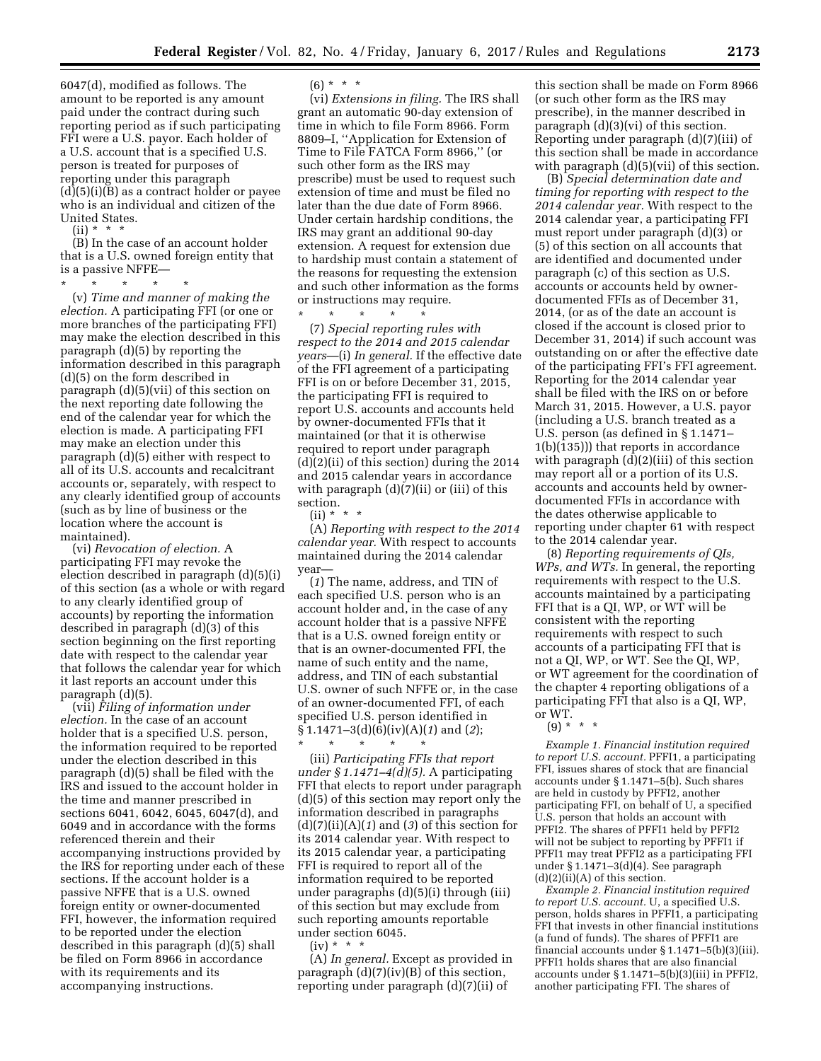6047(d), modified as follows. The amount to be reported is any amount paid under the contract during such reporting period as if such participating FFI were a U.S. payor. Each holder of a U.S. account that is a specified U.S. person is treated for purposes of reporting under this paragraph (d)(5)(i)(B) as a contract holder or payee who is an individual and citizen of the United States.

 $(ii) * * * *$ 

(B) In the case of an account holder that is a U.S. owned foreign entity that is a passive NFFE—

\* \* \* \* \*

(v) *Time and manner of making the election.* A participating FFI (or one or more branches of the participating FFI) may make the election described in this paragraph (d)(5) by reporting the information described in this paragraph (d)(5) on the form described in paragraph (d)(5)(vii) of this section on the next reporting date following the end of the calendar year for which the election is made. A participating FFI may make an election under this paragraph (d)(5) either with respect to all of its U.S. accounts and recalcitrant accounts or, separately, with respect to any clearly identified group of accounts (such as by line of business or the location where the account is maintained).

(vi) *Revocation of election.* A participating FFI may revoke the election described in paragraph (d)(5)(i) of this section (as a whole or with regard to any clearly identified group of accounts) by reporting the information described in paragraph (d)(3) of this section beginning on the first reporting date with respect to the calendar year that follows the calendar year for which it last reports an account under this paragraph (d)(5).

(vii) *Filing of information under election.* In the case of an account holder that is a specified U.S. person, the information required to be reported under the election described in this paragraph (d)(5) shall be filed with the IRS and issued to the account holder in the time and manner prescribed in sections 6041, 6042, 6045, 6047(d), and 6049 and in accordance with the forms referenced therein and their accompanying instructions provided by the IRS for reporting under each of these sections. If the account holder is a passive NFFE that is a U.S. owned foreign entity or owner-documented FFI, however, the information required to be reported under the election described in this paragraph (d)(5) shall be filed on Form 8966 in accordance with its requirements and its accompanying instructions.

# $(6) * * * *$

(vi) *Extensions in filing.* The IRS shall grant an automatic 90-day extension of time in which to file Form 8966. Form 8809–I, ''Application for Extension of Time to File FATCA Form 8966,'' (or such other form as the IRS may prescribe) must be used to request such extension of time and must be filed no later than the due date of Form 8966. Under certain hardship conditions, the IRS may grant an additional 90-day extension. A request for extension due to hardship must contain a statement of the reasons for requesting the extension and such other information as the forms or instructions may require.

\* \* \* \* \*

(7) *Special reporting rules with respect to the 2014 and 2015 calendar years*—(i) *In general.* If the effective date of the FFI agreement of a participating FFI is on or before December 31, 2015, the participating FFI is required to report U.S. accounts and accounts held by owner-documented FFIs that it maintained (or that it is otherwise required to report under paragraph (d)(2)(ii) of this section) during the 2014 and 2015 calendar years in accordance with paragraph (d)(7)(ii) or (iii) of this section.

 $(ii) * * * *$ 

(A) *Reporting with respect to the 2014 calendar year.* With respect to accounts maintained during the 2014 calendar year—

(*1*) The name, address, and TIN of each specified U.S. person who is an account holder and, in the case of any account holder that is a passive NFFE that is a U.S. owned foreign entity or that is an owner-documented FFI, the name of such entity and the name, address, and TIN of each substantial U.S. owner of such NFFE or, in the case of an owner-documented FFI, of each specified U.S. person identified in  $\frac{\sqrt{2}}{2}$  1.1471–3(d)( $\frac{\sqrt{6}}{2}$ )(iv)(A)(1) and (2);

\* \* \* \* \* (iii) *Participating FFIs that report under § 1.1471–4(d)(5).* A participating FFI that elects to report under paragraph (d)(5) of this section may report only the information described in paragraphs (d)(7)(ii)(A)(*1*) and (*3*) of this section for its 2014 calendar year. With respect to its 2015 calendar year, a participating FFI is required to report all of the information required to be reported under paragraphs (d)(5)(i) through (iii) of this section but may exclude from such reporting amounts reportable under section 6045.

 $(iv) * * * *$ (A) *In general.* Except as provided in paragraph  $(d)(7)(iv)(B)$  of this section, reporting under paragraph (d)(7)(ii) of

this section shall be made on Form 8966 (or such other form as the IRS may prescribe), in the manner described in paragraph (d)(3)(vi) of this section. Reporting under paragraph (d)(7)(iii) of this section shall be made in accordance with paragraph (d)(5)(vii) of this section.

(B) *Special determination date and timing for reporting with respect to the 2014 calendar year.* With respect to the 2014 calendar year, a participating FFI must report under paragraph (d)(3) or (5) of this section on all accounts that are identified and documented under paragraph (c) of this section as U.S. accounts or accounts held by ownerdocumented FFIs as of December 31, 2014, (or as of the date an account is closed if the account is closed prior to December 31, 2014) if such account was outstanding on or after the effective date of the participating FFI's FFI agreement. Reporting for the 2014 calendar year shall be filed with the IRS on or before March 31, 2015. However, a U.S. payor (including a U.S. branch treated as a U.S. person (as defined in § 1.1471– 1(b)(135))) that reports in accordance with paragraph (d)(2)(iii) of this section may report all or a portion of its U.S. accounts and accounts held by ownerdocumented FFIs in accordance with the dates otherwise applicable to reporting under chapter 61 with respect to the 2014 calendar year.

(8) *Reporting requirements of QIs, WPs, and WTs.* In general, the reporting requirements with respect to the U.S. accounts maintained by a participating FFI that is a QI, WP, or WT will be consistent with the reporting requirements with respect to such accounts of a participating FFI that is not a QI, WP, or WT. See the QI, WP, or WT agreement for the coordination of the chapter 4 reporting obligations of a participating FFI that also is a QI, WP, or WT.

*Example 1. Financial institution required to report U.S. account.* PFFI1, a participating FFI, issues shares of stock that are financial accounts under § 1.1471–5(b). Such shares are held in custody by PFFI2, another participating FFI, on behalf of U, a specified U.S. person that holds an account with PFFI2. The shares of PFFI1 held by PFFI2 will not be subject to reporting by PFFI1 if PFFI1 may treat PFFI2 as a participating FFI under § 1.1471–3(d)(4). See paragraph (d)(2)(ii)(A) of this section.

*Example 2. Financial institution required to report U.S. account.* U, a specified U.S. person, holds shares in PFFI1, a participating FFI that invests in other financial institutions (a fund of funds). The shares of PFFI1 are financial accounts under § 1.1471–5(b)(3)(iii). PFFI1 holds shares that are also financial accounts under  $\S 1.1471 - 5(b)(3)(iii)$  in PFFI2, another participating FFI. The shares of

 $(9) * * * *$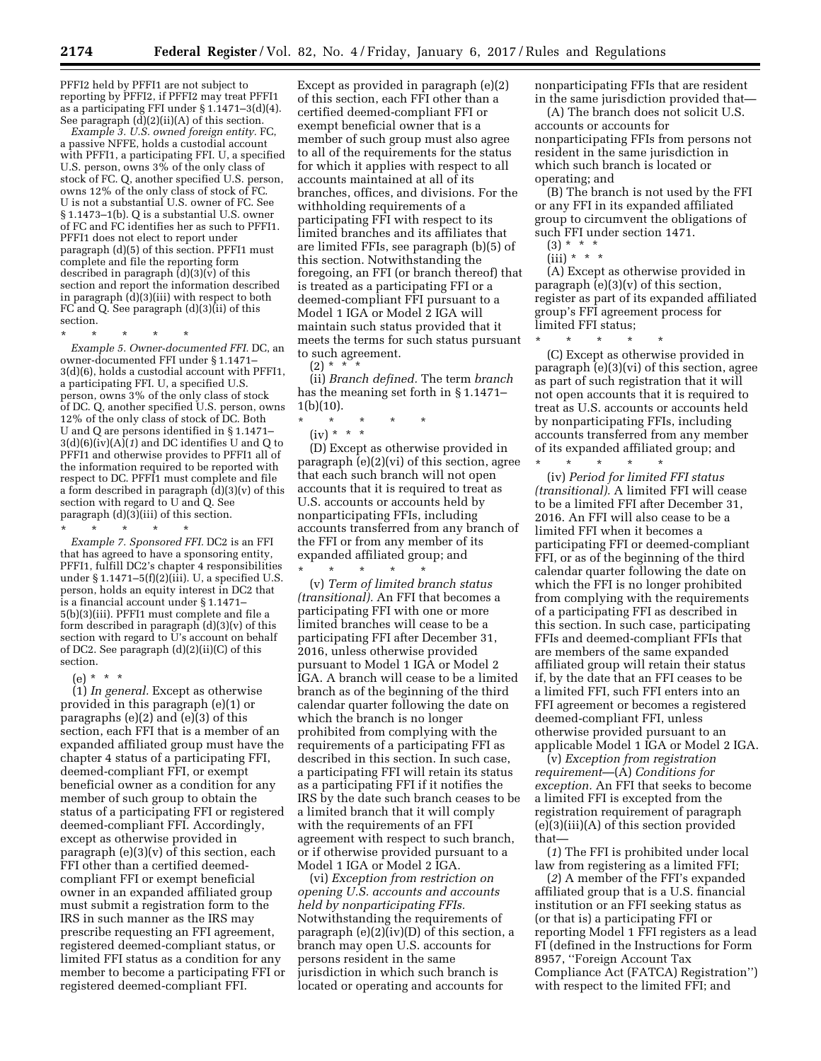PFFI2 held by PFFI1 are not subject to reporting by PFFI2, if PFFI2 may treat PFFI1 as a participating FFI under § 1.1471–3(d)(4). See paragraph  $(d)(2)(ii)(A)$  of this section.

*Example 3. U.S. owned foreign entity.* FC, a passive NFFE, holds a custodial account with PFFI1, a participating FFI. U, a specified U.S. person, owns 3% of the only class of stock of FC. Q, another specified U.S. person, owns 12% of the only class of stock of FC. U is not a substantial U.S. owner of FC. See § 1.1473–1(b). Q is a substantial U.S. owner of FC and FC identifies her as such to PFFI1. PFFI1 does not elect to report under paragraph (d)(5) of this section. PFFI1 must complete and file the reporting form described in paragraph  $(d)(3)(v)$  of this section and report the information described in paragraph (d)(3)(iii) with respect to both FC and Q. See paragraph (d)(3)(ii) of this section.

\* \* \* \* \*

*Example 5. Owner-documented FFI.* DC, an owner-documented FFI under § 1.1471– 3(d)(6), holds a custodial account with PFFI1, a participating FFI. U, a specified U.S. person, owns 3% of the only class of stock of DC. Q, another specified U.S. person, owns 12% of the only class of stock of DC. Both U and Q are persons identified in § 1.1471– 3(d)(6)(iv)(A)(*1*) and DC identifies U and Q to PFFI1 and otherwise provides to PFFI1 all of the information required to be reported with respect to DC. PFFI1 must complete and file a form described in paragraph (d)(3)(v) of this section with regard to U and Q. See paragraph (d)(3)(iii) of this section.

\* \* \* \* \*

*Example 7. Sponsored FFI.* DC2 is an FFI that has agreed to have a sponsoring entity, PFFI1, fulfill DC2's chapter 4 responsibilities under § 1.1471–5(f)(2)(iii). U, a specified U.S. person, holds an equity interest in DC2 that is a financial account under § 1.1471– 5(b)(3)(iii). PFFI1 must complete and file a form described in paragraph  $(d)(3)(v)$  of this section with regard to U's account on behalf of DC2. See paragraph (d)(2)(ii)(C) of this section.

(e) \* \* \*

(1) *In general.* Except as otherwise provided in this paragraph (e)(1) or paragraphs (e)(2) and (e)(3) of this section, each FFI that is a member of an expanded affiliated group must have the chapter 4 status of a participating FFI, deemed-compliant FFI, or exempt beneficial owner as a condition for any member of such group to obtain the status of a participating FFI or registered deemed-compliant FFI. Accordingly, except as otherwise provided in paragraph (e)(3)(v) of this section, each FFI other than a certified deemedcompliant FFI or exempt beneficial owner in an expanded affiliated group must submit a registration form to the IRS in such manner as the IRS may prescribe requesting an FFI agreement, registered deemed-compliant status, or limited FFI status as a condition for any member to become a participating FFI or registered deemed-compliant FFI.

Except as provided in paragraph (e)(2) of this section, each FFI other than a certified deemed-compliant FFI or exempt beneficial owner that is a member of such group must also agree to all of the requirements for the status for which it applies with respect to all accounts maintained at all of its branches, offices, and divisions. For the withholding requirements of a participating FFI with respect to its limited branches and its affiliates that are limited FFIs, see paragraph (b)(5) of this section. Notwithstanding the foregoing, an FFI (or branch thereof) that is treated as a participating FFI or a deemed-compliant FFI pursuant to a Model 1 IGA or Model 2 IGA will maintain such status provided that it meets the terms for such status pursuant to such agreement.  $(2) * * * *$ 

(ii) *Branch defined.* The term *branch*  has the meaning set forth in § 1.1471–  $1(b)(10)$ .

- \* \* \* \* \*
	- (iv) \* \* \*

(D) Except as otherwise provided in paragraph (e)(2)(vi) of this section, agree that each such branch will not open accounts that it is required to treat as U.S. accounts or accounts held by nonparticipating FFIs, including accounts transferred from any branch of the FFI or from any member of its expanded affiliated group; and

\* \* \* \* \* (v) *Term of limited branch status (transitional).* An FFI that becomes a participating FFI with one or more limited branches will cease to be a participating FFI after December 31, 2016, unless otherwise provided pursuant to Model 1 IGA or Model 2 IGA. A branch will cease to be a limited branch as of the beginning of the third calendar quarter following the date on which the branch is no longer prohibited from complying with the requirements of a participating FFI as described in this section. In such case, a participating FFI will retain its status as a participating FFI if it notifies the IRS by the date such branch ceases to be a limited branch that it will comply with the requirements of an FFI agreement with respect to such branch, or if otherwise provided pursuant to a Model 1 IGA or Model 2 IGA.

(vi) *Exception from restriction on opening U.S. accounts and accounts held by nonparticipating FFIs.*  Notwithstanding the requirements of paragraph (e)(2)(iv)(D) of this section, a branch may open U.S. accounts for persons resident in the same jurisdiction in which such branch is located or operating and accounts for

nonparticipating FFIs that are resident in the same jurisdiction provided that—

(A) The branch does not solicit U.S. accounts or accounts for nonparticipating FFIs from persons not resident in the same jurisdiction in which such branch is located or operating; and

(B) The branch is not used by the FFI or any FFI in its expanded affiliated group to circumvent the obligations of such FFI under section 1471.

- $(3) * * * *$
- $(iii) * * * *$

(A) Except as otherwise provided in paragraph  $(e)(3)(v)$  of this section, register as part of its expanded affiliated group's FFI agreement process for limited FFI status;

\* \* \* \* \*

(C) Except as otherwise provided in paragraph (e)(3)(vi) of this section, agree as part of such registration that it will not open accounts that it is required to treat as U.S. accounts or accounts held by nonparticipating FFIs, including accounts transferred from any member of its expanded affiliated group; and \* \* \* \* \*

(iv) *Period for limited FFI status (transitional).* A limited FFI will cease to be a limited FFI after December 31, 2016. An FFI will also cease to be a limited FFI when it becomes a participating FFI or deemed-compliant FFI, or as of the beginning of the third calendar quarter following the date on which the FFI is no longer prohibited from complying with the requirements of a participating FFI as described in this section. In such case, participating FFIs and deemed-compliant FFIs that are members of the same expanded affiliated group will retain their status if, by the date that an FFI ceases to be a limited FFI, such FFI enters into an FFI agreement or becomes a registered deemed-compliant FFI, unless otherwise provided pursuant to an applicable Model 1 IGA or Model 2 IGA.

(v) *Exception from registration requirement*—(A) *Conditions for exception.* An FFI that seeks to become a limited FFI is excepted from the registration requirement of paragraph (e)(3)(iii)(A) of this section provided that—

(*1*) The FFI is prohibited under local law from registering as a limited FFI;

(*2*) A member of the FFI's expanded affiliated group that is a U.S. financial institution or an FFI seeking status as (or that is) a participating FFI or reporting Model 1 FFI registers as a lead FI (defined in the Instructions for Form 8957, ''Foreign Account Tax Compliance Act (FATCA) Registration'') with respect to the limited FFI; and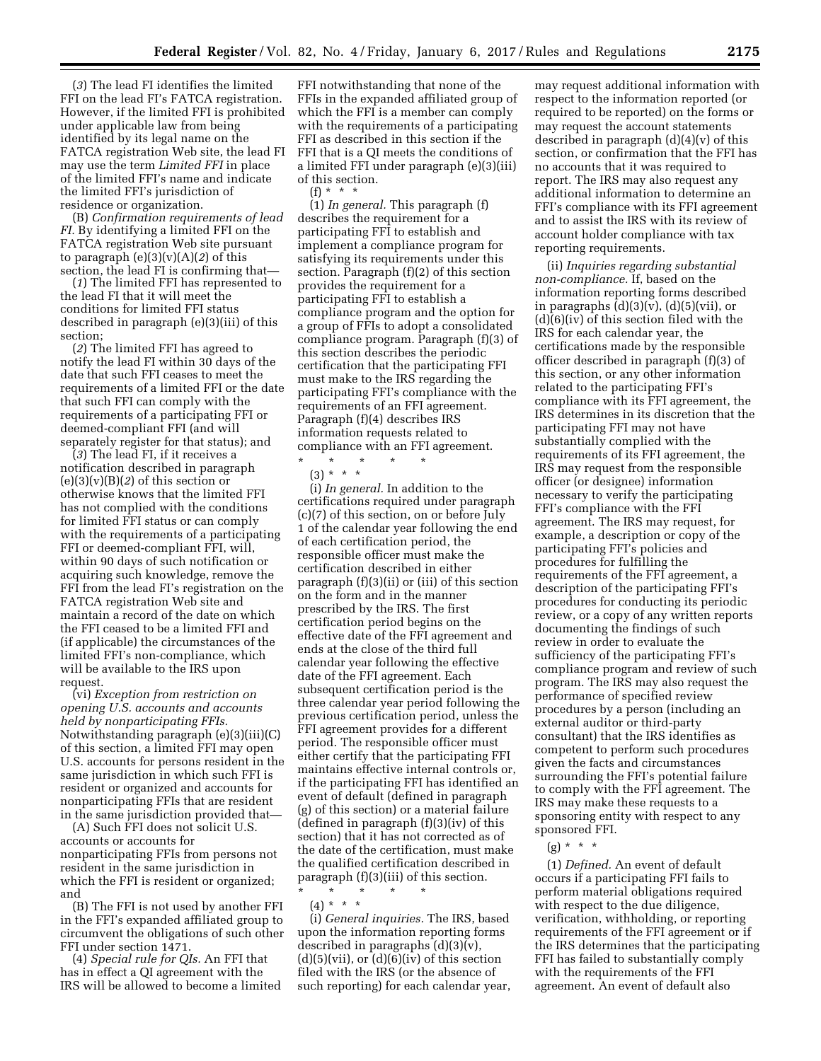(*3*) The lead FI identifies the limited FFI on the lead FI's FATCA registration. However, if the limited FFI is prohibited under applicable law from being identified by its legal name on the FATCA registration Web site, the lead FI may use the term *Limited FFI* in place of the limited FFI's name and indicate the limited FFI's jurisdiction of residence or organization.

(B) *Confirmation requirements of lead FI.* By identifying a limited FFI on the FATCA registration Web site pursuant to paragraph (e)(3)(v)(A)(*2*) of this section, the lead FI is confirming that—

(*1*) The limited FFI has represented to the lead FI that it will meet the conditions for limited FFI status described in paragraph (e)(3)(iii) of this section;

(*2*) The limited FFI has agreed to notify the lead FI within 30 days of the date that such FFI ceases to meet the requirements of a limited FFI or the date that such FFI can comply with the requirements of a participating FFI or deemed-compliant FFI (and will separately register for that status); and

(*3*) The lead FI, if it receives a notification described in paragraph  $(e)(3)(v)(B)(2)$  of this section or otherwise knows that the limited FFI has not complied with the conditions for limited FFI status or can comply with the requirements of a participating FFI or deemed-compliant FFI, will, within 90 days of such notification or acquiring such knowledge, remove the FFI from the lead FI's registration on the FATCA registration Web site and maintain a record of the date on which the FFI ceased to be a limited FFI and (if applicable) the circumstances of the limited FFI's non-compliance, which will be available to the IRS upon request.

(vi) *Exception from restriction on opening U.S. accounts and accounts held by nonparticipating FFIs.*  Notwithstanding paragraph (e)(3)(iii)(C) of this section, a limited FFI may open U.S. accounts for persons resident in the same jurisdiction in which such FFI is resident or organized and accounts for nonparticipating FFIs that are resident in the same jurisdiction provided that—

(A) Such FFI does not solicit U.S. accounts or accounts for nonparticipating FFIs from persons not resident in the same jurisdiction in which the FFI is resident or organized; and

(B) The FFI is not used by another FFI in the FFI's expanded affiliated group to circumvent the obligations of such other FFI under section 1471.

(4) *Special rule for QIs.* An FFI that has in effect a QI agreement with the IRS will be allowed to become a limited

FFI notwithstanding that none of the FFIs in the expanded affiliated group of which the FFI is a member can comply with the requirements of a participating FFI as described in this section if the FFI that is a QI meets the conditions of a limited FFI under paragraph (e)(3)(iii) of this section.  $(f) * *$ 

(1) *In general.* This paragraph (f) describes the requirement for a participating FFI to establish and implement a compliance program for satisfying its requirements under this section. Paragraph (f)(2) of this section provides the requirement for a participating FFI to establish a compliance program and the option for a group of FFIs to adopt a consolidated compliance program. Paragraph (f)(3) of this section describes the periodic certification that the participating FFI must make to the IRS regarding the participating FFI's compliance with the requirements of an FFI agreement. Paragraph (f)(4) describes IRS information requests related to compliance with an FFI agreement.

\* \* \* \* \*  $(3) * * * *$ 

(i) *In general.* In addition to the certifications required under paragraph (c)(7) of this section, on or before July 1 of the calendar year following the end of each certification period, the responsible officer must make the certification described in either paragraph (f)(3)(ii) or (iii) of this section on the form and in the manner prescribed by the IRS. The first certification period begins on the effective date of the FFI agreement and ends at the close of the third full calendar year following the effective date of the FFI agreement. Each subsequent certification period is the three calendar year period following the previous certification period, unless the FFI agreement provides for a different period. The responsible officer must either certify that the participating FFI maintains effective internal controls or, if the participating FFI has identified an event of default (defined in paragraph (g) of this section) or a material failure (defined in paragraph (f)(3)(iv) of this section) that it has not corrected as of the date of the certification, must make the qualified certification described in paragraph (f)(3)(iii) of this section.

\* \* \* \* \* (4) \* \* \*

(i) *General inquiries.* The IRS, based upon the information reporting forms described in paragraphs (d)(3)(v),  $(d)(5)(vii)$ , or  $(d)(6)(iv)$  of this section filed with the IRS (or the absence of such reporting) for each calendar year, may request additional information with respect to the information reported (or required to be reported) on the forms or may request the account statements described in paragraph (d)(4)(v) of this section, or confirmation that the FFI has no accounts that it was required to report. The IRS may also request any additional information to determine an FFI's compliance with its FFI agreement and to assist the IRS with its review of account holder compliance with tax reporting requirements.

(ii) *Inquiries regarding substantial non-compliance.* If, based on the information reporting forms described in paragraphs  $(d)(3)(v)$ ,  $(d)(5)(vii)$ , or (d)(6)(iv) of this section filed with the IRS for each calendar year, the certifications made by the responsible officer described in paragraph (f)(3) of this section, or any other information related to the participating FFI's compliance with its FFI agreement, the IRS determines in its discretion that the participating FFI may not have substantially complied with the requirements of its FFI agreement, the IRS may request from the responsible officer (or designee) information necessary to verify the participating FFI's compliance with the FFI agreement. The IRS may request, for example, a description or copy of the participating FFI's policies and procedures for fulfilling the requirements of the FFI agreement, a description of the participating FFI's procedures for conducting its periodic review, or a copy of any written reports documenting the findings of such review in order to evaluate the sufficiency of the participating FFI's compliance program and review of such program. The IRS may also request the performance of specified review procedures by a person (including an external auditor or third-party consultant) that the IRS identifies as competent to perform such procedures given the facts and circumstances surrounding the FFI's potential failure to comply with the FFI agreement. The IRS may make these requests to a sponsoring entity with respect to any sponsored FFI.

# $(g) * * * *$

(1) *Defined.* An event of default occurs if a participating FFI fails to perform material obligations required with respect to the due diligence, verification, withholding, or reporting requirements of the FFI agreement or if the IRS determines that the participating FFI has failed to substantially comply with the requirements of the FFI agreement. An event of default also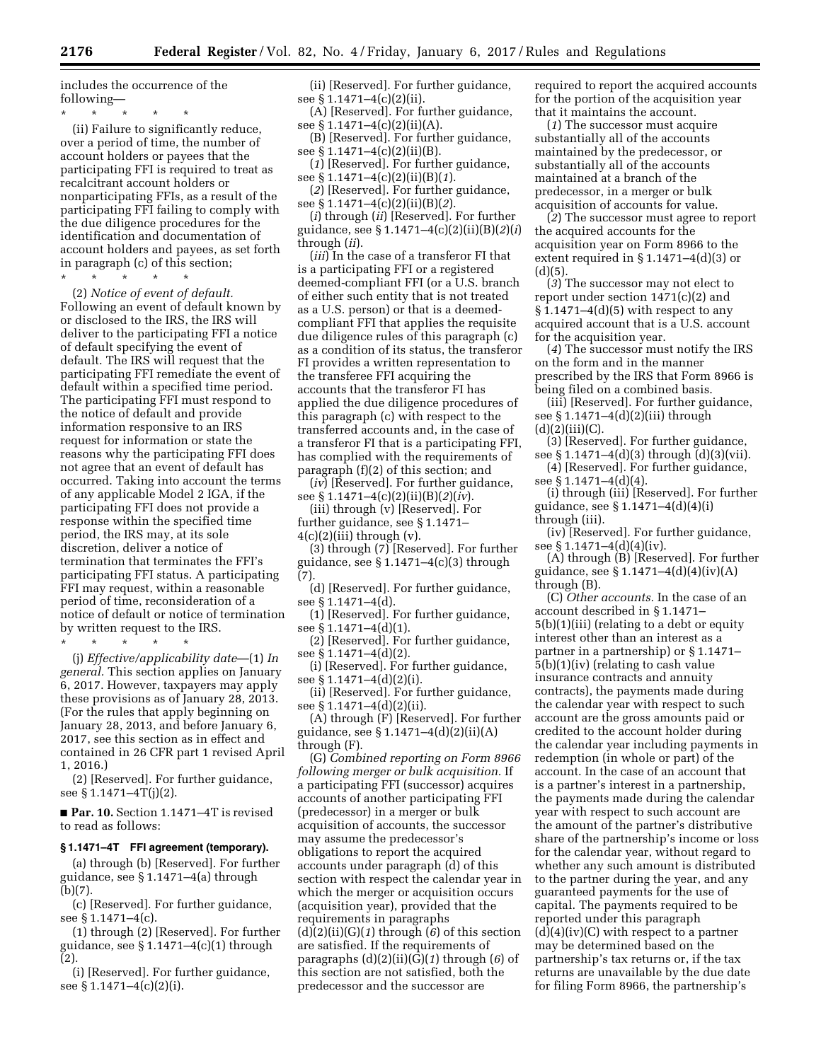includes the occurrence of the following—

\* \* \* \* \* (ii) Failure to significantly reduce, over a period of time, the number of account holders or payees that the participating FFI is required to treat as recalcitrant account holders or nonparticipating FFIs, as a result of the participating FFI failing to comply with the due diligence procedures for the identification and documentation of account holders and payees, as set forth in paragraph (c) of this section;

\* \* \* \* \*

(2) *Notice of event of default.*  Following an event of default known by or disclosed to the IRS, the IRS will deliver to the participating FFI a notice of default specifying the event of default. The IRS will request that the participating FFI remediate the event of default within a specified time period. The participating FFI must respond to the notice of default and provide information responsive to an IRS request for information or state the reasons why the participating FFI does not agree that an event of default has occurred. Taking into account the terms of any applicable Model 2 IGA, if the participating FFI does not provide a response within the specified time period, the IRS may, at its sole discretion, deliver a notice of termination that terminates the FFI's participating FFI status. A participating FFI may request, within a reasonable period of time, reconsideration of a notice of default or notice of termination by written request to the IRS.

\* \* \* \* \* (j) *Effective/applicability date*—(1) *In general.* This section applies on January 6, 2017. However, taxpayers may apply these provisions as of January 28, 2013. (For the rules that apply beginning on January 28, 2013, and before January 6, 2017, see this section as in effect and contained in 26 CFR part 1 revised April 1, 2016.)

(2) [Reserved]. For further guidance, see § 1.1471–4T(j)(2).

■ **Par. 10.** Section 1.1471–4T is revised to read as follows:

# **§ 1.1471–4T FFI agreement (temporary).**

(a) through (b) [Reserved]. For further guidance, see § 1.1471–4(a) through (b)(7).

(c) [Reserved]. For further guidance, see § 1.1471–4(c).

(1) through (2) [Reserved]. For further guidance, see  $\S 1.1471 - 4(c)(1)$  through (2).

(i) [Reserved]. For further guidance, see § 1.1471–4(c)(2)(i).

(ii) [Reserved]. For further guidance, see § 1.1471–4(c)(2)(ii).

(A) [Reserved]. For further guidance, see § 1.1471–4(c)(2)(ii)(A).

(B) [Reserved]. For further guidance, see § 1.1471–4(c)(2)(ii)(B).

(*1*) [Reserved]. For further guidance, see § 1.1471–4(c)(2)(ii)(B)(*1*).

(*2*) [Reserved]. For further guidance, see § 1.1471–4(c)(2)(ii)(B)(*2*).

(*i*) through (*ii*) [Reserved]. For further guidance, see § 1.1471–4(c)(2)(ii)(B)(*2*)(*i*) through (*ii*).

(*iii*) In the case of a transferor FI that is a participating FFI or a registered deemed-compliant FFI (or a U.S. branch of either such entity that is not treated as a U.S. person) or that is a deemedcompliant FFI that applies the requisite due diligence rules of this paragraph (c) as a condition of its status, the transferor FI provides a written representation to the transferee FFI acquiring the accounts that the transferor FI has applied the due diligence procedures of this paragraph (c) with respect to the transferred accounts and, in the case of a transferor FI that is a participating FFI, has complied with the requirements of paragraph (f)(2) of this section; and

(*iv*) [Reserved]. For further guidance, see § 1.1471–4(c)(2)(ii)(B)(*2*)(*iv*).

(iii) through (v) [Reserved]. For further guidance, see § 1.1471–  $4(c)(2)(iii)$  through  $(v)$ .

(3) through (7) [Reserved]. For further guidance, see  $$1.1471-4(c)(3)$  through (7).

(d) [Reserved]. For further guidance, see § 1.1471–4(d).

(1) [Reserved]. For further guidance, see § 1.1471–4(d)(1).

(2) [Reserved]. For further guidance, see § 1.1471–4(d)(2).

(i) [Reserved]. For further guidance, see § 1.1471–4(d)(2)(i).

(ii) [Reserved]. For further guidance, see § 1.1471–4(d)(2)(ii).

(A) through (F) [Reserved]. For further guidance, see § 1.1471–4(d)(2)(ii)(A) through (F).

(G) *Combined reporting on Form 8966 following merger or bulk acquisition.* If a participating FFI (successor) acquires accounts of another participating FFI (predecessor) in a merger or bulk acquisition of accounts, the successor may assume the predecessor's obligations to report the acquired accounts under paragraph (d) of this section with respect the calendar year in which the merger or acquisition occurs (acquisition year), provided that the requirements in paragraphs (d)(2)(ii)(G)(*1*) through (*6*) of this section are satisfied. If the requirements of paragraphs (d)(2)(ii)(G)(*1*) through (*6*) of this section are not satisfied, both the predecessor and the successor are

required to report the acquired accounts for the portion of the acquisition year that it maintains the account.

(*1*) The successor must acquire substantially all of the accounts maintained by the predecessor, or substantially all of the accounts maintained at a branch of the predecessor, in a merger or bulk acquisition of accounts for value.

(*2*) The successor must agree to report the acquired accounts for the acquisition year on Form 8966 to the extent required in § 1.1471–4(d)(3) or (d)(5).

(*3*) The successor may not elect to report under section 1471(c)(2) and  $§ 1.1471-4(d)(5)$  with respect to any acquired account that is a U.S. account for the acquisition year.

(*4*) The successor must notify the IRS on the form and in the manner prescribed by the IRS that Form 8966 is being filed on a combined basis.

(iii) [Reserved]. For further guidance, see § 1.1471–4(d)(2)(iii) through  $(d)(2)(iii)(C).$ 

(3) [Reserved]. For further guidance, see § 1.1471–4(d)(3) through (d)(3)(vii).

(4) [Reserved]. For further guidance, see § 1.1471–4(d)(4).

(i) through (iii) [Reserved]. For further guidance, see § 1.1471–4(d)(4)(i) through (iii).

(iv) [Reserved]. For further guidance, see § 1.1471–4(d)(4)(iv).

(A) through (B) [Reserved]. For further guidance, see § 1.1471–4(d)(4)(iv)(A) through (B).

(C) *Other accounts.* In the case of an account described in § 1.1471– 5(b)(1)(iii) (relating to a debt or equity interest other than an interest as a partner in a partnership) or § 1.1471– 5(b)(1)(iv) (relating to cash value insurance contracts and annuity contracts), the payments made during the calendar year with respect to such account are the gross amounts paid or credited to the account holder during the calendar year including payments in redemption (in whole or part) of the account. In the case of an account that is a partner's interest in a partnership, the payments made during the calendar year with respect to such account are the amount of the partner's distributive share of the partnership's income or loss for the calendar year, without regard to whether any such amount is distributed to the partner during the year, and any guaranteed payments for the use of capital. The payments required to be reported under this paragraph  $(d)(4)(iv)(C)$  with respect to a partner may be determined based on the partnership's tax returns or, if the tax returns are unavailable by the due date for filing Form 8966, the partnership's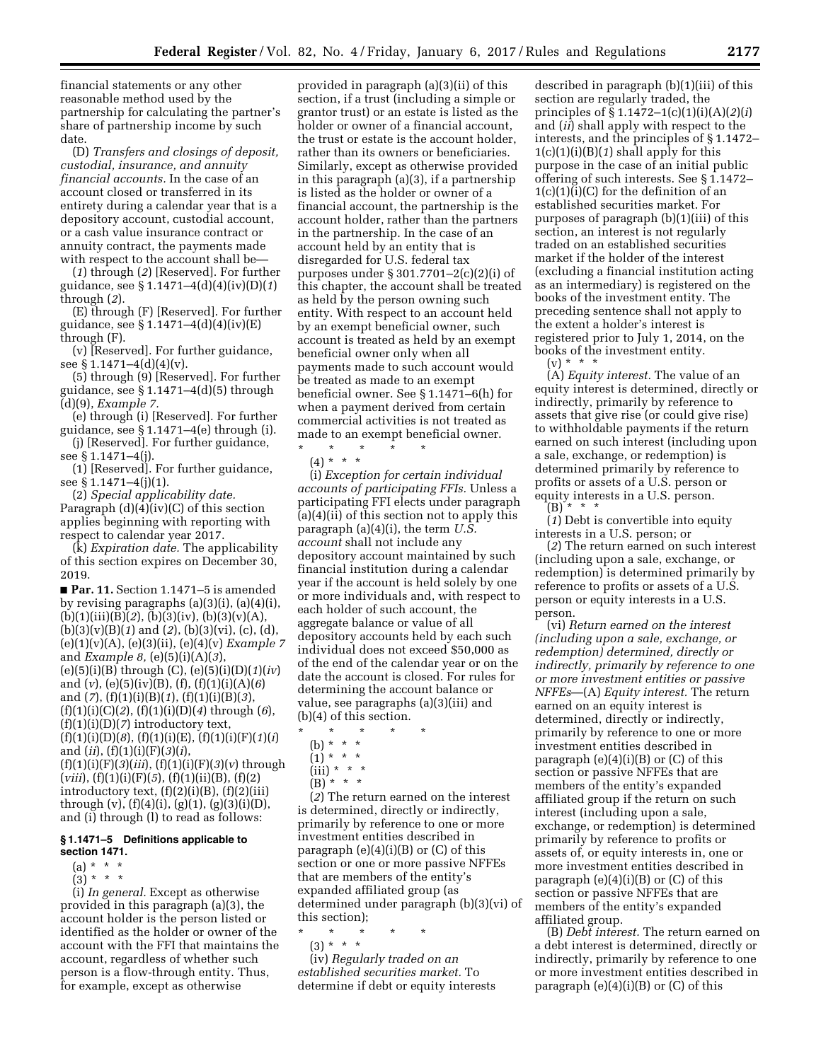financial statements or any other reasonable method used by the partnership for calculating the partner's share of partnership income by such date.

(D) *Transfers and closings of deposit, custodial, insurance, and annuity financial accounts.* In the case of an account closed or transferred in its entirety during a calendar year that is a depository account, custodial account, or a cash value insurance contract or annuity contract, the payments made with respect to the account shall be—

(*1*) through (*2*) [Reserved]. For further guidance, see § 1.1471–4(d)(4)(iv)(D)(*1*) through (*2*).

(E) through (F) [Reserved]. For further guidance, see § 1.1471–4(d)(4)(iv)(E) through (F).

(v) [Reserved]. For further guidance, see § 1.1471–4(d)(4)(v).

(5) through (9) [Reserved]. For further guidance, see § 1.1471–4(d)(5) through (d)(9), *Example 7.* 

(e) through (i) [Reserved]. For further guidance, see § 1.1471–4(e) through (i).

(j) [Reserved]. For further guidance, see § 1.1471–4(j).

(1) [Reserved]. For further guidance, see § 1.1471–4(j)(1).

(2) *Special applicability date.*  Paragraph  $(d)(4)(iv)(C)$  of this section applies beginning with reporting with respect to calendar year 2017.

(k) *Expiration date.* The applicability of this section expires on December 30, 2019.

■ **Par. 11.** Section 1.1471-5 is amended by revising paragraphs (a)(3)(i), (a)(4)(i), (b)(1)(iii)(B)(*2*), (b)(3)(iv), (b)(3)(v)(A), (b)(3)(v)(B)(*1*) and (*2*), (b)(3)(vi), (c), (d), (e)(1)(v)(A), (e)(3)(ii), (e)(4)(v) *Example 7*  and *Example 8,* (e)(5)(i)(A)(*3*), (e)(5)(i)(B) through (C), (e)(5)(i)(D)(*1*)(*iv*) and (*v*), (e)(5)(iv)(B), (f), (f)(1)(i)(A)(*6*) and (*7*), (f)(1)(i)(B)(*1*), (f)(1)(i)(B)(*3*), (f)(1)(i)(C)(*2*), (f)(1)(i)(D)(*4*) through (*6*),  $(f)(1)(i)(D)(7)$  introductory text, (f)(1)(i)(D)(*8*), (f)(1)(i)(E), (f)(1)(i)(F)(*1*)(*i*) and (*ii*), (f)(1)(i)(F)(*3*)(*i*),  $(f)(1)(i)(F)(3)(iii)$ ,  $(f)(1)(i)(F)(3)(v)$  through (*viii*), (f)(1)(i)(F)(*5*), (f)(1)(ii)(B), (f)(2) introductory text,  $(f)(2)(i)(B)$ ,  $(f)(2)(iii)$ through (v),  $(f)(4)(i)$ ,  $(g)(1)$ ,  $(g)(3)(i)(D)$ , and (i) through (l) to read as follows:

### **§ 1.1471–5 Definitions applicable to section 1471.**

- $(a) * * * *$
- $(3) * * * *$

(i) *In general.* Except as otherwise provided in this paragraph (a)(3), the account holder is the person listed or identified as the holder or owner of the account with the FFI that maintains the account, regardless of whether such person is a flow-through entity. Thus, for example, except as otherwise

provided in paragraph (a)(3)(ii) of this section, if a trust (including a simple or grantor trust) or an estate is listed as the holder or owner of a financial account, the trust or estate is the account holder, rather than its owners or beneficiaries. Similarly, except as otherwise provided in this paragraph (a)(3), if a partnership is listed as the holder or owner of a financial account, the partnership is the account holder, rather than the partners in the partnership. In the case of an account held by an entity that is disregarded for U.S. federal tax purposes under § 301.7701–2(c)(2)(i) of this chapter, the account shall be treated as held by the person owning such entity. With respect to an account held by an exempt beneficial owner, such account is treated as held by an exempt beneficial owner only when all payments made to such account would be treated as made to an exempt beneficial owner. See § 1.1471–6(h) for when a payment derived from certain commercial activities is not treated as made to an exempt beneficial owner.

\* \* \* \* \* (4) \* \* \*

(i) *Exception for certain individual accounts of participating FFIs.* Unless a participating FFI elects under paragraph (a)(4)(ii) of this section not to apply this paragraph (a)(4)(i), the term *U.S. account* shall not include any depository account maintained by such financial institution during a calendar year if the account is held solely by one or more individuals and, with respect to each holder of such account, the aggregate balance or value of all depository accounts held by each such individual does not exceed \$50,000 as of the end of the calendar year or on the date the account is closed. For rules for determining the account balance or value, see paragraphs (a)(3)(iii) and (b)(4) of this section.

- \* \* \* \* \* (b) \* \* \*  $(1) * * * *$ 
	- $(iii) * * * *$
	- $(B)$ <sup>\*</sup> \* \*

(*2*) The return earned on the interest is determined, directly or indirectly, primarily by reference to one or more investment entities described in paragraph  $(e)(4)(i)(B)$  or  $(C)$  of this section or one or more passive NFFEs that are members of the entity's expanded affiliated group (as determined under paragraph (b)(3)(vi) of this section);

\* \* \* \* \* (3) \* \* \*

(iv) *Regularly traded on an established securities market.* To determine if debt or equity interests

described in paragraph (b)(1)(iii) of this section are regularly traded, the principles of § 1.1472–1(c)(1)(i)(A)(*2*)(*i*) and (*ii*) shall apply with respect to the interests, and the principles of § 1.1472–  $1(c)(1)(i)(B)(1)$  shall apply for this purpose in the case of an initial public offering of such interests. See § 1.1472–  $1(c)(1)(i)(C)$  for the definition of an established securities market. For purposes of paragraph (b)(1)(iii) of this section, an interest is not regularly traded on an established securities market if the holder of the interest (excluding a financial institution acting as an intermediary) is registered on the books of the investment entity. The preceding sentence shall not apply to the extent a holder's interest is registered prior to July 1, 2014, on the books of the investment entity.  $(v) * * * *$ 

(A) *Equity interest.* The value of an equity interest is determined, directly or indirectly, primarily by reference to assets that give rise (or could give rise) to withholdable payments if the return earned on such interest (including upon a sale, exchange, or redemption) is determined primarily by reference to profits or assets of a U.S. person or equity interests in a U.S. person.  $(B)$  \* \* \*

(*1*) Debt is convertible into equity interests in a U.S. person; or

(*2*) The return earned on such interest (including upon a sale, exchange, or redemption) is determined primarily by reference to profits or assets of a U.S. person or equity interests in a U.S. person.

(vi) *Return earned on the interest (including upon a sale, exchange, or redemption) determined, directly or indirectly, primarily by reference to one or more investment entities or passive NFFEs*—(A) *Equity interest.* The return earned on an equity interest is determined, directly or indirectly, primarily by reference to one or more investment entities described in paragraph  $(e)(4)(i)(B)$  or  $(C)$  of this section or passive NFFEs that are members of the entity's expanded affiliated group if the return on such interest (including upon a sale, exchange, or redemption) is determined primarily by reference to profits or assets of, or equity interests in, one or more investment entities described in paragraph  $(e)(4)(i)(B)$  or  $(C)$  of this section or passive NFFEs that are members of the entity's expanded affiliated group.

(B) *Debt interest.* The return earned on a debt interest is determined, directly or indirectly, primarily by reference to one or more investment entities described in paragraph  $(e)(4)(i)(B)$  or  $(C)$  of this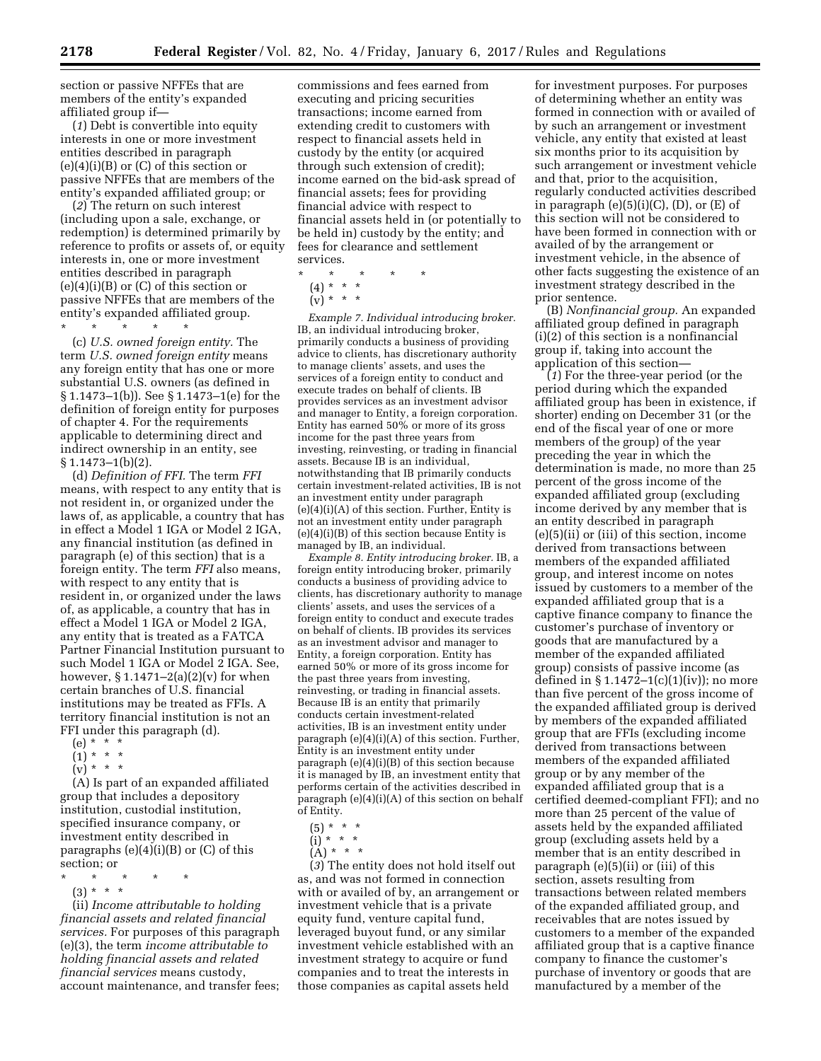section or passive NFFEs that are members of the entity's expanded affiliated group if—

(*1*) Debt is convertible into equity interests in one or more investment entities described in paragraph  $(e)(4)(i)(B)$  or  $(C)$  of this section or passive NFFEs that are members of the entity's expanded affiliated group; or

(*2*) The return on such interest (including upon a sale, exchange, or redemption) is determined primarily by reference to profits or assets of, or equity interests in, one or more investment entities described in paragraph  $(e)(4)(i)(B)$  or  $(C)$  of this section or passive NFFEs that are members of the entity's expanded affiliated group.

\* \* \* \* \*

(c) *U.S. owned foreign entity.* The term *U.S. owned foreign entity* means any foreign entity that has one or more substantial U.S. owners (as defined in § 1.1473–1(b)). See § 1.1473–1(e) for the definition of foreign entity for purposes of chapter 4. For the requirements applicable to determining direct and indirect ownership in an entity, see § 1.1473–1(b)(2).

(d) *Definition of FFI.* The term *FFI*  means, with respect to any entity that is not resident in, or organized under the laws of, as applicable, a country that has in effect a Model 1 IGA or Model 2 IGA, any financial institution (as defined in paragraph (e) of this section) that is a foreign entity. The term *FFI* also means, with respect to any entity that is resident in, or organized under the laws of, as applicable, a country that has in effect a Model 1 IGA or Model 2 IGA, any entity that is treated as a FATCA Partner Financial Institution pursuant to such Model 1 IGA or Model 2 IGA. See, however,  $\S 1.1471-2(a)(2)(v)$  for when certain branches of U.S. financial institutions may be treated as FFIs. A territory financial institution is not an FFI under this paragraph (d).

- (e) \* \* \*
- $(1) * * * *$
- $(v) * * * *$

(A) Is part of an expanded affiliated group that includes a depository institution, custodial institution, specified insurance company, or investment entity described in paragraphs  $(e)(4)(i)(B)$  or  $(C)$  of this section; or

- \* \* \* \* \*
	- (3) \* \* \*

(ii) *Income attributable to holding financial assets and related financial services.* For purposes of this paragraph (e)(3), the term *income attributable to holding financial assets and related financial services* means custody, account maintenance, and transfer fees;

commissions and fees earned from executing and pricing securities transactions; income earned from extending credit to customers with respect to financial assets held in custody by the entity (or acquired through such extension of credit); income earned on the bid-ask spread of financial assets; fees for providing financial advice with respect to financial assets held in (or potentially to be held in) custody by the entity; and fees for clearance and settlement services.

- \* \* \* \* \*
	- (4) \* \* \*
	- (v) \* \* \*

*Example 7. Individual introducing broker.*  IB, an individual introducing broker, primarily conducts a business of providing advice to clients, has discretionary authority to manage clients' assets, and uses the services of a foreign entity to conduct and execute trades on behalf of clients. IB provides services as an investment advisor and manager to Entity, a foreign corporation. Entity has earned 50% or more of its gross income for the past three years from investing, reinvesting, or trading in financial assets. Because IB is an individual, notwithstanding that IB primarily conducts certain investment-related activities, IB is not an investment entity under paragraph  $(e)(4)(i)(A)$  of this section. Further, Entity is not an investment entity under paragraph (e)(4)(i)(B) of this section because Entity is managed by IB, an individual.

*Example 8. Entity introducing broker.* IB, a foreign entity introducing broker, primarily conducts a business of providing advice to clients, has discretionary authority to manage clients' assets, and uses the services of a foreign entity to conduct and execute trades on behalf of clients. IB provides its services as an investment advisor and manager to Entity, a foreign corporation. Entity has earned 50% or more of its gross income for the past three years from investing, reinvesting, or trading in financial assets. Because IB is an entity that primarily conducts certain investment-related activities, IB is an investment entity under paragraph  $(e)(4)(i)(A)$  of this section. Further, Entity is an investment entity under paragraph (e)(4)(i)(B) of this section because it is managed by IB, an investment entity that performs certain of the activities described in paragraph (e)(4)(i)(A) of this section on behalf of Entity.

- $(5) * * * *$
- (i) \* \* \*
- (A) \* \* \*

(*3*) The entity does not hold itself out as, and was not formed in connection with or availed of by, an arrangement or investment vehicle that is a private equity fund, venture capital fund, leveraged buyout fund, or any similar investment vehicle established with an investment strategy to acquire or fund companies and to treat the interests in those companies as capital assets held

for investment purposes. For purposes of determining whether an entity was formed in connection with or availed of by such an arrangement or investment vehicle, any entity that existed at least six months prior to its acquisition by such arrangement or investment vehicle and that, prior to the acquisition, regularly conducted activities described in paragraph  $(e)(5)(i)(C)$ ,  $(D)$ , or  $(E)$  of this section will not be considered to have been formed in connection with or availed of by the arrangement or investment vehicle, in the absence of other facts suggesting the existence of an investment strategy described in the prior sentence.

(B) *Nonfinancial group.* An expanded affiliated group defined in paragraph (i)(2) of this section is a nonfinancial group if, taking into account the application of this section—

(*1*) For the three-year period (or the period during which the expanded affiliated group has been in existence, if shorter) ending on December 31 (or the end of the fiscal year of one or more members of the group) of the year preceding the year in which the determination is made, no more than 25 percent of the gross income of the expanded affiliated group (excluding income derived by any member that is an entity described in paragraph (e)(5)(ii) or (iii) of this section, income derived from transactions between members of the expanded affiliated group, and interest income on notes issued by customers to a member of the expanded affiliated group that is a captive finance company to finance the customer's purchase of inventory or goods that are manufactured by a member of the expanded affiliated group) consists of passive income (as defined in  $\S 1.1472-1(c)(1)(iv)$ ; no more than five percent of the gross income of the expanded affiliated group is derived by members of the expanded affiliated group that are FFIs (excluding income derived from transactions between members of the expanded affiliated group or by any member of the expanded affiliated group that is a certified deemed-compliant FFI); and no more than 25 percent of the value of assets held by the expanded affiliated group (excluding assets held by a member that is an entity described in paragraph (e)(5)(ii) or (iii) of this section, assets resulting from transactions between related members of the expanded affiliated group, and receivables that are notes issued by customers to a member of the expanded affiliated group that is a captive finance company to finance the customer's purchase of inventory or goods that are manufactured by a member of the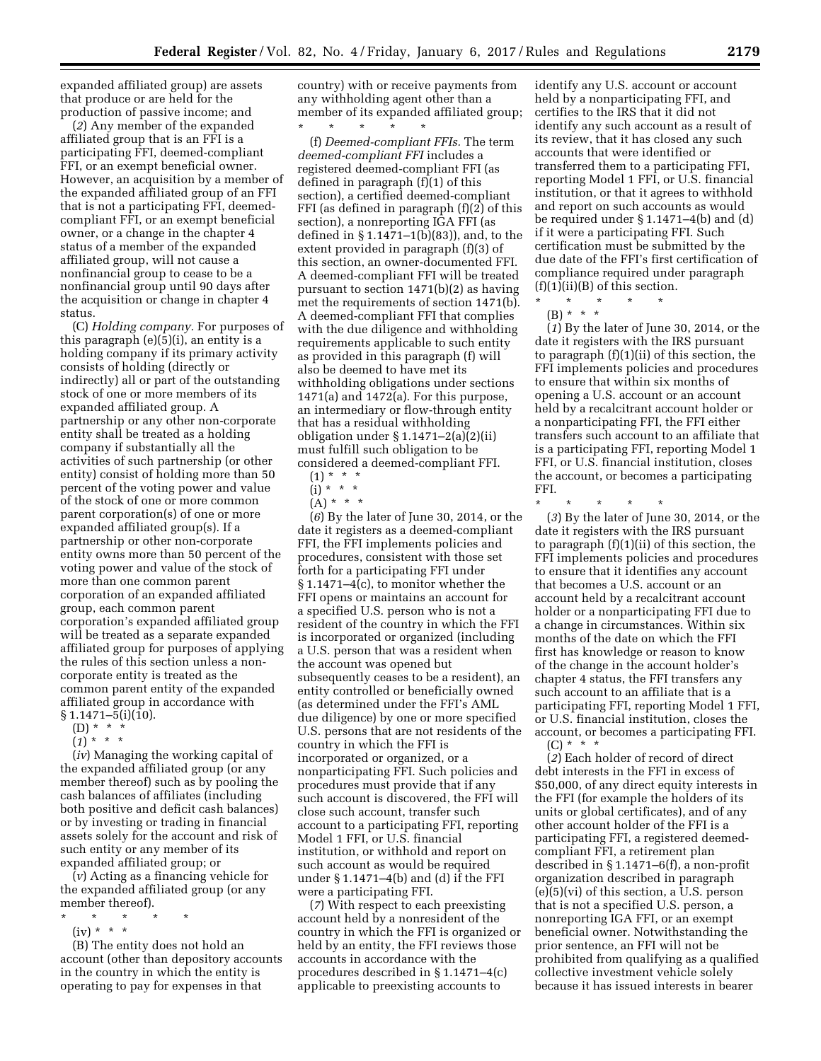expanded affiliated group) are assets that produce or are held for the production of passive income; and

(*2*) Any member of the expanded affiliated group that is an FFI is a participating FFI, deemed-compliant FFI, or an exempt beneficial owner. However, an acquisition by a member of the expanded affiliated group of an FFI that is not a participating FFI, deemedcompliant FFI, or an exempt beneficial owner, or a change in the chapter 4 status of a member of the expanded affiliated group, will not cause a nonfinancial group to cease to be a nonfinancial group until 90 days after the acquisition or change in chapter 4 status.

(C) *Holding company.* For purposes of this paragraph (e)(5)(i), an entity is a holding company if its primary activity consists of holding (directly or indirectly) all or part of the outstanding stock of one or more members of its expanded affiliated group. A partnership or any other non-corporate entity shall be treated as a holding company if substantially all the activities of such partnership (or other entity) consist of holding more than 50 percent of the voting power and value of the stock of one or more common parent corporation(s) of one or more expanded affiliated group(s). If a partnership or other non-corporate entity owns more than 50 percent of the voting power and value of the stock of more than one common parent corporation of an expanded affiliated group, each common parent corporation's expanded affiliated group will be treated as a separate expanded affiliated group for purposes of applying the rules of this section unless a noncorporate entity is treated as the common parent entity of the expanded affiliated group in accordance with § 1.1471–5(i)(10).

- $(D) * * * *$
- (*1*) \* \* \*

(*iv*) Managing the working capital of the expanded affiliated group (or any member thereof) such as by pooling the cash balances of affiliates (including both positive and deficit cash balances) or by investing or trading in financial assets solely for the account and risk of such entity or any member of its expanded affiliated group; or

(*v*) Acting as a financing vehicle for the expanded affiliated group (or any member thereof).

- \* \* \* \* \*
	- (iv) \* \* \*

(B) The entity does not hold an account (other than depository accounts in the country in which the entity is operating to pay for expenses in that

country) with or receive payments from any withholding agent other than a member of its expanded affiliated group;

\* \* \* \* \* (f) *Deemed-compliant FFIs.* The term *deemed-compliant FFI* includes a registered deemed-compliant FFI (as defined in paragraph (f)(1) of this section), a certified deemed-compliant FFI (as defined in paragraph (f)(2) of this section), a nonreporting IGA FFI (as defined in § 1.1471–1(b)(83)), and, to the extent provided in paragraph (f)(3) of this section, an owner-documented FFI. A deemed-compliant FFI will be treated pursuant to section 1471(b)(2) as having met the requirements of section 1471(b). A deemed-compliant FFI that complies with the due diligence and withholding requirements applicable to such entity as provided in this paragraph (f) will also be deemed to have met its withholding obligations under sections 1471(a) and 1472(a). For this purpose, an intermediary or flow-through entity that has a residual withholding obligation under § 1.1471–2(a)(2)(ii) must fulfill such obligation to be considered a deemed-compliant FFI.

- $(1) * * * *$
- $(i) * * * *$
- $(A) * * * *$

(*6*) By the later of June 30, 2014, or the date it registers as a deemed-compliant FFI, the FFI implements policies and procedures, consistent with those set forth for a participating FFI under § 1.1471–4(c), to monitor whether the FFI opens or maintains an account for a specified U.S. person who is not a resident of the country in which the FFI is incorporated or organized (including a U.S. person that was a resident when the account was opened but subsequently ceases to be a resident), an entity controlled or beneficially owned (as determined under the FFI's AML due diligence) by one or more specified U.S. persons that are not residents of the country in which the FFI is incorporated or organized, or a nonparticipating FFI. Such policies and procedures must provide that if any such account is discovered, the FFI will close such account, transfer such account to a participating FFI, reporting Model 1 FFI, or U.S. financial institution, or withhold and report on such account as would be required under § 1.1471–4(b) and (d) if the FFI were a participating FFI.

(*7*) With respect to each preexisting account held by a nonresident of the country in which the FFI is organized or held by an entity, the FFI reviews those accounts in accordance with the procedures described in § 1.1471–4(c) applicable to preexisting accounts to

identify any U.S. account or account held by a nonparticipating FFI, and certifies to the IRS that it did not identify any such account as a result of its review, that it has closed any such accounts that were identified or transferred them to a participating FFI, reporting Model 1 FFI, or U.S. financial institution, or that it agrees to withhold and report on such accounts as would be required under § 1.1471–4(b) and (d) if it were a participating FFI. Such certification must be submitted by the due date of the FFI's first certification of compliance required under paragraph  $(f)(1)(i)(B)$  of this section.

\* \* \* \* \* (B) \* \* \*

(*1*) By the later of June 30, 2014, or the date it registers with the IRS pursuant to paragraph (f)(1)(ii) of this section, the FFI implements policies and procedures to ensure that within six months of opening a U.S. account or an account held by a recalcitrant account holder or a nonparticipating FFI, the FFI either transfers such account to an affiliate that is a participating FFI, reporting Model 1 FFI, or U.S. financial institution, closes the account, or becomes a participating FFI.

\* \* \* \* \*

(*3*) By the later of June 30, 2014, or the date it registers with the IRS pursuant to paragraph (f)(1)(ii) of this section, the FFI implements policies and procedures to ensure that it identifies any account that becomes a U.S. account or an account held by a recalcitrant account holder or a nonparticipating FFI due to a change in circumstances. Within six months of the date on which the FFI first has knowledge or reason to know of the change in the account holder's chapter 4 status, the FFI transfers any such account to an affiliate that is a participating FFI, reporting Model 1 FFI, or U.S. financial institution, closes the account, or becomes a participating FFI.  $(C) * * * *$ 

(*2*) Each holder of record of direct debt interests in the FFI in excess of \$50,000, of any direct equity interests in the FFI (for example the holders of its units or global certificates), and of any other account holder of the FFI is a participating FFI, a registered deemedcompliant FFI, a retirement plan described in § 1.1471–6(f), a non-profit organization described in paragraph (e)(5)(vi) of this section, a U.S. person that is not a specified U.S. person, a nonreporting IGA FFI, or an exempt beneficial owner. Notwithstanding the prior sentence, an FFI will not be prohibited from qualifying as a qualified collective investment vehicle solely because it has issued interests in bearer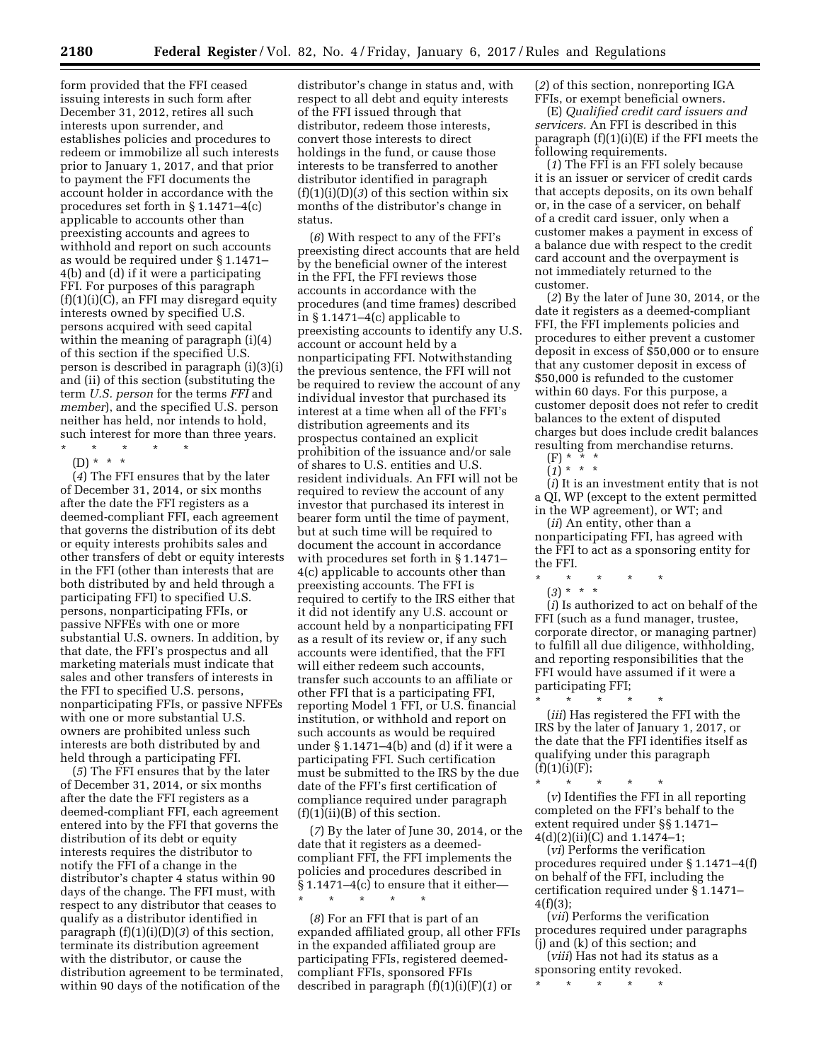form provided that the FFI ceased issuing interests in such form after December 31, 2012, retires all such interests upon surrender, and establishes policies and procedures to redeem or immobilize all such interests prior to January 1, 2017, and that prior to payment the FFI documents the account holder in accordance with the procedures set forth in § 1.1471–4(c) applicable to accounts other than preexisting accounts and agrees to withhold and report on such accounts as would be required under § 1.1471– 4(b) and (d) if it were a participating FFI. For purposes of this paragraph  $(f)(1)(i)(\overline{C})$ , an FFI may disregard equity interests owned by specified U.S. persons acquired with seed capital within the meaning of paragraph (i)(4) of this section if the specified U.S. person is described in paragraph (i)(3)(i) and (ii) of this section (substituting the term *U.S. person* for the terms *FFI* and *member*), and the specified U.S. person neither has held, nor intends to hold, such interest for more than three years.

\* \* \* \* \*

(D) \* \* \* (*4*) The FFI ensures that by the later

of December 31, 2014, or six months after the date the FFI registers as a deemed-compliant FFI, each agreement that governs the distribution of its debt or equity interests prohibits sales and other transfers of debt or equity interests in the FFI (other than interests that are both distributed by and held through a participating FFI) to specified U.S. persons, nonparticipating FFIs, or passive NFFEs with one or more substantial U.S. owners. In addition, by that date, the FFI's prospectus and all marketing materials must indicate that sales and other transfers of interests in the FFI to specified U.S. persons, nonparticipating FFIs, or passive NFFEs with one or more substantial U.S. owners are prohibited unless such interests are both distributed by and held through a participating FFI.

(*5*) The FFI ensures that by the later of December 31, 2014, or six months after the date the FFI registers as a deemed-compliant FFI, each agreement entered into by the FFI that governs the distribution of its debt or equity interests requires the distributor to notify the FFI of a change in the distributor's chapter 4 status within 90 days of the change. The FFI must, with respect to any distributor that ceases to qualify as a distributor identified in paragraph (f)(1)(i)(D)(*3*) of this section, terminate its distribution agreement with the distributor, or cause the distribution agreement to be terminated, within 90 days of the notification of the

distributor's change in status and, with respect to all debt and equity interests of the FFI issued through that distributor, redeem those interests, convert those interests to direct holdings in the fund, or cause those interests to be transferred to another distributor identified in paragraph (f)(1)(i)(D)(*3*) of this section within six months of the distributor's change in status.

(*6*) With respect to any of the FFI's preexisting direct accounts that are held by the beneficial owner of the interest in the FFI, the FFI reviews those accounts in accordance with the procedures (and time frames) described in § 1.1471–4(c) applicable to preexisting accounts to identify any U.S. account or account held by a nonparticipating FFI. Notwithstanding the previous sentence, the FFI will not be required to review the account of any individual investor that purchased its interest at a time when all of the FFI's distribution agreements and its prospectus contained an explicit prohibition of the issuance and/or sale of shares to U.S. entities and U.S. resident individuals. An FFI will not be required to review the account of any investor that purchased its interest in bearer form until the time of payment, but at such time will be required to document the account in accordance with procedures set forth in § 1.1471– 4(c) applicable to accounts other than preexisting accounts. The FFI is required to certify to the IRS either that it did not identify any U.S. account or account held by a nonparticipating FFI as a result of its review or, if any such accounts were identified, that the FFI will either redeem such accounts, transfer such accounts to an affiliate or other FFI that is a participating FFI, reporting Model 1 FFI, or U.S. financial institution, or withhold and report on such accounts as would be required under § 1.1471–4(b) and (d) if it were a participating FFI. Such certification must be submitted to the IRS by the due date of the FFI's first certification of compliance required under paragraph  $(f)(1)(ii)(B)$  of this section.

(*7*) By the later of June 30, 2014, or the date that it registers as a deemedcompliant FFI, the FFI implements the policies and procedures described in § 1.1471–4(c) to ensure that it either—

\* \* \* \* \*

(*8*) For an FFI that is part of an expanded affiliated group, all other FFIs in the expanded affiliated group are participating FFIs, registered deemedcompliant FFIs, sponsored FFIs described in paragraph (f)(1)(i)(F)(*1*) or

(*2*) of this section, nonreporting IGA FFIs, or exempt beneficial owners.

(E) *Qualified credit card issuers and servicers.* An FFI is described in this paragraph  $(f)(1)(i)(E)$  if the FFI meets the following requirements.

(*1*) The FFI is an FFI solely because it is an issuer or servicer of credit cards that accepts deposits, on its own behalf or, in the case of a servicer, on behalf of a credit card issuer, only when a customer makes a payment in excess of a balance due with respect to the credit card account and the overpayment is not immediately returned to the customer.

(*2*) By the later of June 30, 2014, or the date it registers as a deemed-compliant FFI, the FFI implements policies and procedures to either prevent a customer deposit in excess of \$50,000 or to ensure that any customer deposit in excess of \$50,000 is refunded to the customer within 60 days. For this purpose, a customer deposit does not refer to credit balances to the extent of disputed charges but does include credit balances resulting from merchandise returns.  $(F) * * * *$ 

(*1*) \* \* \*

(*i*) It is an investment entity that is not a QI, WP (except to the extent permitted in the WP agreement), or WT; and

(*ii*) An entity, other than a nonparticipating FFI, has agreed with the FFI to act as a sponsoring entity for the FFI.

\* \* \* \* \*

(*3*) \* \* \* (*i*) Is authorized to act on behalf of the FFI (such as a fund manager, trustee, corporate director, or managing partner) to fulfill all due diligence, withholding, and reporting responsibilities that the FFI would have assumed if it were a participating FFI;

\* \* \* \* \* (*iii*) Has registered the FFI with the IRS by the later of January 1, 2017, or the date that the FFI identifies itself as qualifying under this paragraph  $(f)(1)(i)(F);$ 

\* \* \* \* \* (*v*) Identifies the FFI in all reporting completed on the FFI's behalf to the extent required under §§ 1.1471– 4(d)(2)(ii)(C) and 1.1474–1;

(*vi*) Performs the verification procedures required under § 1.1471–4(f) on behalf of the FFI, including the certification required under § 1.1471–  $4(f)(3);$ 

(*vii*) Performs the verification procedures required under paragraphs (j) and (k) of this section; and

(*viii*) Has not had its status as a sponsoring entity revoked. \* \* \* \* \*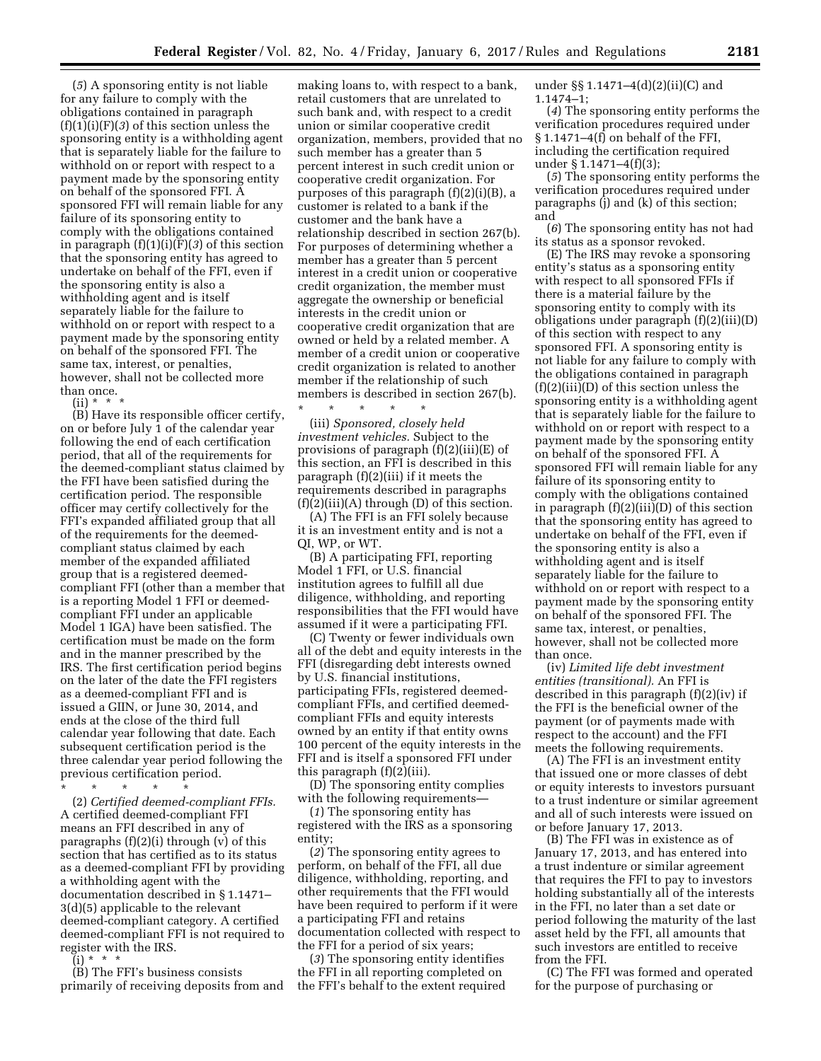(*5*) A sponsoring entity is not liable for any failure to comply with the obligations contained in paragraph (f)(1)(i)(F)(*3*) of this section unless the sponsoring entity is a withholding agent that is separately liable for the failure to withhold on or report with respect to a payment made by the sponsoring entity on behalf of the sponsored FFI. A sponsored FFI will remain liable for any failure of its sponsoring entity to comply with the obligations contained in paragraph (f)(1)(i)(F)(*3*) of this section that the sponsoring entity has agreed to undertake on behalf of the FFI, even if the sponsoring entity is also a withholding agent and is itself separately liable for the failure to withhold on or report with respect to a payment made by the sponsoring entity on behalf of the sponsored FFI. The same tax, interest, or penalties, however, shall not be collected more than once.

(ii) \* \* \*

(B) Have its responsible officer certify, on or before July 1 of the calendar year following the end of each certification period, that all of the requirements for the deemed-compliant status claimed by the FFI have been satisfied during the certification period. The responsible officer may certify collectively for the FFI's expanded affiliated group that all of the requirements for the deemedcompliant status claimed by each member of the expanded affiliated group that is a registered deemedcompliant FFI (other than a member that is a reporting Model 1 FFI or deemedcompliant FFI under an applicable Model 1 IGA) have been satisfied. The certification must be made on the form and in the manner prescribed by the IRS. The first certification period begins on the later of the date the FFI registers as a deemed-compliant FFI and is issued a GIIN, or June 30, 2014, and ends at the close of the third full calendar year following that date. Each subsequent certification period is the three calendar year period following the previous certification period.

\* \* \* \* \*

(2) *Certified deemed-compliant FFIs.*  A certified deemed-compliant FFI means an FFI described in any of paragraphs  $(f)(2)(i)$  through  $(v)$  of this section that has certified as to its status as a deemed-compliant FFI by providing a withholding agent with the documentation described in § 1.1471– 3(d)(5) applicable to the relevant deemed-compliant category. A certified deemed-compliant FFI is not required to register with the IRS.

 $(i) * * *$ 

(B) The FFI's business consists primarily of receiving deposits from and

making loans to, with respect to a bank, retail customers that are unrelated to such bank and, with respect to a credit union or similar cooperative credit organization, members, provided that no such member has a greater than 5 percent interest in such credit union or cooperative credit organization. For purposes of this paragraph (f)(2)(i)(B), a customer is related to a bank if the customer and the bank have a relationship described in section 267(b). For purposes of determining whether a member has a greater than 5 percent interest in a credit union or cooperative credit organization, the member must aggregate the ownership or beneficial interests in the credit union or cooperative credit organization that are owned or held by a related member. A member of a credit union or cooperative credit organization is related to another member if the relationship of such members is described in section 267(b).

\* \* \* \* \* (iii) *Sponsored, closely held investment vehicles.* Subject to the provisions of paragraph (f)(2)(iii)(E) of this section, an FFI is described in this paragraph (f)(2)(iii) if it meets the requirements described in paragraphs  $(f)(2)(iii)(A)$  through  $(D)$  of this section.

(A) The FFI is an FFI solely because it is an investment entity and is not a QI, WP, or WT.

(B) A participating FFI, reporting Model 1 FFI, or U.S. financial institution agrees to fulfill all due diligence, withholding, and reporting responsibilities that the FFI would have assumed if it were a participating FFI.

(C) Twenty or fewer individuals own all of the debt and equity interests in the FFI (disregarding debt interests owned by U.S. financial institutions, participating FFIs, registered deemedcompliant FFIs, and certified deemedcompliant FFIs and equity interests owned by an entity if that entity owns 100 percent of the equity interests in the FFI and is itself a sponsored FFI under this paragraph (f)(2)(iii).

(D) The sponsoring entity complies with the following requirements—

(*1*) The sponsoring entity has registered with the IRS as a sponsoring entity;

(*2*) The sponsoring entity agrees to perform, on behalf of the FFI, all due diligence, withholding, reporting, and other requirements that the FFI would have been required to perform if it were a participating FFI and retains documentation collected with respect to the FFI for a period of six years;

(*3*) The sponsoring entity identifies the FFI in all reporting completed on the FFI's behalf to the extent required under §§ 1.1471–4(d)(2)(ii)(C) and 1.1474–1;

(*4*) The sponsoring entity performs the verification procedures required under § 1.1471–4(f) on behalf of the FFI, including the certification required under § 1.1471–4(f)(3);

(*5*) The sponsoring entity performs the verification procedures required under paragraphs (j) and (k) of this section; and

(*6*) The sponsoring entity has not had its status as a sponsor revoked.

(E) The IRS may revoke a sponsoring entity's status as a sponsoring entity with respect to all sponsored FFIs if there is a material failure by the sponsoring entity to comply with its obligations under paragraph (f)(2)(iii)(D) of this section with respect to any sponsored FFI. A sponsoring entity is not liable for any failure to comply with the obligations contained in paragraph (f)(2)(iii)(D) of this section unless the sponsoring entity is a withholding agent that is separately liable for the failure to withhold on or report with respect to a payment made by the sponsoring entity on behalf of the sponsored FFI. A sponsored FFI will remain liable for any failure of its sponsoring entity to comply with the obligations contained in paragraph (f)(2)(iii)(D) of this section that the sponsoring entity has agreed to undertake on behalf of the FFI, even if the sponsoring entity is also a withholding agent and is itself separately liable for the failure to withhold on or report with respect to a payment made by the sponsoring entity on behalf of the sponsored FFI. The same tax, interest, or penalties, however, shall not be collected more than once.

(iv) *Limited life debt investment entities (transitional).* An FFI is described in this paragraph (f)(2)(iv) if the FFI is the beneficial owner of the payment (or of payments made with respect to the account) and the FFI meets the following requirements.

(A) The FFI is an investment entity that issued one or more classes of debt or equity interests to investors pursuant to a trust indenture or similar agreement and all of such interests were issued on or before January 17, 2013.

(B) The FFI was in existence as of January 17, 2013, and has entered into a trust indenture or similar agreement that requires the FFI to pay to investors holding substantially all of the interests in the FFI, no later than a set date or period following the maturity of the last asset held by the FFI, all amounts that such investors are entitled to receive from the FFI.

(C) The FFI was formed and operated for the purpose of purchasing or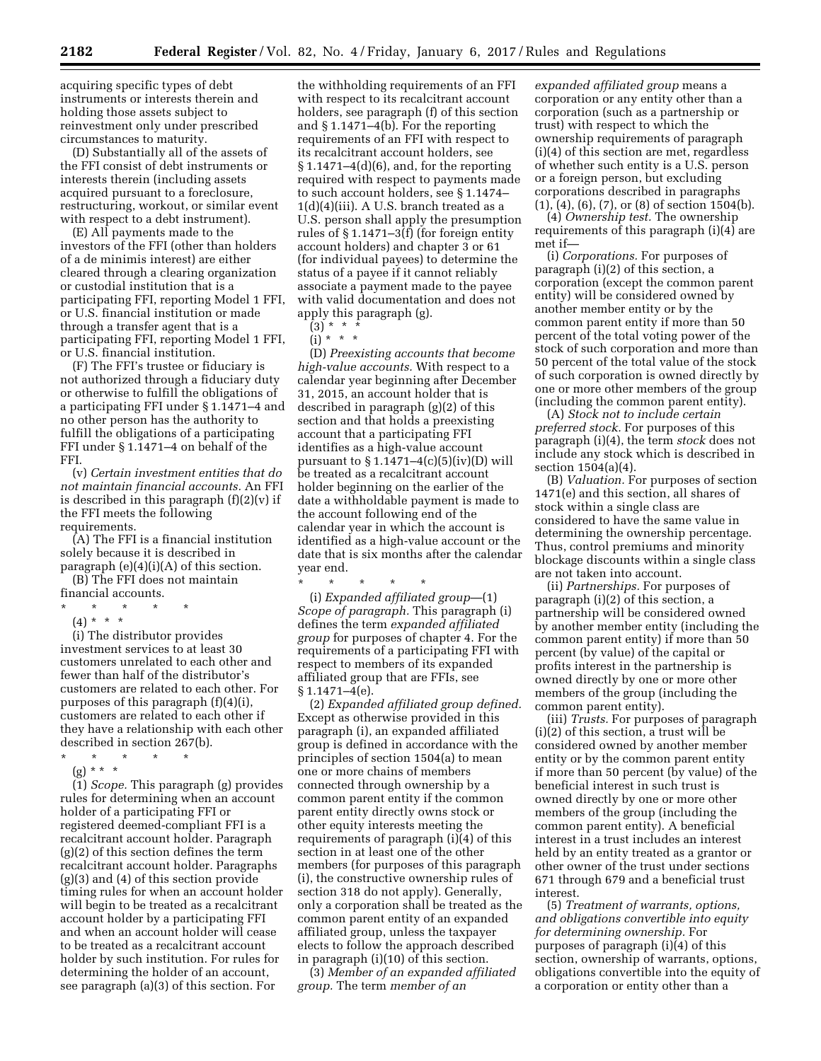acquiring specific types of debt instruments or interests therein and holding those assets subject to reinvestment only under prescribed circumstances to maturity.

(D) Substantially all of the assets of the FFI consist of debt instruments or interests therein (including assets acquired pursuant to a foreclosure, restructuring, workout, or similar event with respect to a debt instrument).

(E) All payments made to the investors of the FFI (other than holders of a de minimis interest) are either cleared through a clearing organization or custodial institution that is a participating FFI, reporting Model 1 FFI, or U.S. financial institution or made through a transfer agent that is a participating FFI, reporting Model 1 FFI, or U.S. financial institution.

(F) The FFI's trustee or fiduciary is not authorized through a fiduciary duty or otherwise to fulfill the obligations of a participating FFI under § 1.1471–4 and no other person has the authority to fulfill the obligations of a participating FFI under § 1.1471–4 on behalf of the FFI.

(v) *Certain investment entities that do not maintain financial accounts.* An FFI is described in this paragraph  $(f)(2)(v)$  if the FFI meets the following requirements.

(A) The FFI is a financial institution solely because it is described in paragraph  $(e)(4)(i)(A)$  of this section. (B) The FFI does not maintain

financial accounts.

- \* \* \* \* \*
	- $(4) * * * *$

(i) The distributor provides investment services to at least 30 customers unrelated to each other and fewer than half of the distributor's customers are related to each other. For purposes of this paragraph (f)(4)(i), customers are related to each other if they have a relationship with each other described in section 267(b).

\* \* \* \* \*

(g) \* \* \* (1) *Scope.* This paragraph (g) provides rules for determining when an account holder of a participating FFI or registered deemed-compliant FFI is a recalcitrant account holder. Paragraph (g)(2) of this section defines the term recalcitrant account holder. Paragraphs (g)(3) and (4) of this section provide timing rules for when an account holder will begin to be treated as a recalcitrant account holder by a participating FFI and when an account holder will cease to be treated as a recalcitrant account holder by such institution. For rules for determining the holder of an account, see paragraph (a)(3) of this section. For

the withholding requirements of an FFI with respect to its recalcitrant account holders, see paragraph (f) of this section and § 1.1471–4(b). For the reporting requirements of an FFI with respect to its recalcitrant account holders, see  $§ 1.1471-4(d)(6)$ , and, for the reporting required with respect to payments made to such account holders, see § 1.1474–  $1(d)(4)(iii)$ . A U.S. branch treated as a U.S. person shall apply the presumption rules of § 1.1471–3(f) (for foreign entity account holders) and chapter 3 or 61 (for individual payees) to determine the status of a payee if it cannot reliably associate a payment made to the payee with valid documentation and does not apply this paragraph (g).

 $(3) * *$ 

(i) \* \* \*

(D) *Preexisting accounts that become high-value accounts.* With respect to a calendar year beginning after December 31, 2015, an account holder that is described in paragraph (g)(2) of this section and that holds a preexisting account that a participating FFI identifies as a high-value account pursuant to  $\S 1.1471-4(c)(5)(iv)(D)$  will be treated as a recalcitrant account holder beginning on the earlier of the date a withholdable payment is made to the account following end of the calendar year in which the account is identified as a high-value account or the date that is six months after the calendar year end.

\* \* \* \* \* (i) *Expanded affiliated group*—(1) *Scope of paragraph.* This paragraph (i) defines the term *expanded affiliated group* for purposes of chapter 4. For the requirements of a participating FFI with respect to members of its expanded affiliated group that are FFIs, see  $§ 1.1471 - 4(e).$ 

(2) *Expanded affiliated group defined.*  Except as otherwise provided in this paragraph (i), an expanded affiliated group is defined in accordance with the principles of section 1504(a) to mean one or more chains of members connected through ownership by a common parent entity if the common parent entity directly owns stock or other equity interests meeting the requirements of paragraph (i)(4) of this section in at least one of the other members (for purposes of this paragraph (i), the constructive ownership rules of section 318 do not apply). Generally, only a corporation shall be treated as the common parent entity of an expanded affiliated group, unless the taxpayer elects to follow the approach described in paragraph (i)(10) of this section.

(3) *Member of an expanded affiliated group.* The term *member of an* 

*expanded affiliated group* means a corporation or any entity other than a corporation (such as a partnership or trust) with respect to which the ownership requirements of paragraph (i)(4) of this section are met, regardless of whether such entity is a U.S. person or a foreign person, but excluding corporations described in paragraphs (1), (4), (6), (7), or (8) of section 1504(b).

(4) *Ownership test.* The ownership requirements of this paragraph (i)(4) are met if—

(i) *Corporations.* For purposes of paragraph (i)(2) of this section, a corporation (except the common parent entity) will be considered owned by another member entity or by the common parent entity if more than 50 percent of the total voting power of the stock of such corporation and more than 50 percent of the total value of the stock of such corporation is owned directly by one or more other members of the group (including the common parent entity).

(A) *Stock not to include certain preferred stock.* For purposes of this paragraph (i)(4), the term *stock* does not include any stock which is described in section 1504(a)(4).

(B) *Valuation.* For purposes of section 1471(e) and this section, all shares of stock within a single class are considered to have the same value in determining the ownership percentage. Thus, control premiums and minority blockage discounts within a single class are not taken into account.

(ii) *Partnerships.* For purposes of paragraph (i)(2) of this section, a partnership will be considered owned by another member entity (including the common parent entity) if more than 50 percent (by value) of the capital or profits interest in the partnership is owned directly by one or more other members of the group (including the common parent entity).

(iii) *Trusts.* For purposes of paragraph (i)(2) of this section, a trust will be considered owned by another member entity or by the common parent entity if more than 50 percent (by value) of the beneficial interest in such trust is owned directly by one or more other members of the group (including the common parent entity). A beneficial interest in a trust includes an interest held by an entity treated as a grantor or other owner of the trust under sections 671 through 679 and a beneficial trust interest.

(5) *Treatment of warrants, options, and obligations convertible into equity for determining ownership.* For purposes of paragraph (i)(4) of this section, ownership of warrants, options, obligations convertible into the equity of a corporation or entity other than a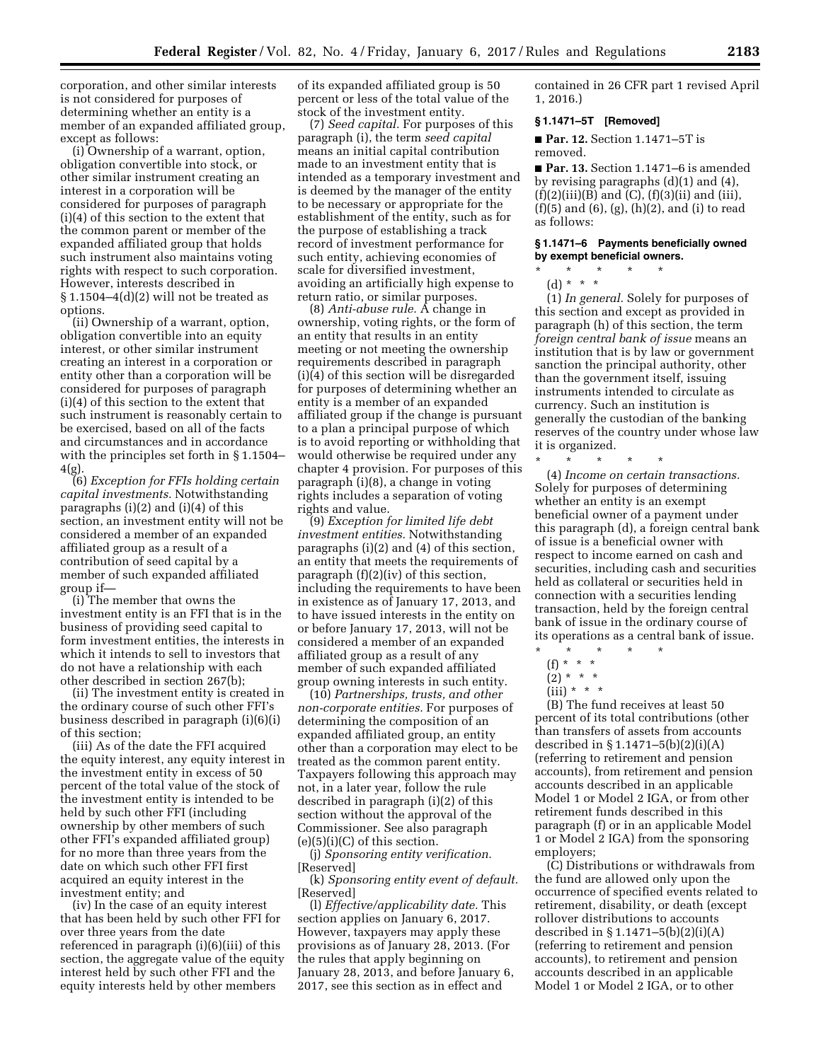corporation, and other similar interests is not considered for purposes of determining whether an entity is a member of an expanded affiliated group, except as follows:

(i) Ownership of a warrant, option, obligation convertible into stock, or other similar instrument creating an interest in a corporation will be considered for purposes of paragraph (i)(4) of this section to the extent that the common parent or member of the expanded affiliated group that holds such instrument also maintains voting rights with respect to such corporation. However, interests described in  $\S 1.1504 - 4(d)(2)$  will not be treated as options.

(ii) Ownership of a warrant, option, obligation convertible into an equity interest, or other similar instrument creating an interest in a corporation or entity other than a corporation will be considered for purposes of paragraph (i)(4) of this section to the extent that such instrument is reasonably certain to be exercised, based on all of the facts and circumstances and in accordance with the principles set forth in § 1.1504– 4(g).

(6) *Exception for FFIs holding certain capital investments.* Notwithstanding paragraphs (i)(2) and (i)(4) of this section, an investment entity will not be considered a member of an expanded affiliated group as a result of a contribution of seed capital by a member of such expanded affiliated group if—

(i) The member that owns the investment entity is an FFI that is in the business of providing seed capital to form investment entities, the interests in which it intends to sell to investors that do not have a relationship with each other described in section 267(b);

(ii) The investment entity is created in the ordinary course of such other FFI's business described in paragraph (i)(6)(i) of this section;

(iii) As of the date the FFI acquired the equity interest, any equity interest in the investment entity in excess of 50 percent of the total value of the stock of the investment entity is intended to be held by such other FFI (including ownership by other members of such other FFI's expanded affiliated group) for no more than three years from the date on which such other FFI first acquired an equity interest in the investment entity; and

(iv) In the case of an equity interest that has been held by such other FFI for over three years from the date referenced in paragraph (i)(6)(iii) of this section, the aggregate value of the equity interest held by such other FFI and the equity interests held by other members

of its expanded affiliated group is 50 percent or less of the total value of the stock of the investment entity.

(7) *Seed capital.* For purposes of this paragraph (i), the term *seed capital*  means an initial capital contribution made to an investment entity that is intended as a temporary investment and is deemed by the manager of the entity to be necessary or appropriate for the establishment of the entity, such as for the purpose of establishing a track record of investment performance for such entity, achieving economies of scale for diversified investment, avoiding an artificially high expense to return ratio, or similar purposes.

(8) *Anti-abuse rule.* A change in ownership, voting rights, or the form of an entity that results in an entity meeting or not meeting the ownership requirements described in paragraph (i)(4) of this section will be disregarded for purposes of determining whether an entity is a member of an expanded affiliated group if the change is pursuant to a plan a principal purpose of which is to avoid reporting or withholding that would otherwise be required under any chapter 4 provision. For purposes of this paragraph (i)(8), a change in voting rights includes a separation of voting rights and value.

(9) *Exception for limited life debt investment entities.* Notwithstanding paragraphs (i)(2) and (4) of this section, an entity that meets the requirements of paragraph (f)(2)(iv) of this section, including the requirements to have been in existence as of January 17, 2013, and to have issued interests in the entity on or before January 17, 2013, will not be considered a member of an expanded affiliated group as a result of any member of such expanded affiliated group owning interests in such entity.

(10) *Partnerships, trusts, and other non-corporate entities.* For purposes of determining the composition of an expanded affiliated group, an entity other than a corporation may elect to be treated as the common parent entity. Taxpayers following this approach may not, in a later year, follow the rule described in paragraph (i)(2) of this section without the approval of the Commissioner. See also paragraph  $(e)(5)(i)(C)$  of this section.

(j) *Sponsoring entity verification.*  [Reserved]

(k) *Sponsoring entity event of default.*  [Reserved]

(l) *Effective/applicability date.* This section applies on January 6, 2017. However, taxpayers may apply these provisions as of January 28, 2013. (For the rules that apply beginning on January 28, 2013, and before January 6, 2017, see this section as in effect and

contained in 26 CFR part 1 revised April 1, 2016.)

# **§ 1.1471–5T [Removed]**

■ **Par. 12.** Section 1.1471–5T is removed.

■ **Par. 13.** Section 1.1471–6 is amended by revising paragraphs (d)(1) and (4),  $(f)(2)(iii)(B)$  and  $(C)$ ,  $(f)(3)(ii)$  and  $(iii)$ , (f)(5) and (6), (g), (h)(2), and (i) to read as follows:

# **§ 1.1471–6 Payments beneficially owned by exempt beneficial owners.**

\* \* \* \* \* (d) \* \* \*

(1) *In general.* Solely for purposes of this section and except as provided in paragraph (h) of this section, the term *foreign central bank of issue* means an institution that is by law or government sanction the principal authority, other than the government itself, issuing instruments intended to circulate as currency. Such an institution is generally the custodian of the banking reserves of the country under whose law it is organized.

\* \* \* \* \*

(4) *Income on certain transactions.*  Solely for purposes of determining whether an entity is an exempt beneficial owner of a payment under this paragraph (d), a foreign central bank of issue is a beneficial owner with respect to income earned on cash and securities, including cash and securities held as collateral or securities held in connection with a securities lending transaction, held by the foreign central bank of issue in the ordinary course of its operations as a central bank of issue.

- \* \* \* \* \*
	- (f) \* \* \*
	- $(2) * * * *$
	- $(iii) * * * *$

(B) The fund receives at least 50 percent of its total contributions (other than transfers of assets from accounts described in § 1.1471–5(b)(2)(i)(A) (referring to retirement and pension accounts), from retirement and pension accounts described in an applicable Model 1 or Model 2 IGA, or from other retirement funds described in this paragraph (f) or in an applicable Model 1 or Model 2 IGA) from the sponsoring employers;

(C) Distributions or withdrawals from the fund are allowed only upon the occurrence of specified events related to retirement, disability, or death (except rollover distributions to accounts described in § 1.1471–5(b)(2)(i)(A) (referring to retirement and pension accounts), to retirement and pension accounts described in an applicable Model 1 or Model 2 IGA, or to other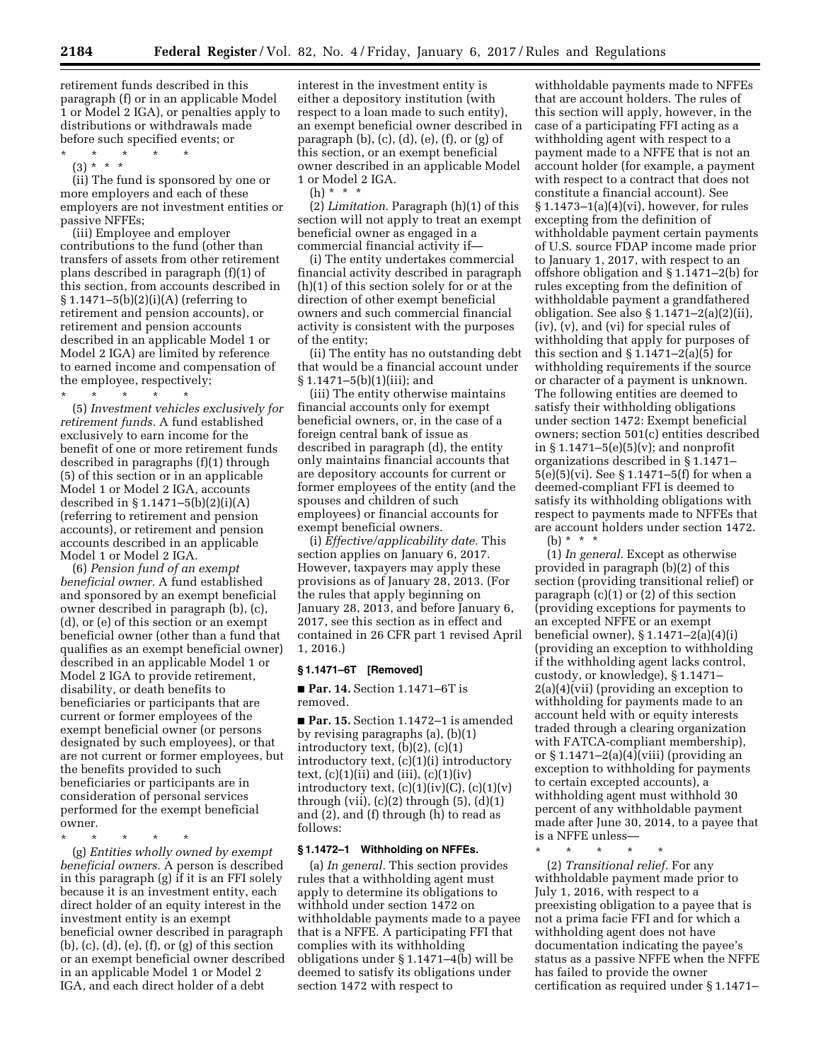**2184 Federal Register** / Vol. 82, No. 4 / Friday, January 6, 2017 / Rules and Regulations

retirement funds described in this paragraph (f) or in an applicable Model 1 or Model 2 IGA), or penalties apply to distributions or withdrawals made before such specified events; or

\* \* \* \* \* (3) \* \* \*

(ii) The fund is sponsored by one or more employers and each of these employers are not investment entities or passive NFFEs;

(iii) Employee and employer contributions to the fund (other than transfers of assets from other retirement plans described in paragraph (f)(1) of this section, from accounts described in § 1.1471–5(b)(2)(i)(A) (referring to retirement and pension accounts), or retirement and pension accounts described in an applicable Model 1 or Model 2 IGA) are limited by reference to earned income and compensation of the employee, respectively;

\* \* \* \* \*

(5) *Investment vehicles exclusively for retirement funds.* A fund established exclusively to earn income for the benefit of one or more retirement funds described in paragraphs (f)(1) through (5) of this section or in an applicable Model 1 or Model 2 IGA, accounts described in § 1.1471–5(b)(2)(i)(A) (referring to retirement and pension accounts), or retirement and pension accounts described in an applicable Model 1 or Model 2 IGA.

(6) *Pension fund of an exempt beneficial owner.* A fund established and sponsored by an exempt beneficial owner described in paragraph (b), (c), (d), or (e) of this section or an exempt beneficial owner (other than a fund that qualifies as an exempt beneficial owner) described in an applicable Model 1 or Model 2 IGA to provide retirement, disability, or death benefits to beneficiaries or participants that are current or former employees of the exempt beneficial owner (or persons designated by such employees), or that are not current or former employees, but the benefits provided to such beneficiaries or participants are in consideration of personal services performed for the exempt beneficial owner.

\* \* \* \* \*

(g) *Entities wholly owned by exempt beneficial owners.* A person is described in this paragraph (g) if it is an FFI solely because it is an investment entity, each direct holder of an equity interest in the investment entity is an exempt beneficial owner described in paragraph (b), (c), (d), (e), (f), or (g) of this section or an exempt beneficial owner described in an applicable Model 1 or Model 2 IGA, and each direct holder of a debt

interest in the investment entity is either a depository institution (with respect to a loan made to such entity), an exempt beneficial owner described in paragraph (b), (c), (d), (e), (f), or (g) of this section, or an exempt beneficial owner described in an applicable Model 1 or Model 2 IGA.

(h) \* \* \* (2) *Limitation.* Paragraph (h)(1) of this section will not apply to treat an exempt beneficial owner as engaged in a commercial financial activity if—

(i) The entity undertakes commercial financial activity described in paragraph (h)(1) of this section solely for or at the direction of other exempt beneficial owners and such commercial financial activity is consistent with the purposes of the entity;

(ii) The entity has no outstanding debt that would be a financial account under § 1.1471–5(b)(1)(iii); and

(iii) The entity otherwise maintains financial accounts only for exempt beneficial owners, or, in the case of a foreign central bank of issue as described in paragraph (d), the entity only maintains financial accounts that are depository accounts for current or former employees of the entity (and the spouses and children of such employees) or financial accounts for exempt beneficial owners.

(i) *Effective/applicability date.* This section applies on January 6, 2017. However, taxpayers may apply these provisions as of January 28, 2013. (For the rules that apply beginning on January 28, 2013, and before January 6, 2017, see this section as in effect and contained in 26 CFR part 1 revised April 1, 2016.)

# **§ 1.1471–6T [Removed]**

### ■ **Par. 14.** Section 1.1471–6T is removed.

■ **Par. 15.** Section 1.1472–1 is amended by revising paragraphs (a), (b)(1) introductory text, (b)(2), (c)(1) introductory text, (c)(1)(i) introductory text,  $(c)(1)(ii)$  and  $(iii)$ ,  $(c)(1)(iv)$ introductory text,  $(c)(1)(iv)(C)$ ,  $(c)(1)(v)$ through (vii),  $(c)(2)$  through  $(5)$ ,  $(d)(1)$ and (2), and (f) through (h) to read as follows:

# **§ 1.1472–1 Withholding on NFFEs.**

(a) *In general.* This section provides rules that a withholding agent must apply to determine its obligations to withhold under section 1472 on withholdable payments made to a payee that is a NFFE. A participating FFI that complies with its withholding obligations under  $\S 1.1471-4(b)$  will be deemed to satisfy its obligations under section 1472 with respect to

withholdable payments made to NFFEs that are account holders. The rules of this section will apply, however, in the case of a participating FFI acting as a withholding agent with respect to a payment made to a NFFE that is not an account holder (for example, a payment with respect to a contract that does not constitute a financial account). See § 1.1473–1(a)(4)(vi), however, for rules excepting from the definition of withholdable payment certain payments of U.S. source FDAP income made prior to January 1, 2017, with respect to an offshore obligation and § 1.1471–2(b) for rules excepting from the definition of withholdable payment a grandfathered obligation. See also § 1.1471–2(a)(2)(ii), (iv), (v), and (vi) for special rules of withholding that apply for purposes of this section and  $\S 1.1471-2(a)(5)$  for withholding requirements if the source or character of a payment is unknown. The following entities are deemed to satisfy their withholding obligations under section 1472: Exempt beneficial owners; section 501(c) entities described in  $\S 1.1471-5(e)(5)(v)$ ; and nonprofit organizations described in § 1.1471– 5(e)(5)(vi). See § 1.1471–5(f) for when a deemed-compliant FFI is deemed to satisfy its withholding obligations with respect to payments made to NFFEs that are account holders under section 1472. (b) \* \* \*

(1) *In general.* Except as otherwise provided in paragraph (b)(2) of this section (providing transitional relief) or paragraph (c)(1) or (2) of this section (providing exceptions for payments to an excepted NFFE or an exempt beneficial owner), § 1.1471–2(a)(4)(i) (providing an exception to withholding if the withholding agent lacks control, custody, or knowledge), § 1.1471– 2(a)(4)(vii) (providing an exception to withholding for payments made to an account held with or equity interests traded through a clearing organization with FATCA-compliant membership), or § 1.1471–2(a)(4)(viii) (providing an exception to withholding for payments to certain excepted accounts), a withholding agent must withhold 30 percent of any withholdable payment made after June 30, 2014, to a payee that is a NFFE unless—

\* \* \* \* \*

(2) *Transitional relief.* For any withholdable payment made prior to July 1, 2016, with respect to a preexisting obligation to a payee that is not a prima facie FFI and for which a withholding agent does not have documentation indicating the payee's status as a passive NFFE when the NFFE has failed to provide the owner certification as required under § 1.1471–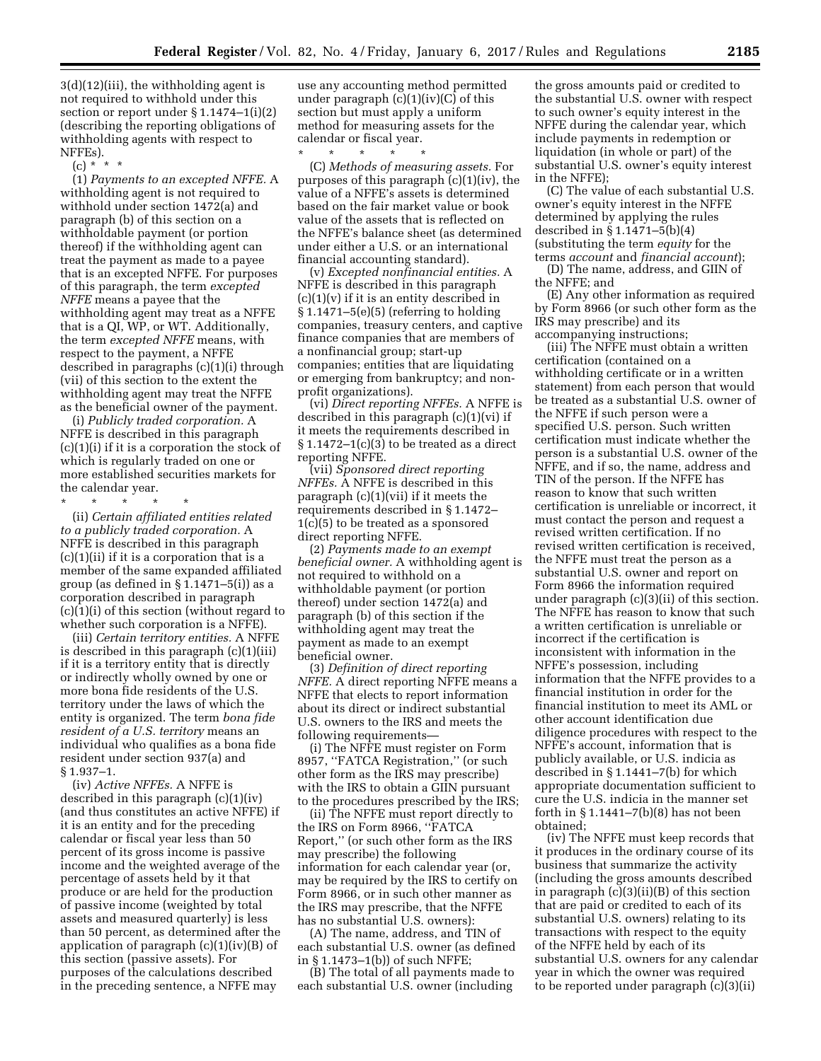3(d)(12)(iii), the withholding agent is not required to withhold under this section or report under § 1.1474–1(i)(2) (describing the reporting obligations of withholding agents with respect to NFFEs).

 $(c) * *$ 

(1) *Payments to an excepted NFFE.* A withholding agent is not required to withhold under section 1472(a) and paragraph (b) of this section on a withholdable payment (or portion thereof) if the withholding agent can treat the payment as made to a payee that is an excepted NFFE. For purposes of this paragraph, the term *excepted NFFE* means a payee that the withholding agent may treat as a NFFE that is a QI, WP, or WT. Additionally, the term *excepted NFFE* means, with respect to the payment, a NFFE described in paragraphs (c)(1)(i) through (vii) of this section to the extent the withholding agent may treat the NFFE as the beneficial owner of the payment.

(i) *Publicly traded corporation.* A NFFE is described in this paragraph (c)(1)(i) if it is a corporation the stock of which is regularly traded on one or more established securities markets for the calendar year.

\* \* \* \* \*

(ii) *Certain affiliated entities related to a publicly traded corporation.* A NFFE is described in this paragraph (c)(1)(ii) if it is a corporation that is a member of the same expanded affiliated group (as defined in § 1.1471–5(i)) as a corporation described in paragraph (c)(1)(i) of this section (without regard to whether such corporation is a NFFE).

(iii) *Certain territory entities.* A NFFE is described in this paragraph (c)(1)(iii) if it is a territory entity that is directly or indirectly wholly owned by one or more bona fide residents of the U.S. territory under the laws of which the entity is organized. The term *bona fide resident of a U.S. territory* means an individual who qualifies as a bona fide resident under section 937(a) and § 1.937–1.

(iv) *Active NFFEs.* A NFFE is described in this paragraph (c)(1)(iv) (and thus constitutes an active NFFE) if it is an entity and for the preceding calendar or fiscal year less than 50 percent of its gross income is passive income and the weighted average of the percentage of assets held by it that produce or are held for the production of passive income (weighted by total assets and measured quarterly) is less than 50 percent, as determined after the application of paragraph (c)(1)(iv)(B) of this section (passive assets). For purposes of the calculations described in the preceding sentence, a NFFE may

use any accounting method permitted under paragraph  $(c)(1)(iv)(C)$  of this section but must apply a uniform method for measuring assets for the calendar or fiscal year.

\* \* \* \* \*

(C) *Methods of measuring assets.* For purposes of this paragraph (c)(1)(iv), the value of a NFFE's assets is determined based on the fair market value or book value of the assets that is reflected on the NFFE's balance sheet (as determined under either a U.S. or an international financial accounting standard).

(v) *Excepted nonfinancial entities.* A NFFE is described in this paragraph (c)(1)(v) if it is an entity described in  $§ 1.1471-5(e)(5)$  (referring to holding companies, treasury centers, and captive finance companies that are members of a nonfinancial group; start-up companies; entities that are liquidating or emerging from bankruptcy; and nonprofit organizations).

(vi) *Direct reporting NFFEs.* A NFFE is described in this paragraph  $(c)(1)(vi)$  if it meets the requirements described in  $\S 1.1472 - 1(c)(3)$  to be treated as a direct reporting NFFE.

(vii) *Sponsored direct reporting NFFEs.* A NFFE is described in this paragraph (c)(1)(vii) if it meets the requirements described in § 1.1472– 1(c)(5) to be treated as a sponsored direct reporting NFFE.

(2) *Payments made to an exempt beneficial owner.* A withholding agent is not required to withhold on a withholdable payment (or portion thereof) under section 1472(a) and paragraph (b) of this section if the withholding agent may treat the payment as made to an exempt beneficial owner.

(3) *Definition of direct reporting NFFE.* A direct reporting NFFE means a NFFE that elects to report information about its direct or indirect substantial U.S. owners to the IRS and meets the following requirements—

(i) The NFFE must register on Form 8957, ''FATCA Registration,'' (or such other form as the IRS may prescribe) with the IRS to obtain a GIIN pursuant to the procedures prescribed by the IRS;

(ii) The NFFE must report directly to the IRS on Form 8966, ''FATCA Report,'' (or such other form as the IRS may prescribe) the following information for each calendar year (or, may be required by the IRS to certify on Form 8966, or in such other manner as the IRS may prescribe, that the NFFE has no substantial U.S. owners):

(A) The name, address, and TIN of each substantial U.S. owner (as defined in § 1.1473–1(b)) of such NFFE;

(B) The total of all payments made to each substantial U.S. owner (including

the gross amounts paid or credited to the substantial U.S. owner with respect to such owner's equity interest in the NFFE during the calendar year, which include payments in redemption or liquidation (in whole or part) of the substantial U.S. owner's equity interest in the NFFE);

(C) The value of each substantial U.S. owner's equity interest in the NFFE determined by applying the rules described in § 1.1471–5(b)(4) (substituting the term *equity* for the terms *account* and *financial account*);

(D) The name, address, and GIIN of the NFFE; and

(E) Any other information as required by Form 8966 (or such other form as the IRS may prescribe) and its accompanying instructions;

(iii) The NFFE must obtain a written certification (contained on a withholding certificate or in a written statement) from each person that would be treated as a substantial U.S. owner of the NFFE if such person were a specified U.S. person. Such written certification must indicate whether the person is a substantial U.S. owner of the NFFE, and if so, the name, address and TIN of the person. If the NFFE has reason to know that such written certification is unreliable or incorrect, it must contact the person and request a revised written certification. If no revised written certification is received, the NFFE must treat the person as a substantial U.S. owner and report on Form 8966 the information required under paragraph (c)(3)(ii) of this section. The NFFE has reason to know that such a written certification is unreliable or incorrect if the certification is inconsistent with information in the NFFE's possession, including information that the NFFE provides to a financial institution in order for the financial institution to meet its AML or other account identification due diligence procedures with respect to the NFFE's account, information that is publicly available, or U.S. indicia as described in § 1.1441–7(b) for which appropriate documentation sufficient to cure the U.S. indicia in the manner set forth in  $\S 1.1441 - 7(b)(8)$  has not been obtained;

(iv) The NFFE must keep records that it produces in the ordinary course of its business that summarize the activity (including the gross amounts described in paragraph  $(c)(3)(ii)(B)$  of this section that are paid or credited to each of its substantial U.S. owners) relating to its transactions with respect to the equity of the NFFE held by each of its substantial U.S. owners for any calendar year in which the owner was required to be reported under paragraph (c)(3)(ii)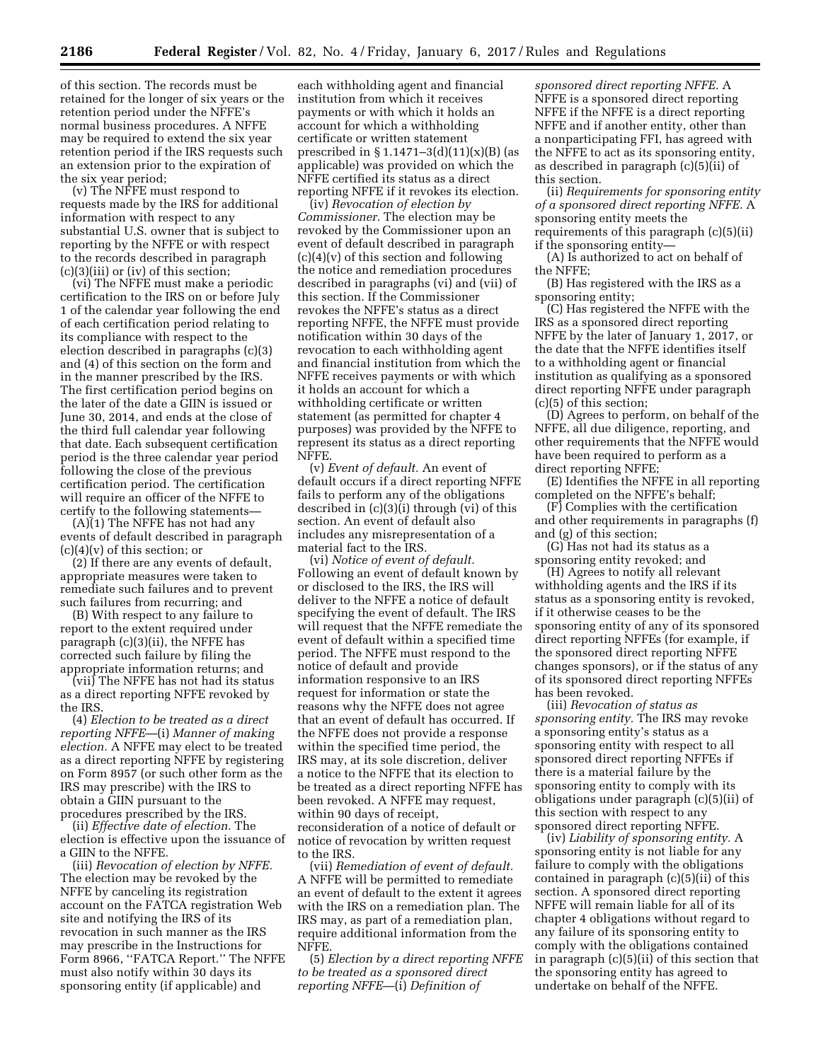of this section. The records must be retained for the longer of six years or the retention period under the NFFE's normal business procedures. A NFFE may be required to extend the six year retention period if the IRS requests such an extension prior to the expiration of the six year period;

(v) The NFFE must respond to requests made by the IRS for additional information with respect to any substantial U.S. owner that is subject to reporting by the NFFE or with respect to the records described in paragraph  $(c)(3)(iii)$  or  $(iv)$  of this section;

(vi) The NFFE must make a periodic certification to the IRS on or before July 1 of the calendar year following the end of each certification period relating to its compliance with respect to the election described in paragraphs (c)(3) and (4) of this section on the form and in the manner prescribed by the IRS. The first certification period begins on the later of the date a GIIN is issued or June 30, 2014, and ends at the close of the third full calendar year following that date. Each subsequent certification period is the three calendar year period following the close of the previous certification period. The certification will require an officer of the NFFE to certify to the following statements—

 $(A)(1)$  The NFFE has not had any events of default described in paragraph  $(c)(4)(v)$  of this section; or

(2) If there are any events of default, appropriate measures were taken to remediate such failures and to prevent such failures from recurring; and

(B) With respect to any failure to report to the extent required under paragraph (c)(3)(ii), the NFFE has corrected such failure by filing the appropriate information returns; and

(vii) The NFFE has not had its status as a direct reporting NFFE revoked by the IRS.

(4) *Election to be treated as a direct reporting NFFE*—(i) *Manner of making election.* A NFFE may elect to be treated as a direct reporting NFFE by registering on Form 8957 (or such other form as the IRS may prescribe) with the IRS to obtain a GIIN pursuant to the procedures prescribed by the IRS.

(ii) *Effective date of election.* The election is effective upon the issuance of a GIIN to the NFFE.

(iii) *Revocation of election by NFFE.*  The election may be revoked by the NFFE by canceling its registration account on the FATCA registration Web site and notifying the IRS of its revocation in such manner as the IRS may prescribe in the Instructions for Form 8966, ''FATCA Report.'' The NFFE must also notify within 30 days its sponsoring entity (if applicable) and

each withholding agent and financial institution from which it receives payments or with which it holds an account for which a withholding certificate or written statement prescribed in  $\S 1.1471 - 3(d)(11)(x)(B)$  (as applicable) was provided on which the NFFE certified its status as a direct reporting NFFE if it revokes its election.

(iv) *Revocation of election by Commissioner.* The election may be revoked by the Commissioner upon an event of default described in paragraph (c)(4)(v) of this section and following the notice and remediation procedures described in paragraphs (vi) and (vii) of this section. If the Commissioner revokes the NFFE's status as a direct reporting NFFE, the NFFE must provide notification within 30 days of the revocation to each withholding agent and financial institution from which the NFFE receives payments or with which it holds an account for which a withholding certificate or written statement (as permitted for chapter 4 purposes) was provided by the NFFE to represent its status as a direct reporting NFFE.

(v) *Event of default.* An event of default occurs if a direct reporting NFFE fails to perform any of the obligations described in (c)(3)(i) through (vi) of this section. An event of default also includes any misrepresentation of a material fact to the IRS.

(vi) *Notice of event of default.*  Following an event of default known by or disclosed to the IRS, the IRS will deliver to the NFFE a notice of default specifying the event of default. The IRS will request that the NFFE remediate the event of default within a specified time period. The NFFE must respond to the notice of default and provide information responsive to an IRS request for information or state the reasons why the NFFE does not agree that an event of default has occurred. If the NFFE does not provide a response within the specified time period, the IRS may, at its sole discretion, deliver a notice to the NFFE that its election to be treated as a direct reporting NFFE has been revoked. A NFFE may request, within 90 days of receipt, reconsideration of a notice of default or notice of revocation by written request to the IRS.

(vii) *Remediation of event of default.*  A NFFE will be permitted to remediate an event of default to the extent it agrees with the IRS on a remediation plan. The IRS may, as part of a remediation plan, require additional information from the NFFE.

(5) *Election by a direct reporting NFFE to be treated as a sponsored direct reporting NFFE*—(i) *Definition of* 

*sponsored direct reporting NFFE.* A NFFE is a sponsored direct reporting NFFE if the NFFE is a direct reporting NFFE and if another entity, other than a nonparticipating FFI, has agreed with the NFFE to act as its sponsoring entity, as described in paragraph (c)(5)(ii) of this section.

(ii) *Requirements for sponsoring entity of a sponsored direct reporting NFFE.* A sponsoring entity meets the requirements of this paragraph (c)(5)(ii) if the sponsoring entity—

(A) Is authorized to act on behalf of the NFFE;

(B) Has registered with the IRS as a sponsoring entity;

(C) Has registered the NFFE with the IRS as a sponsored direct reporting NFFE by the later of January 1, 2017, or the date that the NFFE identifies itself to a withholding agent or financial institution as qualifying as a sponsored direct reporting NFFE under paragraph (c)(5) of this section;

(D) Agrees to perform, on behalf of the NFFE, all due diligence, reporting, and other requirements that the NFFE would have been required to perform as a direct reporting NFFE;

(E) Identifies the NFFE in all reporting completed on the NFFE's behalf;

(F) Complies with the certification and other requirements in paragraphs (f) and (g) of this section;

(G) Has not had its status as a sponsoring entity revoked; and

(H) Agrees to notify all relevant withholding agents and the IRS if its status as a sponsoring entity is revoked, if it otherwise ceases to be the sponsoring entity of any of its sponsored direct reporting NFFEs (for example, if the sponsored direct reporting NFFE changes sponsors), or if the status of any of its sponsored direct reporting NFFEs has been revoked.

(iii) *Revocation of status as sponsoring entity.* The IRS may revoke a sponsoring entity's status as a sponsoring entity with respect to all sponsored direct reporting NFFEs if there is a material failure by the sponsoring entity to comply with its obligations under paragraph (c)(5)(ii) of this section with respect to any sponsored direct reporting NFFE.

(iv) *Liability of sponsoring entity.* A sponsoring entity is not liable for any failure to comply with the obligations contained in paragraph (c)(5)(ii) of this section. A sponsored direct reporting NFFE will remain liable for all of its chapter 4 obligations without regard to any failure of its sponsoring entity to comply with the obligations contained in paragraph (c)(5)(ii) of this section that the sponsoring entity has agreed to undertake on behalf of the NFFE.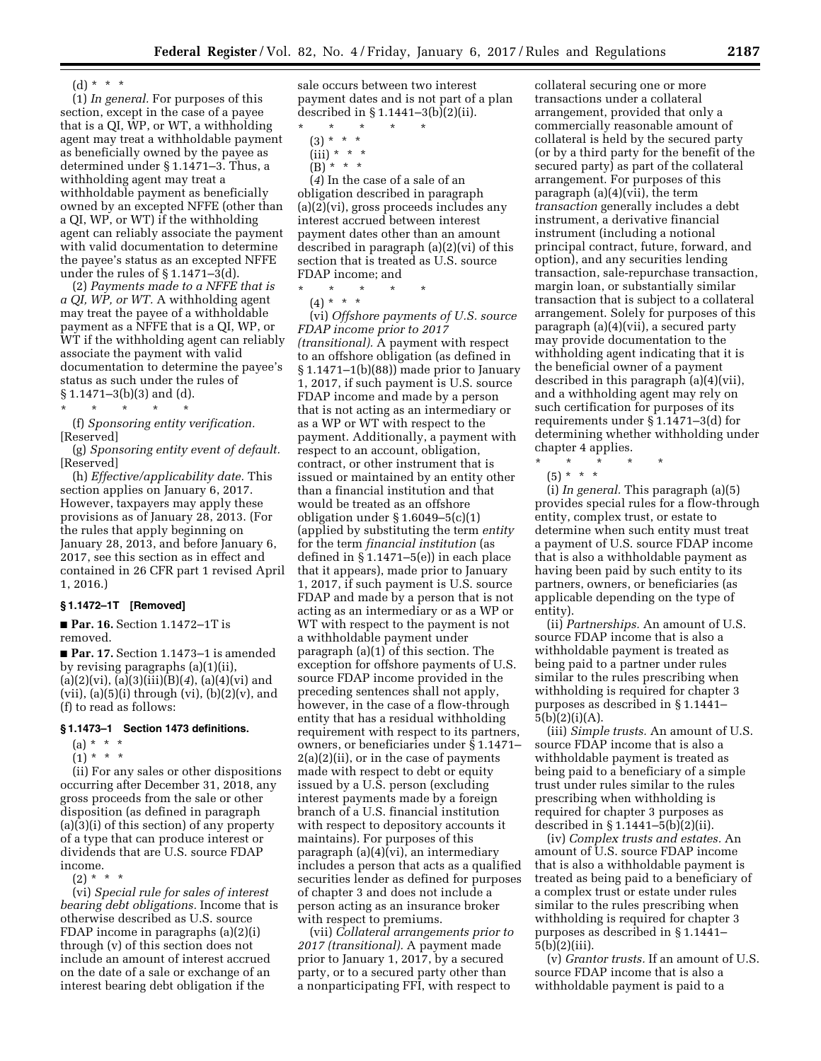$(d) * * * *$ 

(1) *In general.* For purposes of this section, except in the case of a payee that is a QI, WP, or WT, a withholding agent may treat a withholdable payment as beneficially owned by the payee as determined under § 1.1471–3. Thus, a withholding agent may treat a withholdable payment as beneficially owned by an excepted NFFE (other than a QI, WP, or WT) if the withholding agent can reliably associate the payment with valid documentation to determine the payee's status as an excepted NFFE under the rules of § 1.1471–3(d).

(2) *Payments made to a NFFE that is a QI, WP, or WT.* A withholding agent may treat the payee of a withholdable payment as a NFFE that is a QI, WP, or WT if the withholding agent can reliably associate the payment with valid documentation to determine the payee's status as such under the rules of § 1.1471–3(b)(3) and (d).

\* \* \* \* \*

(f) *Sponsoring entity verification.*  [Reserved]

(g) *Sponsoring entity event of default.*  [Reserved]

(h) *Effective/applicability date.* This section applies on January 6, 2017. However, taxpayers may apply these provisions as of January 28, 2013. (For the rules that apply beginning on January 28, 2013, and before January 6, 2017, see this section as in effect and contained in 26 CFR part 1 revised April 1, 2016.)

# **§ 1.1472–1T [Removed]**

■ **Par. 16.** Section 1.1472–1T is removed.

■ **Par. 17.** Section 1.1473–1 is amended by revising paragraphs (a)(1)(ii), (a)(2)(vi), (a)(3)(iii)(B)(*4*), (a)(4)(vi) and (vii), (a)(5)(i) through (vi), (b)(2)(v), and (f) to read as follows:

# **§ 1.1473–1 Section 1473 definitions.**

- $(a) * * * *$
- $(1) * * * *$

(ii) For any sales or other dispositions occurring after December 31, 2018, any gross proceeds from the sale or other disposition (as defined in paragraph (a)(3)(i) of this section) of any property of a type that can produce interest or dividends that are U.S. source FDAP income.

 $(2) * * * *$ 

(vi) *Special rule for sales of interest bearing debt obligations.* Income that is otherwise described as U.S. source FDAP income in paragraphs (a)(2)(i) through (v) of this section does not include an amount of interest accrued on the date of a sale or exchange of an interest bearing debt obligation if the

sale occurs between two interest payment dates and is not part of a plan described in § 1.1441–3(b)(2)(ii).

 $(3) * * * *$ 

(iii) \* \* \*

 $(B)$ <sup>\*</sup> \* \*

(*4*) In the case of a sale of an obligation described in paragraph (a)(2)(vi), gross proceeds includes any interest accrued between interest payment dates other than an amount described in paragraph (a)(2)(vi) of this section that is treated as U.S. source FDAP income; and

\* \* \* \* \*

 $(4) * * * *$ 

(vi) *Offshore payments of U.S. source FDAP income prior to 2017 (transitional).* A payment with respect to an offshore obligation (as defined in § 1.1471–1(b)(88)) made prior to January 1, 2017, if such payment is U.S. source FDAP income and made by a person that is not acting as an intermediary or as a WP or WT with respect to the payment. Additionally, a payment with respect to an account, obligation, contract, or other instrument that is issued or maintained by an entity other than a financial institution and that would be treated as an offshore obligation under  $\S 1.6049 - 5(c)(1)$ (applied by substituting the term *entity*  for the term *financial institution* (as defined in § 1.1471–5(e)) in each place that it appears), made prior to January 1, 2017, if such payment is U.S. source FDAP and made by a person that is not acting as an intermediary or as a WP or WT with respect to the payment is not a withholdable payment under paragraph (a)(1) of this section. The exception for offshore payments of U.S. source FDAP income provided in the preceding sentences shall not apply, however, in the case of a flow-through entity that has a residual withholding requirement with respect to its partners, owners, or beneficiaries under § 1.1471– 2(a)(2)(ii), or in the case of payments made with respect to debt or equity issued by a U.S. person (excluding interest payments made by a foreign branch of a U.S. financial institution with respect to depository accounts it maintains). For purposes of this paragraph (a)(4)(vi), an intermediary includes a person that acts as a qualified securities lender as defined for purposes of chapter 3 and does not include a person acting as an insurance broker with respect to premiums.

(vii) *Collateral arrangements prior to 2017 (transitional).* A payment made prior to January 1, 2017, by a secured party, or to a secured party other than a nonparticipating FFI, with respect to

collateral securing one or more transactions under a collateral arrangement, provided that only a commercially reasonable amount of collateral is held by the secured party (or by a third party for the benefit of the secured party) as part of the collateral arrangement. For purposes of this paragraph (a)(4)(vii), the term *transaction* generally includes a debt instrument, a derivative financial instrument (including a notional principal contract, future, forward, and option), and any securities lending transaction, sale-repurchase transaction, margin loan, or substantially similar transaction that is subject to a collateral arrangement. Solely for purposes of this paragraph (a)(4)(vii), a secured party may provide documentation to the withholding agent indicating that it is the beneficial owner of a payment described in this paragraph (a)(4)(vii), and a withholding agent may rely on such certification for purposes of its requirements under § 1.1471–3(d) for determining whether withholding under chapter 4 applies. \* \* \* \* \*

 $(5) * * * *$ 

(i) *In general.* This paragraph (a)(5) provides special rules for a flow-through entity, complex trust, or estate to determine when such entity must treat a payment of U.S. source FDAP income that is also a withholdable payment as having been paid by such entity to its partners, owners, or beneficiaries (as applicable depending on the type of entity).

(ii) *Partnerships.* An amount of U.S. source FDAP income that is also a withholdable payment is treated as being paid to a partner under rules similar to the rules prescribing when withholding is required for chapter 3 purposes as described in § 1.1441–  $5(b)(2)(i)(A).$ 

(iii) *Simple trusts.* An amount of U.S. source FDAP income that is also a withholdable payment is treated as being paid to a beneficiary of a simple trust under rules similar to the rules prescribing when withholding is required for chapter 3 purposes as described in § 1.1441–5(b)(2)(ii).

(iv) *Complex trusts and estates.* An amount of U.S. source FDAP income that is also a withholdable payment is treated as being paid to a beneficiary of a complex trust or estate under rules similar to the rules prescribing when withholding is required for chapter 3 purposes as described in § 1.1441– 5(b)(2)(iii).

(v) *Grantor trusts.* If an amount of U.S. source FDAP income that is also a withholdable payment is paid to a

 $*$  \*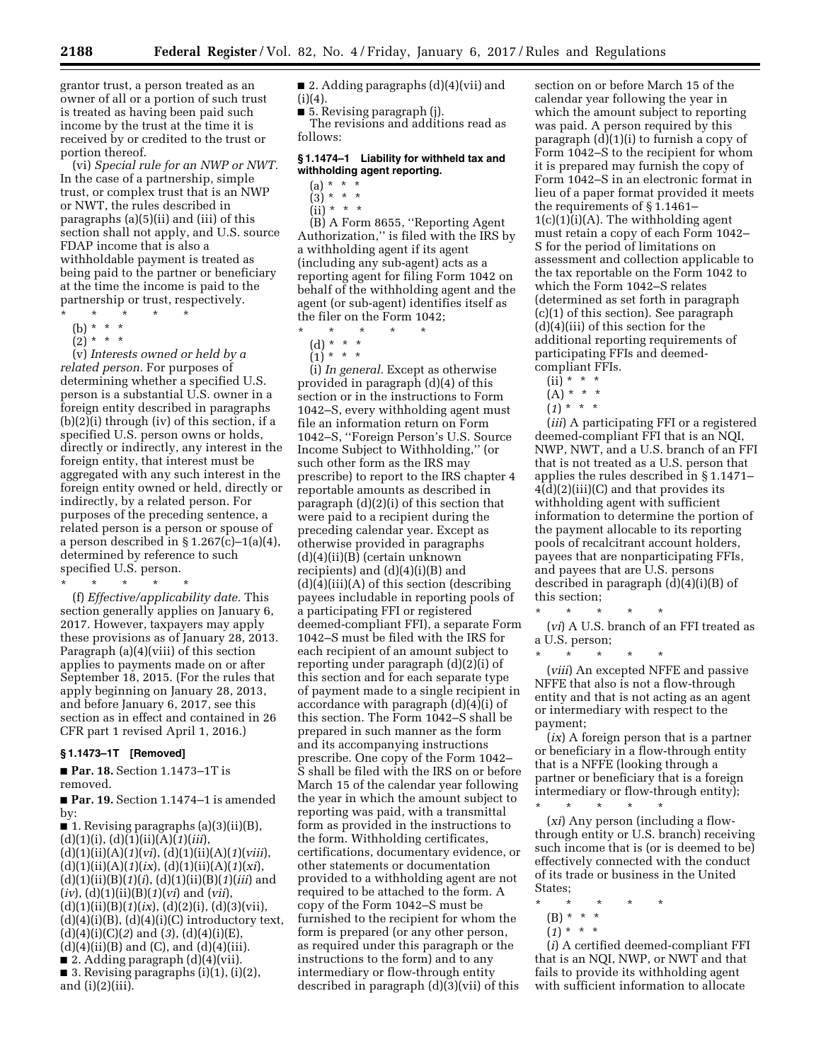grantor trust, a person treated as an owner of all or a portion of such trust is treated as having been paid such income by the trust at the time it is received by or credited to the trust or portion thereof.

(vi) *Special rule for an NWP or NWT.*  In the case of a partnership, simple trust, or complex trust that is an NWP or NWT, the rules described in paragraphs (a)(5)(ii) and (iii) of this section shall not apply, and U.S. source FDAP income that is also a withholdable payment is treated as being paid to the partner or beneficiary at the time the income is paid to the partnership or trust, respectively.

- \* \* \* \* \*
	- (b) \* \* \*  $(2) * * * *$
	-

(v) *Interests owned or held by a related person.* For purposes of determining whether a specified U.S. person is a substantial U.S. owner in a foreign entity described in paragraphs (b)(2)(i) through (iv) of this section, if a specified U.S. person owns or holds, directly or indirectly, any interest in the foreign entity, that interest must be aggregated with any such interest in the foreign entity owned or held, directly or indirectly, by a related person. For purposes of the preceding sentence, a related person is a person or spouse of a person described in  $\S 1.267(c) - 1(a)(4)$ , determined by reference to such specified U.S. person.

\* \* \* \* \*

(f) *Effective/applicability date.* This section generally applies on January 6, 2017. However, taxpayers may apply these provisions as of January 28, 2013. Paragraph (a)(4)(viii) of this section applies to payments made on or after September 18, 2015. (For the rules that apply beginning on January 28, 2013, and before January 6, 2017, see this section as in effect and contained in 26 CFR part 1 revised April 1, 2016.)

### **§ 1.1473–1T [Removed]**

■ **Par. 18.** Section 1.1473–1T is removed.

■ **Par. 19.** Section 1.1474–1 is amended by:

■ 1. Revising paragraphs (a)(3)(ii)(B), (d)(1)(i), (d)(1)(ii)(A)(*1*)(*iii*), (d)(1)(ii)(A)(*1*)(*vi*), (d)(1)(ii)(A)(*1*)(*viii*), (d)(1)(ii)(A)(*1*)(*ix*), (d)(1)(ii)(A)(*1*)(*xi*), (d)(1)(ii)(B)(*1*)(*i*), (d)(1)(ii)(B)(*1*)(*iii*) and (*iv*), (d)(1)(ii)(B)(*1*)(*vi*) and (*vii*), (d)(1)(ii)(B)(*1*)(*ix*), (d)(2)(i), (d)(3)(vii),  $(d)(4)(i)(B), (d)(4)(i)(C)$  introductory text, (d)(4)(i)(C)(*2*) and (*3*), (d)(4)(i)(E),  $(d)(4)(ii)(B)$  and  $(C)$ , and  $(d)(4)(iii)$ . ■ 2. Adding paragraph  $(d)(4)(vii)$ . ■ 3. Revising paragraphs (i)(1), (i)(2),

and  $(i)(2)(iii)$ .

■ 2. Adding paragraphs (d)(4)(vii) and  $(i)(4)$ .

■ 5. Revising paragraph (j). The revisions and additions read as follows:

### **§ 1.1474–1 Liability for withheld tax and withholding agent reporting.**

- $(a) * * * *$
- (3) \* \* \*
- (ii) \* \* \*

(B) A Form 8655, ''Reporting Agent Authorization,'' is filed with the IRS by a withholding agent if its agent (including any sub-agent) acts as a reporting agent for filing Form 1042 on behalf of the withholding agent and the agent (or sub-agent) identifies itself as the filer on the Form 1042;

\* \* \* \* \*

- (d) \* \* \*
- $(1) * * * *$

(i) *In general.* Except as otherwise provided in paragraph (d)(4) of this section or in the instructions to Form 1042–S, every withholding agent must file an information return on Form 1042–S, ''Foreign Person's U.S. Source Income Subject to Withholding,'' (or such other form as the IRS may prescribe) to report to the IRS chapter 4 reportable amounts as described in paragraph (d)(2)(i) of this section that were paid to a recipient during the preceding calendar year. Except as otherwise provided in paragraphs (d)(4)(ii)(B) (certain unknown recipients) and (d)(4)(i)(B) and  $(d)(4)(iii)(A)$  of this section (describing payees includable in reporting pools of a participating FFI or registered deemed-compliant FFI), a separate Form 1042–S must be filed with the IRS for each recipient of an amount subject to reporting under paragraph (d)(2)(i) of this section and for each separate type of payment made to a single recipient in accordance with paragraph (d)(4)(i) of this section. The Form 1042–S shall be prepared in such manner as the form and its accompanying instructions prescribe. One copy of the Form 1042– S shall be filed with the IRS on or before March 15 of the calendar year following the year in which the amount subject to reporting was paid, with a transmittal form as provided in the instructions to the form. Withholding certificates, certifications, documentary evidence, or other statements or documentation provided to a withholding agent are not required to be attached to the form. A copy of the Form 1042–S must be furnished to the recipient for whom the form is prepared (or any other person, as required under this paragraph or the instructions to the form) and to any intermediary or flow-through entity described in paragraph (d)(3)(vii) of this

section on or before March 15 of the calendar year following the year in which the amount subject to reporting was paid. A person required by this paragraph (d)(1)(i) to furnish a copy of Form 1042–S to the recipient for whom it is prepared may furnish the copy of Form 1042–S in an electronic format in lieu of a paper format provided it meets the requirements of § 1.1461–  $1(c)(1)(i)(A)$ . The withholding agent must retain a copy of each Form 1042– S for the period of limitations on assessment and collection applicable to the tax reportable on the Form 1042 to which the Form 1042–S relates (determined as set forth in paragraph (c)(1) of this section). See paragraph (d)(4)(iii) of this section for the additional reporting requirements of participating FFIs and deemedcompliant FFIs.

- (ii) \* \* \*
- $(A) * * * *$
- (*1*) \* \* \*

(*iii*) A participating FFI or a registered deemed-compliant FFI that is an NQI, NWP, NWT, and a U.S. branch of an FFI that is not treated as a U.S. person that applies the rules described in § 1.1471– 4(d)(2)(iii)(C) and that provides its withholding agent with sufficient information to determine the portion of the payment allocable to its reporting pools of recalcitrant account holders, payees that are nonparticipating FFIs, and payees that are U.S. persons described in paragraph (d)(4)(i)(B) of this section;

\* \* \* \* \* (*vi*) A U.S. branch of an FFI treated as a U.S. person;

\* \* \* \* \* (*viii*) An excepted NFFE and passive NFFE that also is not a flow-through entity and that is not acting as an agent or intermediary with respect to the payment;

(*ix*) A foreign person that is a partner or beneficiary in a flow-through entity that is a NFFE (looking through a partner or beneficiary that is a foreign intermediary or flow-through entity);

\* \* \* \* \* (*xi*) Any person (including a flowthrough entity or U.S. branch) receiving such income that is (or is deemed to be) effectively connected with the conduct of its trade or business in the United States;

- \* \* \* \* \*
- (B) \* \* \*
- (*1*) \* \* \*

(*i*) A certified deemed-compliant FFI that is an NQI, NWP, or NWT and that fails to provide its withholding agent with sufficient information to allocate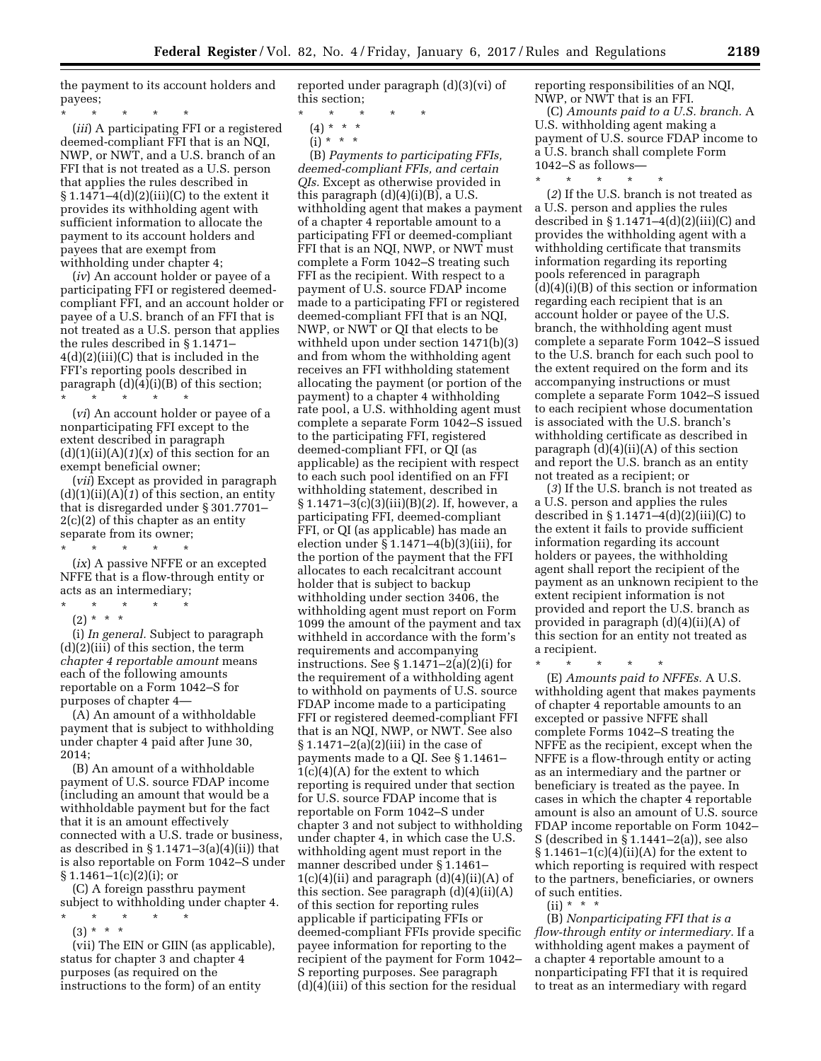the payment to its account holders and payees;

\* \* \* \* \*

(*iii*) A participating FFI or a registered deemed-compliant FFI that is an NQI, NWP, or NWT, and a U.S. branch of an FFI that is not treated as a U.S. person that applies the rules described in  $$1.1471–4(d)(2)(iii)(C)$  to the extent it provides its withholding agent with sufficient information to allocate the payment to its account holders and payees that are exempt from withholding under chapter 4;

(*iv*) An account holder or payee of a participating FFI or registered deemedcompliant FFI, and an account holder or payee of a U.S. branch of an FFI that is not treated as a U.S. person that applies the rules described in § 1.1471– 4(d)(2)(iii)(C) that is included in the FFI's reporting pools described in paragraph (d)(4)(i)(B) of this section; \* \* \* \* \*

(*vi*) An account holder or payee of a nonparticipating FFI except to the extent described in paragraph  $(d)(1)(ii)(A)(1)(x)$  of this section for an exempt beneficial owner;

(*vii*) Except as provided in paragraph (d)(1)(ii)(A)(*1*) of this section, an entity that is disregarded under § 301.7701– 2(c)(2) of this chapter as an entity separate from its owner;

\* \* \* \* \*

(*ix*) A passive NFFE or an excepted NFFE that is a flow-through entity or acts as an intermediary;

\* \* \* \* \*

 $(2) * * * *$ 

(i) *In general.* Subject to paragraph (d)(2)(iii) of this section, the term *chapter 4 reportable amount* means each of the following amounts reportable on a Form 1042–S for purposes of chapter 4—

(A) An amount of a withholdable payment that is subject to withholding under chapter 4 paid after June 30, 2014;

(B) An amount of a withholdable payment of U.S. source FDAP income (including an amount that would be a withholdable payment but for the fact that it is an amount effectively connected with a U.S. trade or business, as described in  $\S 1.1471 - 3(a)(4)(ii)$  that is also reportable on Form 1042–S under  $§ 1.1461-1(c)(2)(i);$  or

(C) A foreign passthru payment subject to withholding under chapter 4.

\* \* \* \* \*

(3) \* \* \*

(vii) The EIN or GIIN (as applicable), status for chapter 3 and chapter 4 purposes (as required on the instructions to the form) of an entity

reported under paragraph (d)(3)(vi) of this section;

- $*$  \*
- $(4) * * * *$
- $(i) * * * *$

(B) *Payments to participating FFIs, deemed-compliant FFIs, and certain QIs.* Except as otherwise provided in this paragraph  $(d)(4)(i)(B)$ , a U.S. withholding agent that makes a payment of a chapter 4 reportable amount to a participating FFI or deemed-compliant FFI that is an NQI, NWP, or NWT must complete a Form 1042–S treating such FFI as the recipient. With respect to a payment of U.S. source FDAP income made to a participating FFI or registered deemed-compliant FFI that is an NQI, NWP, or NWT or QI that elects to be withheld upon under section 1471(b)(3) and from whom the withholding agent receives an FFI withholding statement allocating the payment (or portion of the payment) to a chapter 4 withholding rate pool, a U.S. withholding agent must complete a separate Form 1042–S issued to the participating FFI, registered deemed-compliant FFI, or QI (as applicable) as the recipient with respect to each such pool identified on an FFI withholding statement, described in § 1.1471–3(c)(3)(iii)(B)(*2*). If, however, a participating FFI, deemed-compliant FFI, or QI (as applicable) has made an election under  $\S 1.1471-4(b)(3)(iii)$ , for the portion of the payment that the FFI allocates to each recalcitrant account holder that is subject to backup withholding under section 3406, the withholding agent must report on Form 1099 the amount of the payment and tax withheld in accordance with the form's requirements and accompanying instructions. See  $\S 1.1471-2(a)(2)(i)$  for the requirement of a withholding agent to withhold on payments of U.S. source FDAP income made to a participating FFI or registered deemed-compliant FFI that is an NQI, NWP, or NWT. See also § 1.1471–2(a)(2)(iii) in the case of payments made to a QI. See § 1.1461–  $1(c)(4)(A)$  for the extent to which reporting is required under that section for U.S. source FDAP income that is reportable on Form 1042–S under chapter 3 and not subject to withholding under chapter 4, in which case the U.S. withholding agent must report in the manner described under § 1.1461–  $1(c)(4)(ii)$  and paragraph  $(d)(4)(ii)(A)$  of this section. See paragraph  $(d)(4)(ii)(A)$ of this section for reporting rules applicable if participating FFIs or deemed-compliant FFIs provide specific payee information for reporting to the recipient of the payment for Form 1042– S reporting purposes. See paragraph (d)(4)(iii) of this section for the residual

reporting responsibilities of an NQI, NWP, or NWT that is an FFI.

\* \* \* \* \*

(C) *Amounts paid to a U.S. branch.* A U.S. withholding agent making a payment of U.S. source FDAP income to a U.S. branch shall complete Form 1042–S as follows—

(*2*) If the U.S. branch is not treated as a U.S. person and applies the rules described in  $\S 1.1471-4(d)(2)(iii)(C)$  and provides the withholding agent with a withholding certificate that transmits information regarding its reporting pools referenced in paragraph (d)(4)(i)(B) of this section or information regarding each recipient that is an account holder or payee of the U.S. branch, the withholding agent must complete a separate Form 1042–S issued to the U.S. branch for each such pool to the extent required on the form and its accompanying instructions or must complete a separate Form 1042–S issued to each recipient whose documentation is associated with the U.S. branch's withholding certificate as described in paragraph  $(d)(4)(ii)(A)$  of this section and report the U.S. branch as an entity not treated as a recipient; or

(*3*) If the U.S. branch is not treated as a U.S. person and applies the rules described in  $\S 1.1471-4(d)(2)(iii)(C)$  to the extent it fails to provide sufficient information regarding its account holders or payees, the withholding agent shall report the recipient of the payment as an unknown recipient to the extent recipient information is not provided and report the U.S. branch as provided in paragraph (d)(4)(ii)(A) of this section for an entity not treated as a recipient.

\* \* \* \* \*

(E) *Amounts paid to NFFEs.* A U.S. withholding agent that makes payments of chapter 4 reportable amounts to an excepted or passive NFFE shall complete Forms 1042–S treating the NFFE as the recipient, except when the NFFE is a flow-through entity or acting as an intermediary and the partner or beneficiary is treated as the payee. In cases in which the chapter 4 reportable amount is also an amount of U.S. source FDAP income reportable on Form 1042– S (described in § 1.1441–2(a)), see also § 1.1461–1(c)(4)(ii)(A) for the extent to which reporting is required with respect to the partners, beneficiaries, or owners of such entities.

 $(ii) * * *$ 

(B) *Nonparticipating FFI that is a flow-through entity or intermediary.* If a withholding agent makes a payment of a chapter 4 reportable amount to a nonparticipating FFI that it is required to treat as an intermediary with regard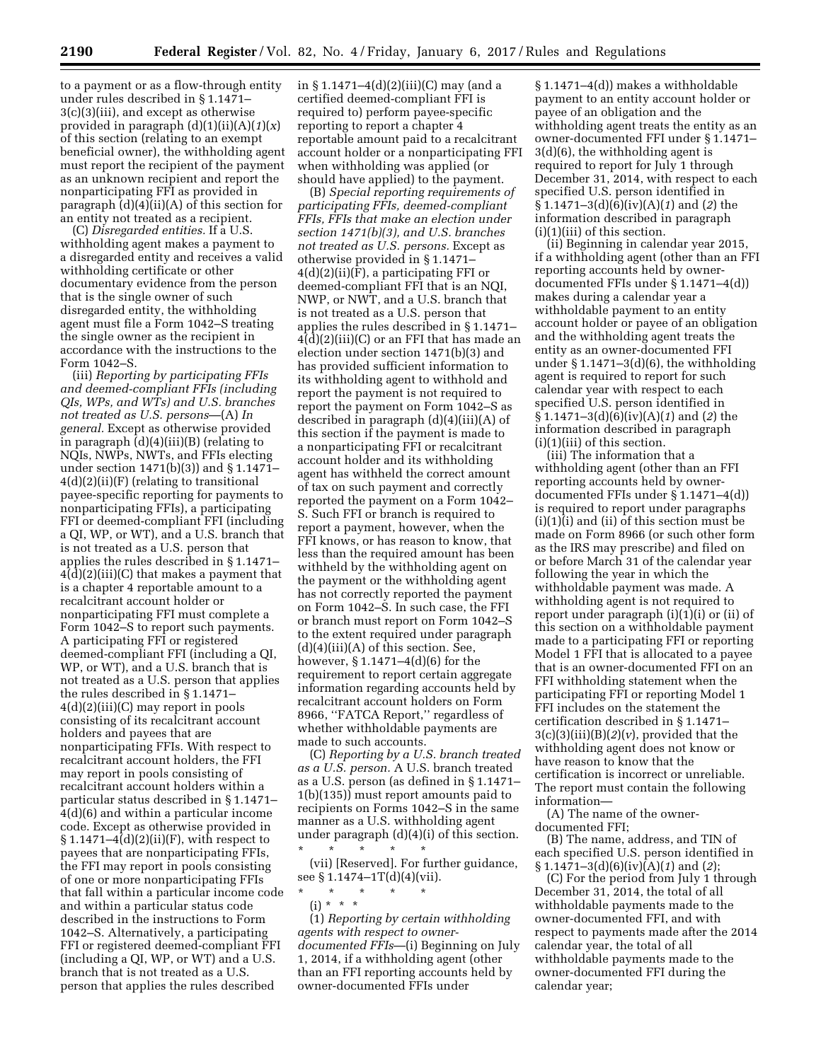to a payment or as a flow-through entity under rules described in § 1.1471– 3(c)(3)(iii), and except as otherwise provided in paragraph (d)(1)(ii)(A)(*1*)(*x*) of this section (relating to an exempt beneficial owner), the withholding agent must report the recipient of the payment as an unknown recipient and report the nonparticipating FFI as provided in paragraph  $(d)(4)(ii)(A)$  of this section for an entity not treated as a recipient.

(C) *Disregarded entities.* If a U.S. withholding agent makes a payment to a disregarded entity and receives a valid withholding certificate or other documentary evidence from the person that is the single owner of such disregarded entity, the withholding agent must file a Form 1042–S treating the single owner as the recipient in accordance with the instructions to the Form 1042–S.

(iii) *Reporting by participating FFIs and deemed-compliant FFIs (including QIs, WPs, and WTs) and U.S. branches not treated as U.S. persons*—(A) *In general.* Except as otherwise provided in paragraph  $(d)(4)(iii)(B)$  (relating to NQIs, NWPs, NWTs, and FFIs electing under section 1471(b)(3)) and § 1.1471– 4(d)(2)(ii)(F) (relating to transitional payee-specific reporting for payments to nonparticipating FFIs), a participating FFI or deemed-compliant FFI (including a QI, WP, or WT), and a U.S. branch that is not treated as a U.S. person that applies the rules described in § 1.1471– 4(d)(2)(iii)(C) that makes a payment that is a chapter 4 reportable amount to a recalcitrant account holder or nonparticipating FFI must complete a Form 1042–S to report such payments. A participating FFI or registered deemed-compliant FFI (including a QI, WP, or WT), and a U.S. branch that is not treated as a U.S. person that applies the rules described in § 1.1471– 4(d)(2)(iii)(C) may report in pools consisting of its recalcitrant account holders and payees that are nonparticipating FFIs. With respect to recalcitrant account holders, the FFI may report in pools consisting of recalcitrant account holders within a particular status described in § 1.1471– 4(d)(6) and within a particular income code. Except as otherwise provided in  $\S 1.1471-4(d)(2)(ii)(F)$ , with respect to payees that are nonparticipating FFIs, the FFI may report in pools consisting of one or more nonparticipating FFIs that fall within a particular income code and within a particular status code described in the instructions to Form 1042–S. Alternatively, a participating FFI or registered deemed-compliant FFI (including a QI, WP, or WT) and a U.S. branch that is not treated as a U.S. person that applies the rules described

in § 1.1471–4(d)(2)(iii)(C) may (and a certified deemed-compliant FFI is required to) perform payee-specific reporting to report a chapter 4 reportable amount paid to a recalcitrant account holder or a nonparticipating FFI when withholding was applied (or should have applied) to the payment.

(B) *Special reporting requirements of participating FFIs, deemed-compliant FFIs, FFIs that make an election under section 1471(b)(3), and U.S. branches not treated as U.S. persons.* Except as otherwise provided in § 1.1471–  $4(d)(2)(ii)(F)$ , a participating FFI or deemed-compliant FFI that is an NQI, NWP, or NWT, and a U.S. branch that is not treated as a U.S. person that applies the rules described in § 1.1471–  $4(d)(2)(iii)(C)$  or an FFI that has made an election under section 1471(b)(3) and has provided sufficient information to its withholding agent to withhold and report the payment is not required to report the payment on Form 1042–S as described in paragraph (d)(4)(iii)(A) of this section if the payment is made to a nonparticipating FFI or recalcitrant account holder and its withholding agent has withheld the correct amount of tax on such payment and correctly reported the payment on a Form 1042– S. Such FFI or branch is required to report a payment, however, when the FFI knows, or has reason to know, that less than the required amount has been withheld by the withholding agent on the payment or the withholding agent has not correctly reported the payment on Form 1042–S. In such case, the FFI or branch must report on Form 1042–S to the extent required under paragraph  $(d)(4)(iii)(A)$  of this section. See, however, § 1.1471–4(d)(6) for the requirement to report certain aggregate information regarding accounts held by recalcitrant account holders on Form 8966, ''FATCA Report,'' regardless of whether withholdable payments are made to such accounts.

(C) *Reporting by a U.S. branch treated as a U.S. person.* A U.S. branch treated as a U.S. person (as defined in § 1.1471– 1(b)(135)) must report amounts paid to recipients on Forms 1042–S in the same manner as a U.S. withholding agent under paragraph (d)(4)(i) of this section.

\* \* \* \* \* (vii) [Reserved]. For further guidance, see § 1.1474–1T(d)(4)(vii).

 $*$  \*

(i) \* \* \*

(1) *Reporting by certain withholding agents with respect to ownerdocumented FFIs*—(i) Beginning on July 1, 2014, if a withholding agent (other than an FFI reporting accounts held by owner-documented FFIs under

§ 1.1471–4(d)) makes a withholdable payment to an entity account holder or payee of an obligation and the withholding agent treats the entity as an owner-documented FFI under § 1.1471– 3(d)(6), the withholding agent is required to report for July 1 through December 31, 2014, with respect to each specified U.S. person identified in § 1.1471–3(d)(6)(iv)(A)(*1*) and (*2*) the information described in paragraph (i)(1)(iii) of this section.

(ii) Beginning in calendar year 2015, if a withholding agent (other than an FFI reporting accounts held by ownerdocumented FFIs under § 1.1471–4(d)) makes during a calendar year a withholdable payment to an entity account holder or payee of an obligation and the withholding agent treats the entity as an owner-documented FFI under  $\S 1.1471-3(d)(6)$ , the withholding agent is required to report for such calendar year with respect to each specified U.S. person identified in § 1.1471–3(d)(6)(iv)(A)(*1*) and (*2*) the information described in paragraph  $(i)(1)(iii)$  of this section.

(iii) The information that a withholding agent (other than an FFI reporting accounts held by ownerdocumented FFIs under § 1.1471–4(d)) is required to report under paragraphs (i)(1)(i) and (ii) of this section must be made on Form 8966 (or such other form as the IRS may prescribe) and filed on or before March 31 of the calendar year following the year in which the withholdable payment was made. A withholding agent is not required to report under paragraph (i)(1)(i) or (ii) of this section on a withholdable payment made to a participating FFI or reporting Model 1 FFI that is allocated to a payee that is an owner-documented FFI on an FFI withholding statement when the participating FFI or reporting Model 1 FFI includes on the statement the certification described in § 1.1471–  $3(c)(3)(iii)(B)(2)(v)$ , provided that the withholding agent does not know or have reason to know that the certification is incorrect or unreliable. The report must contain the following information—

(A) The name of the ownerdocumented FFI;

(B) The name, address, and TIN of each specified U.S. person identified in § 1.1471–3(d)(6)(iv)(A)(*1*) and (*2*);

(C) For the period from July 1 through December 31, 2014, the total of all withholdable payments made to the owner-documented FFI, and with respect to payments made after the 2014 calendar year, the total of all withholdable payments made to the owner-documented FFI during the calendar year;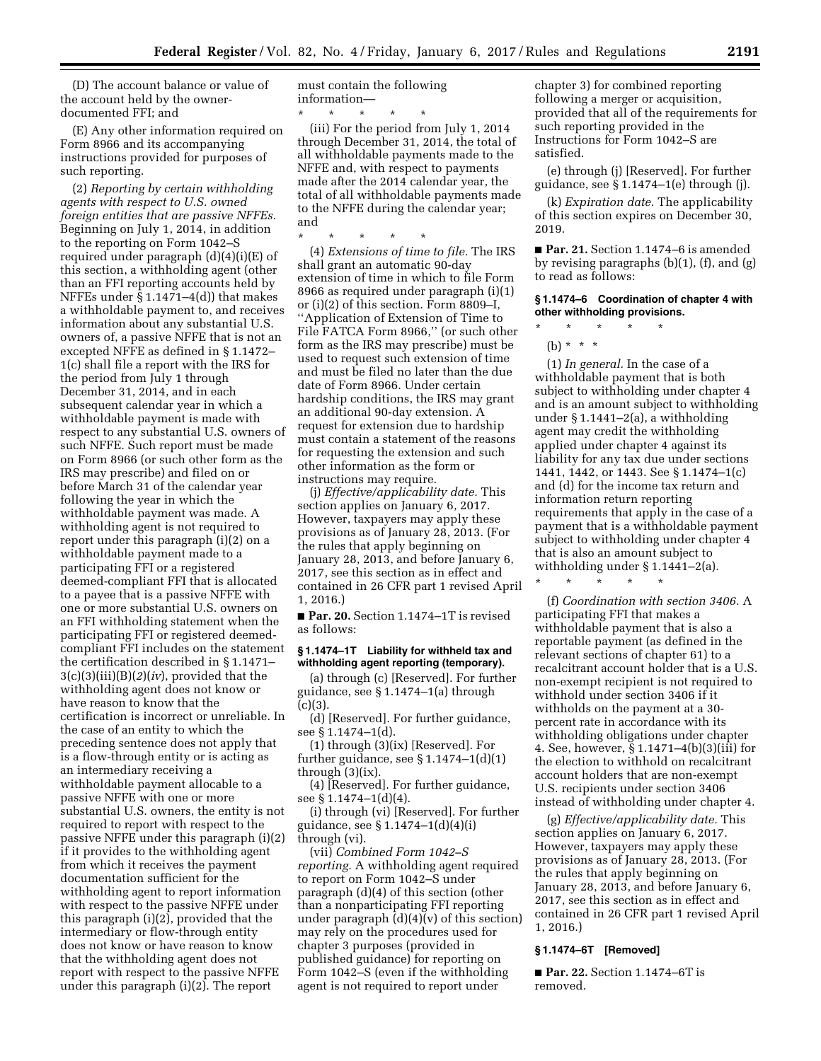(D) The account balance or value of the account held by the ownerdocumented FFI; and

(E) Any other information required on Form 8966 and its accompanying instructions provided for purposes of such reporting.

(2) *Reporting by certain withholding agents with respect to U.S. owned foreign entities that are passive NFFEs.*  Beginning on July 1, 2014, in addition to the reporting on Form 1042–S required under paragraph (d)(4)(i)(E) of this section, a withholding agent (other than an FFI reporting accounts held by NFFEs under § 1.1471–4(d)) that makes a withholdable payment to, and receives information about any substantial U.S. owners of, a passive NFFE that is not an excepted NFFE as defined in § 1.1472– 1(c) shall file a report with the IRS for the period from July 1 through December 31, 2014, and in each subsequent calendar year in which a withholdable payment is made with respect to any substantial U.S. owners of such NFFE. Such report must be made on Form 8966 (or such other form as the IRS may prescribe) and filed on or before March 31 of the calendar year following the year in which the withholdable payment was made. A withholding agent is not required to report under this paragraph (i)(2) on a withholdable payment made to a participating FFI or a registered deemed-compliant FFI that is allocated to a payee that is a passive NFFE with one or more substantial U.S. owners on an FFI withholding statement when the participating FFI or registered deemedcompliant FFI includes on the statement the certification described in § 1.1471– 3(c)(3)(iii)(B)(*2*)(*iv*), provided that the withholding agent does not know or have reason to know that the certification is incorrect or unreliable. In the case of an entity to which the preceding sentence does not apply that is a flow-through entity or is acting as an intermediary receiving a withholdable payment allocable to a passive NFFE with one or more substantial U.S. owners, the entity is not required to report with respect to the passive NFFE under this paragraph (i)(2) if it provides to the withholding agent from which it receives the payment documentation sufficient for the withholding agent to report information with respect to the passive NFFE under this paragraph (i)(2), provided that the intermediary or flow-through entity does not know or have reason to know that the withholding agent does not report with respect to the passive NFFE under this paragraph (i)(2). The report

must contain the following information—

\* \* \* \* \* (iii) For the period from July 1, 2014 through December 31, 2014, the total of all withholdable payments made to the NFFE and, with respect to payments made after the 2014 calendar year, the total of all withholdable payments made to the NFFE during the calendar year; and

\* \* \* \* \* (4) *Extensions of time to file.* The IRS shall grant an automatic 90-day extension of time in which to file Form 8966 as required under paragraph (i)(1) or (i)(2) of this section. Form 8809–I, ''Application of Extension of Time to File FATCA Form 8966,'' (or such other form as the IRS may prescribe) must be used to request such extension of time and must be filed no later than the due date of Form 8966. Under certain hardship conditions, the IRS may grant an additional 90-day extension. A request for extension due to hardship must contain a statement of the reasons for requesting the extension and such other information as the form or instructions may require.

(j) *Effective/applicability date.* This section applies on January 6, 2017. However, taxpayers may apply these provisions as of January 28, 2013. (For the rules that apply beginning on January 28, 2013, and before January 6, 2017, see this section as in effect and contained in 26 CFR part 1 revised April 1, 2016.)

■ **Par. 20.** Section 1.1474–1T is revised as follows:

# **§ 1.1474–1T Liability for withheld tax and withholding agent reporting (temporary).**

(a) through (c) [Reserved]. For further guidance, see § 1.1474–1(a) through  $(c)(3).$ 

(d) [Reserved]. For further guidance, see § 1.1474–1(d).

(1) through (3)(ix) [Reserved]. For further guidance, see  $\S 1.1474-1(d)(1)$ through (3)(ix).

(4) [Reserved]. For further guidance, see § 1.1474–1(d)(4).

(i) through (vi) [Reserved]. For further guidance, see § 1.1474–1(d)(4)(i) through (vi).

(vii) *Combined Form 1042–S reporting.* A withholding agent required to report on Form 1042–S under paragraph (d)(4) of this section (other than a nonparticipating FFI reporting under paragraph  $(d)(4)(v)$  of this section) may rely on the procedures used for chapter 3 purposes (provided in published guidance) for reporting on Form 1042–S (even if the withholding agent is not required to report under

chapter 3) for combined reporting following a merger or acquisition, provided that all of the requirements for such reporting provided in the Instructions for Form 1042–S are satisfied.

(e) through (j) [Reserved]. For further guidance, see § 1.1474–1(e) through (j).

(k) *Expiration date.* The applicability of this section expires on December 30, 2019.

■ **Par. 21.** Section 1.1474–6 is amended by revising paragraphs (b)(1), (f), and (g) to read as follows:

**§ 1.1474–6 Coordination of chapter 4 with other withholding provisions.** 

- \* \* \* \* \*
	- (b) \* \* \*

(1) *In general.* In the case of a withholdable payment that is both subject to withholding under chapter 4 and is an amount subject to withholding under § 1.1441–2(a), a withholding agent may credit the withholding applied under chapter 4 against its liability for any tax due under sections 1441, 1442, or 1443. See § 1.1474–1(c) and (d) for the income tax return and information return reporting requirements that apply in the case of a payment that is a withholdable payment subject to withholding under chapter 4 that is also an amount subject to withholding under § 1.1441–2(a).

\* \* \* \* \*

(f) *Coordination with section 3406.* A participating FFI that makes a withholdable payment that is also a reportable payment (as defined in the relevant sections of chapter 61) to a recalcitrant account holder that is a U.S. non-exempt recipient is not required to withhold under section 3406 if it withholds on the payment at a 30 percent rate in accordance with its withholding obligations under chapter 4. See, however, § 1.1471–4(b)(3)(iii) for the election to withhold on recalcitrant account holders that are non-exempt U.S. recipients under section 3406 instead of withholding under chapter 4.

(g) *Effective/applicability date.* This section applies on January 6, 2017. However, taxpayers may apply these provisions as of January 28, 2013. (For the rules that apply beginning on January 28, 2013, and before January 6, 2017, see this section as in effect and contained in 26 CFR part 1 revised April 1, 2016.)

### **§ 1.1474–6T [Removed]**

■ **Par. 22.** Section 1.1474–6T is removed.